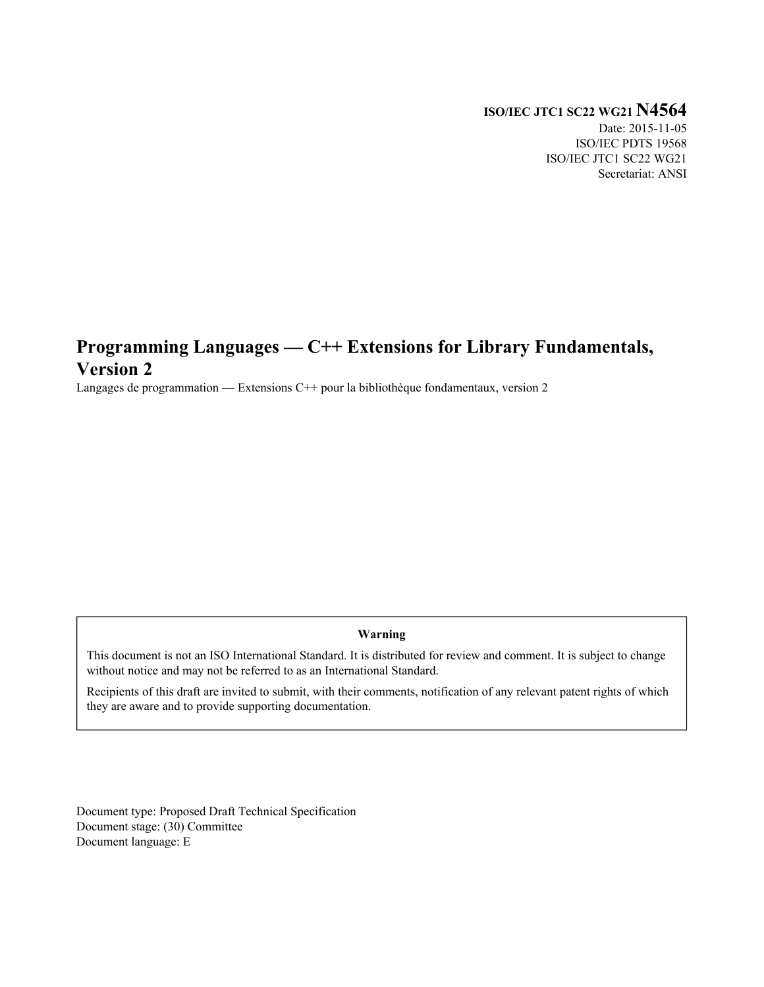## **ISO/IEC JTC1 SC22 WG21 N4564**

Date: 2015-11-05 ISO/IEC PDTS 19568 ISO/IEC JTC1 SC22 WG21 Secretariat: ANSI

# **Programming Languages — C++ Extensions for Library Fundamentals, Version 2**

Langages de programmation — Extensions C++ pour la bibliothèque fondamentaux, version 2

### **Warning**

This document is not an ISO International Standard. It is distributed for review and comment. It is subject to change without notice and may not be referred to as an International Standard.

Recipients of this draft are invited to submit, with their comments, notification of any relevant patent rights of which they are aware and to provide supporting documentation.

Document type: Proposed Draft Technical Specification Document stage: (30) Committee Document language: E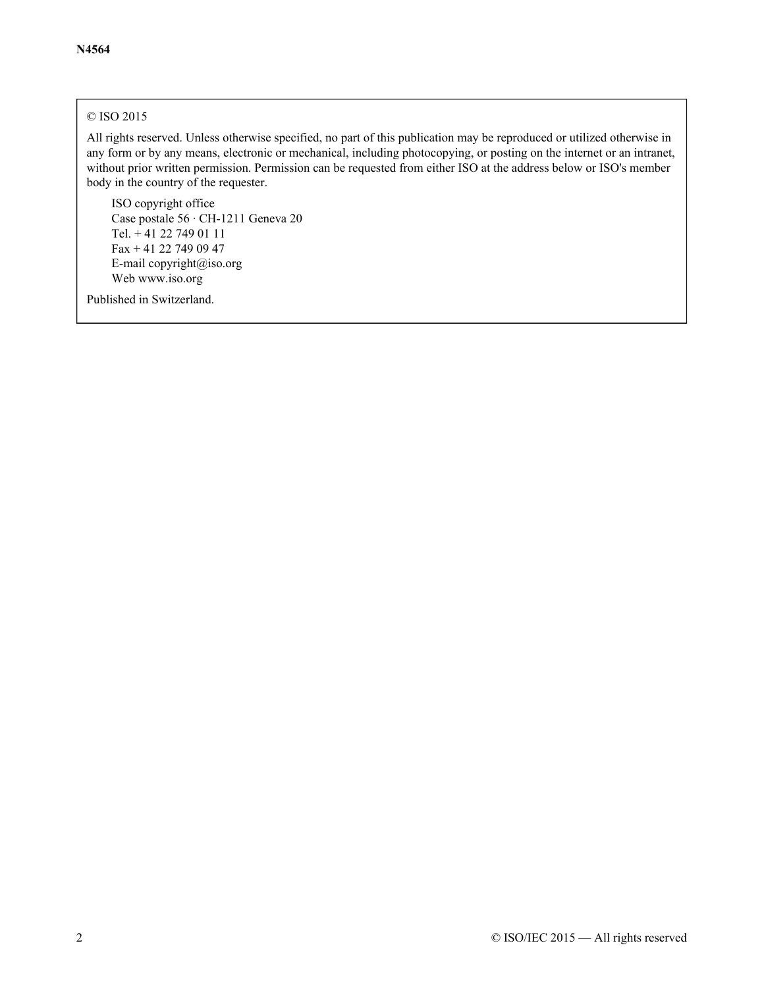## © ISO 2015

All rights reserved. Unless otherwise specified, no part of this publication may be reproduced or utilized otherwise in any form or by any means, electronic or mechanical, including photocopying, or posting on the internet or an intranet, without prior written permission. Permission can be requested from either ISO at the address below or ISO's member body in the country of the requester.

ISO copyright office Case postale 56 · CH-1211 Geneva 20 Tel. + 41 22 749 01 11 Fax + 41 22 749 09 47 E-mail [copyright@iso.org](mailto:copyright@iso.org) Web [www.iso.org](http://www.iso.org/)

Published in Switzerland.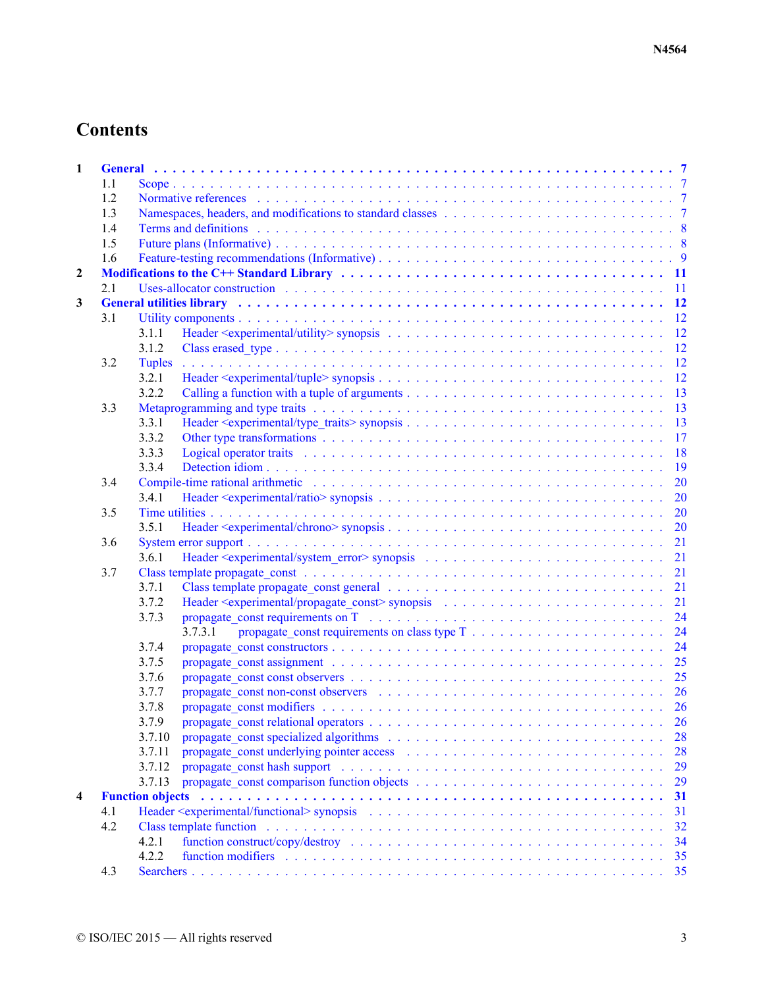| $\mathbf{1}$            |     |                                                                                                                                                                                                                                               |
|-------------------------|-----|-----------------------------------------------------------------------------------------------------------------------------------------------------------------------------------------------------------------------------------------------|
|                         | 1.1 |                                                                                                                                                                                                                                               |
|                         | 1.2 |                                                                                                                                                                                                                                               |
|                         | 1.3 | Namespaces, headers, and modifications to standard classes entering the set of the state of the standard classes entering the state of the state of the state of the state of the state of the state of the state of the state                |
|                         | 1.4 |                                                                                                                                                                                                                                               |
|                         | 1.5 |                                                                                                                                                                                                                                               |
|                         | 1.6 |                                                                                                                                                                                                                                               |
| $\boldsymbol{2}$        |     |                                                                                                                                                                                                                                               |
|                         | 2.1 |                                                                                                                                                                                                                                               |
| 3                       |     | General utilities library (a) and a contract of the contract of the contract of the contract of the contract of the contract of the contract of the contract of the contract of the contract of the contract of the contract o                |
|                         | 3.1 |                                                                                                                                                                                                                                               |
|                         |     | 3.1.1                                                                                                                                                                                                                                         |
|                         |     | 3.1.2                                                                                                                                                                                                                                         |
|                         | 3.2 | <b>Tuples</b>                                                                                                                                                                                                                                 |
|                         |     | 3.2.1                                                                                                                                                                                                                                         |
|                         |     | 3.2.2                                                                                                                                                                                                                                         |
|                         | 3.3 |                                                                                                                                                                                                                                               |
|                         |     | 3.3.1                                                                                                                                                                                                                                         |
|                         |     | 3.3.2                                                                                                                                                                                                                                         |
|                         |     | Logical operator traits entertainment of the contract of the contract of the contract of the contract of the contract of the contract of the contract of the contract of the contract of the contract of the contract of the c<br>3.3.3       |
|                         |     | 3.3.4                                                                                                                                                                                                                                         |
|                         | 3.4 | Compile-time rational arithmetic entries and subsequently and the compile-time rational arithmetic entries and the computation of the computation of $20$                                                                                     |
|                         |     | 3.4.1                                                                                                                                                                                                                                         |
|                         | 3.5 |                                                                                                                                                                                                                                               |
|                         |     | 3.5.1                                                                                                                                                                                                                                         |
|                         | 3.6 |                                                                                                                                                                                                                                               |
|                         |     | 3.6.1                                                                                                                                                                                                                                         |
|                         | 3.7 |                                                                                                                                                                                                                                               |
|                         |     | 3.7.1                                                                                                                                                                                                                                         |
|                         |     | 3.7.2                                                                                                                                                                                                                                         |
|                         |     | 3.7.3                                                                                                                                                                                                                                         |
|                         |     | 3.7.3.1                                                                                                                                                                                                                                       |
|                         |     |                                                                                                                                                                                                                                               |
|                         |     | 3.7.4                                                                                                                                                                                                                                         |
|                         |     | 3.7.5                                                                                                                                                                                                                                         |
|                         |     | 3.7.6                                                                                                                                                                                                                                         |
|                         |     | propagate const non-const observers (a) contained a series of the series of the series of the series of the series of the series of the series of the series of the series of the series of the series of the series of the se<br>3.7.7       |
|                         |     | 3.7.8                                                                                                                                                                                                                                         |
|                         |     | 3.7.9                                                                                                                                                                                                                                         |
|                         |     | 3.7.10                                                                                                                                                                                                                                        |
|                         |     | 3.7.11<br>28                                                                                                                                                                                                                                  |
|                         |     | 3.7.12<br>propagate const hash support (and all contact and all contact and all contact and all contact and all contact and all contact and all contact and all contact and all contact and all contact and all contact and all contact<br>29 |
|                         |     | 3.7.13<br>29                                                                                                                                                                                                                                  |
| $\overline{\mathbf{4}}$ |     | <b>Function objects</b><br>31                                                                                                                                                                                                                 |
|                         | 4.1 | 31                                                                                                                                                                                                                                            |
|                         | 4.2 | 32                                                                                                                                                                                                                                            |
|                         |     | 4.2.1<br>34                                                                                                                                                                                                                                   |
|                         |     | 4.2.2<br>function modifiers expansion of the contract of the contract of the contract of the contract of the contract of the contract of the contract of the contract of the contract of the contract of the contract of the contract o       |
|                         | 4.3 |                                                                                                                                                                                                                                               |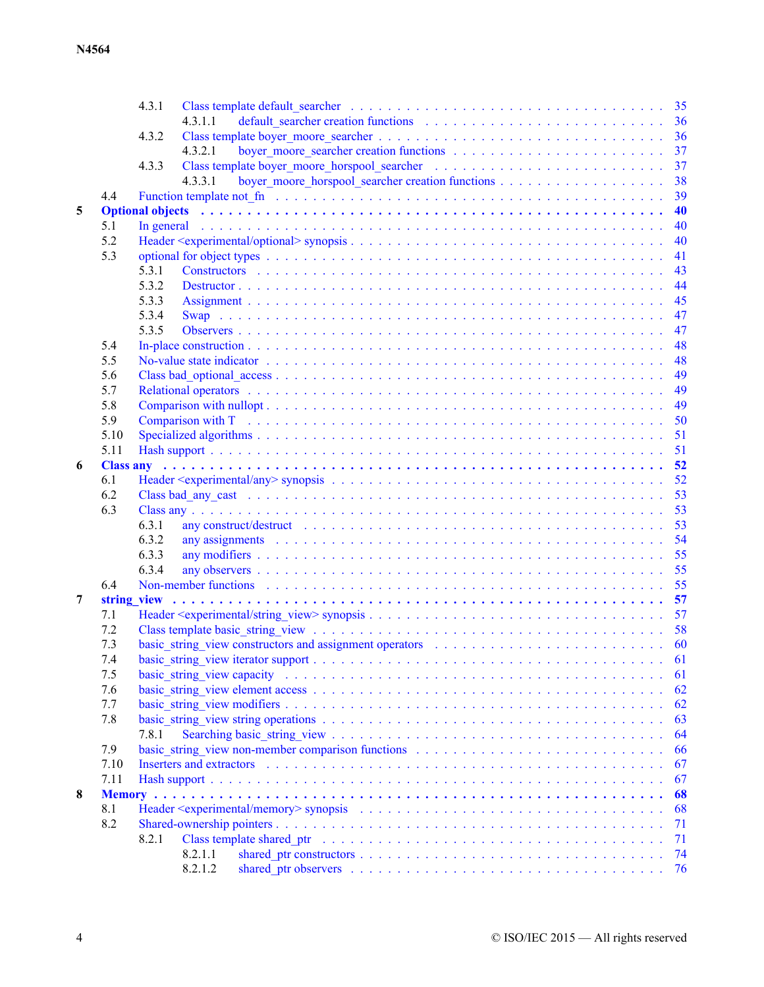|   |             | 4.3.1 |                          |                                                                                                                                                                                                                                |                                                                                                               |  |  |  |  |  |  |    |
|---|-------------|-------|--------------------------|--------------------------------------------------------------------------------------------------------------------------------------------------------------------------------------------------------------------------------|---------------------------------------------------------------------------------------------------------------|--|--|--|--|--|--|----|
|   |             |       | 4.3.1.1                  |                                                                                                                                                                                                                                |                                                                                                               |  |  |  |  |  |  |    |
|   |             | 4.3.2 |                          |                                                                                                                                                                                                                                |                                                                                                               |  |  |  |  |  |  | 36 |
|   |             |       | 4.3.2.1                  |                                                                                                                                                                                                                                |                                                                                                               |  |  |  |  |  |  | 37 |
|   |             | 4.3.3 |                          |                                                                                                                                                                                                                                |                                                                                                               |  |  |  |  |  |  | 37 |
|   |             |       | 4.3.3.1                  |                                                                                                                                                                                                                                |                                                                                                               |  |  |  |  |  |  | 38 |
|   | 4.4         |       |                          | Function template not find the subsequence of the subsequence of the subsequence of the subsequence of the subsequence of the subsequence of the subsequence of the subsequence of the subsequence of the subsequence of the s |                                                                                                               |  |  |  |  |  |  | 39 |
| 5 |             |       |                          | Optional objects (and a contract of a contract of a contract of a contract of a contract of a contract of a contract of the contract of the contract of the contract of the contract of the contract of the contract of the co |                                                                                                               |  |  |  |  |  |  | 40 |
|   | 5.1         |       |                          | In general additional contract of the contract of the contract of the contract of the contract of the contract of the contract of the contract of the contract of the contract of the contract of the contract of the contract |                                                                                                               |  |  |  |  |  |  | 40 |
|   | 5.2         |       |                          |                                                                                                                                                                                                                                |                                                                                                               |  |  |  |  |  |  | 40 |
|   | 5.3         |       |                          |                                                                                                                                                                                                                                |                                                                                                               |  |  |  |  |  |  | 41 |
|   |             | 5.3.1 |                          |                                                                                                                                                                                                                                |                                                                                                               |  |  |  |  |  |  | 43 |
|   |             | 5.3.2 |                          |                                                                                                                                                                                                                                |                                                                                                               |  |  |  |  |  |  | 44 |
|   |             | 5.3.3 |                          |                                                                                                                                                                                                                                |                                                                                                               |  |  |  |  |  |  | 45 |
|   |             | 5.3.4 |                          |                                                                                                                                                                                                                                |                                                                                                               |  |  |  |  |  |  | 47 |
|   |             | 5.3.5 |                          |                                                                                                                                                                                                                                |                                                                                                               |  |  |  |  |  |  | 47 |
|   | 5.4         |       |                          |                                                                                                                                                                                                                                |                                                                                                               |  |  |  |  |  |  | 48 |
|   | 5.5         |       |                          |                                                                                                                                                                                                                                |                                                                                                               |  |  |  |  |  |  | 48 |
|   | 5.6         |       |                          |                                                                                                                                                                                                                                |                                                                                                               |  |  |  |  |  |  | 49 |
|   | 5.7         |       |                          |                                                                                                                                                                                                                                |                                                                                                               |  |  |  |  |  |  | 49 |
|   | 5.8         |       |                          |                                                                                                                                                                                                                                |                                                                                                               |  |  |  |  |  |  | 49 |
|   | 5.9         |       |                          | Comparison with T respectively respectively and the contract of the contract of the contract of the contract of the contract of the contract of the contract of the contract of the contract of the contract of the contract o |                                                                                                               |  |  |  |  |  |  | 50 |
|   | 5.10        |       |                          |                                                                                                                                                                                                                                |                                                                                                               |  |  |  |  |  |  | 51 |
|   | 5.11        |       |                          |                                                                                                                                                                                                                                |                                                                                                               |  |  |  |  |  |  | 51 |
| 6 |             |       |                          |                                                                                                                                                                                                                                |                                                                                                               |  |  |  |  |  |  |    |
|   | 6.1         |       |                          |                                                                                                                                                                                                                                |                                                                                                               |  |  |  |  |  |  | 52 |
|   | 6.2         |       |                          |                                                                                                                                                                                                                                |                                                                                                               |  |  |  |  |  |  | 53 |
|   | 6.3         |       |                          |                                                                                                                                                                                                                                |                                                                                                               |  |  |  |  |  |  | 53 |
|   |             | 6.3.1 |                          | any construct/destruct in the contract of the contract of the contract of the contract of the contract of the contract of the contract of the contract of the contract of the contract of the contract of the contract of the  |                                                                                                               |  |  |  |  |  |  | 53 |
|   |             | 6.3.2 |                          | any assignments and contact the contract of the contact of the contact of the contact of the contact of the contact of the contact of the contact of the contact of the contact of the contact of the contact of the contact o |                                                                                                               |  |  |  |  |  |  | 54 |
|   |             | 6.3.3 |                          |                                                                                                                                                                                                                                |                                                                                                               |  |  |  |  |  |  | 55 |
|   |             | 6.3.4 |                          |                                                                                                                                                                                                                                |                                                                                                               |  |  |  |  |  |  | 55 |
|   | 6.4         |       |                          |                                                                                                                                                                                                                                |                                                                                                               |  |  |  |  |  |  | 55 |
| 7 | string view |       |                          |                                                                                                                                                                                                                                |                                                                                                               |  |  |  |  |  |  |    |
|   | 7.1         |       |                          |                                                                                                                                                                                                                                |                                                                                                               |  |  |  |  |  |  |    |
|   | 7.2         |       |                          |                                                                                                                                                                                                                                |                                                                                                               |  |  |  |  |  |  |    |
|   | 7.3         |       |                          | basic string view constructors and assignment operators $\ldots \ldots \ldots \ldots \ldots \ldots \ldots \ldots \ldots$                                                                                                       |                                                                                                               |  |  |  |  |  |  |    |
|   | 7.4         |       |                          |                                                                                                                                                                                                                                |                                                                                                               |  |  |  |  |  |  | 61 |
|   | 7.5         |       |                          |                                                                                                                                                                                                                                |                                                                                                               |  |  |  |  |  |  | 61 |
|   | 7.6         |       |                          |                                                                                                                                                                                                                                |                                                                                                               |  |  |  |  |  |  | 62 |
|   | 7.7         |       |                          |                                                                                                                                                                                                                                |                                                                                                               |  |  |  |  |  |  | 62 |
|   | 7.8         |       |                          |                                                                                                                                                                                                                                |                                                                                                               |  |  |  |  |  |  | 63 |
|   |             | 7.8.1 |                          |                                                                                                                                                                                                                                |                                                                                                               |  |  |  |  |  |  | 64 |
|   |             |       |                          | basic string view non-member comparison functions $\dots \dots \dots \dots \dots \dots \dots \dots \dots \dots \dots$                                                                                                          |                                                                                                               |  |  |  |  |  |  |    |
|   | 7.9         |       |                          |                                                                                                                                                                                                                                |                                                                                                               |  |  |  |  |  |  | 66 |
|   | 7.10        |       | Inserters and extractors |                                                                                                                                                                                                                                | والمتعاونة والمتعاونة والمتعاونة والمتعاونة والمتعاونة والمتعاونة والمتعاونة والمتعاونة والمتعاونة والمتعاونة |  |  |  |  |  |  | 67 |
|   | 7.11        |       |                          |                                                                                                                                                                                                                                |                                                                                                               |  |  |  |  |  |  | 67 |
| 8 |             |       |                          |                                                                                                                                                                                                                                |                                                                                                               |  |  |  |  |  |  | 68 |
|   | 8.1         |       |                          |                                                                                                                                                                                                                                |                                                                                                               |  |  |  |  |  |  | 68 |
|   | 8.2         |       |                          |                                                                                                                                                                                                                                |                                                                                                               |  |  |  |  |  |  | 71 |
|   |             | 8.2.1 |                          |                                                                                                                                                                                                                                |                                                                                                               |  |  |  |  |  |  | 71 |
|   |             |       | 8.2.1.1                  |                                                                                                                                                                                                                                |                                                                                                               |  |  |  |  |  |  | 74 |
|   |             |       | 8.2.1.2                  |                                                                                                                                                                                                                                |                                                                                                               |  |  |  |  |  |  | 76 |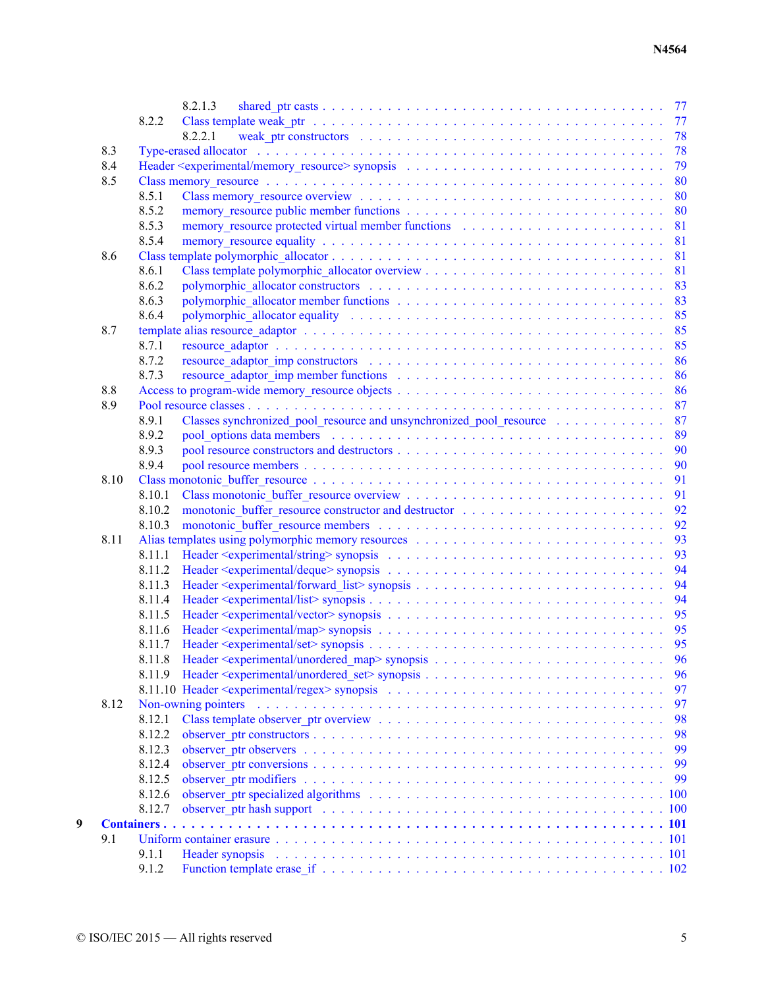|   |      |        | 8.2.1.3                                                                                                                                                                                                                                      |
|---|------|--------|----------------------------------------------------------------------------------------------------------------------------------------------------------------------------------------------------------------------------------------------|
|   |      | 8.2.2  |                                                                                                                                                                                                                                              |
|   |      |        | 8.2.2.1                                                                                                                                                                                                                                      |
|   | 8.3  |        |                                                                                                                                                                                                                                              |
|   | 8.4  |        |                                                                                                                                                                                                                                              |
|   | 8.5  |        |                                                                                                                                                                                                                                              |
|   |      | 8.5.1  |                                                                                                                                                                                                                                              |
|   |      | 8.5.2  |                                                                                                                                                                                                                                              |
|   |      | 8.5.3  | memory resource protected virtual member functions enters and such a set of the set of the set of the set of the set of the set of the set of the set of the set of the set of the set of the set of the set of the set of the               |
|   |      | 8.5.4  |                                                                                                                                                                                                                                              |
|   | 8.6  |        |                                                                                                                                                                                                                                              |
|   |      | 8.6.1  |                                                                                                                                                                                                                                              |
|   |      | 8.6.2  |                                                                                                                                                                                                                                              |
|   |      | 8.6.3  |                                                                                                                                                                                                                                              |
|   |      | 8.6.4  | polymorphic allocator equality respectively. The set of the set of the set of the set of the set of the set of the set of the set of the set of the set of the set of the set of the set of the set of the set of the set of t               |
|   | 8.7  |        |                                                                                                                                                                                                                                              |
|   |      | 8.7.1  |                                                                                                                                                                                                                                              |
|   |      | 8.7.2  |                                                                                                                                                                                                                                              |
|   |      | 8.7.3  |                                                                                                                                                                                                                                              |
|   | 8.8  |        |                                                                                                                                                                                                                                              |
|   | 8.9  |        |                                                                                                                                                                                                                                              |
|   |      | 8.9.1  | Classes synchronized_pool_resource and unsynchronized_pool_resource 87                                                                                                                                                                       |
|   |      | 8.9.2  |                                                                                                                                                                                                                                              |
|   |      | 8.9.3  |                                                                                                                                                                                                                                              |
|   |      | 8.9.4  |                                                                                                                                                                                                                                              |
|   | 8.10 |        |                                                                                                                                                                                                                                              |
|   |      | 8.10.1 |                                                                                                                                                                                                                                              |
|   |      | 8.10.2 |                                                                                                                                                                                                                                              |
|   |      | 8.10.3 |                                                                                                                                                                                                                                              |
|   | 8.11 |        |                                                                                                                                                                                                                                              |
|   |      | 8.11.1 |                                                                                                                                                                                                                                              |
|   |      | 8.11.2 |                                                                                                                                                                                                                                              |
|   |      | 8.11.3 |                                                                                                                                                                                                                                              |
|   |      | 8.11.4 |                                                                                                                                                                                                                                              |
|   |      | 8.11.5 |                                                                                                                                                                                                                                              |
|   |      | 8.11.6 |                                                                                                                                                                                                                                              |
|   |      | 8.11.7 |                                                                                                                                                                                                                                              |
|   |      |        |                                                                                                                                                                                                                                              |
|   |      | 8.11.9 | 96                                                                                                                                                                                                                                           |
|   |      |        | 97                                                                                                                                                                                                                                           |
|   | 8.12 |        | Non-owning pointers et al., and a series of the series of the series of the series of the series of the series of the series of the series of the series of the series of the series of the series of the series of the series<br>97         |
|   |      | 8.12.1 | 98                                                                                                                                                                                                                                           |
|   |      | 8.12.2 | 98                                                                                                                                                                                                                                           |
|   |      | 8.12.3 | 99                                                                                                                                                                                                                                           |
|   |      | 8.12.4 | 99                                                                                                                                                                                                                                           |
|   |      | 8.12.5 | 99                                                                                                                                                                                                                                           |
|   |      | 8.12.6 | observer ptr specialized algorithms experience in the service of the service of the service of the service of the service of the service of the service of the service of the service of the service of the service of the ser<br>100        |
|   |      | 8.12.7 | observer ptr hash support (a) contained a series of the series of the series of the series of the series of the series of the series of the series of the series of the series of the series of the series of the series of th<br><b>100</b> |
| 9 |      |        |                                                                                                                                                                                                                                              |
|   | 9.1  |        |                                                                                                                                                                                                                                              |
|   |      | 9.1.1  | Header synopsis                                                                                                                                                                                                                              |
|   |      | 9.1.2  |                                                                                                                                                                                                                                              |
|   |      |        |                                                                                                                                                                                                                                              |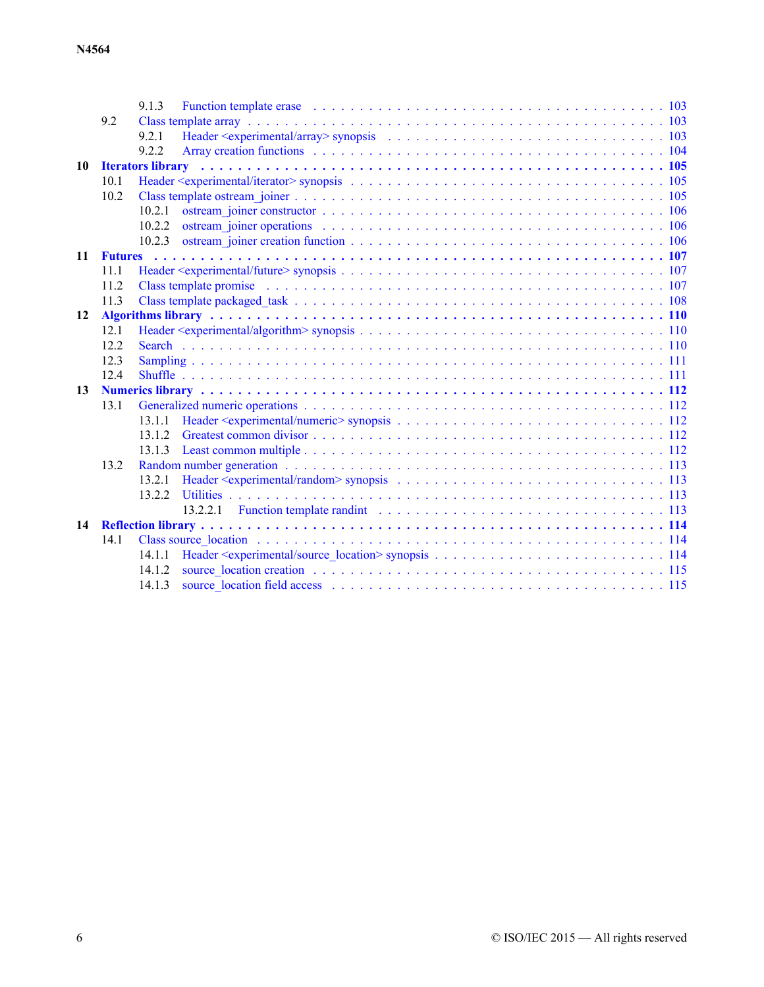|    |      | 9.1.3  | Function template erase enterprise on the context of the context of the context of the context of the context of the context of the context of the context of the context of the context of the context of the context of the  |  |
|----|------|--------|--------------------------------------------------------------------------------------------------------------------------------------------------------------------------------------------------------------------------------|--|
|    | 9.2  |        |                                                                                                                                                                                                                                |  |
|    |      | 9.2.1  |                                                                                                                                                                                                                                |  |
|    |      | 9.2.2  | Array creation functions et al., and are all the contract of the contract of the contract of the contract of the contract of the contract of the contract of the contract of the contract of the contract of the contract of t |  |
| 10 |      |        | Iterators library (and a series of the series of the series of the series of the series of the series of the series of the series of the series of the series of the series of the series of the series of the series of the s |  |
|    | 10.1 |        |                                                                                                                                                                                                                                |  |
|    | 10.2 |        |                                                                                                                                                                                                                                |  |
|    |      | 10.2.1 |                                                                                                                                                                                                                                |  |
|    |      | 10.2.2 |                                                                                                                                                                                                                                |  |
|    |      | 10.2.3 |                                                                                                                                                                                                                                |  |
| 11 |      |        |                                                                                                                                                                                                                                |  |
|    | 11.1 |        |                                                                                                                                                                                                                                |  |
|    | 112  |        |                                                                                                                                                                                                                                |  |
|    | 11.3 |        |                                                                                                                                                                                                                                |  |
| 12 |      |        |                                                                                                                                                                                                                                |  |
|    | 12.1 |        |                                                                                                                                                                                                                                |  |
|    | 12.2 |        |                                                                                                                                                                                                                                |  |
|    | 12.3 |        |                                                                                                                                                                                                                                |  |
|    | 12.4 |        |                                                                                                                                                                                                                                |  |
| 13 |      |        |                                                                                                                                                                                                                                |  |
|    | 13.1 |        |                                                                                                                                                                                                                                |  |
|    |      | 13.1.1 |                                                                                                                                                                                                                                |  |
|    |      | 13 1 2 |                                                                                                                                                                                                                                |  |
|    |      | 13.1.3 |                                                                                                                                                                                                                                |  |
|    | 13.2 |        |                                                                                                                                                                                                                                |  |
|    |      | 13.2.1 |                                                                                                                                                                                                                                |  |
|    |      | 1322   |                                                                                                                                                                                                                                |  |
|    |      |        |                                                                                                                                                                                                                                |  |
| 14 |      |        |                                                                                                                                                                                                                                |  |
|    | 14.1 |        |                                                                                                                                                                                                                                |  |
|    |      | 14.1.1 |                                                                                                                                                                                                                                |  |
|    |      | 14.1.2 |                                                                                                                                                                                                                                |  |
|    |      | 1413   |                                                                                                                                                                                                                                |  |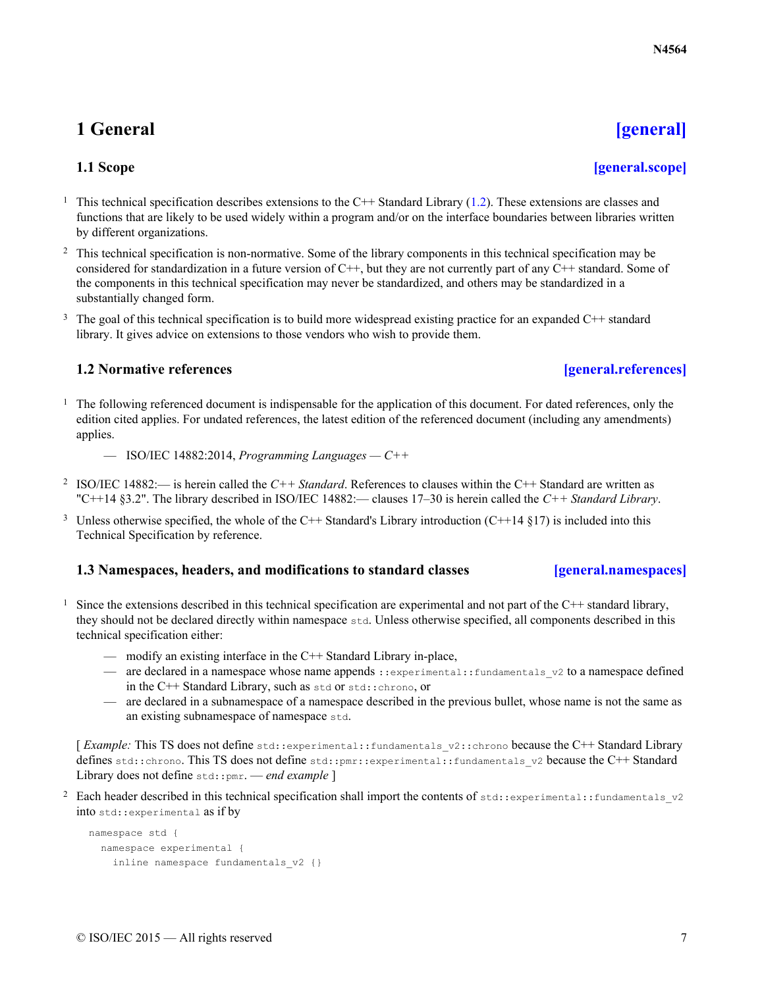# <span id="page-6-0"></span>**1 General [\[general\]](#page-6-0)**

- <span id="page-6-1"></span><sup>1</sup> This technical specification describes extensions to the C++ Standard Library [\(1.2\)](#page-6-2). These extensions are classes and functions that are likely to be used widely within a program and/or on the interface boundaries between libraries written by different organizations.
- <sup>2</sup> This technical specification is non-normative. Some of the library components in this technical specification may be considered for standardization in a future version of  $C++$ , but they are not currently part of any  $C++$  standard. Some of the components in this technical specification may never be standardized, and others may be standardized in a substantially changed form.
- <sup>3</sup> The goal of this technical specification is to build more widespread existing practice for an expanded C++ standard library. It gives advice on extensions to those vendors who wish to provide them.

## **1.2 Normative references [\[general.references\]](#page-6-2)**

- <span id="page-6-2"></span> $<sup>1</sup>$  The following referenced document is indispensable for the application of this document. For dated references, only the</sup> edition cited applies. For undated references, the latest edition of the referenced document (including any amendments) applies.
	- ISO/IEC 14882:2014, *Programming Languages C++*
- 2 ISO/IEC 14882:— is herein called the *C++ Standard*. References to clauses within the C++ Standard are written as "C++14 §3.2". The library described in ISO/IEC 14882:— clauses 17–30 is herein called the *C++ Standard Library*.
- <sup>3</sup> Unless otherwise specified, the whole of the C++ Standard's Library introduction (C++14 §17) is included into this Technical Specification by reference.

## **1.3 Namespaces, headers, and modifications to standard classes [\[general.namespaces\]](#page-6-3)**

- <span id="page-6-3"></span><sup>1</sup> Since the extensions described in this technical specification are experimental and not part of the C++ standard library, they should not be declared directly within namespace std. Unless otherwise specified, all components described in this technical specification either:
	- modify an existing interface in the C++ Standard Library in-place,
	- are declared in a namespace whose name appends :: experimental:: fundamentals v2 to a namespace defined in the C++ Standard Library, such as std or std::chrono, or
	- are declared in a subnamespace of a namespace described in the previous bullet, whose name is not the same as an existing subnamespace of namespace std.

[*Example:* This TS does not define std::experimental::fundamentals v2::chrono because the C++ Standard Library defines std::chrono. This TS does not define std::pmr::experimental::fundamentals v2 because the C++ Standard Library does not define std::pmr. - end example ]

<sup>2</sup> Each header described in this technical specification shall import the contents of std::experimental::fundamentals v2 into std::experimental as if by

```
namespace std {
 namespace experimental {
    inline namespace fundamentals v2 {}
```
## **N4564**

## **1.1 Scope [\[general.scope\]](#page-6-1)**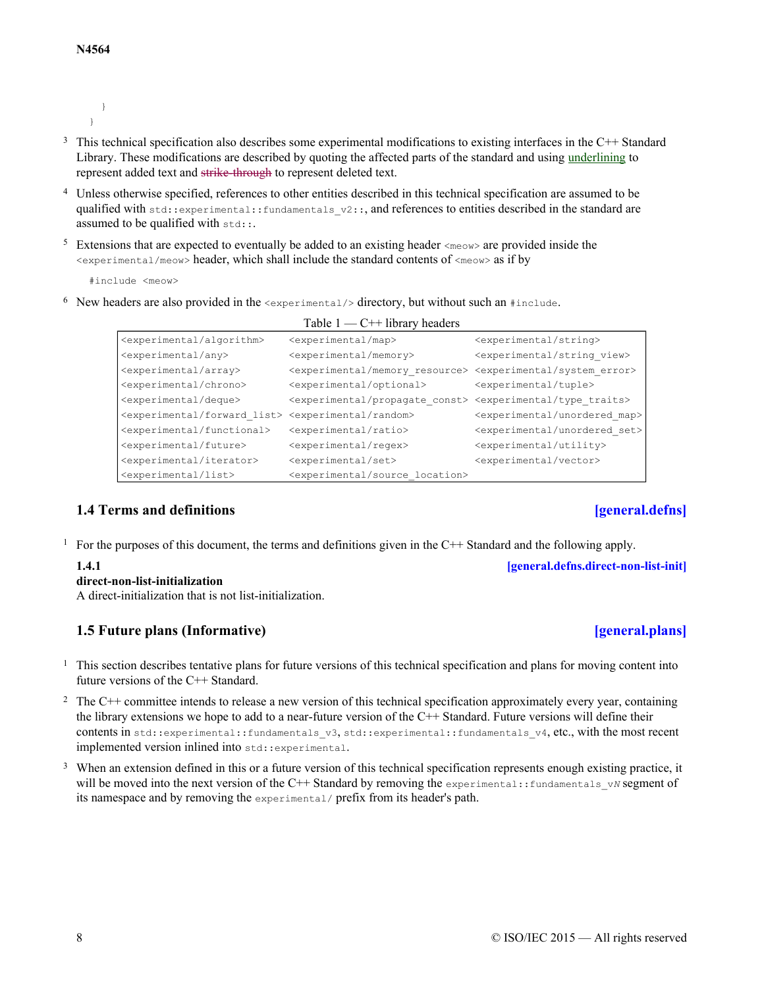```
}
}
```
- <sup>3</sup> This technical specification also describes some experimental modifications to existing interfaces in the C++ Standard Library. These modifications are described by quoting the affected parts of the standard and using underlining to represent added text and strike-through to represent deleted text.
- <sup>4</sup> Unless otherwise specified, references to other entities described in this technical specification are assumed to be qualified with  $\text{std}$ ::experimental::fundamentals  $v2$ ::, and references to entities described in the standard are assumed to be qualified with  $set:$ .
- <sup>5</sup> Extensions that are expected to eventually be added to an existing header  $\langle \text{me} \rangle$  are provided inside the  $\leq$ experimental/meow> header, which shall include the standard contents of  $\leq$ meow> as if by

#include <meow>

6 New headers are also provided in the  $\epsilon$ experimental/> directory, but without such an #include.

|                                                  | Table $1 - C$ + library headers                     |                                                   |
|--------------------------------------------------|-----------------------------------------------------|---------------------------------------------------|
| <experimental algorithm=""></experimental>       | <experimental map=""></experimental>                | <experimental string=""></experimental>           |
| <experimental any=""></experimental>             | <experimental memory=""></experimental>             | <experimental string="" view=""></experimental>   |
| <experimental array=""></experimental>           | <experimental memory="" resource=""></experimental> | <experimental error="" system=""></experimental>  |
| <experimental chrono=""></experimental>          | <experimental optional=""></experimental>           | <experimental tuple=""></experimental>            |
| <experimental deque=""></experimental>           | <experimental const="" propagate=""></experimental> | <experimental traits="" type=""></experimental>   |
| <experimental forward="" list=""></experimental> | <experimental random=""></experimental>             | <experimental map="" unordered=""></experimental> |
| <experimental functional=""></experimental>      | <experimental ratio=""></experimental>              | <experimental set="" unordered=""></experimental> |
| <experimental future=""></experimental>          | <experimental regex=""></experimental>              | <experimental utility=""></experimental>          |
| <experimental iterator=""></experimental>        | <experimental set=""></experimental>                | <experimental vector=""></experimental>           |
| <experimental list=""></experimental>            | <experimental location="" source=""></experimental> |                                                   |

## **1.4 Terms and definitions [\[general.defns\]](#page-7-0)**

<span id="page-7-2"></span><span id="page-7-0"></span><sup>1</sup> For the purposes of this document, the terms and definitions given in the C++ Standard and the following apply.

## **direct-non-list-initialization**

A direct-initialization that is not list-initialization.

## **1.5 Future plans (Informative) [\[general.plans\]](#page-7-1)**

- <span id="page-7-1"></span><sup>1</sup> This section describes tentative plans for future versions of this technical specification and plans for moving content into future versions of the C++ Standard.
- $2\text{ The C++ committee intends to release a new version of this technical specification approximately every year, containing }$ the library extensions we hope to add to a near-future version of the C++ Standard. Future versions will define their contents in std::experimental::fundamentals v3, std::experimental::fundamentals v4, etc., with the most recent implemented version inlined into std::experimental.
- <sup>3</sup> When an extension defined in this or a future version of this technical specification represents enough existing practice, it will be moved into the next version of the C++ Standard by removing the experimental::fundamentals\_v*N* segment of its namespace and by removing the experimental/ prefix from its header's path.

# 8 © ISO/IEC 2015 — All rights reserved

**1.4.1 [\[general.defns.direct-non-list-init\]](#page-7-2)**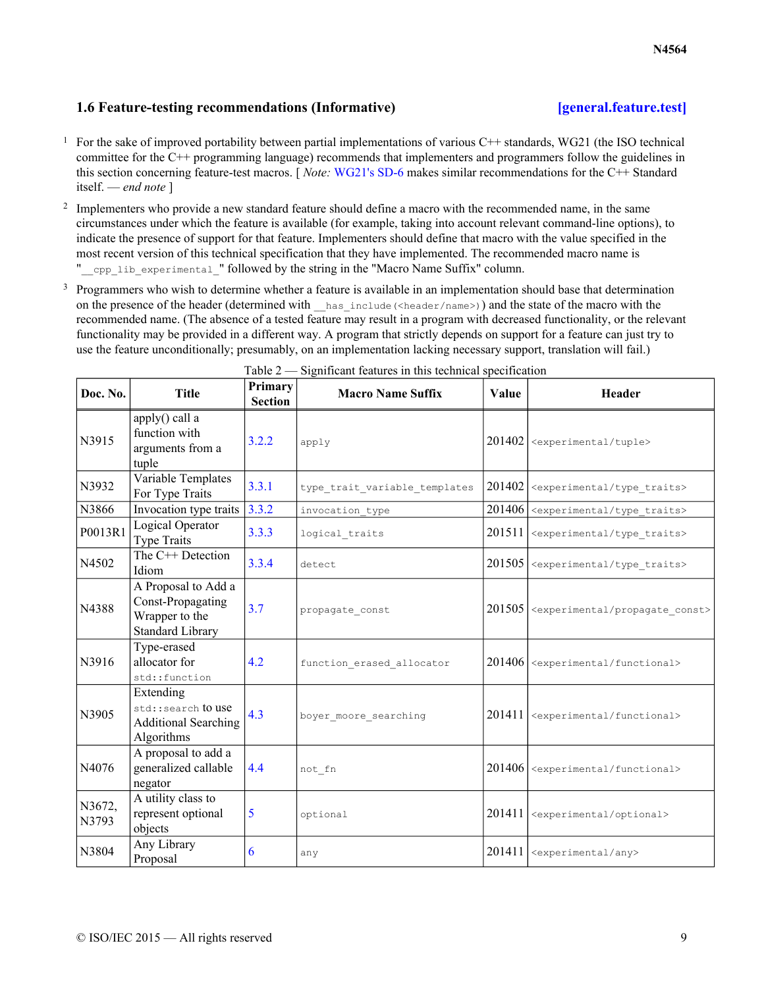## **1.6 Feature-testing recommendations (Informative) [\[general.feature.test\]](#page-8-0)**

- <span id="page-8-0"></span><sup>1</sup> For the sake of improved portability between partial implementations of various C++ standards, WG21 (the ISO technical committee for the C++ programming language) recommends that implementers and programmers follow the guidelines in this section concerning feature-test macros. [ *Note:* [WG21's SD-6](http://isocpp.org/std/standing-documents/sd-6-sg10-feature-test-recommendations) makes similar recommendations for the C++ Standard itself. — *end note* ]
- <sup>2</sup> Implementers who provide a new standard feature should define a macro with the recommended name, in the same circumstances under which the feature is available (for example, taking into account relevant command-line options), to indicate the presence of support for that feature. Implementers should define that macro with the value specified in the most recent version of this technical specification that they have implemented. The recommended macro name is " cpp\_lib\_experimental " followed by the string in the "Macro Name Suffix" column.
- <sup>3</sup> Programmers who wish to determine whether a feature is available in an implementation should base that determination on the presence of the header (determined with  $\parallel$  has include (<header/name>)) and the state of the macro with the recommended name. (The absence of a tested feature may result in a program with decreased functionality, or the relevant functionality may be provided in a different way. A program that strictly depends on support for a feature can just try to use the feature unconditionally; presumably, on an implementation lacking necessary support, translation will fail.)

| Doc. No.        | <b>Title</b>                                                                          | Primary<br><b>Section</b> | <b>Macro Name Suffix</b>      | <b>Value</b> | Header                                               |
|-----------------|---------------------------------------------------------------------------------------|---------------------------|-------------------------------|--------------|------------------------------------------------------|
| N3915           | apply() call a<br>function with<br>arguments from a<br>tuple                          | 3.2.2                     | apply                         | 201402       | <experimental tuple=""></experimental>               |
| N3932           | Variable Templates<br>For Type Traits                                                 | 3.3.1                     | type_trait_variable_templates | 201402       | <experimental traits="" type=""></experimental>      |
| N3866           | Invocation type traits $3.3.2$                                                        |                           | invocation type               | 201406       | <experimental traits="" type=""></experimental>      |
| P0013R1         | Logical Operator<br><b>Type Traits</b>                                                | 3.3.3                     | logical traits                | 201511       | <experimental traits="" type=""></experimental>      |
| N4502           | The C++ Detection<br>Idiom                                                            | 3.3.4                     | detect                        | 201505       | <experimental traits="" type=""></experimental>      |
| N4388           | A Proposal to Add a<br>Const-Propagating<br>Wrapper to the<br><b>Standard Library</b> | 3.7                       | propagate const               | 201505       | <experimental const="" propagate=""></experimental>  |
| N3916           | Type-erased<br>allocator for<br>std::function                                         | 4.2                       | function erased allocator     | 201406       | <experimental functional=""></experimental>          |
| N3905           | Extending<br>std::search to use<br><b>Additional Searching</b><br>Algorithms          | 4.3                       | boyer moore searching         | 201411       | <experimental functional=""></experimental>          |
| N4076           | A proposal to add a<br>generalized callable<br>negator                                | 4.4                       | not fn                        |              | 201406   <experimental functional=""></experimental> |
| N3672,<br>N3793 | A utility class to<br>represent optional<br>objects                                   | 5                         | optional                      | 201411       | <experimental optional=""></experimental>            |
| N3804           | Any Library<br>Proposal                                                               | 6                         | any                           | 201411       | <experimental any=""></experimental>                 |

Table 2 — Significant features in this technical specification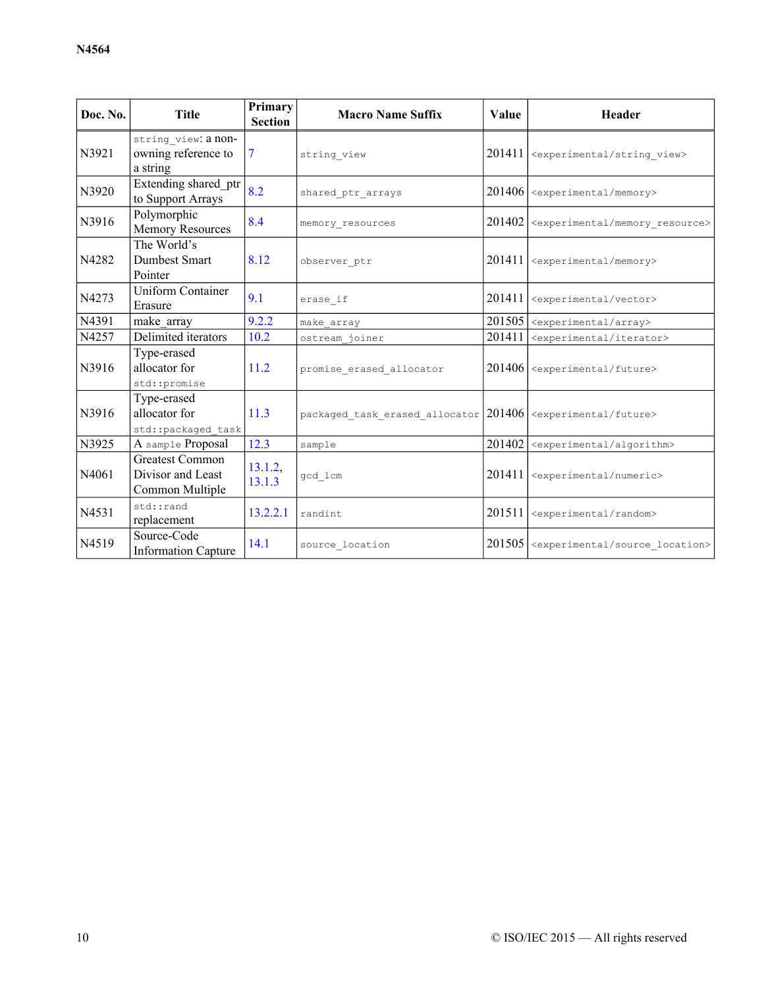| Doc. No.                                           | <b>Title</b>                                                                    | Primary<br><b>Section</b> | <b>Macro Name Suffix</b>                                         | Value  | Header                                                    |
|----------------------------------------------------|---------------------------------------------------------------------------------|---------------------------|------------------------------------------------------------------|--------|-----------------------------------------------------------|
| N3921                                              | string view: a non-<br>owning reference to<br>$\tau$<br>string view<br>a string |                           |                                                                  |        | 201411   <experimental string_view=""></experimental>     |
| N3920                                              | Extending shared ptr<br>to Support Arrays                                       | 8.2                       | shared ptr arrays                                                |        | $201406$ <experimental memory=""></experimental>          |
| N3916                                              | Polymorphic<br><b>Memory Resources</b>                                          | 8.4                       | memory resources                                                 | 201402 | <experimental memory="" resource=""></experimental>       |
| N4282                                              | The World's<br>Dumbest Smart<br>Pointer                                         | 8.12<br>observer ptr      |                                                                  | 201411 | <experimental memory=""></experimental>                   |
| N4273                                              | <b>Uniform Container</b><br>Erasure                                             | 9.1<br>erase if           |                                                                  | 201411 | <experimental vector=""></experimental>                   |
| N4391                                              | make_array                                                                      | 9.2.2                     | make array                                                       |        | $201505$ <experimental array=""></experimental>           |
| N4257                                              | Delimited iterators                                                             | 10.2                      | ostream joiner                                                   | 201411 | <experimental iterator=""></experimental>                 |
| N3916                                              | Type-erased<br>allocator for<br>std::promise                                    |                           | promise erased allocator                                         |        | 201406   <experimental future=""></experimental>          |
| N3916                                              | Type-erased<br>allocator for<br>std::packaged task                              |                           | packaged_task_erased_allocator $ 201406 $ < experimental/future> |        |                                                           |
| N3925                                              | A sample Proposal                                                               | 12.3                      | sample                                                           | 201402 | <experimental algorithm=""></experimental>                |
| N4061                                              | <b>Greatest Common</b><br>Divisor and Least<br>Common Multiple                  | 13.1.2,<br>13.1.3         | gcd lcm                                                          | 201411 | <experimental numeric=""></experimental>                  |
| N4531                                              | std::rand<br>replacement                                                        | 13.2.2.1                  | randint                                                          | 201511 | <experimental random=""></experimental>                   |
| Source-Code<br>N4519<br><b>Information Capture</b> |                                                                                 | 14.1                      | source location                                                  |        | 201505   <experimental source_location=""></experimental> |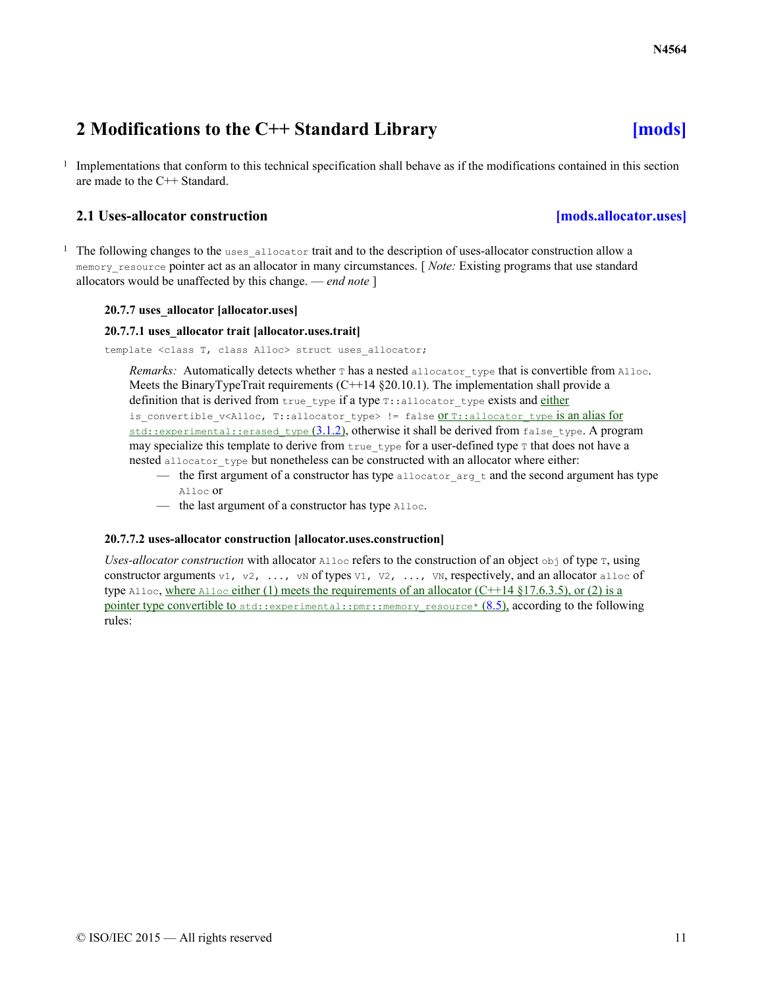# <span id="page-10-0"></span>**2 Modifications to the C++ Standard Library [\[mods\]](#page-10-0)**

1 Implementations that conform to this technical specification shall behave as if the modifications contained in this section are made to the C++ Standard.

## **2.1 Uses-allocator construction [\[mods.allocator.uses\]](#page-10-1)**

<span id="page-10-1"></span><sup>1</sup> The following changes to the uses\_allocator trait and to the description of uses-allocator construction allow a memory resource pointer act as an allocator in many circumstances. [*Note:* Existing programs that use standard allocators would be unaffected by this change. — *end note* ]

## **20.7.7 uses\_allocator [allocator.uses]**

### **20.7.7.1 uses\_allocator trait [allocator.uses.trait]**

template <class T, class Alloc> struct uses allocator;

Remarks: Automatically detects whether T has a nested allocator type that is convertible from Alloc. Meets the BinaryTypeTrait requirements  $(C+14 \text{ §}20.10.1)$ . The implementation shall provide a definition that is derived from true type if a type  $\tau$ : allocator type exists and either is convertible v<Alloc, T::allocator type> != false <u>OTT::allocator type is an alias for</u> std::experimental::erased\_type  $(3.1.2)$  $(3.1.2)$ , otherwise it shall be derived from false\_type. A program may specialize this template to derive from true type for a user-defined type  $\tau$  that does not have a nested allocator type but nonetheless can be constructed with an allocator where either:

- the first argument of a constructor has type allocator  $\Delta r$  arg  $\pm$  and the second argument has type Alloc or
- the last argument of a constructor has type Alloc.

### **20.7.7.2 uses-allocator construction [allocator.uses.construction]**

*Uses-allocator construction* with allocator  $\triangle$ lloc refers to the construction of an object  $\triangle$ bj of type  $\tau$ , using constructor arguments v1, v2, ..., vN of types v1, v2, ..., vN, respectively, and an allocator alloc of type Alloc, where Alloc either (1) meets the requirements of an allocator  $(C+14 \text{ §}17.6.3.5)$ , or (2) is a pointer type convertible to std::experimental::pmr::memory\_resource\*  $(8.5)$  $(8.5)$  $(8.5)$ , according to the following rules: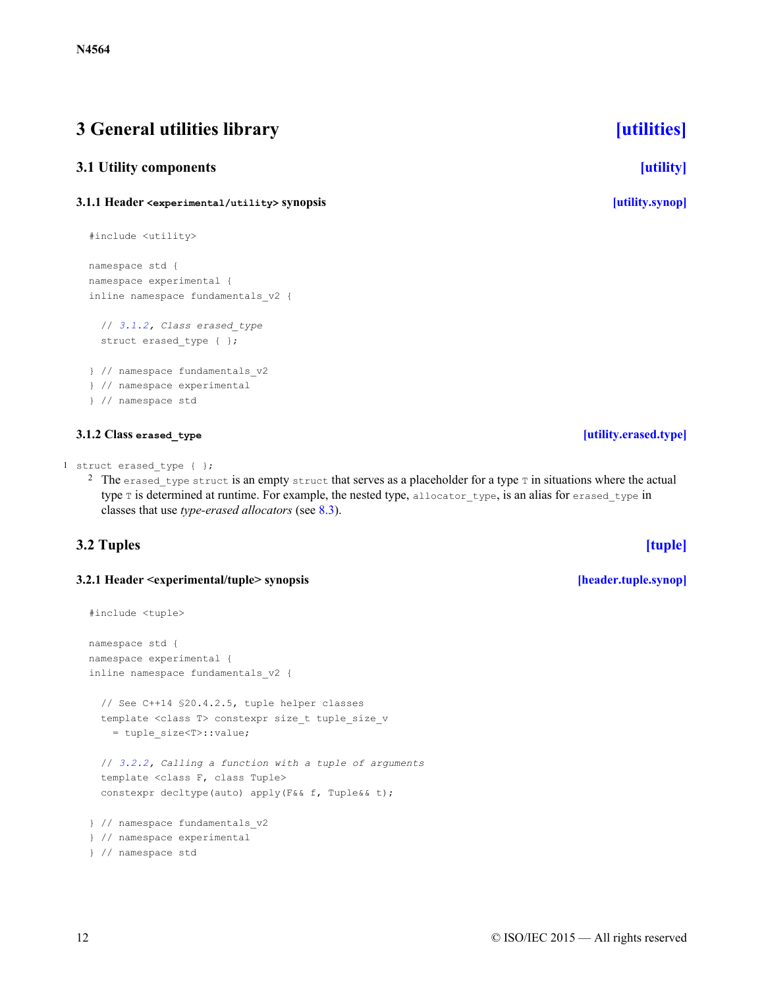# <span id="page-11-0"></span>**3 General utilities library [\[utilities\]](#page-11-0)**

## <span id="page-11-1"></span>**3.1 Utility components [\[utility\]](#page-11-1)**

## <span id="page-11-2"></span>**3.1.1 Header <experimental/utility> synopsis [\[utility.synop\]](#page-11-2)**

```
#include <utility>
```

```
namespace std {
namespace experimental {
inline namespace fundamentals_v2 {
```

```
// 3.1.2, Class erased_type
 struct erased type { };
} // namespace fundamentals_v2
} // namespace experimental
} // namespace std
```
## **3.1.2 Class erased\_type [\[utility.erased.type\]](#page-11-3)**

```
1 struct erased type { };
```
<sup>2</sup> The erased type struct is an empty struct that serves as a placeholder for a type  $\tau$  in situations where the actual type T is determined at runtime. For example, the nested type, allocator type, is an alias for erased type in classes that use *type-erased allocators* (see [8.3](#page-77-1)).

## <span id="page-11-4"></span>**3.2 Tuples [\[tuple\]](#page-11-4)**

## <span id="page-11-5"></span>**3.2.1 Header <experimental/tuple> synopsis [\[header.tuple.synop\]](#page-11-5)**

```
#include <tuple>
namespace std {
namespace experimental {
inline namespace fundamentals_v2 {
  // See C++14 §20.4.2.5, tuple helper classes
 template <class T> constexpr size_t tuple_size_v
    = tuple_size<T>::value;
  // 3.2.2, Calling a function with a tuple of arguments
  template <class F, class Tuple>
  constexpr decltype(auto) apply(F&& f, Tuple&& t);
} // namespace fundamentals_v2
} // namespace experimental
} // namespace std
```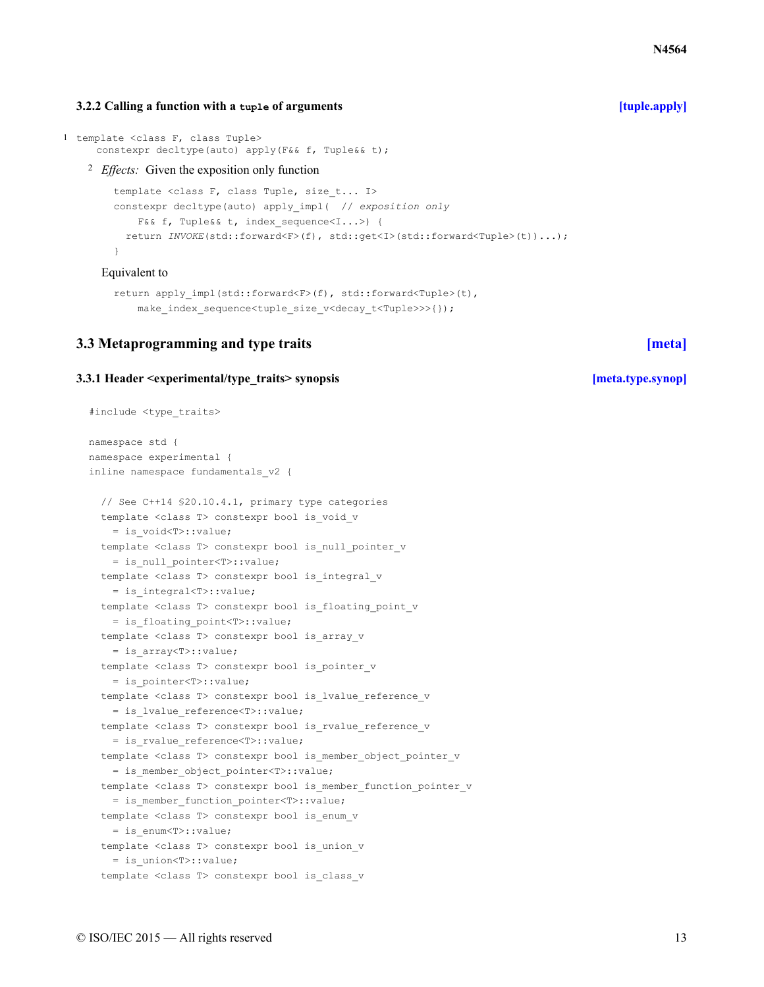## $\oslash$  ISO/IEC 2015 — All rights reserved 13

### **3.2.2 Calling a function with a tuple of arguments [\[tuple.apply\]](#page-12-0)**

```
1 template <class F, class Tuple>
     constexpr decltype(auto) apply(F&& f, Tuple&& t);
```
<sup>2</sup> *Effects:* Given the exposition only function

```
template <class F, class Tuple, size t... I>
constexpr decltype(auto) apply_impl( // exposition only
   F&& f, Tuple&& t, index sequence<I...>) {
  return INVOKE(std::forward<F>(f), std::get<I>(std::forward<Tuple>(t))...);
}
```
### Equivalent to

```
return apply impl(std::forward<F>(f), std::forward<Tuple>(t),
   make index sequence<tuple size v<decay t<Tuple>>>{});
```
## <span id="page-12-1"></span>**3.3 Metaprogramming and type traits [\[meta\]](#page-12-1)**

### <span id="page-12-2"></span>**3.3.1 Header <experimental/type\_traits> synopsis [\[meta.type.synop\]](#page-12-2)**

```
#include <type_traits>
namespace std {
namespace experimental {
inline namespace fundamentals_v2 {
  // See C++14 §20.10.4.1, primary type categories
  template <class T> constexpr bool is void v
   = is_void<T>::value;
  template <class T> constexpr bool is null pointer v
    = is_null_pointer<T>::value;
  template <class T> constexpr bool is integral v
    = is_integral<T>::value;
  template <class T> constexpr bool is floating point v
    = is_floating_point<T>::value;
  template <class T> constexpr bool is_array_v
    = is_array<T>::value;
  template <class T> constexpr bool is pointer v
   = is_pointer<T>::value;
  template <class T> constexpr bool is lvalue reference v
    = is_lvalue_reference<T>::value;
  template <class T> constexpr bool is rvalue reference v
    = is_rvalue_reference<T>::value;
  template <class T> constexpr bool is member_object_pointer_v
    = is_member_object_pointer<T>::value;
  template <class T> constexpr bool is member function pointer v
    = is_member_function_pointer<T>::value;
  template <class T> constexpr bool is enum v
    = is_enum<T>::value;
  template <class T> constexpr bool is union v
    = is_union<T>::value;
  template <class T> constexpr bool is class v
```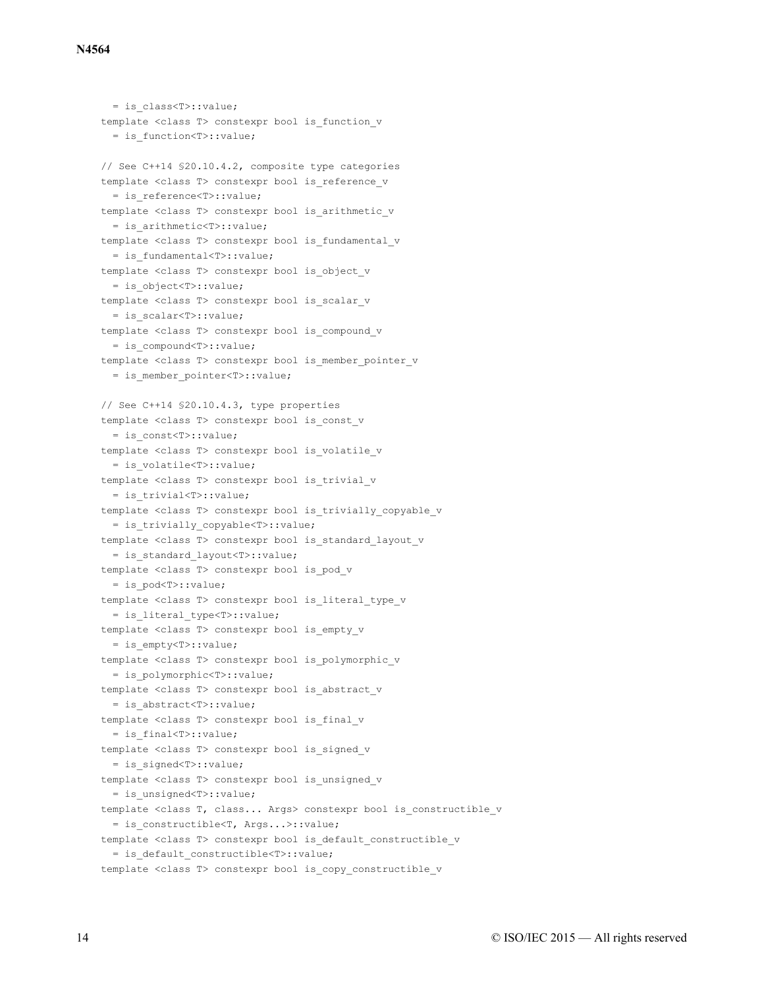```
= is_class<T>::value;
template <class T> constexpr bool is function v
  = is_function<T>::value;
// See C++14 §20.10.4.2, composite type categories
template <class T> constexpr bool is reference v
  = is_reference<T>::value;
template <class T> constexpr bool is arithmetic v
  = is_arithmetic<T>::value;
template <class T> constexpr bool is fundamental v
  = is_fundamental<T>::value;
template <class T> constexpr bool is object v
  = is_object<T>::value;
template <class T> constexpr bool is_scalar_v
  = is_scalar<T>::value;
template <class T> constexpr bool is compound v
  = is compound<T>::value;
template <class T> constexpr bool is member pointer v
  = is member pointer<T>::value;
// See C++14 §20.10.4.3, type properties
template <class T> constexpr bool is const v
  = is_const<T>::value;
template <class T> constexpr bool is volatile v
  = is_volatile<T>::value;
template <class T> constexpr bool is trivial v
  = is_trivial<T>::value;
template <class T> constexpr bool is trivially copyable v
 = is_trivially_copyable<T>::value;
template <class T> constexpr bool is standard layout v
  = is_standard_layout<T>::value;
template <class T> constexpr bool is pod v
  = is_pod<T>::value;
template <class T> constexpr bool is_literal_type_v
  = is_literal_type<T>::value;
template <class T> constexpr bool is_empty_v
  = is_empty<T>::value;
template <class T> constexpr bool is polymorphic v
  = is_polymorphic<T>::value;
template <class T> constexpr bool is abstract v
  = is_abstract<T>::value;
template <class T> constexpr bool is final v
 = is_final<T>::value;
template <class T> constexpr bool is signed v
  = is_signed<T>::value;
template <class T> constexpr bool is unsigned v
  = is_unsigned<T>::value;
template <class T, class... Args> constexpr bool is constructible v
  = is_constructible<T, Args...>::value;
template <class T> constexpr bool is default_constructible_v
  = is_default_constructible<T>::value;
template <class T> constexpr bool is copy constructible v
```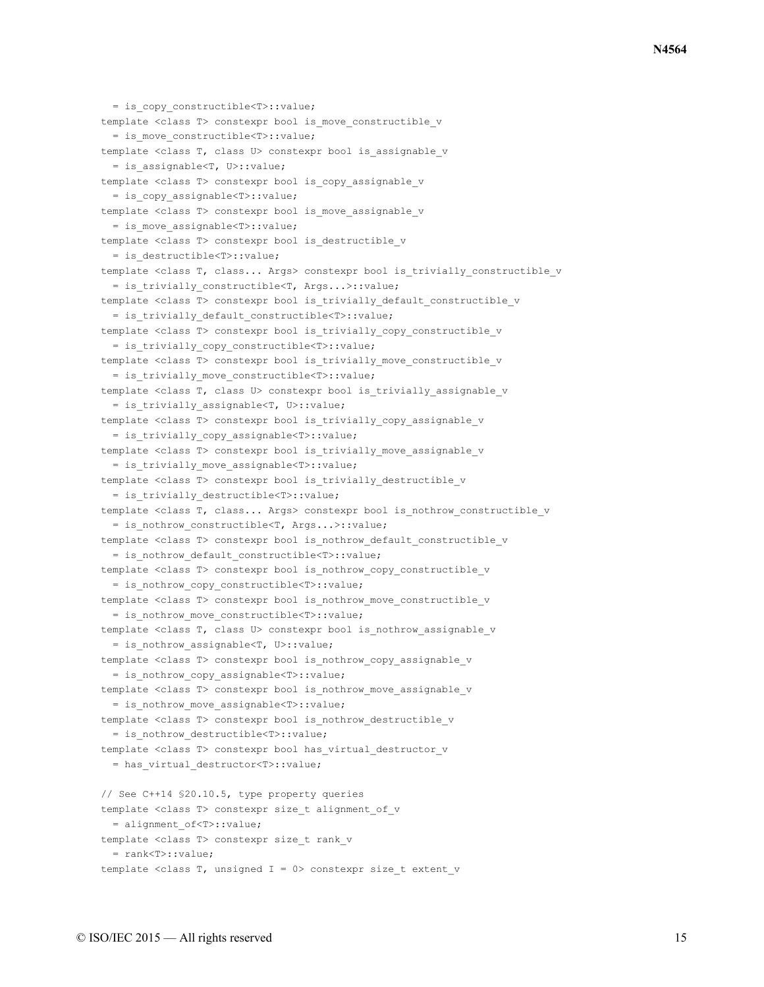```
= is copy constructible<T>::value;
template <class T> constexpr bool is move constructible v
 = is_move_constructible<T>::value;
template <class T, class U> constexpr bool is assignable v
 = is_assignable<T, U>::value;
template <class T> constexpr bool is copy assignable v
 = is copy assignable<T>::value;
template <class T> constexpr bool is move assignable v
  = is move assignable<T>::value;
template <class T> constexpr bool is destructible v
 = is_destructible<T>::value;
template <class T, class... Args> constexpr bool is trivially constructible v
 = is_trivially_constructible<T, Args...>::value;
template <class T> constexpr bool is_trivially_default_constructible_v
  = is trivially default constructible<T>::value;
template <class T> constexpr bool is trivially copy constructible v
 = is trivially copy constructible<T>::value;
template <class T> constexpr bool is trivially move constructible v
  = is trivially move constructible<T>::value;
template <class T, class U> constexpr bool is trivially assignable v
 = is_trivially_assignable<T, U>::value;
template <class T> constexpr bool is trivially_copy_assignable_v
  = is trivially copy assignable<T>::value;
template <class T> constexpr bool is trivially move assignable v
 = is_trivially_move_assignable<T>::value;
template <class T> constexpr bool is trivially destructible v
 = is_trivially_destructible<T>::value;
template <class T, class... Args> constexpr bool is nothrow constructible v
 = is_nothrow_constructible<T, Args...>::value;
template <class T> constexpr bool is nothrow default constructible v
 = is nothrow default constructible<T>::value;
template <class T> constexpr bool is_nothrow_copy_constructible_v
 = is nothrow copy constructible<T>::value;
template <class T> constexpr bool is nothrow move constructible v
 = is nothrow move constructible<T>::value;
template <class T, class U> constexpr bool is nothrow assignable v
  = is nothrow assignable<T, U>::value;
template <class T> constexpr bool is nothrow copy assignable v
 = is nothrow copy assignable<T>::value;
template <class T> constexpr bool is nothrow move assignable v
 = is_nothrow_move_assignable<T>::value;
template <class T> constexpr bool is nothrow destructible v
 = is_nothrow_destructible<T>::value;
template <class T> constexpr bool has virtual destructor v
 = has_virtual_destructor<T>::value;
// See C++14 §20.10.5, type property queries
template <class T> constexpr size t alignment of v
 = alignment_of<T>::value;
template <class T> constexpr size t rank v
 = rank<T>::value;
template <class T, unsigned I = 0 constexpr size t extent v
```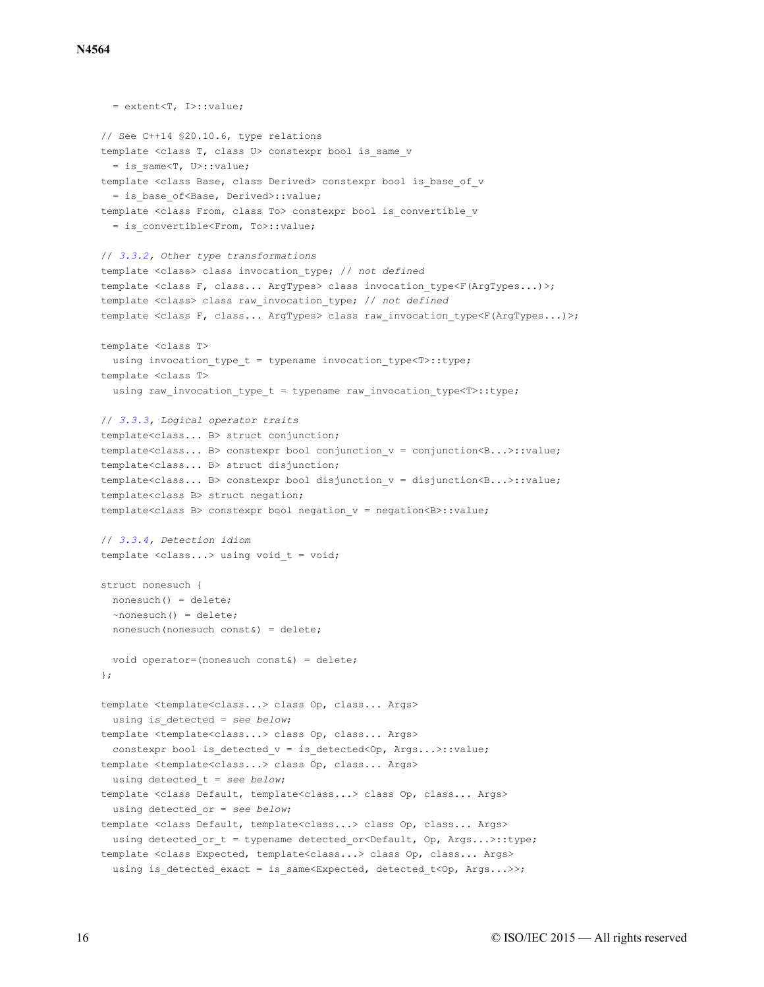```
= extent<T, I>::value;
// See C++14 §20.10.6, type relations
template <class T, class U> constexpr bool is same v
  = is_same<T, U>::value;
template <class Base, class Derived> constexpr bool is base of v
  = is_base_of<Base, Derived>::value;
template <class From, class To> constexpr bool is convertible v
  = is_convertible<From, To>::value;
// 3.3.2, Other type transformations
template <class> class invocation_type; // not defined
template <class F, class... ArgTypes> class invocation type<F(ArgTypes...)>;
template <class> class raw_invocation_type; // not defined
template <class F, class... ArgTypes> class raw invocation type<F(ArgTypes...)>;
template <class T>
 using invocation type t = typename invocation type\forallr\Rightarrow: type;
template <class T>
 using raw_invocation_type_t = typename raw_invocation_type<T>::type;
// 3.3.3, Logical operator traits
template<class... B> struct conjunction;
template<class... B> constexpr bool conjunction_v = conjunction<B...>::value;
template<class... B> struct disjunction;
template<class... B> constexpr bool disjunction_v = disjunction<B...>::value;
template<class B> struct negation;
template<class B> constexpr bool negation_v = negation<B>::value;
// 3.3.4, Detection idiom
template <class...> using void_t = void;
struct nonesuch {
 nonesuch() = delete;
 ~nonesuch() = delete;
 nonesuch(nonesuch const&) = delete;
 void operator=(nonesuch const&) = delete;
};
template <template<class...> class Op, class... Args>
 using is_detected = see below;
template <template<class...> class Op, class... Args>
  constexpr bool is detected v = is detected<Op, Args...>::value;
template <template<class...> class Op, class... Args>
 using detected_t = see below;
template <class Default, template<class...> class Op, class... Args>
  using detected_or = see below;
template <class Default, template<class...> class Op, class... Args>
 using detected or t = typename detected or<Default, Op, Args...>::type;
template <class Expected, template<class...> class Op, class... Args>
 using is detected exact = is same<Expected, detected t<Op, Args...>>;
```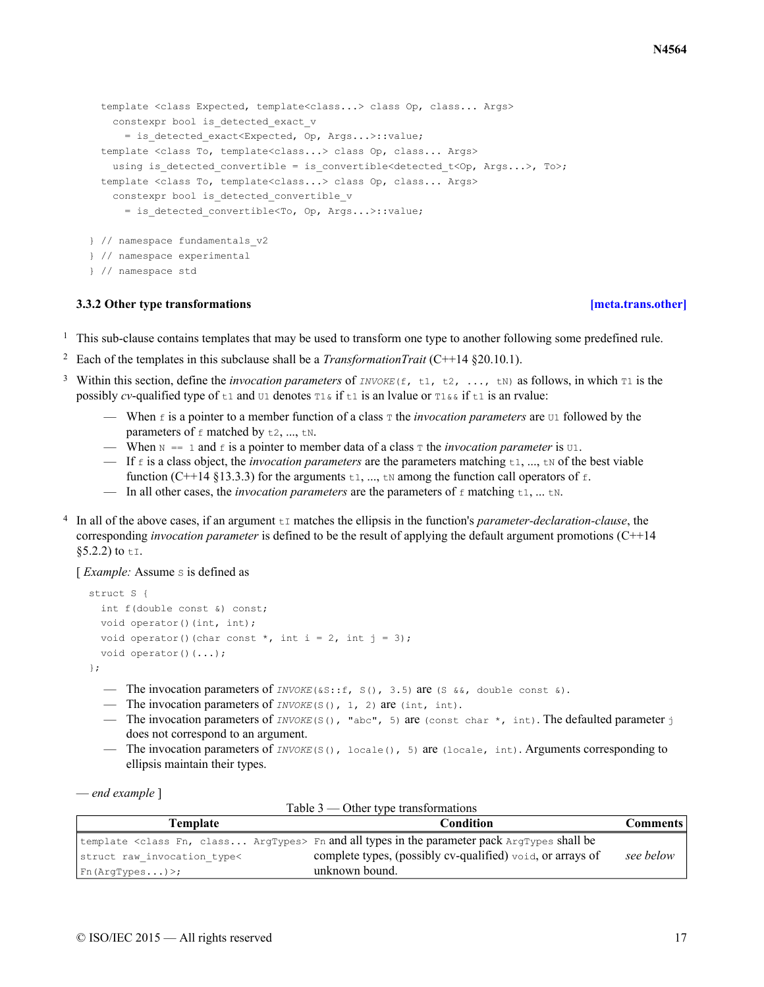```
template <class Expected, template<class...> class Op, class... Args>
   constexpr bool is detected exact v
     = is detected exact<Expected, Op, Args...>::value;
 template <class To, template<class...> class Op, class... Args>
   using is detected convertible = is convertible<detected t<Op, Args...>, To>;
 template <class To, template<class...> class Op, class... Args>
   constexpr bool is detected convertible v
      = is detected convertible<To, Op, Args...>::value;
} // namespace fundamentals_v2
} // namespace experimental
} // namespace std
```
## **3.3.2 Other type transformations [\[meta.trans.other\]](#page-16-0)**

- <span id="page-16-0"></span><sup>1</sup> This sub-clause contains templates that may be used to transform one type to another following some predefined rule.
- <sup>2</sup> Each of the templates in this subclause shall be a *TransformationTrait* (C++14 §20.10.1).
- <sup>3</sup> Within this section, define the *invocation parameters* of *INVOKE*( $f$ ,  $t$ ,  $t$ ,  $t$ ,  $t$ ,  $t$ ) as follows, in which  $T_1$  is the possibly *cv*-qualified type of  $t_1$  and  $t_1$  denotes  $t_1 \in \{1, 1\}$  is an lyalue or  $t_1 \in \{1, 1\}$  is an rvalue:
	- When f is a pointer to a member function of a class  $\tau$  the *invocation parameters* are  $\sigma$ 1 followed by the parameters of  $f$  matched by  $t2$ , ...,  $tN$ .
	- When  $N = 1$  and f is a pointer to member data of a class  $T$  the *invocation parameter* is  $U_1$ .
	- If  $\epsilon$  is a class object, the *invocation parameters* are the parameters matching  $\epsilon_1$ , ...,  $\epsilon_N$  of the best viable function (C++14 §13.3.3) for the arguments  $\pm 1$ , ...,  $\pm \infty$  among the function call operators of  $\pm$ .
	- In all other cases, the *invocation parameters* are the parameters of  $f$  matching  $t_1$ , ...  $t_N$ .
- 4 In all of the above cases, if an argument  $t \tau$  matches the ellipsis in the function's *parameter-declaration-clause*, the corresponding *invocation parameter* is defined to be the result of applying the default argument promotions (C++14  $§5.2.2)$  to ti.

[*Example:* Assume s is defined as

```
struct S {
 int f(double const &) const;
 void operator()(int, int);
 void operator()(char const *, int i = 2, int j = 3);
 void operator()(...);
};
```
— The invocation parameters of  $INVOKE(\&S::f, S()$ , 3.5) are (S  $&\&6$ , double const  $&6$ ).

— The invocation parameters of *INVOKE*(S(), 1, 2) are (int, int).

- The invocation parameters of *INVOKE*(S(), "abc", 5) are (const char \*, int). The defaulted parameter j does not correspond to an argument.
- The invocation parameters of *INVOKE*(S(), locale(), 5) are (locale, int). Arguments corresponding to ellipsis maintain their types.

— *end example* ]

| Template                    | Condition                                                                                                     | Comments  |
|-----------------------------|---------------------------------------------------------------------------------------------------------------|-----------|
|                             | template <class argtypes="" class="" fn,=""> Fn and all types in the parameter pack ArgTypes shall be</class> |           |
| struct raw invocation type< | complete types, (possibly cv-qualified) $\text{void}$ , or arrays of                                          | see below |
| Fn(ArqTypes)>;              | unknown bound.                                                                                                |           |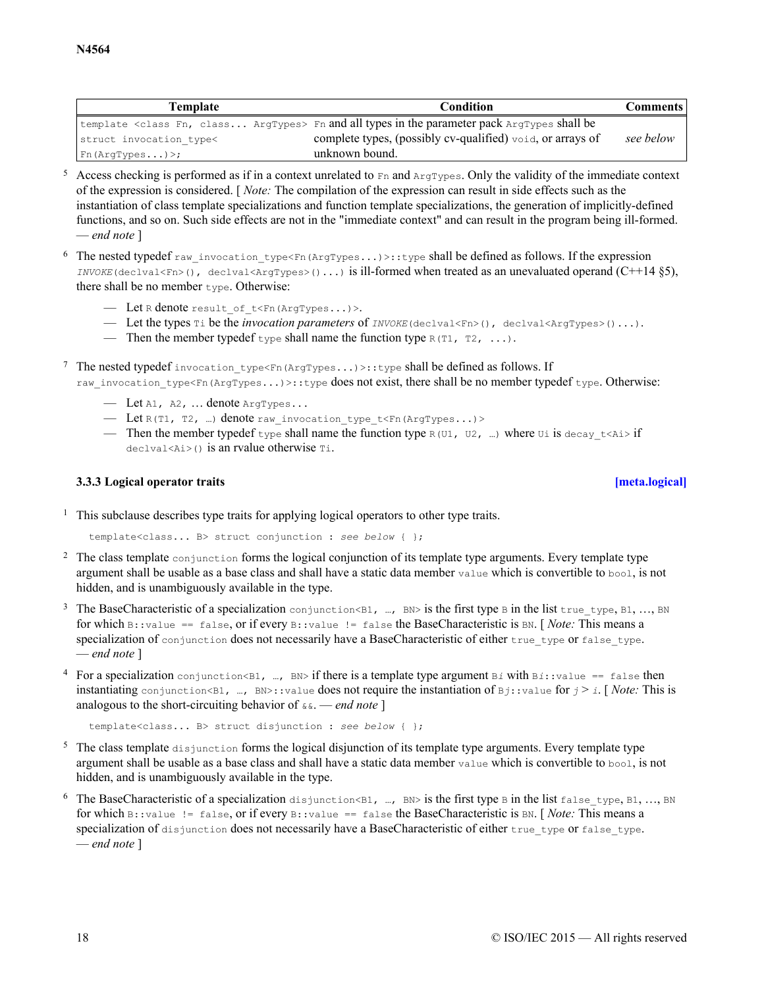| Template                | Condition                                                                                                     | Comments  |
|-------------------------|---------------------------------------------------------------------------------------------------------------|-----------|
|                         | template <class argtypes="" class="" fn,=""> Fn and all types in the parameter pack ArgTypes shall be</class> |           |
| struct invocation type< | complete types, (possibly cv-qualified) void, or arrays of                                                    | see below |
| Fn(ArqTypes)            | unknown bound.                                                                                                |           |

 $5$  Access checking is performed as if in a context unrelated to  $Fn$  and  $ArgTypes$ . Only the validity of the immediate context of the expression is considered. [ *Note:* The compilation of the expression can result in side effects such as the instantiation of class template specializations and function template specializations, the generation of implicitly-defined functions, and so on. Such side effects are not in the "immediate context" and can result in the program being ill-formed. — *end note* ]

6 The nested typedef raw invocation type<Fn(ArgTypes...)>::type shall be defined as follows. If the expression *INVOKE* (declval<Fn>(), declval<ArgTypes>()...) is ill-formed when treated as an unevaluated operand  $(C++14 \S5)$ , there shall be no member  $t$ ype. Otherwise:

- Let R denote result\_of\_t<Fn(ArgTypes...)>.
- Let the types Ti be the *invocation parameters* of *INVOKE*(declval<Fn>(), declval<ArgTypes>()...).
- Then the member typedef  $_{\text{type}}$  shall name the function type  $_{\text{R}}$  (T1, T2, ...).

7 The nested typedef invocation type<Fn(ArgTypes...)>::type shall be defined as follows. If raw invocation type<Fn(ArgTypes...)>::type does not exist, there shall be no member typedef type. Otherwise:

- $-$  Let  $A1$ ,  $A2$ , ... denote  $ArgTypes...$
- Let R(T1, T2, …) denote raw\_invocation\_type\_t<Fn(ArgTypes...)>
- Then the member typedef type shall name the function type  $R(U1, U2, ...)$  where Ui is decay t<Ai> if declval<Ai>() is an rvalue otherwise Ti.

## **3.3.3 Logical operator traits [\[meta.logical\]](#page-17-0)**

<span id="page-17-0"></span><sup>1</sup> This subclause describes type traits for applying logical operators to other type traits.

template<class... B> struct conjunction : *see below* { };

- <sup>2</sup> The class template conjunction forms the logical conjunction of its template type arguments. Every template type argument shall be usable as a base class and shall have a static data member value which is convertible to bool, is not hidden, and is unambiguously available in the type.
- <sup>3</sup> The BaseCharacteristic of a specialization conjunction<B1, …, BN> is the first type B in the list true type, B1, …, BN for which B::value == false, or if every B::value != false the BaseCharacteristic is BN. [ *Note:* This means a specialization of conjunction does not necessarily have a BaseCharacteristic of either true type or false type. — *end note* ]
- <sup>4</sup> For a specialization conjunction<B1, …, BN> if there is a template type argument B*i* with B*i*::value == false then instantiating conjunction<B1, …, BN>::value does not require the instantiation of  $Bj$ : value for  $j \geq i$ . [*Note:* This is analogous to the short-circuiting behavior of  $\alpha \alpha$ . — *end note* ]

template<class... B> struct disjunction : *see below* { };

- <sup>5</sup> The class template disjunction forms the logical disjunction of its template type arguments. Every template type argument shall be usable as a base class and shall have a static data member value which is convertible to bool, is not hidden, and is unambiguously available in the type.
- <sup>6</sup> The BaseCharacteristic of a specialization disjunction<B1, …, BN> is the first type B in the list false type, B1, …, BN for which B::value != false, or if every B::value == false the BaseCharacteristic is BN. [ *Note:* This means a specialization of disjunction does not necessarily have a BaseCharacteristic of either true type or false type. — *end note* ]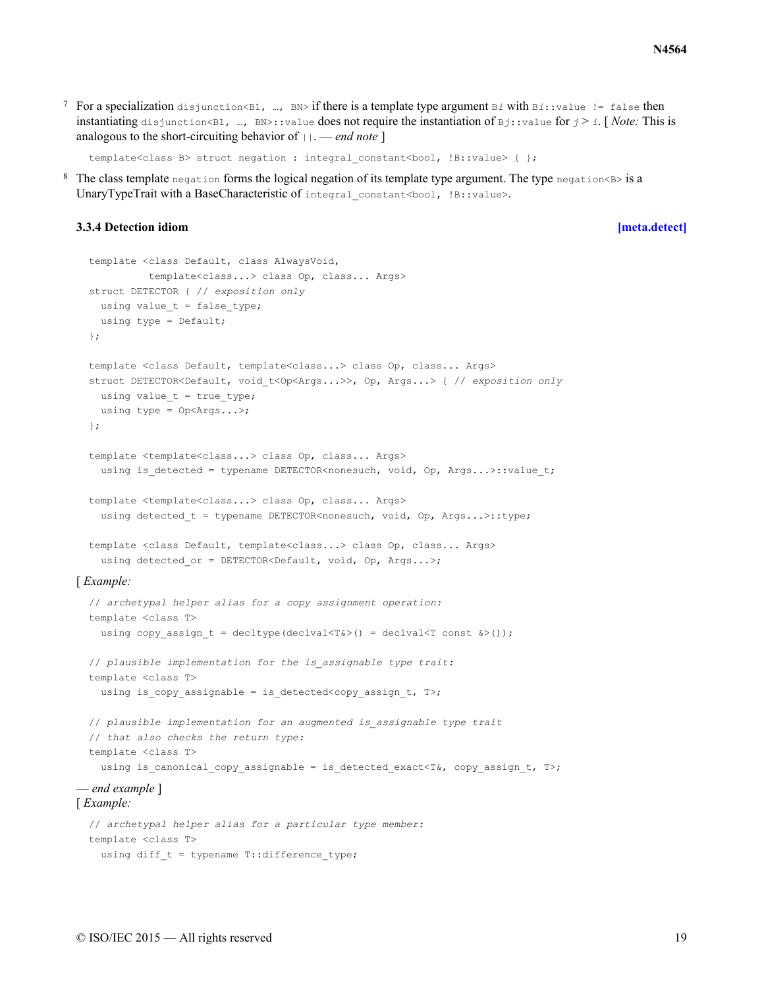<sup>7</sup> For a specialization disjunction<B1, …, BN> if there is a template type argument B*i* with B*i*::value != false then instantiating disjunction<B1, …, BN>::value does not require the instantiation of  $Bj$ ::value for  $j > i$ . [*Note:* This is analogous to the short-circuiting behavior of  $||$ . — *end note* ]

```
template<class B> struct negation : integral constant<br/>kool, !B::value> { };
```
8 The class template negation forms the logical negation of its template type argument. The type negation<B> is a UnaryTypeTrait with a BaseCharacteristic of integral\_constant<br/>bool, !B::value>.

### <span id="page-18-0"></span>**3.3.4 Detection idiom [\[meta.detect\]](#page-18-0)**

```
template <class Default, class AlwaysVoid,
           template<class...> class Op, class... Args>
 struct DETECTOR { // exposition only
   using value t = false type;
   using type = Default;
  };
  template <class Default, template<class...> class Op, class... Args>
  struct DETECTOR<Default, void_t<Op<Args...>>, Op, Args...> { // exposition only
   using value_t = true_type;using type = Op<Args...>;
  };
  template <template<class...> class Op, class... Args>
   using is detected = typename DETECTOR<nonesuch, void, Op, Args...>::value t;
  template <template<class...> class Op, class... Args>
   using detected t = typename DETECTOR<nonesuch, void, Op, Args...>::type;
  template <class Default, template<class...> class Op, class... Args>
   using detected or = DETECTOR<Default, void, Op, Args...>;
[ Example:
  // archetypal helper alias for a copy assignment operation:
  template <class T>
   using copy assign t = decltype(declval<T&>() = declval<T const &>());
  // plausible implementation for the is_assignable type trait:
  template <class T>
   using is_copy_assignable = is_detected<copy_assign_t, T>;
  // plausible implementation for an augmented is_assignable type trait
  // that also checks the return type:
  template <class T>
   using is canonical copy assignable = is detected exact<T&, copy assign t, T>;
— end example ]
[ Example:
  // archetypal helper alias for a particular type member:
  template <class T>
   using diff t = typename T::difference type;
```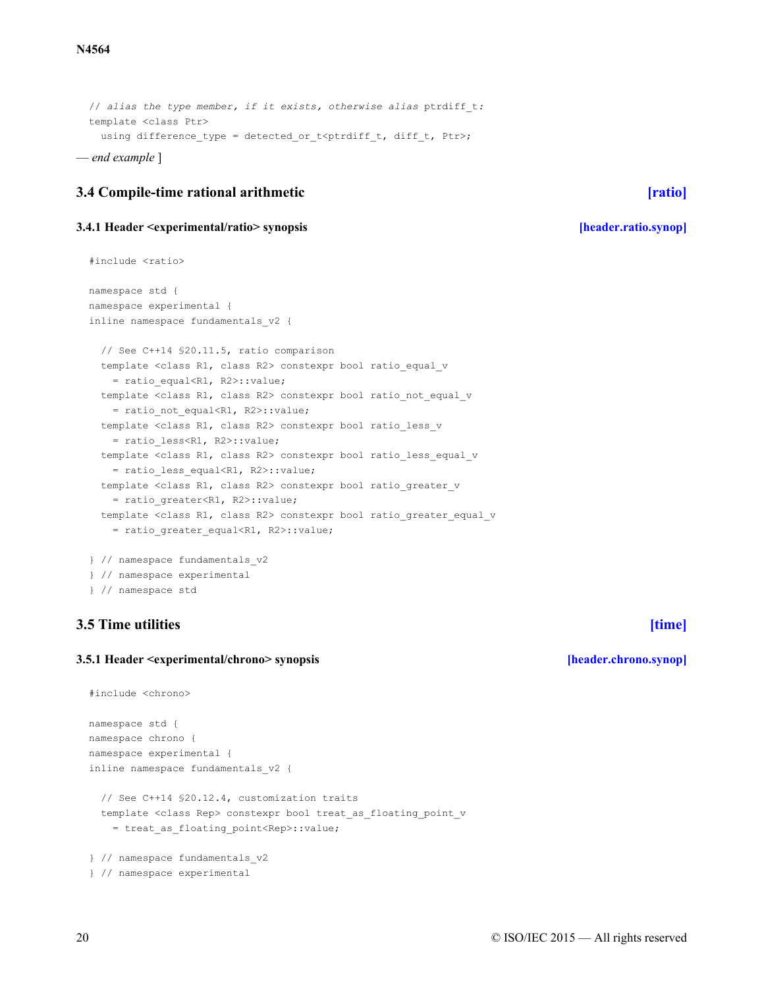// *alias the type member, if it exists, otherwise alias* ptrdiff\_t*:* template <class Ptr> using difference\_type = detected\_or\_t<ptrdiff\_t, diff\_t, Ptr>; — *end example* ]

## <span id="page-19-0"></span>**3.4 Compile-time rational arithmetic [\[ratio\]](#page-19-0)**

### <span id="page-19-1"></span>**3.4.1 Header <experimental/ratio> synopsis [\[header.ratio.synop\]](#page-19-1)**

```
#include <ratio>
namespace std {
namespace experimental {
inline namespace fundamentals_v2 {
  // See C++14 §20.11.5, ratio comparison
  template <class R1, class R2> constexpr bool ratio equal v
   = ratio_equal<R1, R2>::value;
  template <class R1, class R2> constexpr bool ratio_not_equal_v
   = ratio_not_equal<R1, R2>::value;
  template <class R1, class R2> constexpr bool ratio_less_v
    = ratio_less<R1, R2>::value;
  template <class R1, class R2> constexpr bool ratio less equal v
   = ratio_less_equal<R1, R2>::value;
  template <class R1, class R2> constexpr bool ratio_greater_v
    = ratio_greater<R1, R2>::value;
  template <class R1, class R2> constexpr bool ratio greater equal v
    = ratio_greater_equal<R1, R2>::value;
} // namespace fundamentals_v2
} // namespace experimental
} // namespace std
```
## <span id="page-19-2"></span>**3.5 Time utilities [\[time\]](#page-19-2)**

## <span id="page-19-3"></span>**3.5.1 Header <experimental/chrono> synopsis [\[header.chrono.synop\]](#page-19-3)**

```
#include <chrono>
namespace std {
namespace chrono {
namespace experimental {
inline namespace fundamentals_v2 {
  // See C++14 §20.12.4, customization traits
  template <class Rep> constexpr bool treat as floating point v
    = treat_as_floating_point<Rep>::value;
} // namespace fundamentals_v2
} // namespace experimental
```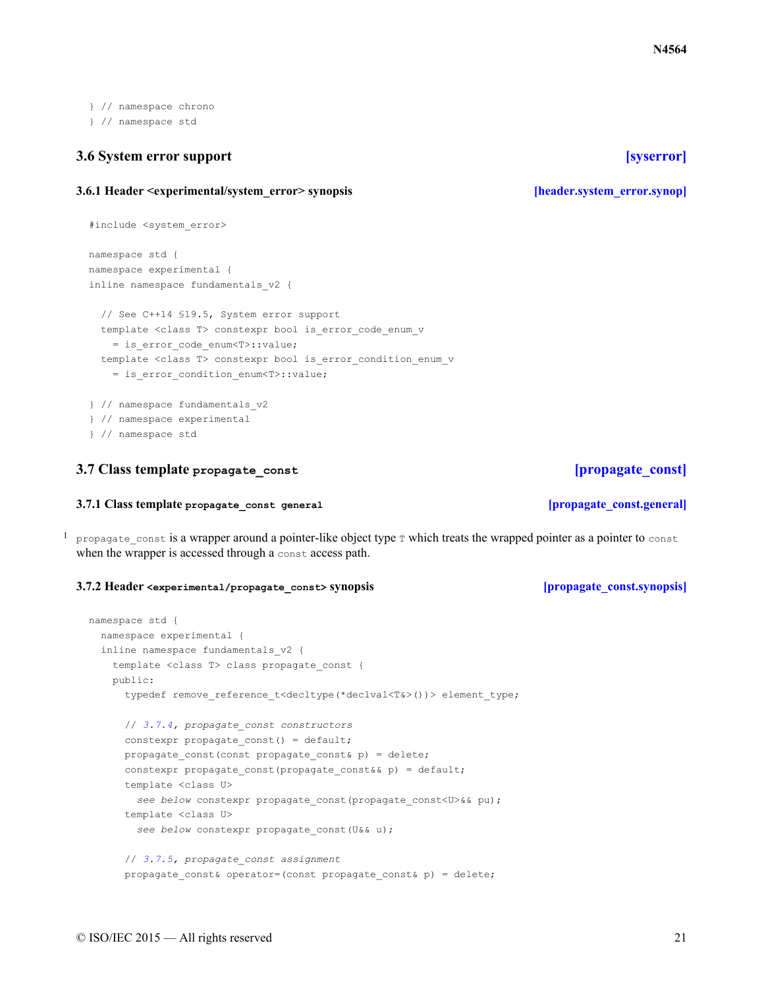} // namespace chrono } // namespace std

## <span id="page-20-0"></span>**3.6 System error support [\[syserror\]](#page-20-0)**

## <span id="page-20-1"></span>**3.6.1 Header <experimental/system\_error> synopsis [\[header.system\\_error.synop\]](#page-20-1)**

```
#include <system_error>
namespace std {
namespace experimental {
inline namespace fundamentals_v2 {
  // See C++14 §19.5, System error support
  template <class T> constexpr bool is error code enum v
    = is_error_code_enum<T>::value;
  template <class T> constexpr bool is error condition enum v
    = is error condition enum<T>::value;
} // namespace fundamentals_v2
} // namespace experimental
} // namespace std
```
## <span id="page-20-2"></span>**3.7 Class template propagate\_const [\[propagate\\_const\]](#page-20-2)**

## **3.7.1 Class template propagate\_const general [\[propagate\\_const.general\]](#page-20-3)**

<span id="page-20-3"></span><sup>1</sup> propagate const is a wrapper around a pointer-like object type  $\tau$  which treats the wrapped pointer as a pointer to const when the wrapper is accessed through a const access path.

## <span id="page-20-4"></span>**3.7.2 Header <experimental/propagate\_const> synopsis [\[propagate\\_const.synopsis\]](#page-20-4)**

```
namespace std {
 namespace experimental {
  inline namespace fundamentals_v2 {
    template <class T> class propagate const {
   public:
      typedef remove reference t<decltype(*declval<T&>())> element type;
      // 3.7.4, propagate_const constructors
      constexpr propagate const() = default;
      propagate_const(const propagate_const& p) = delete;
      constexpr propagate const(propagate const&& p) = default;
      template <class U>
       see below constexpr propagate_const(propagate_const<U>&& pu);
      template <class U>
       see below constexpr propagate_const(U&& u);
      // 3.7.5, propagate_const assignment
      propagate const& operator=(const propagate const& p) = delete;
```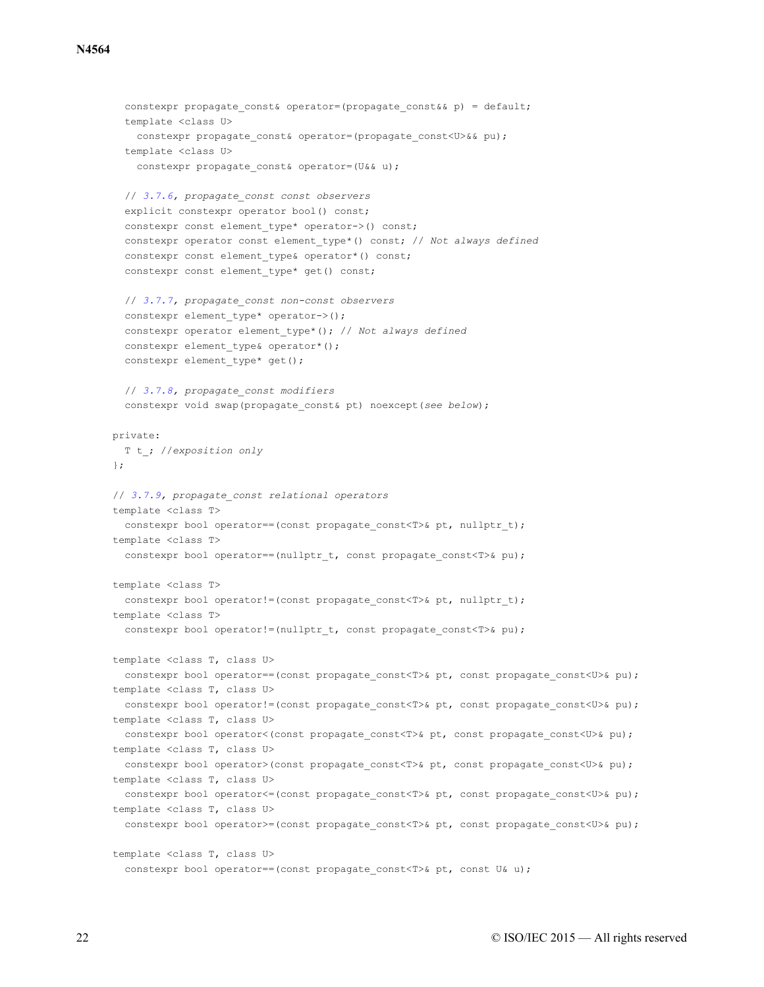### **N4564**

```
constexpr propagate const& operator=(propagate const&& p) = default;
  template <class U>
   constexpr propagate_const& operator=(propagate_const<U>&& pu);
  template <class U>
   constexpr propagate const& operator=(U&& u);
  // 3.7.6, propagate_const const observers
  explicit constexpr operator bool() const;
  constexpr const element type* operator->() const;
  constexpr operator const element_type*() const; // Not always defined
  constexpr const element type& operator*() const;
  constexpr const element type* get() const;
  // 3.7.7, propagate_const non-const observers
  constexpr element type* operator->();
  constexpr operator element_type*(); // Not always defined
  constexpr element type& operator*();
  constexpr element type* get();
  // 3.7.8, propagate_const modifiers
  constexpr void swap(propagate_const& pt) noexcept(see below);
private:
 T t_; //exposition only
};
// 3.7.9, propagate_const relational operators
template <class T>
  constexpr bool operator == (const propagate const<T>& pt, nullptr t);
template <class T>
 constexpr bool operator == (nullptr t, const propagate const<T>& pu);
template <class T>
  constexpr bool operator!=(const propagate const<T>& pt, nullptr t);
template <class T>
  constexpr bool operator!=(nullptr_t, const propagate_const<T>& pu);
template <class T, class U>
 constexpr bool operator==(const propagate const<T>& pt, const propagate const<U>& pu);
template <class T, class U>
  constexpr bool operator!=(const propagate const<T>& pt, const propagate const<U>& pu);
template <class T, class U>
 constexpr bool operator<(const propagate_const<T>& pt, const propagate_const<U>& pu);
template <class T, class U>
  constexpr bool operator>(const propagate const<T>& pt, const propagate const<U>& pu);
template <class T, class U>
  constexpr bool operator <= (const propagate_const<T>& pt, const propagate_const<U>& pu);
template <class T, class U>
  constexpr bool operator>=(const propagate const<T>& pt, const propagate const<U>& pu);
template <class T, class U>
  constexpr bool operator==(const propagate const<T>& pt, const U& u);
```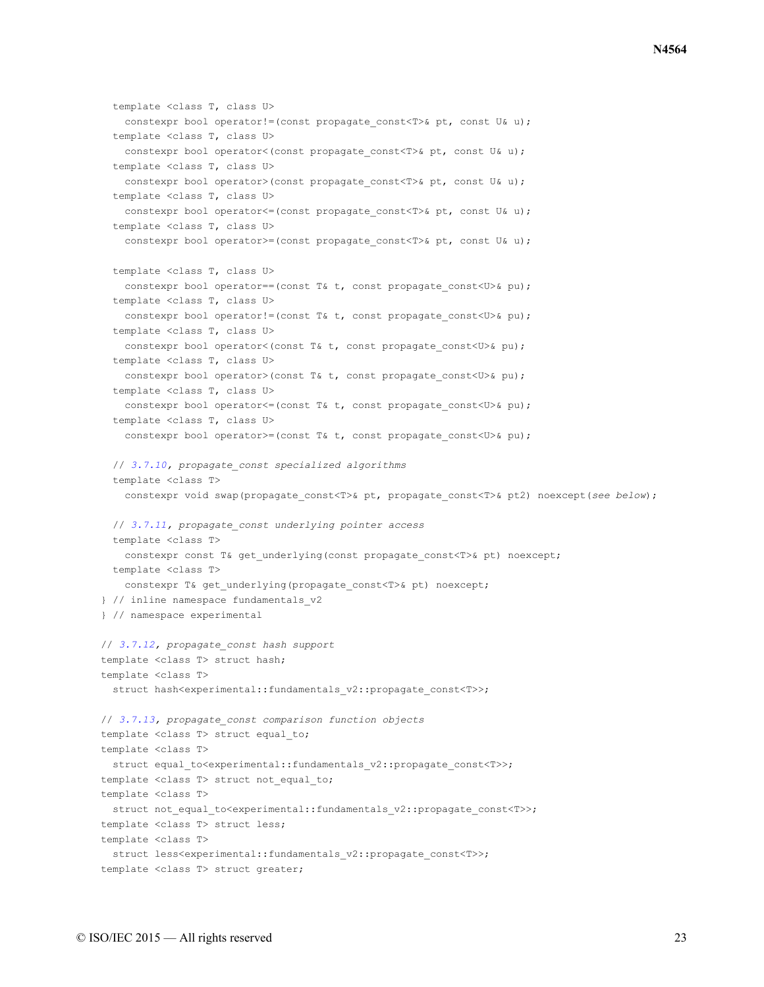```
template <class T, class U>
   constexpr bool operator!=(const propagate const<T>& pt, const U& u);
  template <class T, class U>
   constexpr bool operator<(const propagate const<T>& pt, const U& u);
  template <class T, class U>
   constexpr bool operator>(const propagate const<T>& pt, const U& u);
  template <class T, class U>
   constexpr bool operator <= (const propagate const T > \> t, const U& u);
  template <class T, class U>
   constexpr bool operator>=(const propagate const<T>& pt, const U& u);
  template <class T, class U>
   constexpr bool operator==(const T& t, const propagate const<U>& pu);
  template <class T, class U>
   constexpr bool operator!=(const T& t, const propagate const<U>& pu);
 template <class T, class U>
   constexpr bool operator<(const T& t, const propagate const<U>& pu);
  template <class T, class U>
   constexpr bool operator>(const T& t, const propagate const<U>& pu);
  template <class T, class U>
   constexpr bool operator<=(const T& t, const propagate_const<U>& pu);
 template <class T, class U>
   constexpr bool operator>=(const T& t, const propagate const<U>& pu);
 // 3.7.10, propagate_const specialized algorithms
  template <class T>
   constexpr void swap(propagate_const<T>& pt, propagate_const<T>& pt2) noexcept(see below);
 // 3.7.11, propagate_const underlying pointer access
 template <class T>
   constexpr const T& get_underlying(const propagate_const<T>& pt) noexcept;
 template <class T>
   constexpr T& get underlying(propagate const<T>& pt) noexcept;
} // inline namespace fundamentals_v2
} // namespace experimental
// 3.7.12, propagate_const hash support
template <class T> struct hash;
template <class T>
 struct hash<experimental::fundamentals v2::propagate const<T>>;
// 3.7.13, propagate_const comparison function objects
template <class T> struct equal to;
template <class T>
 struct equal to<experimental::fundamentals v2::propagate const<T>>;
template <class T> struct not equal to;
template <class T>
 struct not equal to<experimental::fundamentals v2::propagate const<T>>;
template <class T> struct less;
template <class T>
 struct less<experimental::fundamentals v2::propagate const<T>>;
template <class T> struct greater;
```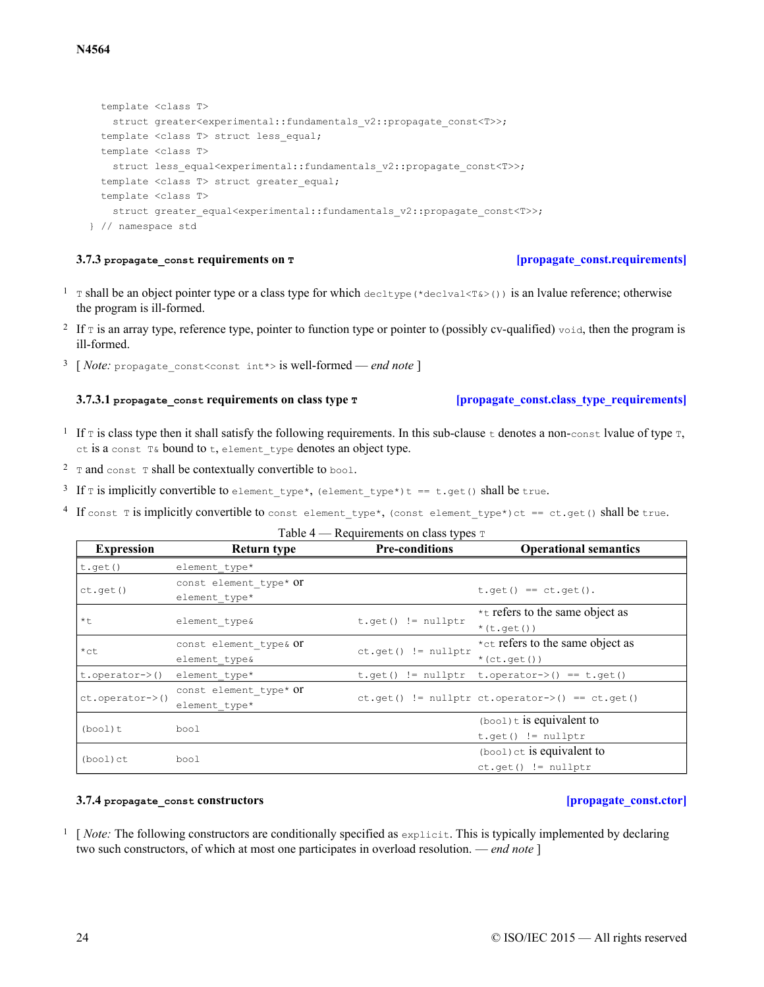## template <class T> struct greater<experimental::fundamentals v2::propagate const<T>>; template <class T> struct less\_equal; template <class T> struct less\_equal<experimental::fundamentals v2::propagate const<T>>; template <class T> struct greater equal; template <class T> struct greater equal<experimental::fundamentals v2::propagate const<T>>; } // namespace std

## **3.7.3** propagate const requirements on **T** *propagate const.requirements*

- <span id="page-23-0"></span><sup>1</sup> T shall be an object pointer type or a class type for which decltype (\*declval<T&>()) is an lyalue reference; otherwise the program is ill-formed.
- <sup>2</sup> If  $\tau$  is an array type, reference type, pointer to function type or pointer to (possibly cv-qualified)  $\text{void}$ , then the program is ill-formed.
- <span id="page-23-1"></span>3 [ *Note:* propagate\_const<const int\*> is well-formed — *end note* ]

## **3.7.3.1 propagate\_const requirements on class type T [\[propagate\\_const.class\\_type\\_requirements\]](#page-23-1)**

- <sup>1</sup> If  $\tau$  is class type then it shall satisfy the following requirements. In this sub-clause  $\pm$  denotes a non-const lvalue of type  $\tau$ , ct is a const T& bound to t, element\_type denotes an object type.
- $2 \text{ rad const }$  T shall be contextually convertible to bool.
- <sup>3</sup> If  $\texttt{t}$  is implicitly convertible to element\_type\*, (element\_type\*)t == t.get() shall be true.
- 4 If const T is implicitly convertible to const element type\*, (const element type\*)ct == ct.get() shall be true.

## Table  $4$  — Requirements on class types  $T$

| <b>Expression</b>              | <b>Return type</b>     | <b>Pre-conditions</b>   | <b>Operational semantics</b>                         |  |  |
|--------------------------------|------------------------|-------------------------|------------------------------------------------------|--|--|
| t.get()                        | element type*          |                         |                                                      |  |  |
|                                | const element type* Of |                         |                                                      |  |  |
| ct.get()                       | element type*          |                         | $t.get() == ct.get().$                               |  |  |
|                                |                        |                         | *t refers to the same object as                      |  |  |
| $*$ +.                         | element type&          | $t.get()$ != nullptr    | $*(t.get())$                                         |  |  |
|                                | const element type& OT |                         | *ct refers to the same object as                     |  |  |
| $*$ ct                         | element type&          | $ct.get()$ != $nullptr$ | $*(ct.get())$                                        |  |  |
| $t. operator$ $\rightarrow$ () | element type*          |                         | $t.get()$ != nullptr $t.openator$ $>()$ == $t.get()$ |  |  |
|                                | const element type* Or |                         |                                                      |  |  |
| ct.operator->()                | element type*          |                         | $ct.get()$ != nullptr ct.operator->() == ct.qet()    |  |  |
|                                |                        |                         | $(b \circ \circ 1)$ t is equivalent to               |  |  |
| $(bool)$ t                     | bool                   |                         | $t.get()$ != nullptr                                 |  |  |
|                                |                        |                         | (bool) ct is equivalent to                           |  |  |
| (bool)ct                       | bool                   |                         | $ct.get()$ != nullptr                                |  |  |

## **3.7.4 propagate\_const constructors [\[propagate\\_const.ctor\]](#page-23-2)**

<span id="page-23-2"></span> $\frac{1}{1}$  [*Note:* The following constructors are conditionally specified as  $\exp$ licit. This is typically implemented by declaring two such constructors, of which at most one participates in overload resolution. — *end note* ]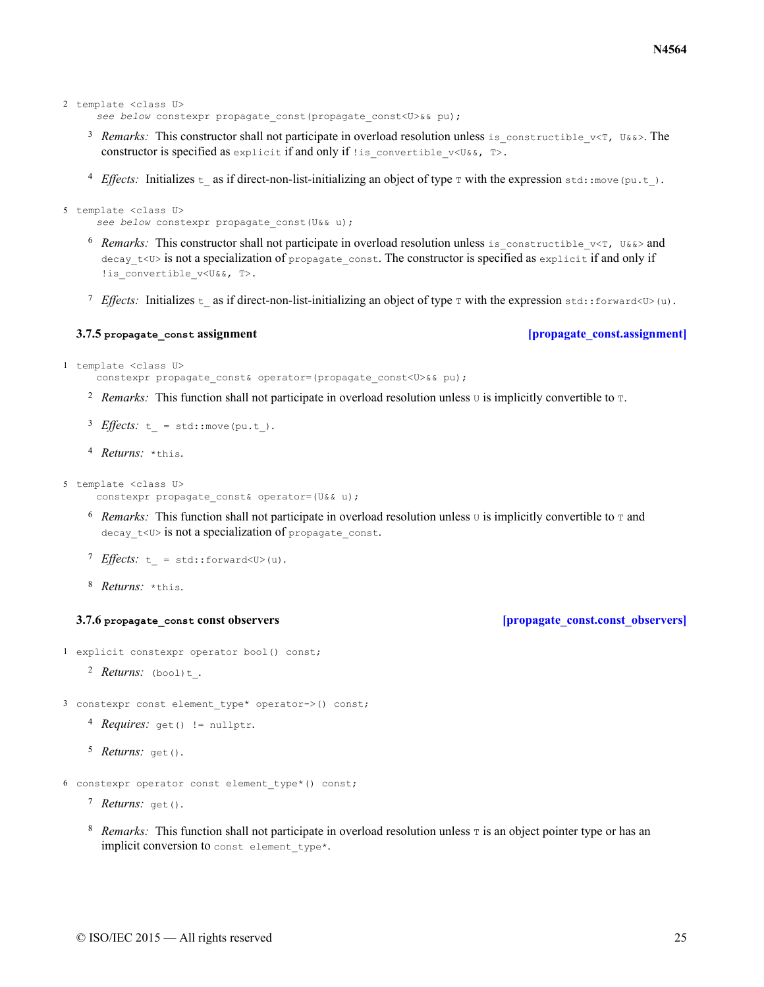```
2 template <class U>
```
*see below* constexpr propagate\_const(propagate\_const<U>&& pu);

- 3 Remarks: This constructor shall not participate in overload resolution unless is constructible  $v \leq T$ , U&&>. The constructor is specified as explicit if and only if ! is convertible  $v \le \delta_k$ , T>.
- <sup>4</sup> *Effects:* Initializes t\_as if direct-non-list-initializing an object of type  $\tau$  with the expression std::move(pu.t).

```
5 template <class U>
      .<br>see below constexpr propagate const(U&& u);
```
- $6$  *Remarks:* This constructor shall not participate in overload resolution unless is constructible  $v < T$ , U&&> and decay  $t$ <U> is not a specialization of propagate\_const. The constructor is specified as explicit if and only if !is convertible v<U&&, T>.
- *T* Effects: Initializes t as if direct-non-list-initializing an object of type  $\tau$  with the expression std::forward<U>(u).

### **3.7.5 propagate\_const assignment [\[propagate\\_const.assignment\]](#page-24-0)**

```
1 template <class U>
```
.<br>constexpr propagate const& operator=(propagate const<U>&& pu);

- <sup>2</sup> Remarks: This function shall not participate in overload resolution unless  $\sigma$  is implicitly convertible to  $\tau$ .
- *3 Effects*:  $t = std:move(pu.t).$
- <sup>4</sup> *Returns:* \*this.

```
5 template <class U>
```
-<br>constexpr propagate const& operator=(U&& u);

- <sup>6</sup> Remarks: This function shall not participate in overload resolution unless  $\sigma$  is implicitly convertible to  $\tau$  and decay  $t$ <U> is not a specialization of propagate\_const.
- *T Effects*:  $t = std::forward u$ .
- 8 Returns: \*this.

### **3.7.6 propagate** const **const observers** *propagate const.const observers*

<span id="page-24-1"></span>1 explicit constexpr operator bool() const;

- *Returns:* <sup>2</sup> (bool)t\_.
- 3 constexpr const element\_type\* operator->() const;
	- 4 Requires: get() != nullptr.

```
5 Returns: get ().
```
- 6 constexpr operator const element\_type\*() const;
	- 7 Returns: get ().
	- <sup>8</sup> Remarks: This function shall not participate in overload resolution unless  $\tau$  is an object pointer type or has an implicit conversion to const element type\*.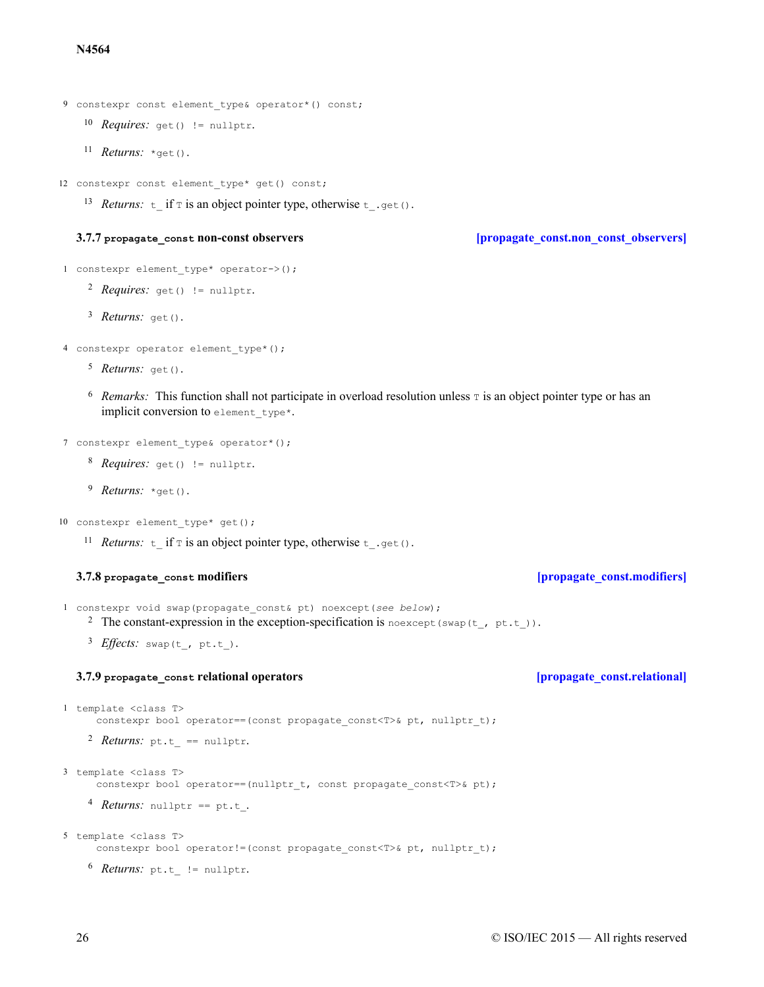### **N4564**

```
9 constexpr const element type& operator*() const;
```
- 10 *Requires*: get() != nullptr.
- 11 *Returns:* \*get().

12 constexpr const element\_type\* get() const;

13 Returns:  $t$  if  $\tau$  is an object pointer type, otherwise  $t$  .get().

## **3.7.7 propagate\_const non-const observers [\[propagate\\_const.non\\_const\\_observers\]](#page-25-0)**

```
1 constexpr element type* operator->();
```

```
2 Requires: get() != nullptr.
```
3 Returns: get().

```
4 constexpr operator element type*();
```
- 5 *Returns:* get().
- $6$  *Remarks:* This function shall not participate in overload resolution unless  $\tau$  is an object pointer type or has an implicit conversion to element type\*.

```
7 constexpr element type& operator*();
```
- 8 Requires: get() != nullptr.
- <sup>9</sup> *Returns:* \*get().

```
10 constexpr element type* get();
```
<sup>11</sup> *Returns*:  $\pm$  if  $\pm$  is an object pointer type, otherwise  $\pm$  .get().

## **3.7.8 propagate\_const modifiers [\[propagate\\_const.modifiers\]](#page-25-1)**

<span id="page-25-1"></span>1 constexpr void swap(propagate\_const& pt) noexcept(*see below*);

- <sup>2</sup> The constant-expression in the exception-specification is no except (swap(t, pt.t)).
- 3 *Effects*: swap(t, pt.t).

## **3.7.9 propagate\_const relational operators [\[propagate\\_const.relational\]](#page-25-2)**

```
1 template <class T>
     -<br>constexpr bool operator==(const propagate const<T>& pt, nullptr t);
```

```
2 Returns: pt.t == nullptr.
```

```
3 template <class T>
```
constexpr bool operator==(nullptr t, const propagate const<T>& pt);

4 *Returns:* nullptr == pt.t.

```
5 template <class T>
```
.<br>constexpr bool operator!=(const propagate const<T>& pt, nullptr t);

6 *Returns:* pt.t != nullptr.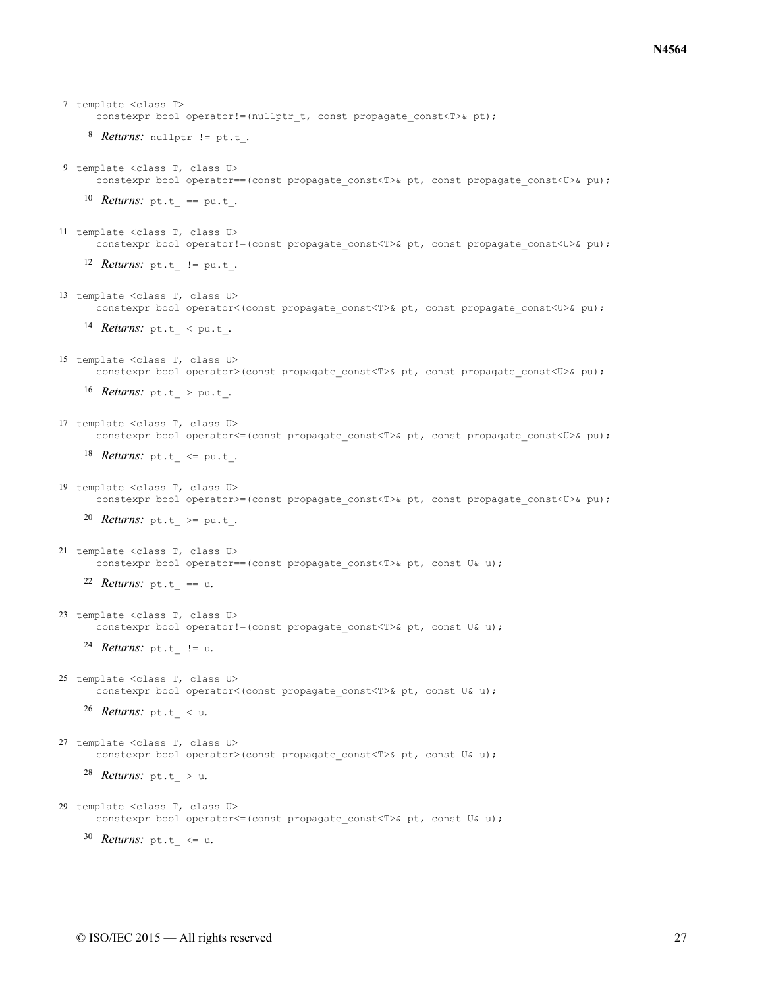```
8 Returns: nullptr != pt.t.
    10 Returns: pt.t<sub>_</sub> == pu.t<sub>_</sub>.
    12 Returns: pt.t != pu.t.
    14 Returns: pt.t < qpt.16 Returns: pt.t > pu.t.
    18 Returns: pt.t \leq pu.t.
    20 Returns: pt.t >= pu.t.
    22 Returns: pt.t == u.
    24 Returns: pt.t != u.
    26 Returns: pt.t < u.
    28 Returns: pt.t > u.
    30 Returns: pt.t <= u.
7 template <class T>
      constexpr bool operator!=(nullptr_t, const propagate_const<T>& pt);
9 template <class T, class U>
      constexpr bool operator==(const propagate const<T>& pt, const propagate const<U>& pu);
11 template <class T, class U>
      constexpr bool operator!=(const propagate const<T>& pt, const propagate const<U>& pu);
13 template <class T, class U>
      constexpr bool operator<(const propagate_const<T>& pt, const propagate_const<U>& pu);
15 template <class T, class U>
      constexpr bool operator>(const propagate const<T>& pt, const propagate const<U>& pu);
17 template <class T, class U>
      constexpr bool operator <= (const propagate const <a></>T>& pt, const propagate const <a></>U>& pu);
19 template <class T, class U>
      constexpr bool operator>=(const propagate const<T>& pt, const propagate const<U>& pu);
21 template <class T, class U>
      constexpr bool operator==(const propagate const<T>& pt, const U& u);
23 template <class T, class U>
      constexpr bool operator!=(const propagate const<T>& pt, const U& u);
25 template <class T, class U>
      constexpr bool operator<(const propagate const<T>& pt, const U& u);
27 template <class T, class U>
      constexpr bool operator>(const propagate_const<T>& pt, const U& u);
29 template <class T, class U>
      constexpr bool operator <= (const propagate const <T>& pt, const U& u);
```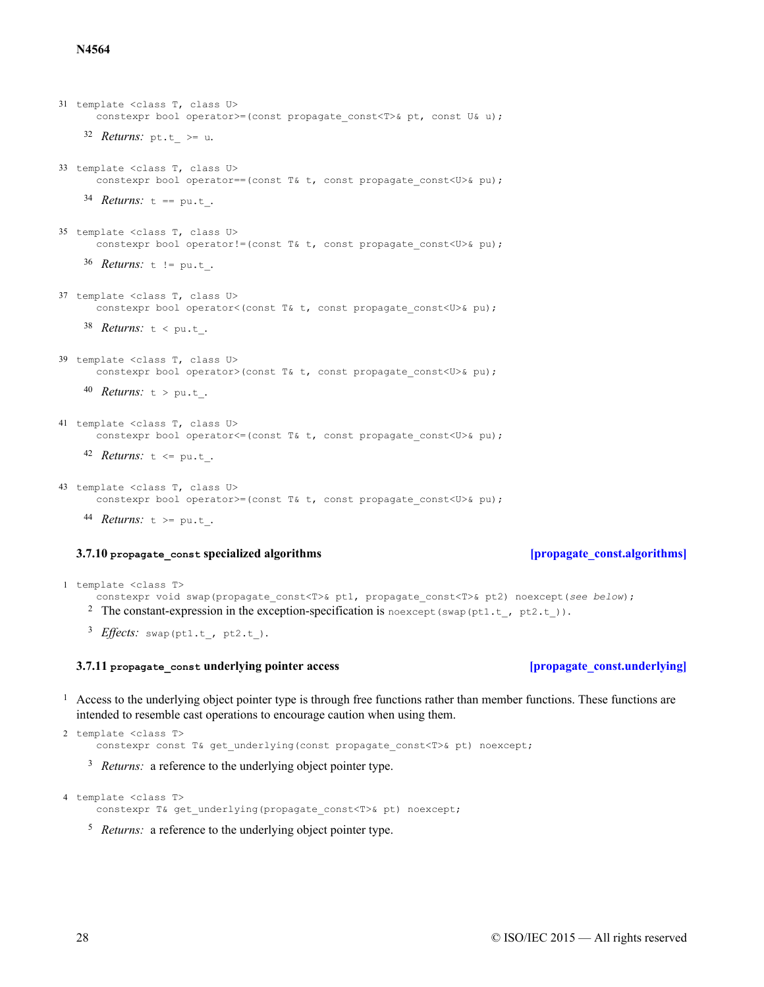### **N4564**

```
32 Returns: pt.t >= u.
    34 Returns: t == pu.t_.
    36 Returns: t != pu.t .
    38 Returns: t < pu.t .
    40 Returns: t > pu.t.
    42 Returns: t <= pu.t .
    44 Returns: t >= pu.t .
31 template <class T, class U>
      constexpr bool operator>=(const propagate const<T>& pt, const U& u);
33 template <class T, class U>
     constexpr bool operator==(const T& t, const propagate const<U>& pu);
35 template <class T, class U>
      constexpr bool operator!=(const T& t, const propagate const<U>& pu);
37 template <class T, class U>
      constexpr bool operator<(const T& t, const propagate const<U>& pu);
39 template <class T, class U>
      constexpr bool operator>(const T& t, const propagate const<U>& pu);
41 template <class T, class U>
      constexpr bool operator \leq (const T& t, const propagate const\leqU>& pu);
43 template <class T, class U>
      constexpr bool operator>=(const T& t, const propagate const<U>& pu);
```
### **3.7.10** propagate\_const specialized algorithms *impropagate\_const.algorithms lgorithms*

<span id="page-27-0"></span>1 template <class T>

constexpr void swap(propagate\_const<T>& pt1, propagate\_const<T>& pt2) noexcept(*see below*);

<sup>2</sup> The constant-expression in the exception-specification is noexcept (swap(pt1.t\_, pt2.t\_)).

 $^3$  *Effects*: swap(pt1.t, pt2.t).

### **3.7.11** propagate\_const\_underlying pointer access **by a set of propagate** const.underlying

<span id="page-27-1"></span><sup>1</sup> Access to the underlying object pointer type is through free functions rather than member functions. These functions are intended to resemble cast operations to encourage caution when using them.

```
2 template <class T>
     .<br>constexpr const T& get underlying(const propagate const<T>& pt) noexcept;
```
<sup>3</sup> *Returns:* a reference to the underlying object pointer type.

```
4 template <class T>
```
-<br>constexpr T& get underlying(propagate const<T>& pt) noexcept;

<sup>5</sup> Returns: a reference to the underlying object pointer type.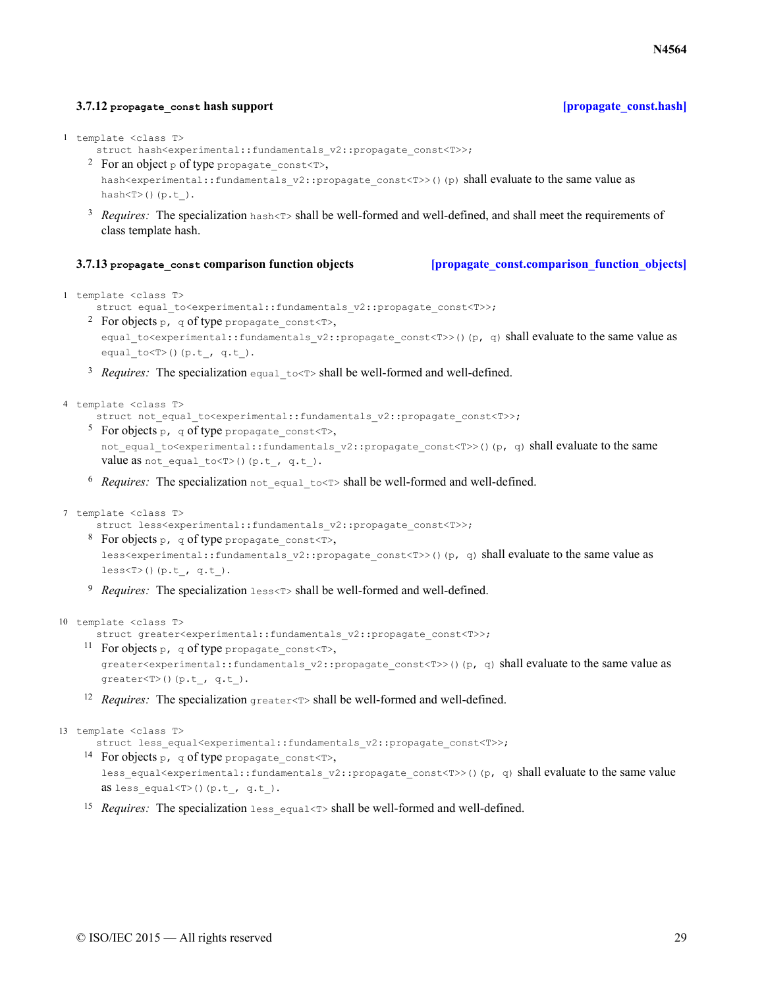### **3.7.12 propagate\_const hash support [\[propagate\\_const.hash\]](#page-28-0)**

```
1 template <class T>
```
struct hash<experimental::fundamentals\_v2::propagate\_const<T>>;

- <sup>2</sup> For an object p of type propagate\_const<T>, hash<experimental::fundamentals\_v2::propagate\_const<T>>()(p) shall evaluate to the same value as hash $\langle T \rangle$ ()(p.t).
- <sup>3</sup> Requires: The specialization hash<T> shall be well-formed and well-defined, and shall meet the requirements of class template hash.

### **3.7.13 propagate\_const comparison function objects [\[propagate\\_const.comparison\\_function\\_objects\]](#page-28-1)**

```
1 template <class T>
```

```
-<br>struct equal to<experimental::fundamentals_v2::propagate_const<T>>;
```
<sup>2</sup> For objects p, q of type propagate const<T>,

```
equal to<experimental::fundamentals v2::propagate const<T>>()(p, q) shall evaluate to the same value as
equal to < T () (p.t., q.t.).
```
<sup>3</sup> Requires: The specialization equal\_to<T> shall be well-formed and well-defined.

```
4 template <class T>
```
struct not equal to<experimental::fundamentals v2::propagate const<T>>;

- <sup>5</sup> For objects p, q of type propagate const<T>, not equal to<experimental::fundamentals v2::propagate const<T>>()(p, q) shall evaluate to the same value as not\_equal\_to<T>()(p.t\_, q.t\_).
- 6 Requires: The specialization not\_equal\_to<T> shall be well-formed and well-defined.

```
7 template <class T>
```
-<br>struct less<experimental::fundamentals\_v2::propagate\_const<T>>;

- <sup>8</sup> For objects p, q of type propagate const<T>, less<experimental::fundamentals\_v2::propagate\_const<T>>()(p, q) shall evaluate to the same value as  $lessT>()$  (p.t , q.t).
- <sup>9</sup> Requires: The specialization less<T> shall be well-formed and well-defined.

```
10 template <class T>
```

```
struct greater<experimental::fundamentals_v2::propagate_const<T>>;
```
- <sup>11</sup> For objects p, q of type propagate\_const<T>, greater<experimental::fundamentals\_v2::propagate\_const<T>>()(p, q) shall evaluate to the same value as  $greatest **T**>() (**p.t**, **q.t**).$
- 12 Requires: The specialization greater<T> shall be well-formed and well-defined.

```
13 template <class T>
```
.<br>struct less equal<experimental::fundamentals v2::propagate const<T>>;

- <sup>14</sup> For objects p, q of type propagate const<T>, less equal<experimental::fundamentals v2::propagate const<T>>()(p, q) shall evaluate to the same value as less equal<T>()(p.t, q.t).
- 15 Requires: The specialization less\_equal<T> shall be well-formed and well-defined.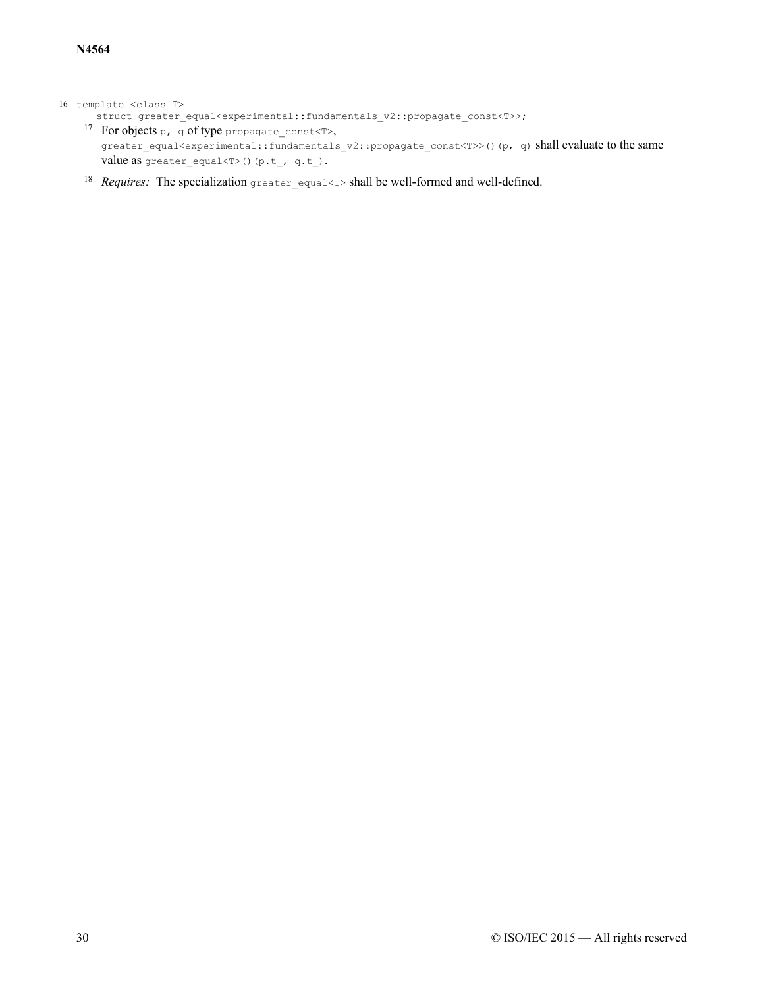### 16 template <class T>

- struct greater\_equal<experimental::fundamentals\_v2::propagate\_const<T>>;
	- <sup>17</sup> For objects p, q of type propagate\_const<T>, greater\_equal<experimental::fundamentals\_v2::propagate\_const<T>>()(p, q) shall evaluate to the same value as greater\_equal<T>()(p.t\_, q.t\_).
	- 18 Requires: The specialization greater equal<T> shall be well-formed and well-defined.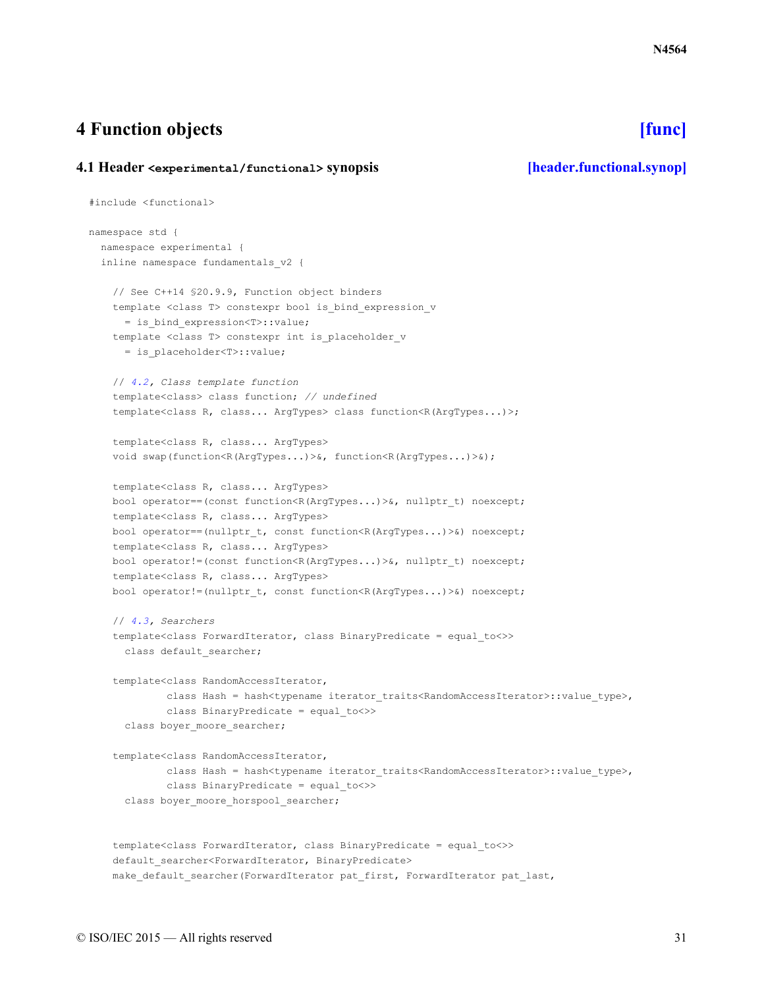# <span id="page-30-0"></span>**4 Function objects [\[func\]](#page-30-0)**

## <span id="page-30-1"></span>**4.1 Header <experimental/functional> synopsis [\[header.functional.synop\]](#page-30-1)**

```
#include <functional>
namespace std {
 namespace experimental {
  inline namespace fundamentals_v2 {
    // See C++14 §20.9.9, Function object binders
    template <class T> constexpr bool is bind expression v
      = is_bind_expression<T>::value;
    template <class T> constexpr int is placeholder v
      = is_placeholder<T>::value;
    // 4.2, Class template function
    template<class> class function; // undefined
    template<class R, class... ArgTypes> class function<R(ArgTypes...)>;
    template<class R, class... ArgTypes>
    void swap(function<R(ArgTypes...)>&, function<R(ArgTypes...)>&);
    template<class R, class... ArgTypes>
    bool operator==(const function<R(ArgTypes...)>&, nullptr_t) noexcept;
    template<class R, class... ArgTypes>
    bool operator==(nullptr_t, const function<R(ArgTypes...)>&) noexcept;
    template<class R, class... ArgTypes>
    bool operator!=(const function<R(ArgTypes...)>&, nullptr_t) noexcept;
    template<class R, class... ArgTypes>
    bool operator!=(nullptr_t, const function<R(ArgTypes...)>&) noexcept;
    // 4.3, Searchers
    template<class ForwardIterator, class BinaryPredicate = equal_to<>>
      class default searcher;
    template<class RandomAccessIterator,
             class Hash = hash<typename iterator traits<RandomAccessIterator>::value type>,
             class BinaryPredicate = equal_to<>>
      class boyer_moore_searcher;
    template<class RandomAccessIterator,
             class Hash = hash<typename iterator traits<RandomAccessIterator>::value type>,
            class BinaryPredicate = equal_to<>>
      class boyer_moore_horspool_searcher;
    template<class ForwardIterator, class BinaryPredicate = equal_to<>>
    default searcher<ForwardIterator, BinaryPredicate>
```
make default searcher(ForwardIterator pat first, ForwardIterator pat last,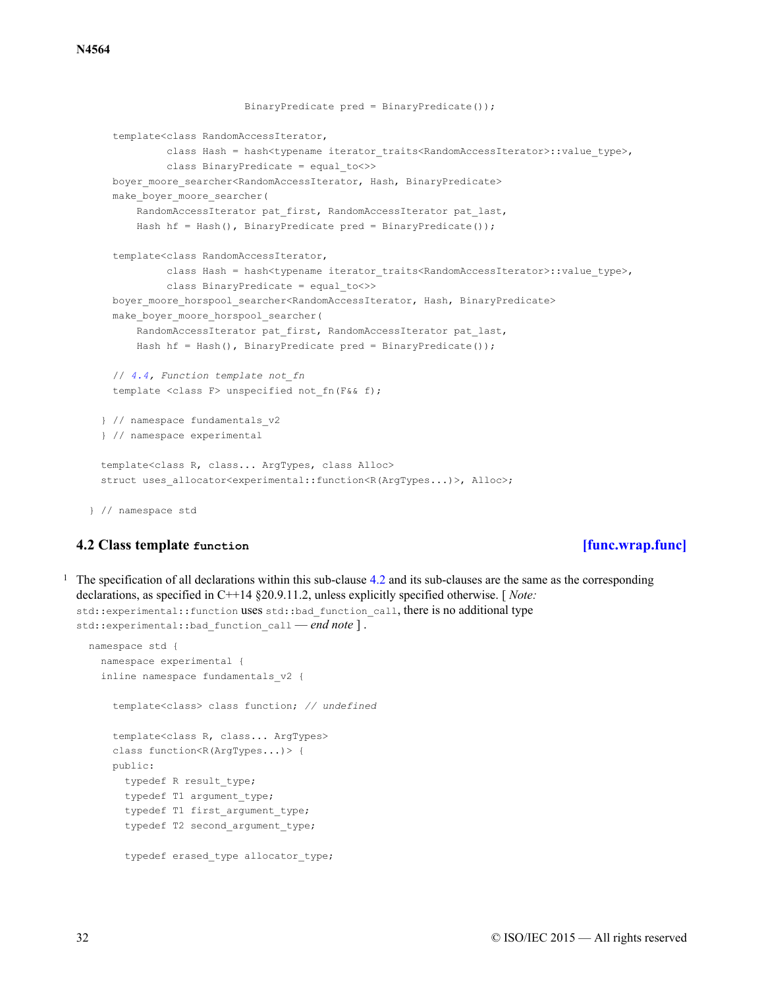```
BinaryPredicate pred = BinaryPredicate());
   template<class RandomAccessIterator,
            class Hash = hash<typename iterator_traits<RandomAccessIterator>::value_type>,
            class BinaryPredicate = equal_to<>>
   boyer moore searcher<RandomAccessIterator, Hash, BinaryPredicate>
   make boyer moore searcher(
       RandomAccessIterator pat first, RandomAccessIterator pat last,
       Hash hf = Hash(), BinaryPredicate pred = BinaryPredicate());
   template<class RandomAccessIterator,
            class Hash = hash<typename iterator_traits<RandomAccessIterator>::value_type>,
            class BinaryPredicate = equal_to<>>
   boyer_moore_horspool_searcher<RandomAccessIterator, Hash, BinaryPredicate>
   make boyer moore horspool searcher(
       RandomAccessIterator pat first, RandomAccessIterator pat last,
       Hash hf = Hash(), BinaryPredicate pred = BinaryPredicate());
   // 4.4, Function template not_fn
   template <class F> unspecified not fn(F&& f);
  } // namespace fundamentals_v2
 } // namespace experimental
 template<class R, class... ArgTypes, class Alloc>
 struct uses allocator<experimental::function<R(ArgTypes...)>, Alloc>;
} // namespace std
```
## **4.2 Class template function [\[func.wrap.func\]](#page-31-0)**

<span id="page-31-0"></span> $<sup>1</sup>$  The specification of all declarations within this sub-clause [4.2](#page-31-0) and its sub-clauses are the same as the corresponding</sup> declarations, as specified in C++14 §20.9.11.2, unless explicitly specified otherwise. [ *Note:* std::experimental::function uses std::bad\_function\_call, there is no additional type std::experimental::bad function call *— end note* ].

```
namespace std {
  namespace experimental {
  inline namespace fundamentals_v2 {
    template<class> class function; // undefined
    template<class R, class... ArgTypes>
    class function<R(ArgTypes...)> {
   public:
      typedef R result_type;
      typedef T1 argument_type;
      typedef T1 first_argument_type;
      typedef T2 second_argument_type;
      typedef erased type allocator type;
```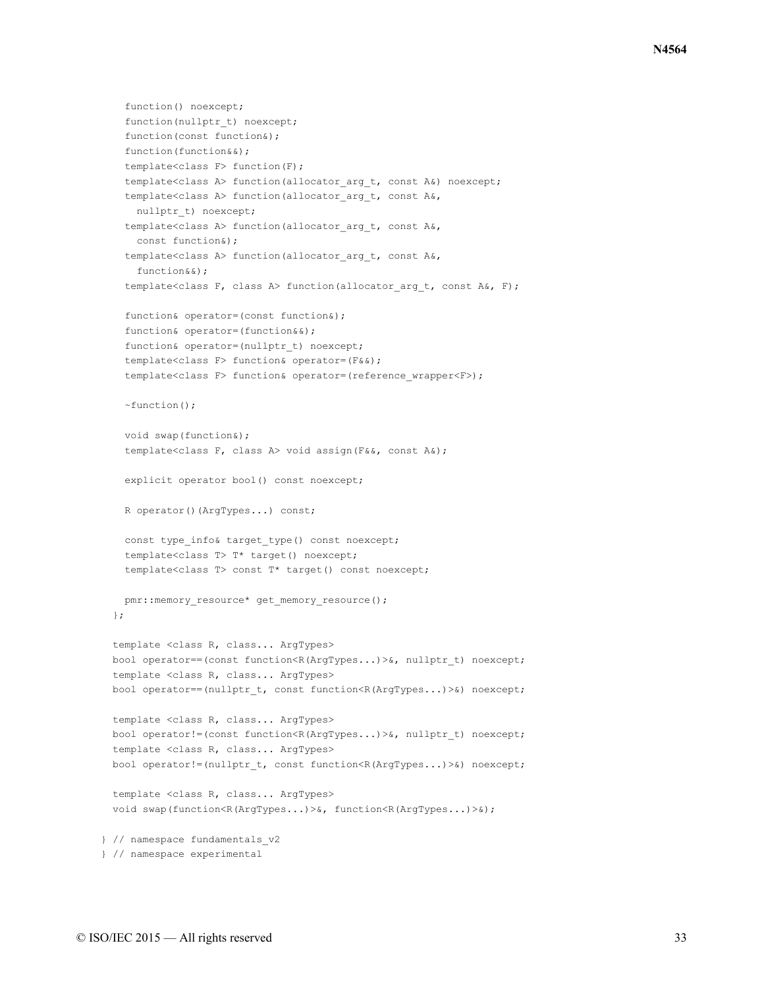```
function() noexcept;
   function(nullptr_t) noexcept;
   function(const function&);
   function(function&&);
   template<class F> function(F);
   template<class A> function(allocator arg t, const A&) noexcept;
   template<class A> function(allocator_arg_t, const A&,
     nullptr_t) noexcept;
   template<class A> function(allocator_arg_t, const A&,
     const function&);
   template<class A> function(allocator arg t, const A&,
     function&&);
   template<class F, class A> function(allocator arg t, const A&, F);
   function& operator=(const function&);
   function& operator=(function&&);
   function& operator=(nullptr_t) noexcept;
   template<class F> function& operator=(F&&);
   template<class F> function& operator=(reference_wrapper<F>);
   ~function();
   void swap(function&);
   template<class F, class A> void assign(F&&, const A&);
   explicit operator bool() const noexcept;
   R operator()(ArgTypes...) const;
   const type info& target type() const noexcept;
   template<class T> T* target() noexcept;
   template<class T> const T* target() const noexcept;
   pmr::memory_resource* get_memory_resource();
 };
 template <class R, class... ArgTypes>
 bool operator==(const function<R(ArgTypes...)>&, nullptr_t) noexcept;
 template <class R, class... ArgTypes>
 bool operator==(nullptr_t, const function<R(ArgTypes...)>&) noexcept;
 template <class R, class... ArgTypes>
 bool operator!=(const function<R(ArgTypes...)>&, nullptr_t) noexcept;
 template <class R, class... ArgTypes>
 bool operator!=(nullptr_t, const function<R(ArgTypes...)>&) noexcept;
 template <class R, class... ArgTypes>
 void swap(function<R(ArgTypes...)>&, function<R(ArgTypes...)>&);
} // namespace fundamentals_v2
} // namespace experimental
```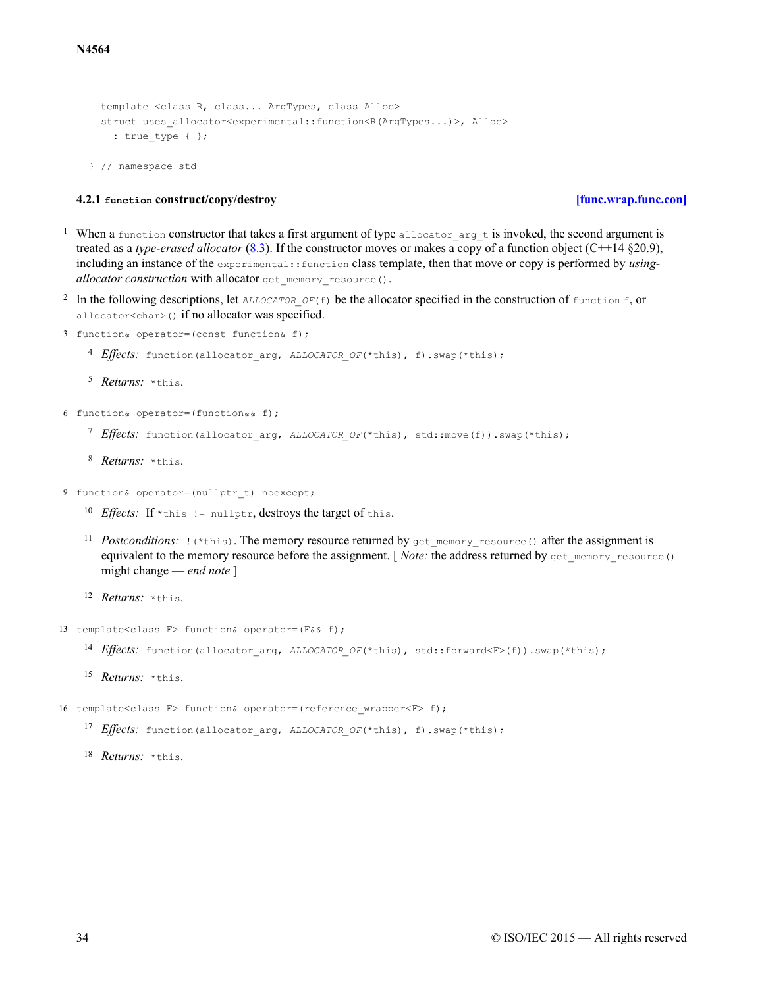```
template <class R, class... ArgTypes, class Alloc>
struct uses allocator<experimental::function<R(ArgTypes...)>, Alloc>
  : true type { };
```

```
} // namespace std
```
## **4.2.1 function construct/copy/destroy [\[func.wrap.func.con\]](#page-33-0)**

- <span id="page-33-0"></span><sup>1</sup> When a function constructor that takes a first argument of type allocator  $\arg t$  is invoked, the second argument is treated as a *type-erased allocator* [\(8.3\)](#page-77-1). If the constructor moves or makes a copy of a function object (C++14 §20.9), including an instance of the experimental::function class template, then that move or copy is performed by *usingallocator construction* with allocator get memory resource().
- <sup>2</sup> In the following descriptions, let  $ALLOCALOR$   $OF(f)$  be the allocator specified in the construction of function f, or allocator<char>() if no allocator was specified.
- 3 function& operator=(const function& f);
	- <sup>4</sup> *Effects*: function(allocator arg, *ALLOCATOR OF*(\*this), f).swap(\*this);
	- 5 *Returns:* \*this.
- 6 function& operator=(function&& f);
	- <sup>7</sup> Effects: function(allocator\_arg, ALLOCATOR\_OF(\*this), std::move(f)).swap(\*this);
	- 8 Returns: \*this.
- 9 function& operator=(nullptr\_t) noexcept;
	- <sup>10</sup> *Effects*: If \*this != nullptr, destroys the target of this.
	- <sup>11</sup> Postconditions:  $\left(\cdot\right)$  this). The memory resource returned by get\_memory\_resource() after the assignment is equivalent to the memory resource before the assignment. [ *Note:* the address returned by get\_memory\_resource() might change — *end note* ]
	- 12 *Returns:* \*this.
- 13 template<class F> function& operator=(F&& f);
	- <sup>14</sup> *Effects*: function(allocator arg, *ALLOCATOR OF*(\*this), std::forward<F>(f)).swap(\*this);
	- 15 *Returns:* \*this.
- 16 template<class F> function& operator=(reference\_wrapper<F> f);
	- <sup>17</sup> *Effects*: function(allocator arg, *ALLOCATOR OF*(\*this), f).swap(\*this);
	- 18 *Returns:* \*this.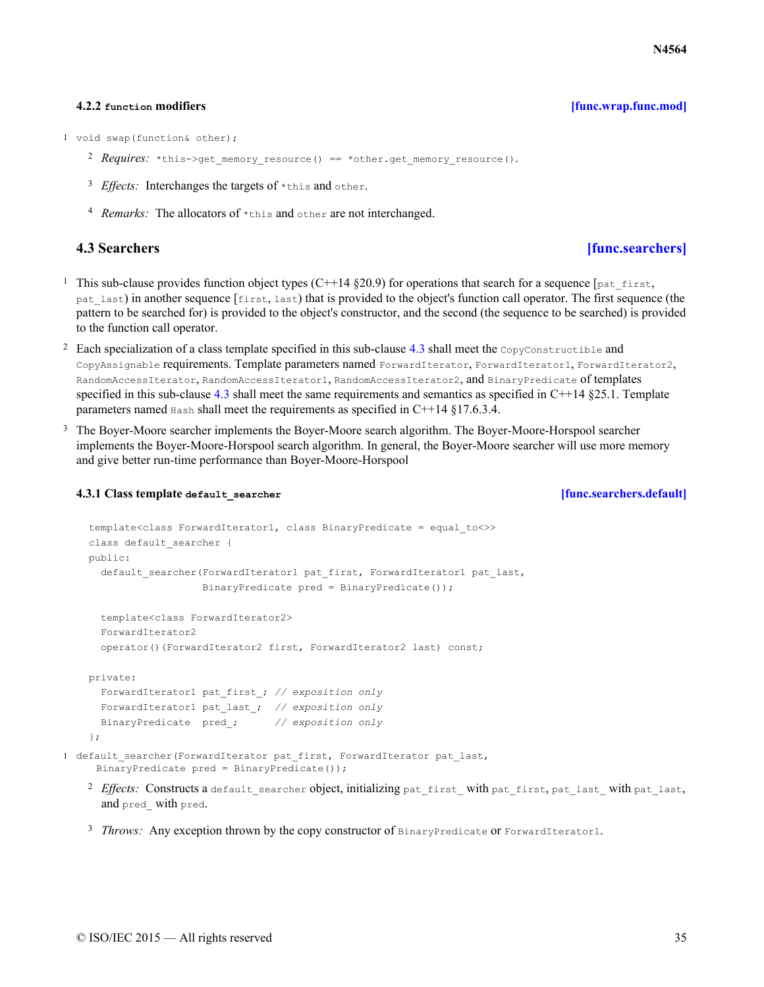### **4.2.2 function modifiers [\[func.wrap.func.mod\]](#page-34-0)**

- <span id="page-34-0"></span>1 void swap(function& other);
	- 2 Requires: \*this->get memory resource() == \*other.get memory resource().
	- <sup>3</sup> *Effects*: Interchanges the targets of \*this and other.
	- <sup>4</sup> Remarks: The allocators of \*this and other are not interchanged.

- **4.3 Searchers [\[func.searchers\]](#page-34-1)**
- <span id="page-34-1"></span><sup>1</sup> This sub-clause provides function object types (C++14  $\S20.9$ ) for operations that search for a sequence [pat\_first, pat\_last) in another sequence [first, last) that is provided to the object's function call operator. The first sequence (the pattern to be searched for) is provided to the object's constructor, and the second (the sequence to be searched) is provided to the function call operator.
- <sup>2</sup> Each specialization of a class template specified in this sub-clause [4.3](#page-34-1) shall meet the  $\text{CopyConstructible}$  and CopyAssignable requirements. Template parameters named ForwardIterator, ForwardIterator1, ForwardIterator2, RandomAccessIterator, RandomAccessIterator1, RandomAccessIterator2, and BinaryPredicate of templates specified in this sub-clause [4.3](#page-34-1) shall meet the same requirements and semantics as specified in  $C++14 \$ §25.1. Template parameters named Hash shall meet the requirements as specified in C++14 §17.6.3.4.
- <sup>3</sup> The Boyer-Moore searcher implements the Boyer-Moore search algorithm. The Boyer-Moore-Horspool searcher implements the Boyer-Moore-Horspool search algorithm. In general, the Boyer-Moore searcher will use more memory and give better run-time performance than Boyer-Moore-Horspool

## **4.3.1 Class template default\_searcher [\[func.searchers.default\]](#page-34-2)**

```
template<class ForwardIterator1, class BinaryPredicate = equal_to<>>
    class default searcher {
   public:
     default searcher(ForwardIterator1 pat first, ForwardIterator1 pat last,
                      BinaryPredicate pred = BinaryPredicate());
      template<class ForwardIterator2>
      ForwardIterator2
     operator()(ForwardIterator2 first, ForwardIterator2 last) const;
   private:
     ForwardIterator1 pat_first_; // exposition only
     ForwardIterator1 pat_last_; // exposition only
     BinaryPredicate pred_; // exposition only
    };
1 default searcher(ForwardIterator pat first, ForwardIterator pat last,
     BinaryPredicate pred = BinaryPredicate());
```
- <sup>2</sup> Effects: Constructs a default searcher object, initializing pat\_first\_ with pat\_first, pat\_last\_ with pat\_last, and pred\_ with pred.
- <sup>3</sup> *Throws:* Any exception thrown by the copy constructor of BinaryPredicate or ForwardIterator1.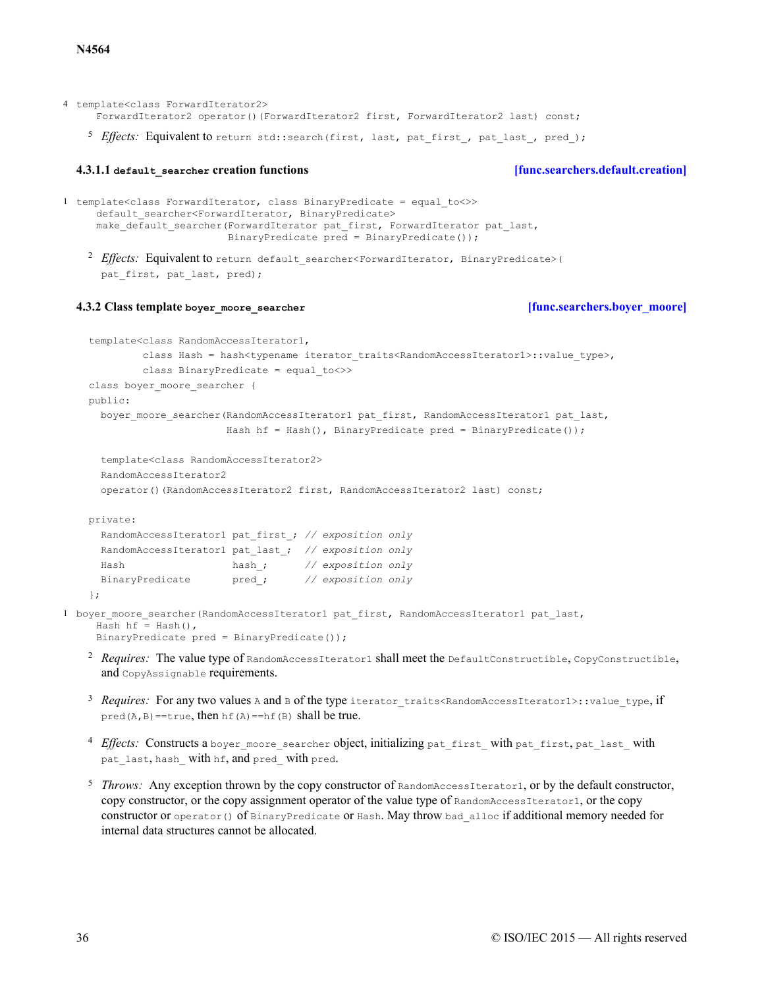4 template<class ForwardIterator2> ForwardIterator2 operator()(ForwardIterator2 first, ForwardIterator2 last) const;

<sup>5</sup> Effects: Equivalent to return std::search(first, last, pat\_first, pat\_last, pred );

### **4.3.1.1 default\_searcher creation functions [\[func.searchers.default.creation\]](#page-35-0)**

```
<sup>2</sup> Effects: Equivalent to return default searcher<ForwardIterator, BinaryPredicate>(
1 template<class ForwardIterator, class BinaryPredicate = equal_to<>>
     default searcher<ForwardIterator, BinaryPredicate>
     make default searcher(ForwardIterator pat first, ForwardIterator pat last,
                            BinaryPredicate pred = BinaryPredicate());
```

```
pat first, pat last, pred);
```
### **4.3.2 Class template boyer\_moore\_searcher [\[func.searchers.boyer\\_moore\]](#page-35-1)**

```
template<class RandomAccessIterator1,
            class Hash = hash<typename iterator_traits<RandomAccessIterator1>::value_type>,
            class BinaryPredicate = equal_to<>>
    class boyer moore searcher {
   public:
     boyer moore searcher(RandomAccessIterator1 pat first, RandomAccessIterator1 pat last,
                          Hash hf = Hash(), BinaryPredicate pred = BinaryPredicate());
      template<class RandomAccessIterator2>
     RandomAccessIterator2
     operator()(RandomAccessIterator2 first, RandomAccessIterator2 last) const;
   private:
     RandomAccessIterator1 pat_first_; // exposition only
     RandomAccessIterator1 pat_last_; // exposition only
     Hash hash_; // exposition only
     BinaryPredicate pred_; // exposition only
    };
1 boyer moore searcher(RandomAccessIterator1 pat first, RandomAccessIterator1 pat last,
     Hash hf = Hash(),
     BinaryPredicate pred = BinaryPredicate());
```
- <sup>2</sup> Requires: The value type of RandomAccessIterator1 shall meet the DefaultConstructible, CopyConstructible, and CopyAssignable requirements.
- <sup>3</sup> Requires: For any two values A and B of the type iterator\_traits<RandomAccessIterator1>::value\_type, if pred( $A$ ,  $B$ ) ==true, then  $hf(A)$  ==hf( $B$ ) shall be true.
- 4 *Effects*: Constructs a boyer\_moore\_searcher object, initializing pat\_first\_ with pat\_first, pat\_last\_ with pat last, hash with hf, and pred with pred.
- $5$  Throws: Any exception thrown by the copy constructor of  $\text{RandomAccessIterator1}$ , or by the default constructor, copy constructor, or the copy assignment operator of the value type of RandomAccessIterator1, or the copy constructor or operator() of BinaryPredicate or Hash. May throw bad alloc if additional memory needed for internal data structures cannot be allocated.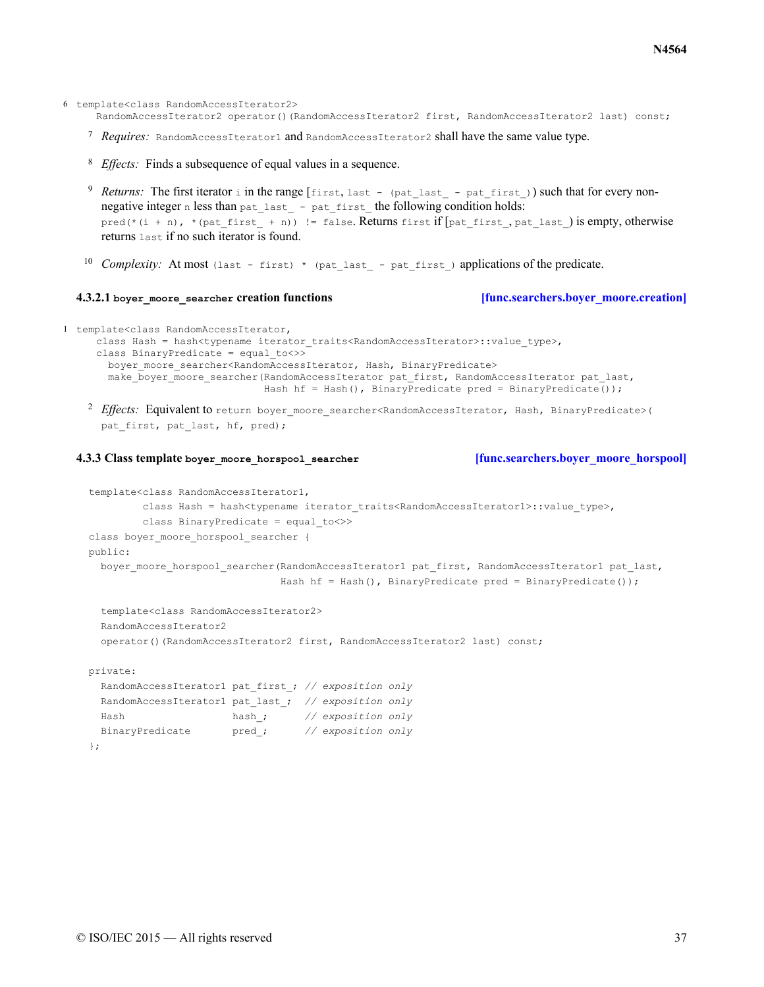- 6 template<class RandomAccessIterator2> RandomAccessIterator2 operator()(RandomAccessIterator2 first, RandomAccessIterator2 last) const;
	- <sup>7</sup> Requires: RandomAccessIterator1 and RandomAccessIterator2 shall have the same value type.
	- <sup>8</sup> *Effects*: Finds a subsequence of equal values in a sequence.
	- 9 Returns: The first iterator i in the range  $f$ irst, last (pat\_last pat\_first\_)) such that for every nonnegative integer n less than pat\_last\_ - pat\_first\_ the following condition holds: pred(\*(i + n), \*(pat first + n)) != false. Returns first if  $[pat\text{ first}, pat\text{ last})$  is empty, otherwise returns last if no such iterator is found.
	- <sup>10</sup> Complexity: At most (last first) \* (pat last pat first) applications of the predicate.

### **4.3.2.1 boyer\_moore\_searcher creation functions [\[func.searchers.boyer\\_moore.creation\]](#page-36-0)**

```
1 template<class RandomAccessIterator,
```

```
class Hash = hash<typename iterator traits<RandomAccessIterator>::value type>,
class BinaryPredicate = equal_to<>>
  boyer moore searcher<RandomAccessIterator, Hash, BinaryPredicate>
  make_boyer_moore_searcher(RandomAccessIterator pat_first, RandomAccessIterator pat_last,
                            Hash hf = Hash(), BinaryPredicate pred = BinaryPredicate());
```
<sup>2</sup> Effects: Equivalent to return boyer moore searcher<RandomAccessIterator, Hash, BinaryPredicate>( pat first, pat last, hf, pred);

## <span id="page-36-1"></span>**4.3.3 Class template boyer\_moore\_horspool\_searcher [\[func.searchers.boyer\\_moore\\_horspool\]](#page-36-1)**

```
template<class RandomAccessIterator1,
         class Hash = hash<typename iterator traits<RandomAccessIterator1>::value type>,
         class BinaryPredicate = equal_to<>>
class boyer moore horspool searcher {
public:
  boyer moore horspool searcher(RandomAccessIterator1 pat first, RandomAccessIterator1 pat last,
                                Hash hf = Hash(), BinaryPredicate pred = BinaryPredicate());
  template<class RandomAccessIterator2>
  RandomAccessIterator2
  operator()(RandomAccessIterator2 first, RandomAccessIterator2 last) const;
```
private:

```
RandomAccessIterator1 pat_first_; // exposition only
 RandomAccessIterator1 pat_last_; // exposition only
 Hash hash_; // exposition only
 BinaryPredicate pred_; // exposition only
};
```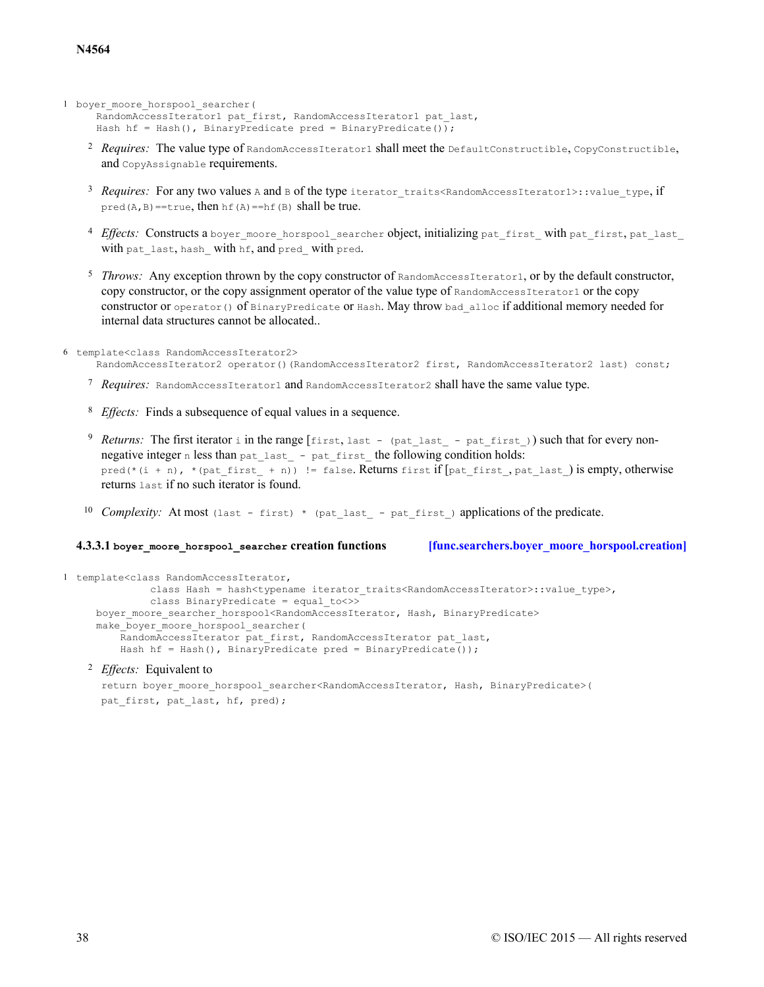```
1 boyer moore horspool searcher(
```

```
RandomAccessIterator1 pat first, RandomAccessIterator1 pat last,
Hash hf = Hash(), BinaryPredicate pred = BinaryPredicate());
```
- <sup>2</sup> Requires: The value type of RandomAccessIterator1 shall meet the DefaultConstructible, CopyConstructible, and CopyAssignable requirements.
- 3 Requires: For any two values A and B of the type iterator traits<RandomAccessIterator1>::value\_type, if pred( $A$ ,  $B$ ) ==true, then  $hf(A)$  ==hf( $B$ ) shall be true.
- <sup>4</sup> Effects: Constructs a boyer moore horspool searcher object, initializing pat first with pat first, pat last with pat\_last, hash\_ with hf, and pred\_ with pred.
- $5$  Throws: Any exception thrown by the copy constructor of  $\text{RandomAccessIterator1}$ , or by the default constructor, copy constructor, or the copy assignment operator of the value type of RandomAccessIterator1 or the copy constructor or operator() of BinaryPredicate or Hash. May throw bad\_alloc if additional memory needed for internal data structures cannot be allocated..

```
6 template<class RandomAccessIterator2>
     RandomAccessIterator2 operator()(RandomAccessIterator2 first, RandomAccessIterator2 last) const;
```
- <sup>7</sup> Requires: RandomAccessIterator1 and RandomAccessIterator2 shall have the same value type.
- <sup>8</sup> *Effects*: Finds a subsequence of equal values in a sequence.
- <sup>9</sup> Returns: The first iterator i in the range [first, last (pat\_last\_ pat\_first\_)) such that for every nonnegative integer n less than pat\_last\_ - pat\_first\_ the following condition holds: pred(\*(i + n), \*(pat first + n)) != false. Returns first if  $[pat\text{ first}, pat\text{ last})$  is empty, otherwise returns last if no such iterator is found.
- <sup>10</sup> Complexity: At most (last first) \* (pat last pat first) applications of the predicate.

### **4.3.3.1 boyer\_moore\_horspool\_searcher creation functions [\[func.searchers.boyer\\_moore\\_horspool.creation\]](#page-37-0)**

```
1 template<class RandomAccessIterator,
              class Hash = hash<typename iterator traits<RandomAccessIterator>::value_type>,
              class BinaryPredicate = equal_to<>>
     boyer moore searcher horspool<RandomAccessIterator, Hash, BinaryPredicate>
     make boyer moore horspool searcher(
         RandomAccessIterator pat first, RandomAccessIterator pat last,
         Hash hf = Hash(), BinaryPredicate pred = BinaryPredicate());
```
### <sup>2</sup> *Effects:* Equivalent to

```
return boyer_moore_horspool_searcher<RandomAccessIterator, Hash, BinaryPredicate>(
pat first, pat last, hf, pred);
```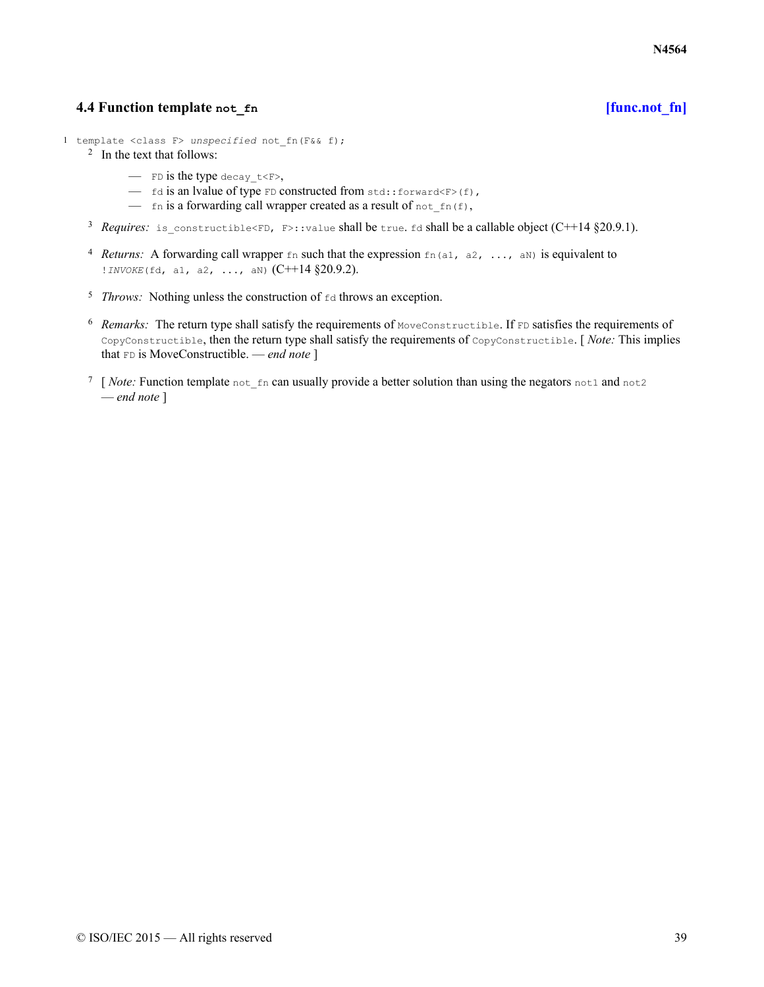# **4.4 Function template not\_fn [\[func.not\\_fn\]](#page-38-0)**

- <span id="page-38-0"></span>1 template <class F> *unspecified* not\_fn(F&& f);
	- 2 In the text that follows:
		- FD is the type decay  $t \leq F$ ,
		- $-$  fd is an lvalue of type FD constructed from std::forward<F>(f),
		- fn is a forwarding call wrapper created as a result of not  $f_n(f)$ ,
	- <sup>3</sup> Requires: is\_constructible<FD, F>::value shall be true. fd shall be a callable object (C++14 §20.9.1).
	- <sup>4</sup> *Returns:* A forwarding call wrapper  $\epsilon_n$  such that the expression  $\epsilon_{n}$  (a1, a2, ..., aN) is equivalent to !*INVOKE*(fd, a1, a2, ..., aN) (C++14 §20.9.2).
	- $5$  *Throws:* Nothing unless the construction of  $f$ d throws an exception.
	- $6$  Remarks: The return type shall satisfy the requirements of MoveConstructible. If  $FD$  satisfies the requirements of CopyConstructible, then the return type shall satisfy the requirements of CopyConstructible. [ *Note:* This implies that FD is MoveConstructible. — *end note* ]
	- <sup>7</sup> [*Note:* Function template not fn can usually provide a better solution than using the negators not1 and not2 — *end note* ]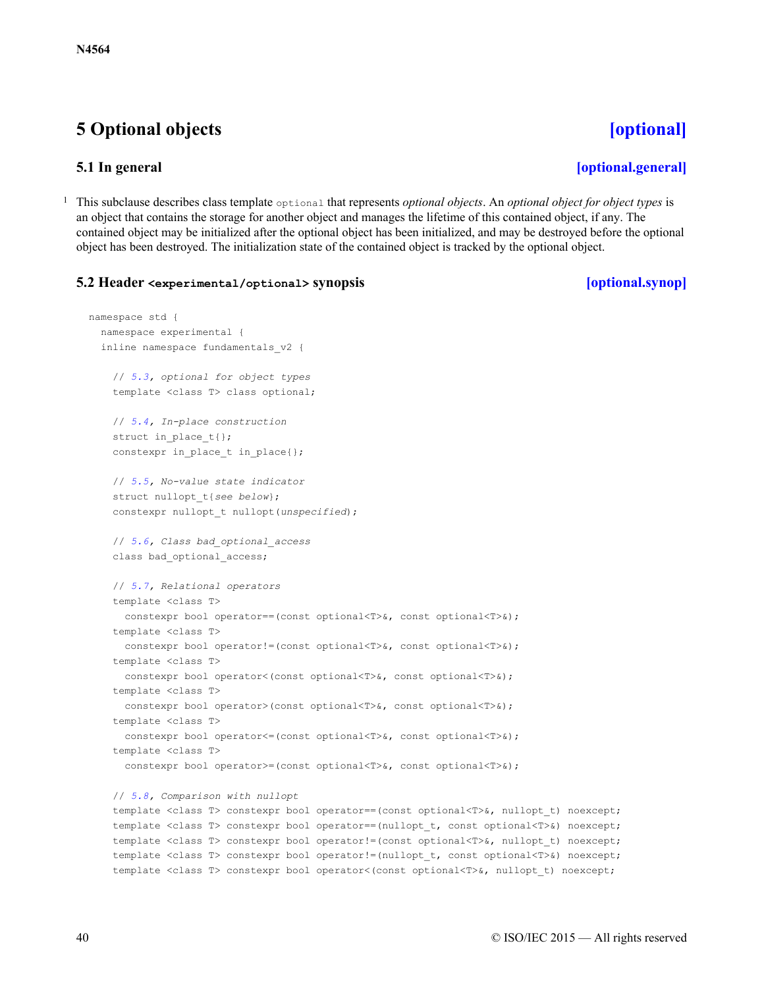# <span id="page-39-0"></span>**5 Optional objects [\[optional\]](#page-39-0)**

# **5.1 In general [\[optional.general\]](#page-39-1)**

<span id="page-39-1"></span><sup>1</sup> This subclause describes class template optional that represents *optional objects*. An *optional object for object types* is an object that contains the storage for another object and manages the lifetime of this contained object, if any. The contained object may be initialized after the optional object has been initialized, and may be destroyed before the optional object has been destroyed. The initialization state of the contained object is tracked by the optional object.

# <span id="page-39-2"></span>**5.2 Header <experimental/optional> synopsis [\[optional.synop\]](#page-39-2)**

```
namespace std {
  namespace experimental {
  inline namespace fundamentals_v2 {
    // 5.3, optional for object types
    template <class T> class optional;
    // 5.4, In-place construction
    struct in place t { };
    constexpr in_place_t in_place{};
    // 5.5, No-value state indicator
    struct nullopt_t{see below};
    constexpr nullopt_t nullopt(unspecified);
    // 5.6, Class bad_optional_access
    class bad optional access;
    // 5.7, Relational operators
    template <class T>
      constexpr bool operator==(const optional<T>&, const optional<T>&);
    template <class T>
      constexpr bool operator!=(const optional<T>&, const optional<T>&);
    template <class T>
      constexpr bool operator<(const optional<T>&, const optional<T>&);
    template <class T>
      constexpr bool operator>(const optional<T>&, const optional<T>&);
    template <class T>
      constexpr bool operator<=(const optional<T>&, const optional<T>&);
    template <class T>
      constexpr bool operator>=(const optional<T>&, const optional<T>&);
    // 5.8, Comparison with nullopt
    template <class T> constexpr bool operator == (const optional<T>&, nullopt t) noexcept;
    template <class T> constexpr bool operator==(nullopt t, const optional<T>&) noexcept;
    template <class T> constexpr bool operator!=(const optional<T>&, nullopt_t) noexcept;
    template <class T> constexpr bool operator!=(nullopt_t, const optional<T>&) noexcept;
```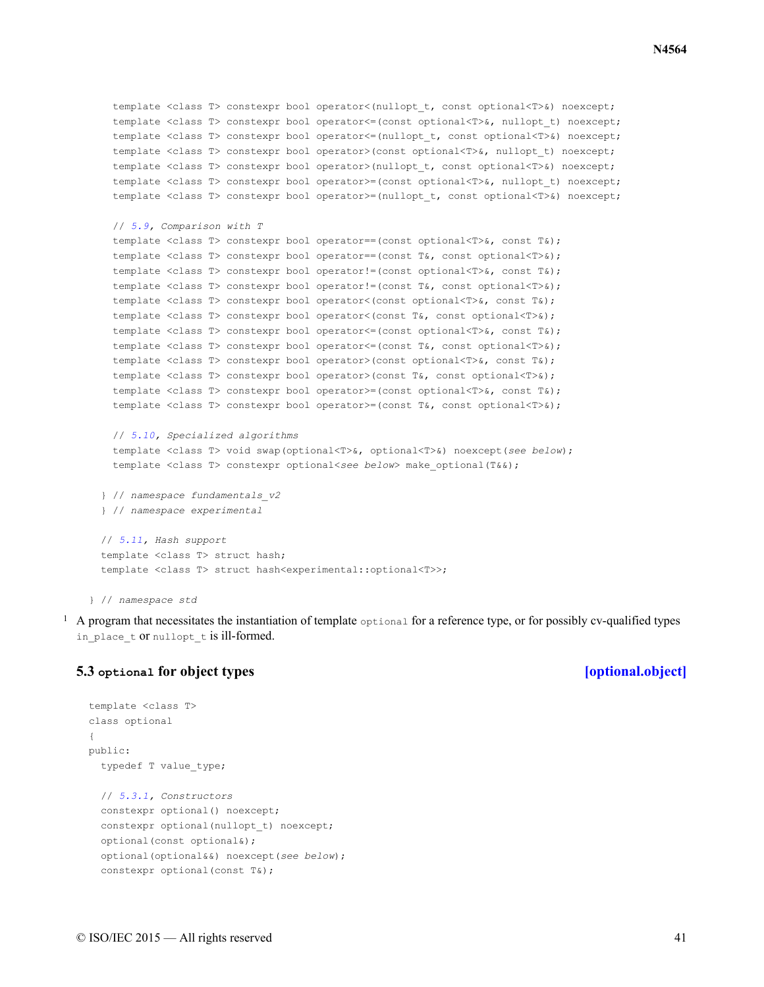```
template <class T> constexpr bool operator<(nullopt_t, const optional<T>&) noexcept;
  template <class T> constexpr bool operator << (const optional<T>&, nullopt t) noexcept;
  template <class T> constexpr bool operator << (nullopt t, const optional<T>&) noexcept;
  template <class T> constexpr bool operator>(const optional<T>&, nullopt_t) noexcept;
  template <class T> constexpr bool operator>(nullopt_t, const optional<T>&) noexcept;
  template <class T> constexpr bool operator>=(const optional<T>&, nullopt t) noexcept;
  template <class T> constexpr bool operator>=(nullopt t, const optional<T>&) noexcept;
 // 5.9, Comparison with T
  template <class T> constexpr bool operator==(const optional<T>&, const T&);
  template <class T> constexpr bool operator==(const T&, const optional<T>&);
  template <class T> constexpr bool operator!=(const optional<T>&, const T&);
  template <class T> constexpr bool operator!=(const T&, const optional<T>&);
  template <class T> constexpr bool operator<(const optional<T>&, const T&);
  template <class T> constexpr bool operator<(const T&, const optional<T>&);
  template <class T> constexpr bool operator<=(const optional<T>&, const T&);
  template <class T> constexpr bool operator<=(const T&, const optional<T>&);
  template <class T> constexpr bool operator>(const optional<T>&, const T&);
  template <class T> constexpr bool operator>(const T&, const optional<T>&);
  template <class T> constexpr bool operator>=(const optional<T>&, const T&);
  template <class T> constexpr bool operator>=(const T&, const optional<T>&);
  // 5.10, Specialized algorithms
  template <class T> void swap(optional<T>&, optional<T>&) noexcept(see below);
  template <class T> constexpr optional<see below> make_optional(T&&);
} // namespace fundamentals_v2
} // namespace experimental
// 5.11, Hash support
template <class T> struct hash;
template <class T> struct hash<experimental::optional<T>>;
```
} // *namespace std*

<sup>1</sup> A program that necessitates the instantiation of template  $\circ$ ptional for a reference type, or for possibly cv-qualified types in place t or nullopt t is ill-formed.

# <span id="page-40-0"></span>**5.3 optional for object types [\[optional.object\]](#page-40-0)**

```
template <class T>
class optional
{
public:
  typedef T value_type;
  // 5.3.1, Constructors
  constexpr optional() noexcept;
  constexpr optional(nullopt t) noexcept;
  optional(const optional&);
  optional(optional&&) noexcept(see below);
  constexpr optional(const T&);
```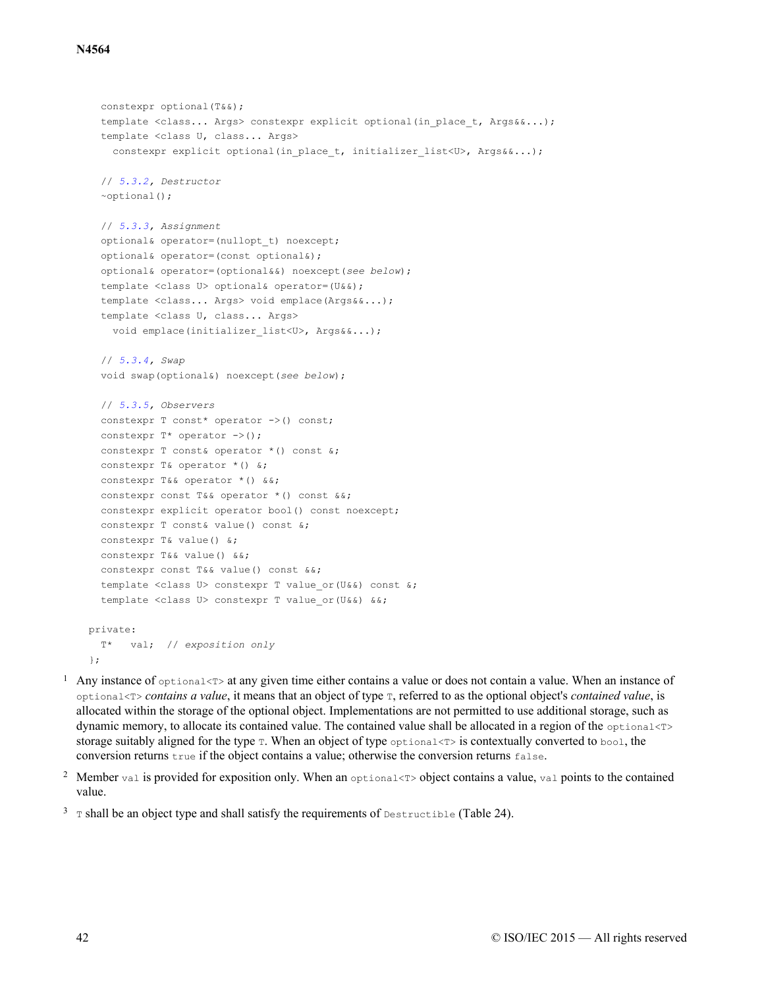```
constexpr optional(T&&);
  template <class... Args> constexpr explicit optional(in place t, Args&&...);
  template <class U, class... Args>
    constexpr explicit optional(in place t, initializer list<U>, Args&&...);
  // 5.3.2, Destructor
  ~optional();
  // 5.3.3, Assignment
  optional& operator=(nullopt_t) noexcept;
  optional& operator=(const optional&);
  optional& operator=(optional&&) noexcept(see below);
  template <class U> optional& operator=(U&&);
  template <class... Args> void emplace(Args&&...);
  template <class U, class... Args>
    void emplace(initializer_list<U>, Args&&...);
  // 5.3.4, Swap
  void swap(optional&) noexcept(see below);
  // 5.3.5, Observers
  constexpr T const* operator \rightarrow () const;
  constexpr T^* operator \rightarrow ();
  constexpr T const& operator *() const &;
  constexpr T& operator * () &;
  constexpr T&& operator *() &&;
  constexpr const T&& operator *() const &&;
  constexpr explicit operator bool() const noexcept;
  constexpr T const& value() const &;
  constexpr T& value() &;
  constexpr T&& value() &&;
  constexpr const T&& value() const &&;
  template <class U> constexpr T value or(U&&) const &;
  template <class U> constexpr T value or(U&&) &&;
private:
 T* val; // exposition only
};
```
- <sup>1</sup> Any instance of  $optional < T>$  at any given time either contains a value or does not contain a value. When an instance of optional<T> *contains a value*, it means that an object of type T, referred to as the optional object's *contained value*, is allocated within the storage of the optional object. Implementations are not permitted to use additional storage, such as dynamic memory, to allocate its contained value. The contained value shall be allocated in a region of the optional<T> storage suitably aligned for the type  $\tau$ . When an object of type optional  $\tau$  is contextually converted to bool, the conversion returns true if the object contains a value; otherwise the conversion returns false.
- <sup>2</sup> Member val is provided for exposition only. When an optional  $\leq$  bect contains a value, val points to the contained value.

<sup>3</sup> T shall be an object type and shall satisfy the requirements of  $\Delta$  Destructible (Table 24).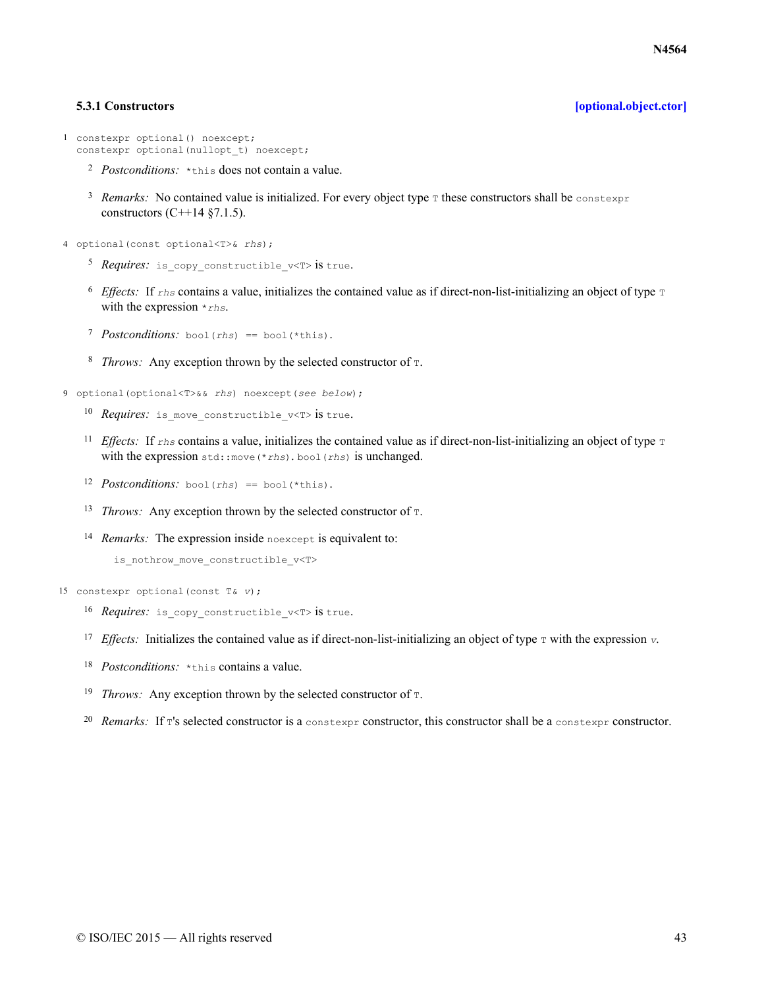### **5.3.1 Constructors [\[optional.object.ctor\]](#page-42-0)**

```
1 constexpr optional() noexcept;
  constexpr optional(nullopt t) noexcept;
```
- <sup>2</sup> Postconditions: \*this does not contain a value.
- <sup>3</sup> Remarks: No contained value is initialized. For every object type T these constructors shall be constexpr constructors  $(C+14 \text{ §}7.1.5)$ .
- 4 optional(const optional<T>& *rhs*);
	- <sup>5</sup> *Requires*: is copy constructible v<T> is true.
	- <sup>6</sup> *Effects*: If *rhs* contains a value, initializes the contained value as if direct-non-list-initializing an object of type T with the expression \**rhs*.
	- 7 *Postconditions*: bool(rhs) == bool(\*this).
	- <sup>8</sup> *Throws:* Any exception thrown by the selected constructor of  $\text{I}$ .
- 9 optional(optional<T>&& *rhs*) noexcept(*see below*);
	- 10 *Requires*: is move constructible  $v$ <T> is true.
	- <sup>11</sup> *Effects:* If  $z$ hs contains a value, initializes the contained value as if direct-non-list-initializing an object of type  $\tau$ with the expression std::move(\**rhs*). bool(*rhs*) is unchanged.
	- 12 *Postconditions:* bool(*rhs*) == bool(\*this).
	- <sup>13</sup> *Throws:* Any exception thrown by the selected constructor of  $\tau$ .
	- 14 Remarks: The expression inside noexcept is equivalent to:

```
is nothrow move constructible v<T>
```
15 constexpr optional(const T& *v*);

- 16 *Requires*: is copy constructible v<T> is true.
- <sup>17</sup> *Effects:* Initializes the contained value as if direct-non-list-initializing an object of type  $\tau$  with the expression  $\upsilon$ .
- 18 *Postconditions*: \*this contains a value.
- <sup>19</sup> *Throws:* Any exception thrown by the selected constructor of  $\tau$ .
- 20 Remarks: If  $\tau$ 's selected constructor is a constexpr constructor, this constructor shall be a constexpr constructor.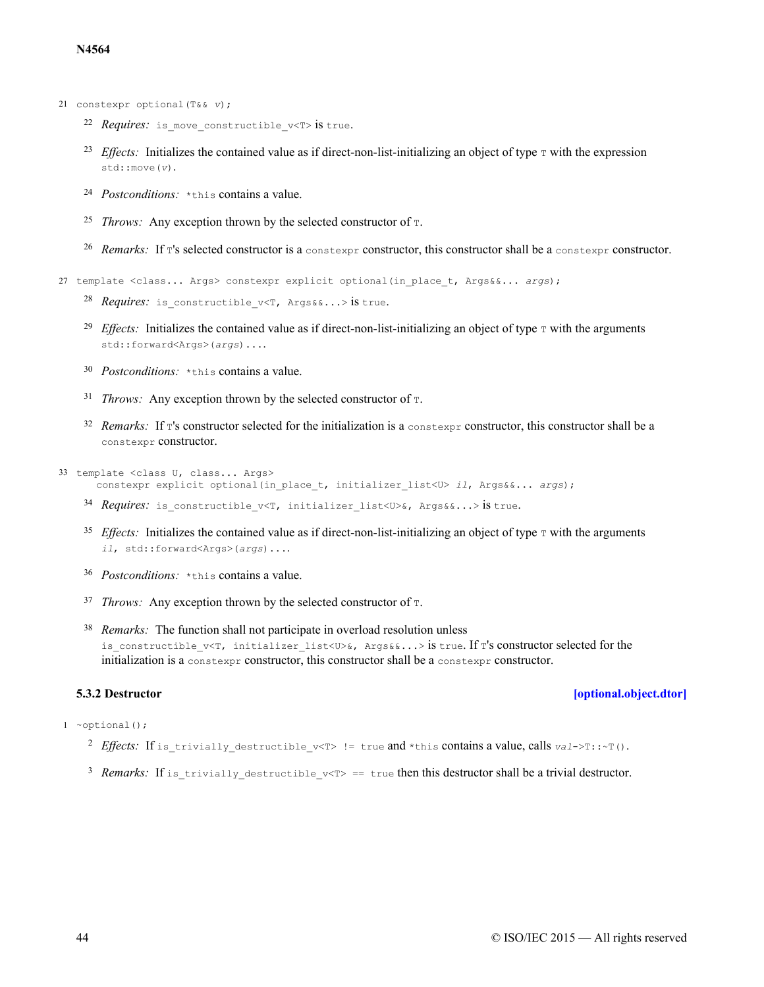- 21 constexpr optional(T&& *v*);
	- 22 *Requires*: is move constructible v<T> is true.
	- <sup>23</sup> *Effects:* Initializes the contained value as if direct-non-list-initializing an object of type  $\tau$  with the expression std::move(*v*).
	- <sup>24</sup> *Postconditions*: \*this contains a value.
	- <sup>25</sup> *Throws:* Any exception thrown by the selected constructor of  $\text{t}$ .
	- 26 Remarks: If T's selected constructor is a constexpr constructor, this constructor shall be a constexpr constructor.

27 template <class... Args> constexpr explicit optional(in\_place\_t, Args&&... *args*);

- 28 Requires: is\_constructible\_v<T, Args&&...> is true.
- <sup>29</sup> *Effects:* Initializes the contained value as if direct-non-list-initializing an object of type  $\tau$  with the arguments std::forward<Args>(*args*)....
- 30 *Postconditions*: \* this contains a value.
- $31$  *Throws:* Any exception thrown by the selected constructor of  $T$ .
- $32$  *Remarks:* If T's constructor selected for the initialization is a constexpr constructor, this constructor shall be a constexpr constructor.
- 33 template <class U, class... Args>
	- constexpr explicit optional(in\_place\_t, initializer\_list<U> *il*, Args&&... *args*);
	- 34 *Requires*: is\_constructible\_v<T, initializer\_list<U>&, Args&&...> is true.
	- <sup>35</sup> *Effects:* Initializes the contained value as if direct-non-list-initializing an object of type  $\tau$  with the arguments *il*, std::forward<Args>(*args*)....
	- 36 *Postconditions*: \*this contains a value.
	- $37$  *Throws:* Any exception thrown by the selected constructor of  $T$ .
	- <sup>38</sup> Remarks: The function shall not participate in overload resolution unless is constructible  $v\leq T$ , initializer list $\langle\overline{U}\rangle\&$ , Args&&...> is true. If T's constructor selected for the initialization is a constexpr constructor, this constructor shall be a constexpr constructor.

### **5.3.2 Destructor [\[optional.object.dtor\]](#page-43-0)**

### <span id="page-43-0"></span> $1$  ~optional();

- <sup>2</sup> Effects: If is trivially destructible v<T> != true and \*this contains a value, calls  $val\rightarrow$ T::~T().
- <sup>3</sup> Remarks: If is trivially destructible  $v < T$  == true then this destructor shall be a trivial destructor.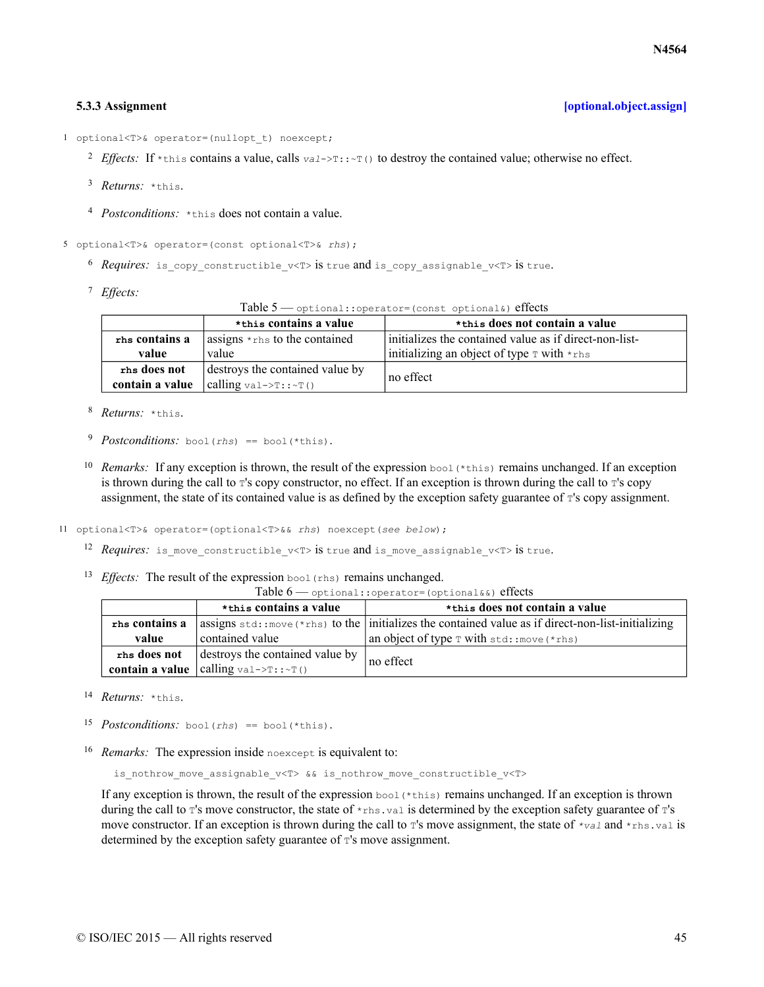# **5.3.3 Assignment [\[optional.object.assign\]](#page-44-0)**

<span id="page-44-0"></span>1 optional<T>& operator=(nullopt\_t) noexcept;

- <sup>2</sup> *Effects:* If \*this contains a value, calls  $val>>T$ :  $\sim T($ ) to destroy the contained value; otherwise no effect.
- <sup>3</sup> *Returns:* \*this.
- <sup>4</sup> Postconditions: \*this does not contain a value.

5 optional<T>& operator=(const optional<T>& *rhs*);

- $^6$  *Requires*: is copy constructible v<T> is true and is copy assignable v<T> is true.
- *Effects:* 7

Table 5 — optional::operator=(const optional&) effects

|                 | *this contains a value                                        | *this does not contain a value                                          |  |
|-----------------|---------------------------------------------------------------|-------------------------------------------------------------------------|--|
| rhs contains a  | $\frac{1}{2}$ assigns $\star$ <sub>rhs</sub> to the contained | l initializes the contained value as if direct-non-list-                |  |
| value           | value                                                         | initializing an object of type $\texttt{T}$ with $\star$ <sub>rhs</sub> |  |
| rhs does not    | destroys the contained value by                               | no effect                                                               |  |
| contain a value | calling $\text{val}\rightarrow\text{T}$ : : $\sim\text{T}$ () |                                                                         |  |

- 8 Returns: \*this.
- <sup>9</sup> *Postconditions:* bool(*rhs*) == bool(\*this).
- <sup>10</sup> Remarks: If any exception is thrown, the result of the expression  $b \circ o1$  (\*this) remains unchanged. If an exception is thrown during the call to  $T'$ 's copy constructor, no effect. If an exception is thrown during the call to  $T'$ 's copy assignment, the state of its contained value is as defined by the exception safety guarantee of T's copy assignment.
- 11 optional<T>& operator=(optional<T>&& *rhs*) noexcept(*see below*);
	- 12 *Requires*: is move constructible v<T> is true and is move assignable v<T> is true.
	- 13 *Effects*: The result of the expression bool (rhs) remains unchanged.

| Table $6$ — optional:: operator= (optional&&) effects |  |
|-------------------------------------------------------|--|
|-------------------------------------------------------|--|

|                                                 | *this contains a value                              | *this does not contain a value                                                                               |  |
|-------------------------------------------------|-----------------------------------------------------|--------------------------------------------------------------------------------------------------------------|--|
| rhs contains a                                  |                                                     | assigns $\text{std}$ : move (*rhs) to the initializes the contained value as if direct-non-list-initializing |  |
| value                                           | contained value                                     | an object of type $\texttt{T}$ with std: : move (*rhs)                                                       |  |
| destroys the contained value by<br>rhs does not |                                                     | no effect                                                                                                    |  |
|                                                 | <b>contain a value</b> calling val-> $T::\cdot T()$ |                                                                                                              |  |

- 14 *Returns:* \*this.
- 15 *Postconditions:* bool(*rhs*) == bool(\*this).
- 16 Remarks: The expression inside noexcept is equivalent to:

is nothrow move assignable v<T> && is nothrow move constructible v<T>

If any exception is thrown, the result of the expression  $b \circ b \circ d$  (\*this) remains unchanged. If an exception is thrown during the call to  $T'$ s move constructor, the state of  $\star$ rhs.val is determined by the exception safety guarantee of  $T'$ s move constructor. If an exception is thrown during the call to  $\tau$ 's move assignment, the state of  $\tau$ <sub>val</sub> and  $\tau$ <sub>rhs</sub>.val is determined by the exception safety guarantee of  $\tau$ 's move assignment.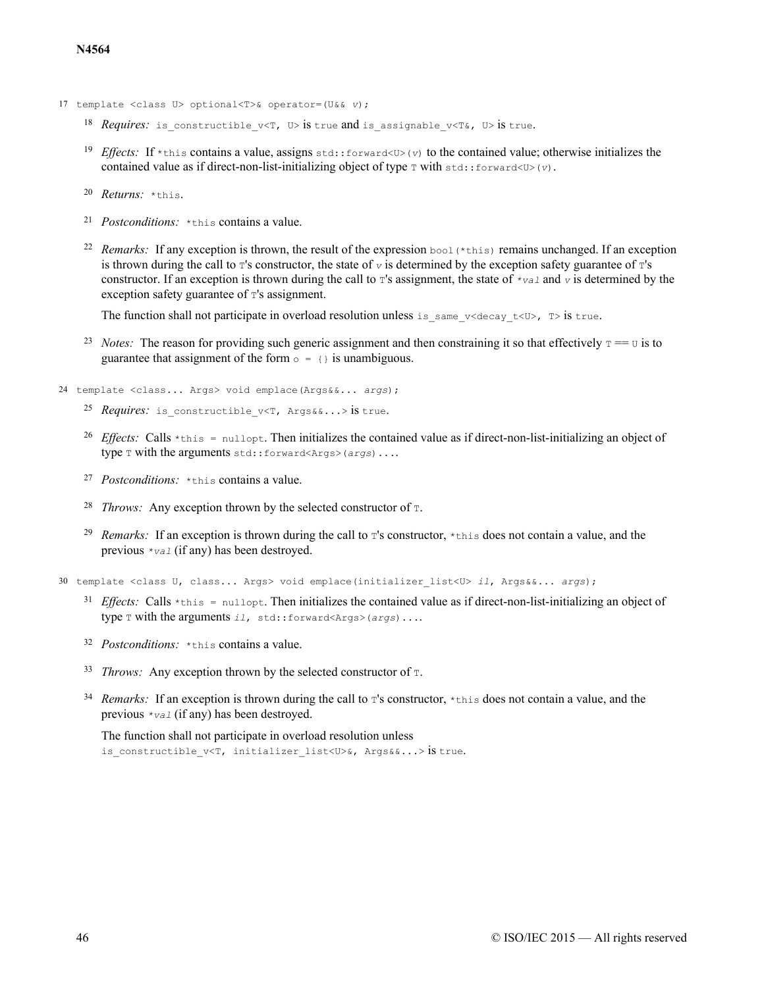- 17 template <class U> optional<T>& operator=(U&& *v*);
	- 18 *Requires*: is constructible  $v \le T$ ,  $U > S$  is true and is assignable  $v \le T \⊂> X$ ,  $U > S$  is true.
	- <sup>19</sup> *Effects:* If \*this contains a value, assigns std::forward<U>(*v*) to the contained value; otherwise initializes the contained value as if direct-non-list-initializing object of type  $\tau$  with  $\text{std}$ ::forward<U>(*v*).
	- <sup>20</sup> *Returns:* \*this.
	- <sup>21</sup> *Postconditions:* \*this contains a value.
	- 22 Remarks: If any exception is thrown, the result of the expression bool (\*this) remains unchanged. If an exception is thrown during the call to  $\tau$ 's constructor, the state of  $\sigma$  is determined by the exception safety guarantee of  $\tau$ 's constructor. If an exception is thrown during the call to  $\tau$ 's assignment, the state of  $\tau$ <sub>val</sub> and  $\tau$  is determined by the exception safety guarantee of  $T$ 's assignment.

The function shall not participate in overload resolution unless is same  $v$ <decay  $t$ <U>,  $T$ > is true.

<sup>23</sup> *Notes:* The reason for providing such generic assignment and then constraining it so that effectively  $T = U$  is to guarantee that assignment of the form  $\circ$  = {} is unambiguous.

24 template <class... Args> void emplace(Args&&... *args*);

- 25 *Requires*: is constructible v<T, Args&&...> is true.
- <sup>26</sup> *Effects:* Calls  $\star$ this = nullopt. Then initializes the contained value as if direct-non-list-initializing an object of type T with the arguments std::forward<Args>(*args*)....
- 27 *Postconditions*: \*this contains a value.
- <sup>28</sup> *Throws:* Any exception thrown by the selected constructor of  $\tau$ .
- <sup>29</sup> Remarks: If an exception is thrown during the call to T's constructor, \*this does not contain a value, and the previous *\*val* (if any) has been destroyed.

30 template <class U, class... Args> void emplace(initializer\_list<U> *il*, Args&&... *args*);

- <sup>31</sup> *Effects:* Calls  $\star$ this = nullopt. Then initializes the contained value as if direct-non-list-initializing an object of type T with the arguments *il*, std::forward<Args>(*args*)....
- 32 *Postconditions*: \*this contains a value.
- $33$  *Throws:* Any exception thrown by the selected constructor of  $T$ .
- <sup>34</sup> Remarks: If an exception is thrown during the call to T's constructor, \*this does not contain a value, and the previous *\*val* (if any) has been destroyed.

The function shall not participate in overload resolution unless is constructible v<T, initializer list<U>&, Args&&...> is true.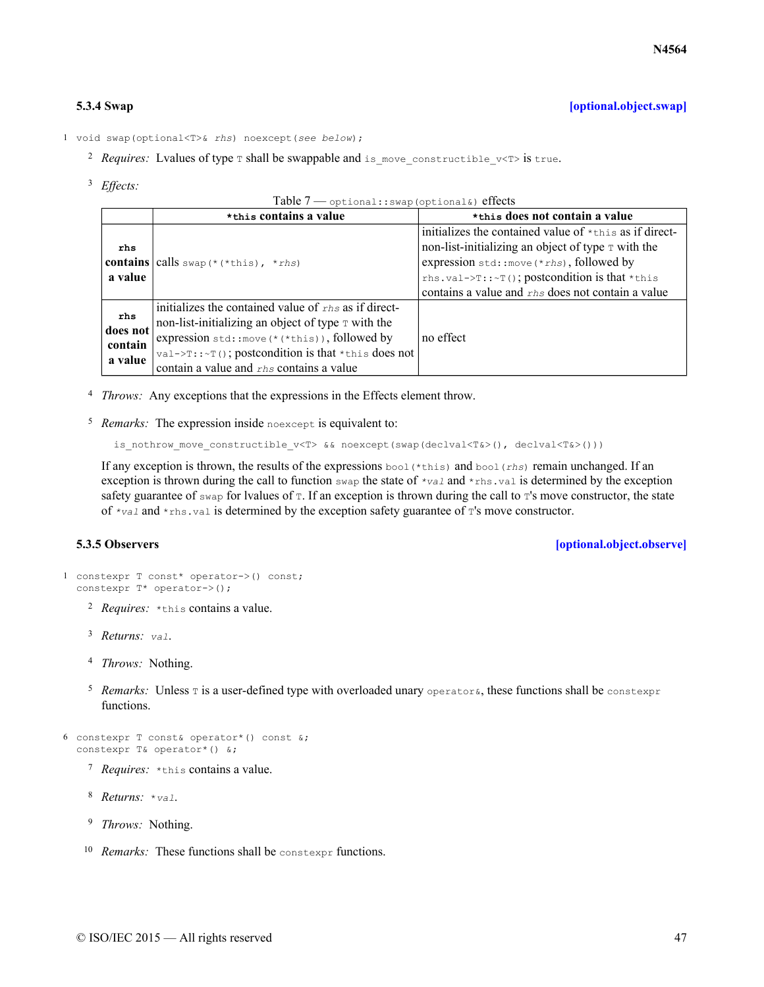<span id="page-46-0"></span>1 void swap(optional<T>& *rhs*) noexcept(*see below*);

- <sup>2</sup> Requires: Lvalues of type  $\tau$  shall be swappable and is move constructible  $v$ < $\tau$ > is true.
- *Effects:* 3

```
Table 7 — optional::swap(optional&) effects
```

|                 | *this contains a value                                                        | *this does not contain a value                          |
|-----------------|-------------------------------------------------------------------------------|---------------------------------------------------------|
|                 |                                                                               | initializes the contained value of *this as if direct-  |
| rhs             |                                                                               | non-list-initializing an object of type $\tau$ with the |
|                 | <b>contains</b> calls swap $(*$ (*this), *rhs)                                | expression $std::move(*rhs)$ , followed by              |
| a value         |                                                                               | rhs.val->T::~T(); postcondition is that *this           |
|                 |                                                                               | contains a value and rhs does not contain a value       |
|                 | initializes the contained value of $_{ths}$ as if direct-                     |                                                         |
| rhs<br>does not | non-list-initializing an object of type T with the                            |                                                         |
| contain         | expression std:: move(*(*this)), followed by                                  | no effect                                               |
| a value         | $\forall$ val->T:: $\forall$ T(); postcondition is that $\star$ this does not |                                                         |
|                 | contain a value and rhs contains a value                                      |                                                         |

- <sup>4</sup> *Throws:* Any exceptions that the expressions in the Effects element throw.
- <sup>5</sup> Remarks: The expression inside noexcept is equivalent to:

```
is nothrow move constructible v<T> && noexcept(swap(declval<T&>(), declval<T&>()))
```
If any exception is thrown, the results of the expressions bool (\*this) and bool (rhs) remain unchanged. If an exception is thrown during the call to function swap the state of *\*val* and \*rhs.val is determined by the exception safety guarantee of  $\frac{1}{2}$  swap for lyalues of  $\frac{\pi}{2}$ . If an exception is thrown during the call to  $\frac{\pi}{2}$  s move constructor, the state of *\*val* and \*rhs.val is determined by the exception safety guarantee of T's move constructor.

```
5.3.5 Observers [optional.object.observe]
```

```
1 constexpr T const* operator->() const;
  constexpr T* operator->();
```
- <sup>2</sup> *Requires:* \*this contains a value.
- <sup>3</sup> *Returns:* val.
- <sup>4</sup> *Throws:* Nothing.
- <sup>5</sup> Remarks: Unless T is a user-defined type with overloaded unary operators, these functions shall be constexpr functions.

```
6 constexpr T const& operator*() const (x;constexpr T& operator*() &;
```
- <sup>7</sup> Requires: \*this contains a value.
- 8 Returns: \*val.
- <sup>9</sup> *Throws:* Nothing.
- <sup>10</sup> Remarks: These functions shall be constexpr functions.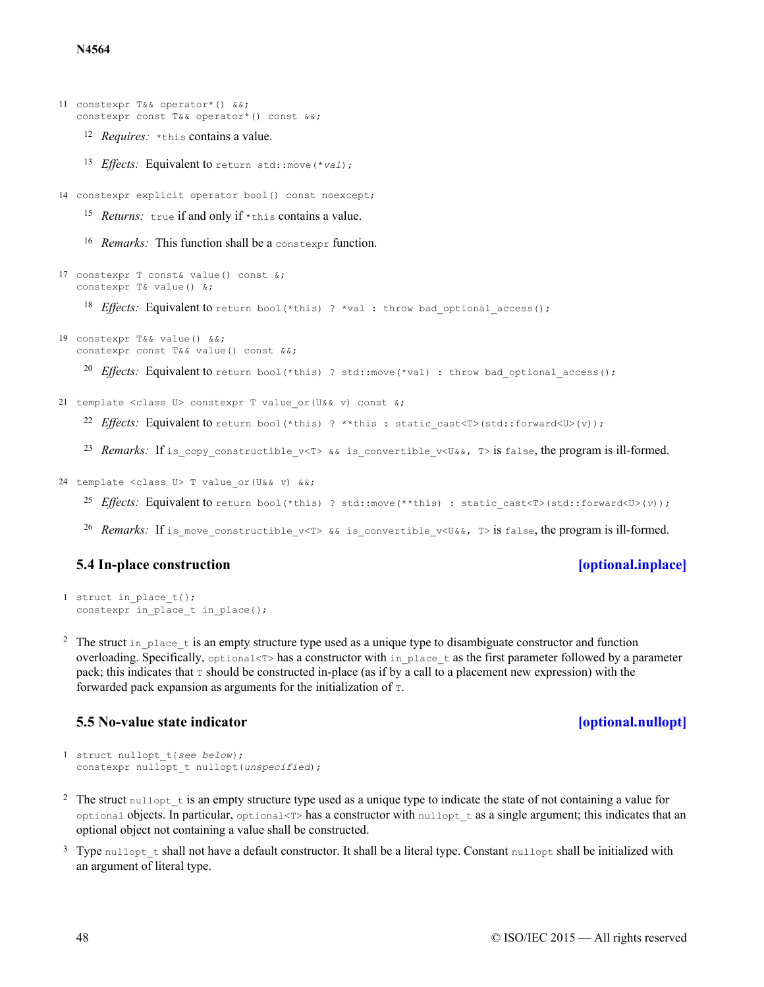**N4564**

```
11 constexpr T&& operator*() &&;
   constexpr const T&& operator*() const &&;
```
- <sup>12</sup> Requires: \*this contains a value.
- 13 Effects: Equivalent to return std:: move (\*val);
- 14 constexpr explicit operator bool() const noexcept;
	- 15 Returns: true if and only if \*this contains a value.
	- 16 Remarks: This function shall be a constexpr function.

```
18 Effects: Equivalent to return bool (*this) ? *val : throw bad optional access();
    <sup>20</sup> Effects: Equivalent to return bool(*this) ? std::move(*val) : throw bad optional access();
    22 Effects: Equivalent to return bool(*this) ? **this : static cast<T>(std::forward<U>(v));
    23 Remarks: If is copy constructible v<T> && is convertible v<U&&, T> is false, the program is ill-formed.
17 constexpr T const& value() const &;
   constexpr T& value() &;
19 constexpr T&& value() &&;
   constexpr const T&& value() const &&;
21 template <class U> constexpr T value_or(U&& v) const &;
```

```
24 template <class U> T value_or(U&& v) &&;
```
- 25 Effects: Equivalent to return bool(\*this) ? std::move(\*\*this) : static cast<T>(std::forward<U>(v));
- 26 *Remarks*: If is\_move\_constructible\_v<T> && is\_convertible\_v<U&&, T> is false, the program is ill-formed.

# **5.4 In-place construction [\[optional.inplace\]](#page-47-0)**

```
1 struct in place t { };
  constexpr in place t in place{};
```
<sup>2</sup> The struct in place t is an empty structure type used as a unique type to disambiguate constructor and function overloading. Specifically,  $optimal < T>$  has a constructor with in place  $t$  as the first parameter followed by a parameter pack; this indicates that  $\tau$  should be constructed in-place (as if by a call to a placement new expression) with the forwarded pack expansion as arguments for the initialization of T.

# **5.5 No-value state indicator [\[optional.nullopt\]](#page-47-1)**

```
1 struct nullopt_t{see below};
  constexpr nullopt t nullopt(unspecified);
```
- <sup>2</sup> The struct nullept t is an empty structure type used as a unique type to indicate the state of not containing a value for optional objects. In particular, optional<T> has a constructor with nullopt  $\pm$  as a single argument; this indicates that an optional object not containing a value shall be constructed.
- <sup>3</sup> Type nullopt t shall not have a default constructor. It shall be a literal type. Constant nullopt shall be initialized with an argument of literal type.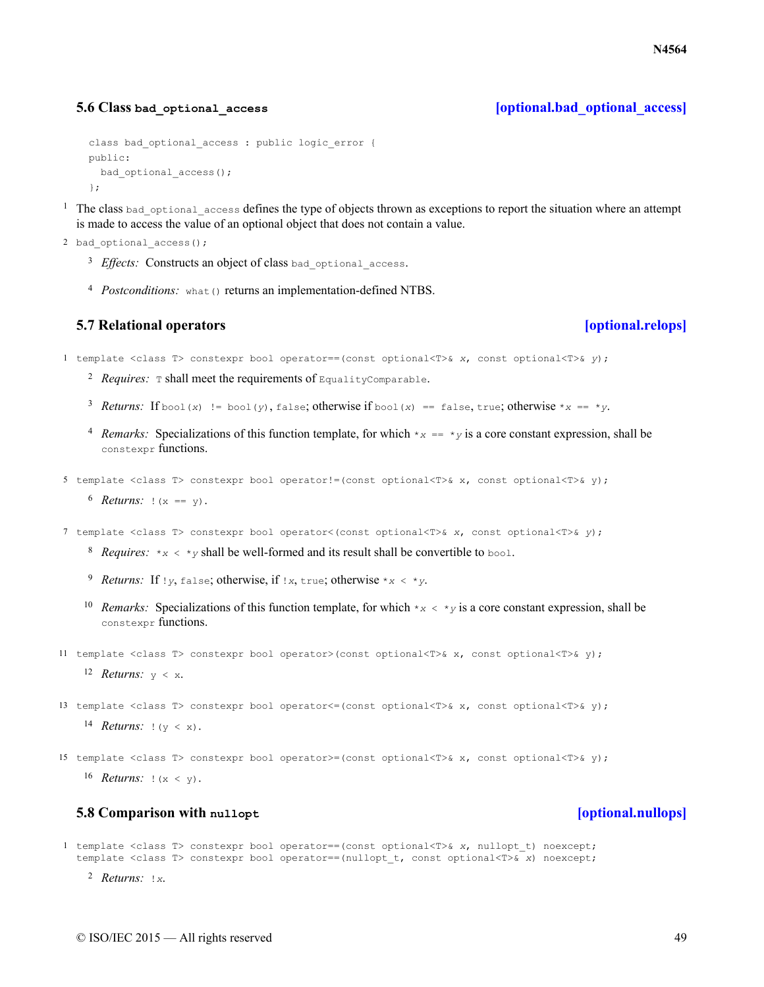### <span id="page-48-0"></span>**5.6 Class bad\_optional\_access [\[optional.bad\\_optional\\_access\]](#page-48-0)**

```
class bad optional access : public logic error {
public:
 bad optional access();
};
```
- $1$  The class bad optional access defines the type of objects thrown as exceptions to report the situation where an attempt is made to access the value of an optional object that does not contain a value.
- 2 bad optional access();
	- <sup>3</sup> Effects: Constructs an object of class bad\_optional\_access.
	- 4 Postconditions: what () returns an implementation-defined NTBS.

### **5.7 Relational operators [\[optional.relops\]](#page-48-1)**

<span id="page-48-1"></span>1 template <class T> constexpr bool operator==(const optional<T>& *x*, const optional<T>& *y*);

- $2$  *Requires:* T shall meet the requirements of EqualityComparable.
- 3 Returns: If  $b \circ o \circ (x)$  !=  $b \circ o \circ (y)$ , false; otherwise if  $b \circ o \circ (x)$  == false, true; otherwise \**x* == \**y*.
- *A* Remarks: Specializations of this function template, for which  $*_{x} == *_{y}$  is a core constant expression, shall be constexpr functions.

```
5 template <class T> constexpr bool operator!=(const optional<T>& x, const optional<T>& y);
```
 $6$  **Returns:**  $\{x == y\}$ .

7 template <class T> constexpr bool operator<(const optional<T>& *x*, const optional<T>& *y*);

- <sup>8</sup> *Requires:*  $\star$ <sub>*x*</sub> <  $\star$ <sub>*y*</sub> shall be well-formed and its result shall be convertible to bool.
- *Returns:* 9 If !*y*, false; otherwise, if !*x*, true; otherwise \**x* < \**y*.
- <sup>10</sup> Remarks: Specializations of this function template, for which  $* \times \times * \times y$  is a core constant expression, shall be constexpr functions.

11 template <class T> constexpr bool operator>(const optional<T>& x, const optional<T>& y);

12 *Returns:*  $y < x$ .

```
14 Returns: |(y \le x).
13 template <class T> constexpr bool operator <= (const optional<T>& x, const optional<T>& y);
```
 $16$  **Returns:**  $|(x \lt y)$ . 15 template <class T> constexpr bool operator>=(const optional<T>& x, const optional<T>& y);

# **5.8 Comparison with nullopt [\[optional.nullops\]](#page-48-2)**

<span id="page-48-2"></span>1 template <class T> constexpr bool operator==(const optional<T>& *x*, nullopt\_t) noexcept; template <class T> constexpr bool operator==(nullopt\_t, const optional<T>& *x*) noexcept;

© ISO/IEC 2015 — All rights reserved 49

2 *Returns: !x.*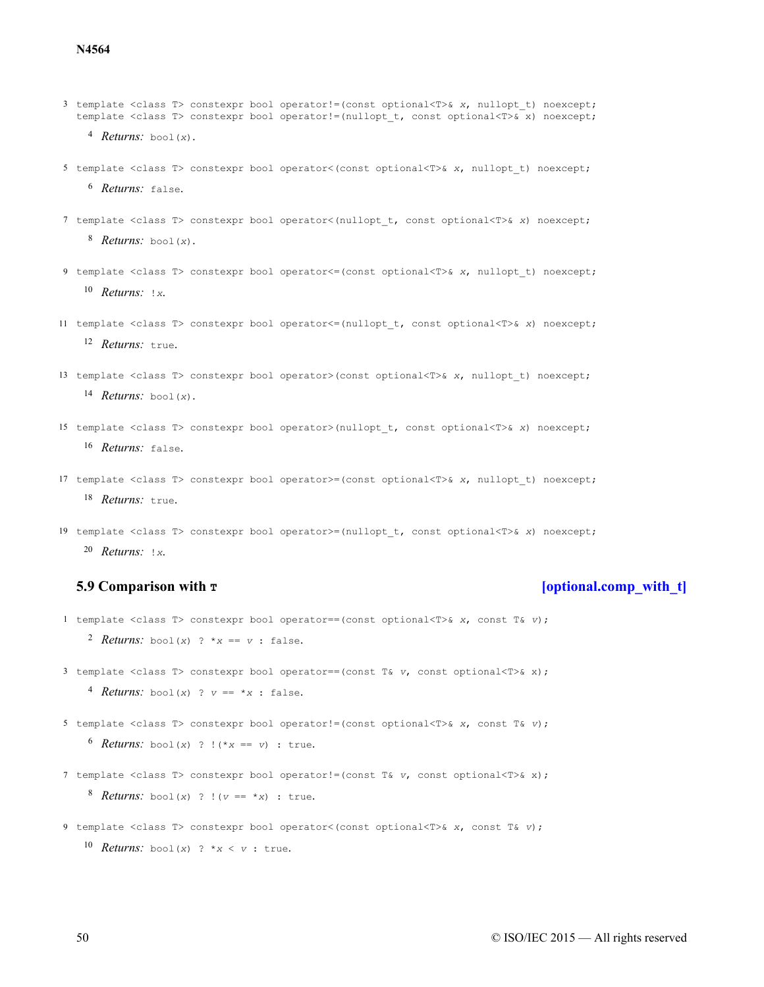- template <class T> constexpr bool operator!=(const optional<T>& *x*, nullopt\_t) noexcept; template <class T> constexpr bool operator!=(nullopt\_t, const optional<T>& x) noexcept;
	- *Returns:* bool(*x*).
- <sup>6</sup> *Returns:* false. template <class T> constexpr bool operator<(const optional<T>& *x*, nullopt\_t) noexcept;
- *Returns:* bool(*x*). template <class T> constexpr bool operator<(nullopt\_t, const optional<T>& *x*) noexcept;
- *Returns: !x.* template <class T> constexpr bool operator<=(const optional<T>& *x*, nullopt\_t) noexcept;
- <sup>12</sup> Returns: true. template <class T> constexpr bool operator<=(nullopt\_t, const optional<T>& *x*) noexcept;
- *Returns:* bool(*x*). template <class T> constexpr bool operator>(const optional<T>& *x*, nullopt\_t) noexcept;
- 16 Returns: false. template <class T> constexpr bool operator>(nullopt\_t, const optional<T>& *x*) noexcept;
- 18 Returns: true. template <class T> constexpr bool operator>=(const optional<T>& *x*, nullopt\_t) noexcept;
- *Returns: !x.* template <class T> constexpr bool operator>=(nullopt\_t, const optional<T>& *x*) noexcept;

### **5.9 Comparison with**  $\mathbf{r}$  **The subset of the contract of the contract of the contract of the contract of the contract of the contract of the contract of the contract of the contract of the contract of the contract o**

<span id="page-49-0"></span>template <class T> constexpr bool operator==(const optional<T>& *x*, const T& *v*);

*Returns:* bool(*x*) ?  $*_{X} == v$  : false.

template <class T> constexpr bool operator==(const T& *v*, const optional<T>& x);

*A Returns:* bool(*x*) ?  $v == *x$  : false.

template <class T> constexpr bool operator!=(const optional<T>& *x*, const T& *v*);

```
6 Returns: bool(x) ? !(*x == v) : true.
```
template <class T> constexpr bool operator!=(const T& *v*, const optional<T>& x);

*Returns:* bool(*x*) ? !( $v == *x$ ) : true.

**Returns:** bool(*x*) ? \**x* < *v* : true. template <class T> constexpr bool operator<(const optional<T>& *x*, const T& *v*);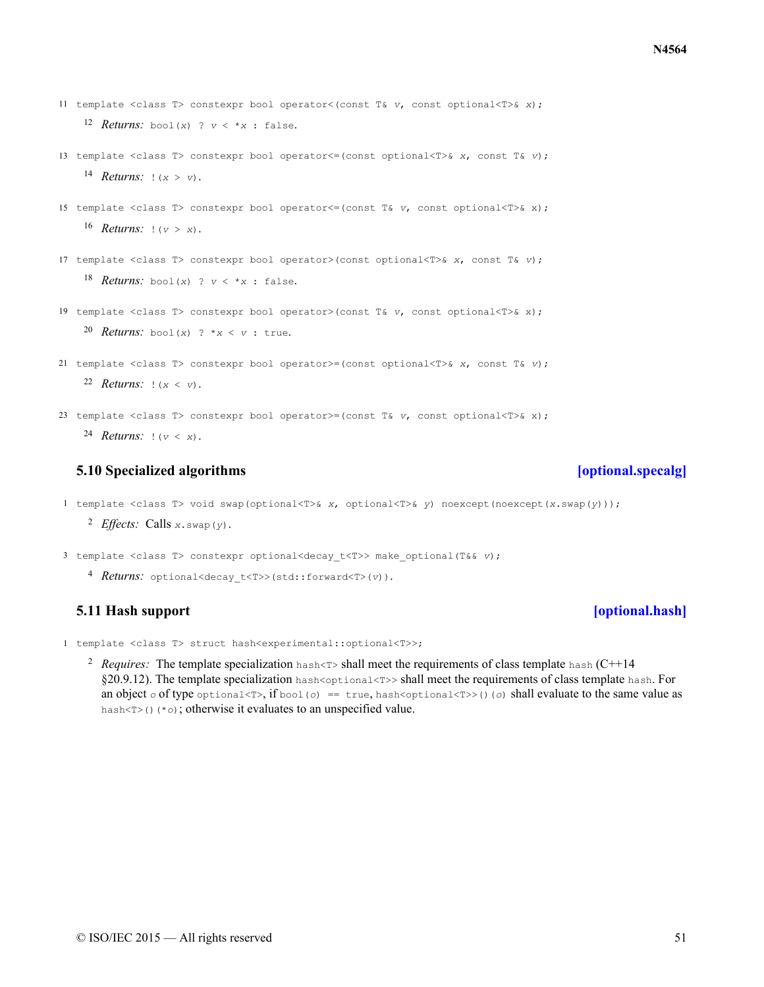$\oslash$  ISO/IEC 2015 — All rights reserved 51

- 12 *Returns:* bool(*x*) ?  $v < *x$  : false. 11 template <class T> constexpr bool operator<(const T& *v*, const optional<T>& *x*);
- 14 *Returns:*  $|(x > v)|$ . 13 template <class T> constexpr bool operator<=(const optional<T>& *x*, const T& *v*);
- $16$  *Returns:*  $|(v > x)|$ . 15 template <class T> constexpr bool operator<=(const T& *v*, const optional<T>& x);
- 18 *Returns:* bool(*x*) ?  $v < *x$  : false. 17 template <class T> constexpr bool operator>(const optional<T>& *x*, const T& *v*);
- 20 Returns: bool(*x*) ? \* $x < v$  : true. 19 template <class T> constexpr bool operator>(const T& *v*, const optional<T>& x);
- 22 *Returns:*  $|(x < v)|$ . 21 template <class T> constexpr bool operator>=(const optional<T>& *x*, const T& *v*);
- 24 *Returns:*  $| (v \lt x)$ . 23 template <class T> constexpr bool operator>=(const T& *v*, const optional<T>& x);

# **5.10 Specialized algorithms [\[optional.specalg\]](#page-50-0)**

- <span id="page-50-0"></span>1 template <class T> void swap(optional<T>& *x*, optional<T>& *y*) noexcept(noexcept(*x*.swap(*y*)));
	- 2 *Effects*: Calls *x*.swap(*y*).
- 3 template <class T> constexpr optional<decay\_t<T>> make\_optional(T&& *v*);
	- 4 Returns: optional<decay t<T>>(std::forward<T>(*v*)).

# **5.11 Hash support [\[optional.hash\]](#page-50-1)**

- <span id="page-50-1"></span>1 template <class T> struct hash<experimental::optional<T>>;
	- <sup>2</sup> Requires: The template specialization hash<T> shall meet the requirements of class template hash (C++14 §20.9.12). The template specialization hash<optional<T>>>shall meet the requirements of class template hash. For an object  $\circ$  of type  $\circ$ ptional<T>, if  $\circ$  $\circ$  $\circ$ l  $(\circ)$  == true, hash<optional<T> $\circ$ )( $\circ$ ) shall evaluate to the same value as hash<T>()(\**o*); otherwise it evaluates to an unspecified value.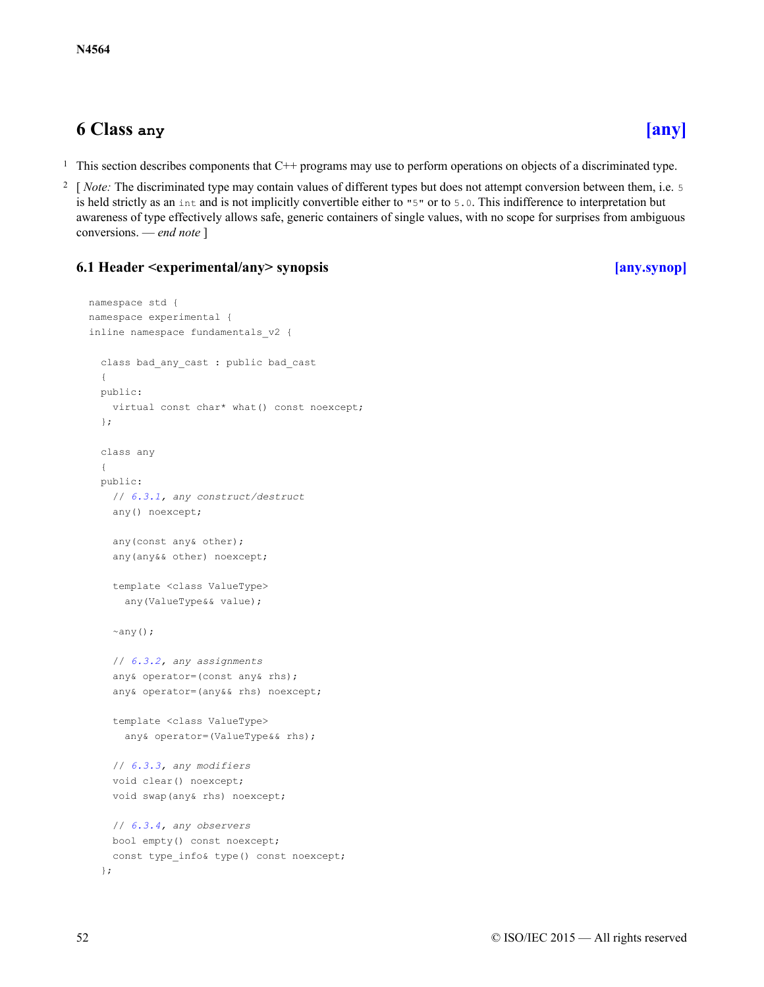# <span id="page-51-0"></span>**6 Class any [\[any\]](#page-51-0)**

- <sup>1</sup> This section describes components that  $C^{++}$  programs may use to perform operations on objects of a discriminated type.
- 2 [*Note:* The discriminated type may contain values of different types but does not attempt conversion between them, i.e. 5 is held strictly as an int and is not implicitly convertible either to "5" or to 5.0. This indifference to interpretation but awareness of type effectively allows safe, generic containers of single values, with no scope for surprises from ambiguous conversions. — *end note* ]

# <span id="page-51-1"></span>**6.1 Header <experimental/any> synopsis [\[any.synop\]](#page-51-1)**

```
namespace std {
namespace experimental {
inline namespace fundamentals_v2 {
 class bad_any_cast : public bad_cast
  {
 public:
   virtual const char* what() const noexcept;
  };
  class any
  {
  public:
   // 6.3.1, any construct/destruct
    any() noexcept;
    any(const any& other);
    any(any&& other) noexcept;
    template <class ValueType>
     any(ValueType&& value);
    \simany();
    // 6.3.2, any assignments
    any& operator=(const any& rhs);
    any& operator=(any&& rhs) noexcept;
    template <class ValueType>
      any& operator=(ValueType&& rhs);
    // 6.3.3, any modifiers
    void clear() noexcept;
    void swap(any& rhs) noexcept;
   // 6.3.4, any observers
   bool empty() const noexcept;
    const type info& type() const noexcept;
  };
```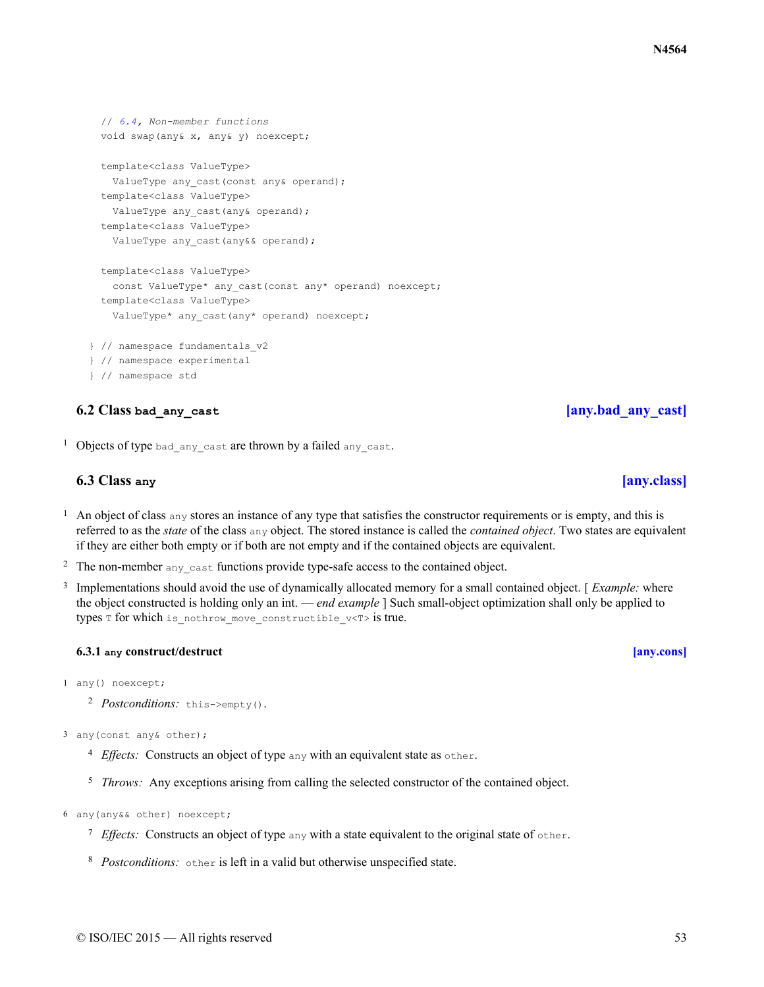```
// 6.4, Non-member functions
 void swap(any& x, any& y) noexcept;
 template<class ValueType>
   ValueType any cast(const any& operand);
 template<class ValueType>
   ValueType any cast(any& operand);
 template<class ValueType>
   ValueType any cast(any&& operand);
 template<class ValueType>
   const ValueType* any cast(const any* operand) noexcept;
 template<class ValueType>
   ValueType* any cast(any* operand) noexcept;
} // namespace fundamentals_v2
} // namespace experimental
```
### } // namespace std

## **6.2 Class** bad any cast **a** [any.bad\_any cast]

<span id="page-52-2"></span><span id="page-52-1"></span><sup>1</sup> Objects of type bad any cast are thrown by a failed any cast.

## **6.3 Class any [\[any.class\]](#page-52-2)**

- <sup>1</sup> An object of class any stores an instance of any type that satisfies the constructor requirements or is empty, and this is referred to as the *state* of the class any object. The stored instance is called the *contained object*. Two states are equivalent if they are either both empty or if both are not empty and if the contained objects are equivalent.
- <sup>2</sup> The non-member any cast functions provide type-safe access to the contained object.
- 3 Implementations should avoid the use of dynamically allocated memory for a small contained object. [ *Example:* where the object constructed is holding only an int. — *end example* ] Such small-object optimization shall only be applied to types  $T$  for which is nothrow move constructible  $v$ < $T$ > is true.

### **6.3.1 any construct/destruct [\[any.cons\]](#page-52-0)**

- <span id="page-52-0"></span>1 any() noexcept;
	- <sup>2</sup> *Postconditions:* this->empty().
- 3 any(const any& other);
	- <sup>4</sup> *Effects*: Constructs an object of type any with an equivalent state as other.
	- <sup>5</sup> *Throws:* Any exceptions arising from calling the selected constructor of the contained object.
- 6 any(any&& other) noexcept;
	- $7$  Effects: Constructs an object of type any with a state equivalent to the original state of other.
	- <sup>8</sup> Postconditions: other is left in a valid but otherwise unspecified state.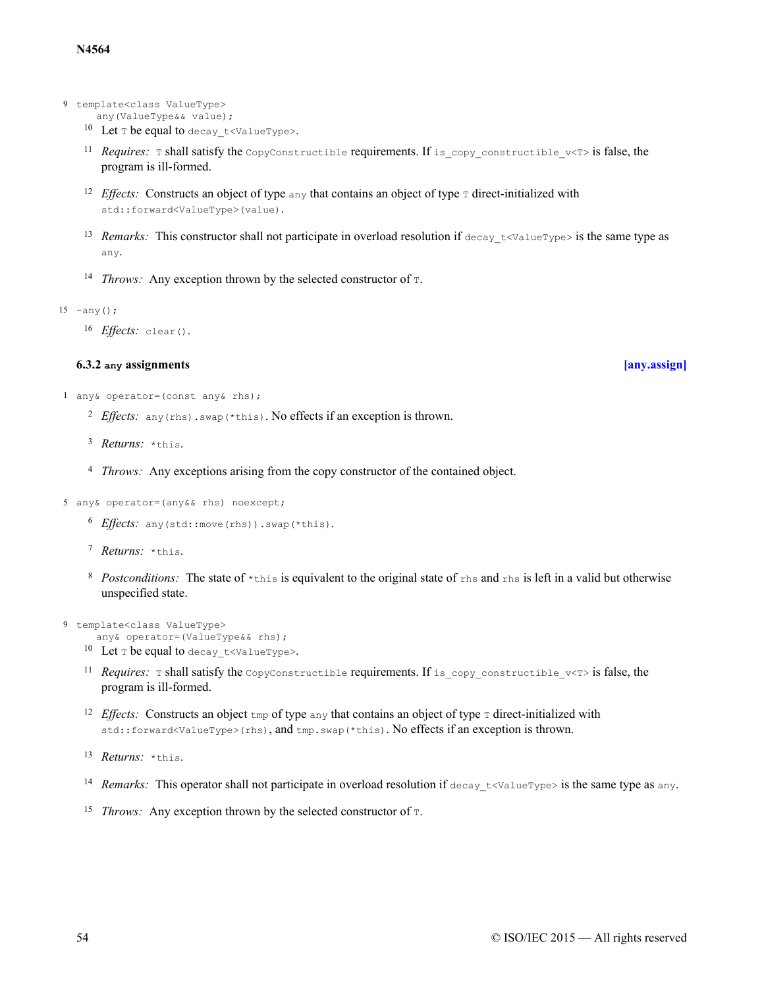- 9 template<class ValueType>
	- any(ValueType&& value);
	- 10 Let  $\texttt{T}$  be equal to decay  $t$  <ValueType>.
	- <sup>11</sup> Requires: **T** shall satisfy the CopyConstructible requirements. If is copy constructible  $v$ <T> is false, the program is ill-formed.
	- <sup>12</sup> *Effects:* Constructs an object of type  $\frac{1}{2}$  any that contains an object of type  $\frac{1}{2}$  direct-initialized with std::forward<ValueType>(value).
	- <sup>13</sup> Remarks: This constructor shall not participate in overload resolution if  $\text{decay } t$  <ValueType> is the same type as any.
	- <sup>14</sup> *Throws:* Any exception thrown by the selected constructor of  $\tau$ .
- 15 ~any();

16 *Effects:* clear().

### **6.3.2 any assignments [\[any.assign\]](#page-53-0)**

- <span id="page-53-0"></span>1 any& operator=(const any& rhs);
	- <sup>2</sup> Effects: any(rhs). swap(\*this). No effects if an exception is thrown.
	- <sup>3</sup> *Returns:* \*this.
	- <sup>4</sup> *Throws:* Any exceptions arising from the copy constructor of the contained object.
- 5 any& operator=(any&& rhs) noexcept;
	- 6 Effects: any (std::move(rhs)).swap(\*this).
	- 7 Returns: \*this.
	- <sup>8</sup> Postconditions: The state of  $*$ this is equivalent to the original state of  $r$ hs and  $r$ hs is left in a valid but otherwise unspecified state.
- 9 template<class ValueType>
	- any& operator=(ValueType&& rhs); <sup>10</sup> Let  $\texttt{T}$  be equal to decay  $t$  <ValueType>.
	- <sup>11</sup> Requires: **T** shall satisfy the CopyConstructible requirements. If is copy constructible  $v$ <T> is false, the program is ill-formed.
	- <sup>12</sup> *Effects:* Constructs an object  $\text{tmp}$  of type any that contains an object of type  $\text{\texttt{T}}$  direct-initialized with std::forward<ValueType>(rhs), and tmp.swap(\*this). No effects if an exception is thrown.
	- 13 *Returns:* \*this.
	- <sup>14</sup> Remarks: This operator shall not participate in overload resolution if  $\text{decay } t \text{-valueType}$  is the same type as any.
	- <sup>15</sup> *Throws:* Any exception thrown by the selected constructor of  $\tau$ .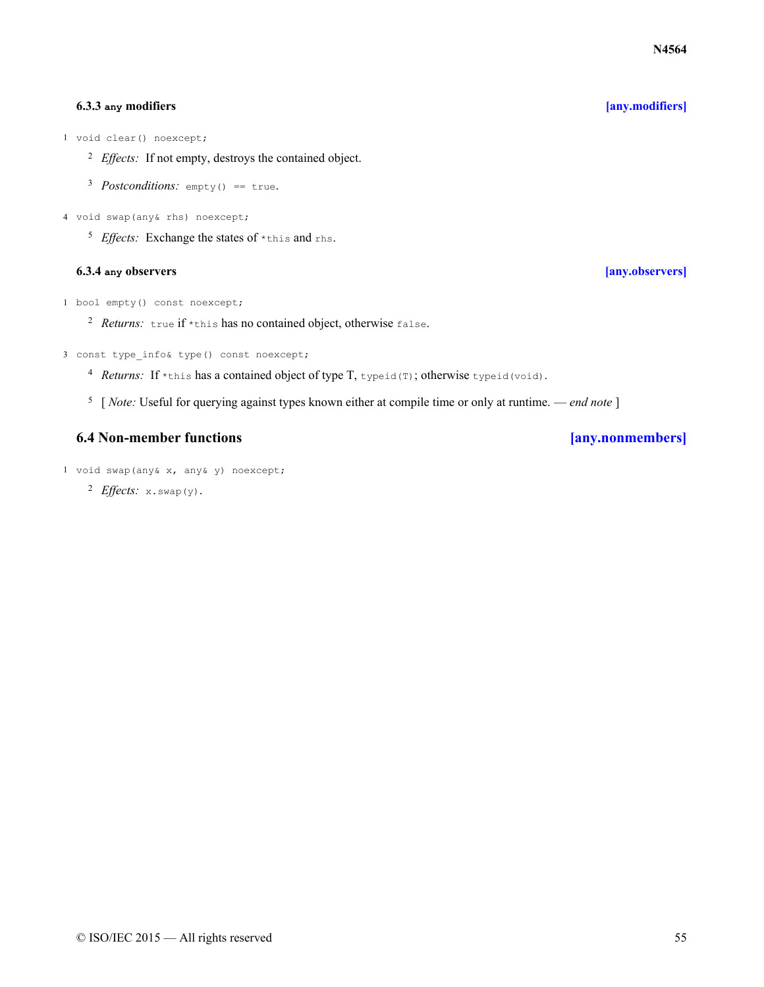### **6.3.3 any modifiers [\[any.modifiers\]](#page-54-0)**

<span id="page-54-0"></span>1 void clear() noexcept;

- <sup>2</sup> *Effects:* If not empty, destroys the contained object.
- 3 Postconditions: empty() == true.
- 4 void swap(any& rhs) noexcept;
	- <sup>5</sup> Effects: Exchange the states of \*this and rhs.

### **6.3.4 any observers [\[any.observers\]](#page-54-1)**

- <span id="page-54-1"></span>1 bool empty() const noexcept;
	- <sup>2</sup> Returns: true if \*this has no contained object, otherwise false.
- 3 const type info& type() const noexcept;
	- 4 Returns: If \*this has a contained object of type T, typeid(T); otherwise typeid(void).
	- 5 [ *Note:* Useful for querying against types known either at compile time or only at runtime. *end note* ]

# **6.4 Non-member functions [\[any.nonmembers\]](#page-54-2)**

- <span id="page-54-2"></span>1 void swap(any& x, any& y) noexcept;
	- <sup>2</sup> *Effects*: x.swap(y).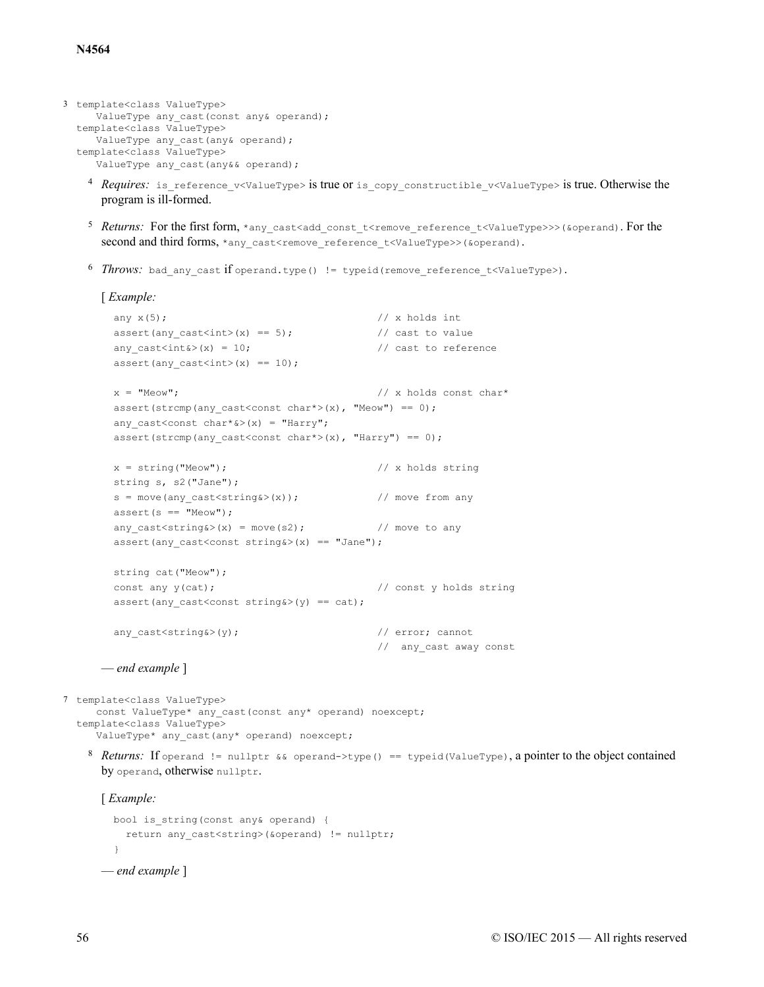```
3 template<class ValueType>
    ValueType any_cast(const any& operand);
  template<class ValueType>
    ValueType any_cast(any& operand);
  template<class ValueType>
     ValueType any cast(any&& operand);
```
- <sup>4</sup> *Requires:* is reference v<ValueType> is true or is copy constructible v<ValueType> is true. Otherwise the program is ill-formed.
- <sup>5</sup> Returns: For the first form, \*any\_cast<add\_const\_t<remove\_reference\_t<ValueType>>>(&operand). For the second and third forms, \*any\_cast<remove\_reference\_t<ValueType>>(&operand).
- <sup>6</sup> *Throws:* bad any cast if operand.type() != typeid(remove reference t<ValueType>).

```
[ Example:
```

```
any x(5); \frac{1}{x} holds int
assert(any cast<int>(x) == 5); // cast to value
any cast<int (x) = 10; // cast to reference
assert(any_cast<int>(x) == 10);
x = "Meeow"; // x holds const char*
assert(strcmp(any_cast<const char*>(x), "Meow") == 0);
any cast<const char*&>(x) = "Harry";
assert(strcmp(any_cast<const char*>(x), "Harry") == 0);
x = string("Meow"); \frac{1}{x} holds string
string s, s2("Jane");
s = move(any\_cast \le string \> (x)); // move from any
assert(s == "Meow");any\_cast \leq string(x) = move(s2); // move to any
assert(any cast<const string&>(x) == "Jane");
string cat("Meow");
const any y(cat); \frac{dy}{dx} // const \frac{dy}{dx} holds string
assert(any_cast<const string&>(y) == cat);
any cast<string&>(y); \sqrt{2} // error; cannot
                                     // any cast away const
```
— *end example* ]

7 template<class ValueType> const ValueType\* any\_cast(const any\* operand) noexcept; template<class ValueType> ValueType\* any cast(any\* operand) noexcept;

8 Returns: If operand != nullptr && operand->type() == typeid(ValueType), a pointer to the object contained by operand, otherwise nullptr.

[ *Example:*

```
bool is string(const any& operand) {
    return any cast<string>(&operand) != nullptr;
  }
— end example ]
```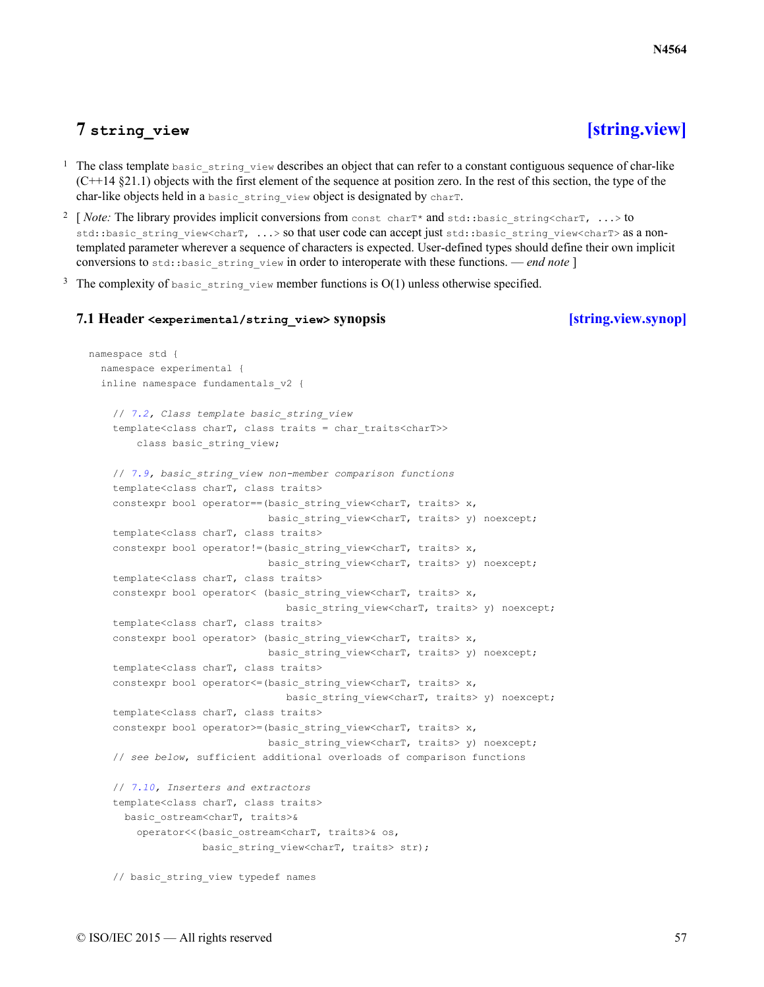# **7 string\_view [\[string.view\]](#page-56-0)**

- <span id="page-56-0"></span><sup>1</sup> The class template  $_{\text{basic string}}$  view describes an object that can refer to a constant contiguous sequence of char-like  $(C++14 \text{ §}21.1)$  objects with the first element of the sequence at position zero. In the rest of this section, the type of the char-like objects held in a basic string view object is designated by charT.
- <sup>2</sup> [ *Note:* The library provides implicit conversions from const charT\* and std::basic\_string<charT, ...> to std::basic\_string\_view<charT, ...> so that user code can accept just std::basic\_string\_view<charT> as a nontemplated parameter wherever a sequence of characters is expected. User-defined types should define their own implicit conversions to std::basic\_string\_view in order to interoperate with these functions. — *end note* ]
- <span id="page-56-1"></span><sup>3</sup> The complexity of basic string view member functions is  $O(1)$  unless otherwise specified.

### **7.1 Header <experimental/string\_view> synopsis [\[string.view.synop\]](#page-56-1)**

```
namespace std {
 namespace experimental {
 inline namespace fundamentals_v2 {
    // 7.2, Class template basic_string_view
    template<class charT, class traits = char_traits<charT>>
        class basic string view;
    // 7.9, basic_string_view non-member comparison functions
   template<class charT, class traits>
    constexpr bool operator==(basic string view<charT, traits> x,
                              basic string view<charT, traits> y) noexcept;
    template<class charT, class traits>
    constexpr bool operator!=(basic string view<charT, traits> x,
                             basic string view<charT, traits> y) noexcept;
    template<class charT, class traits>
    constexpr bool operator< (basic string view<charT, traits> x,
                                basic string view<charT, traits> y) noexcept;
    template<class charT, class traits>
    constexpr bool operator> (basic string view<charT, traits> x,
                              basic string view<charT, traits> y) noexcept;
    template<class charT, class traits>
    constexpr bool operator <= (basic string view<charT, traits> x,
                                 basic string view<charT, traits> y) noexcept;
    template<class charT, class traits>
    constexpr bool operator>=(basic string view<charT, traits> x,
                              basic string view<charT, traits> y) noexcept;
    // see below, sufficient additional overloads of comparison functions
    // 7.10, Inserters and extractors
   template<class charT, class traits>
     basic_ostream<charT, traits>&
        operator<<(basic ostream<charT, traits>& os,
                   basic string view<charT, traits> str);
    // basic_string_view typedef names
```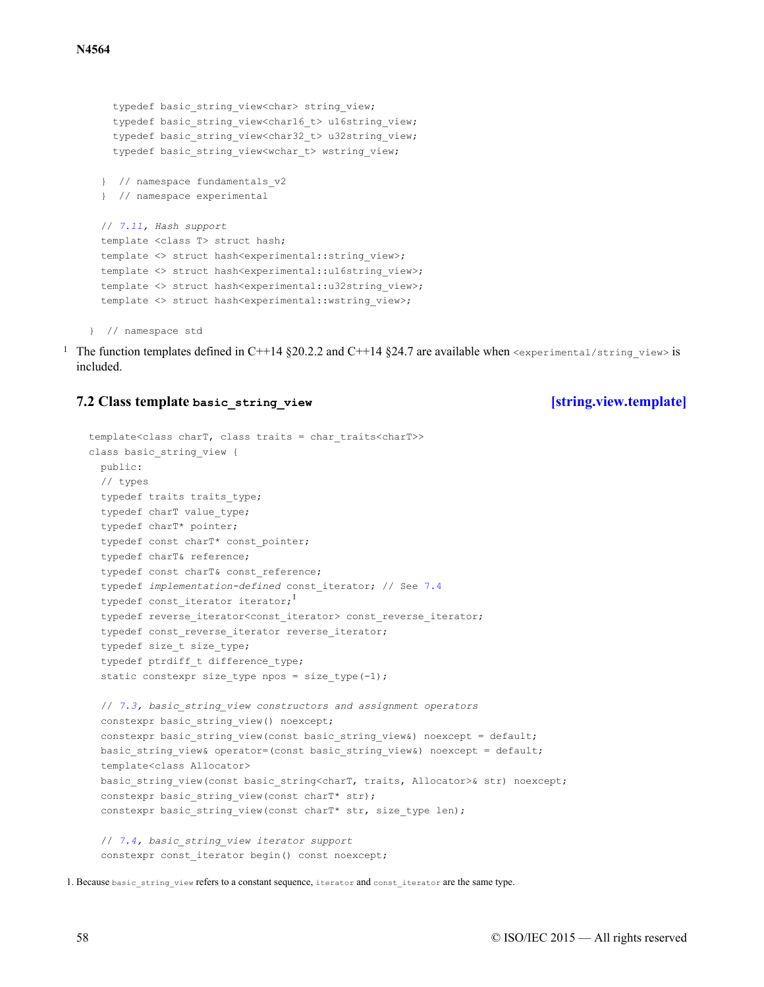```
typedef basic string view<char> string view;
  typedef basic string view<char16 t> u16string view;
  typedef basic string view<char32 t> u32string view;
  typedef basic string view<wchar t> wstring view;
} // namespace fundamentals_v2
} // namespace experimental
// 7.11, Hash support
template <class T> struct hash;
template <> struct hash<experimental::string_view>;
template <> struct hash<experimental::u16string_view>;
template <> struct hash<experimental::u32string view>;
template <> struct hash<experimental::wstring view>;
```

```
} // namespace std
```
<sup>1</sup> The function templates defined in C++14 §20.2.2 and C++14 §24.7 are available when  $\leq$ experimental/string view> is included.

### <span id="page-57-0"></span>**7.2 Class template basic\_string\_view [\[string.view.template\]](#page-57-0)**

```
template<class charT, class traits = char_traits<charT>>
class basic_string_view {
 public:
 // types
 typedef traits traits type;
  typedef charT value_type;
  typedef charT* pointer;
 typedef const charT* const pointer;
 typedef charT& reference;
  typedef const charT& const reference;
 typedef implementation-defined const_iterator; // See 7.4
  typedef const iterator iterator;<sup>1</sup>
  typedef reverse_iterator<const_iterator> const_reverse_iterator;
  typedef const reverse iterator reverse iterator;
 typedef size t size type;
  typedef ptrdiff t difference type;
  static constexpr size_type npos = size_type(-1);
  // 7.3, basic_string_view constructors and assignment operators
 constexpr basic string view() noexcept;
  constexpr basic string view (const basic string view&) noexcept = default;
 basic string view& operator=(const basic string view&) noexcept = default;
 template<class Allocator>
 basic_string_view(const basic_string<charT, traits, Allocator>& str) noexcept;
 constexpr basic string view(const charT* str);
 constexpr basic string view(const charT* str, size type len);
  // 7.4, basic_string_view iterator support
 constexpr const iterator begin() const noexcept;
```

```
1. Because basic_string_view refers to a constant sequence, iterator and const_iterator are the same type.
```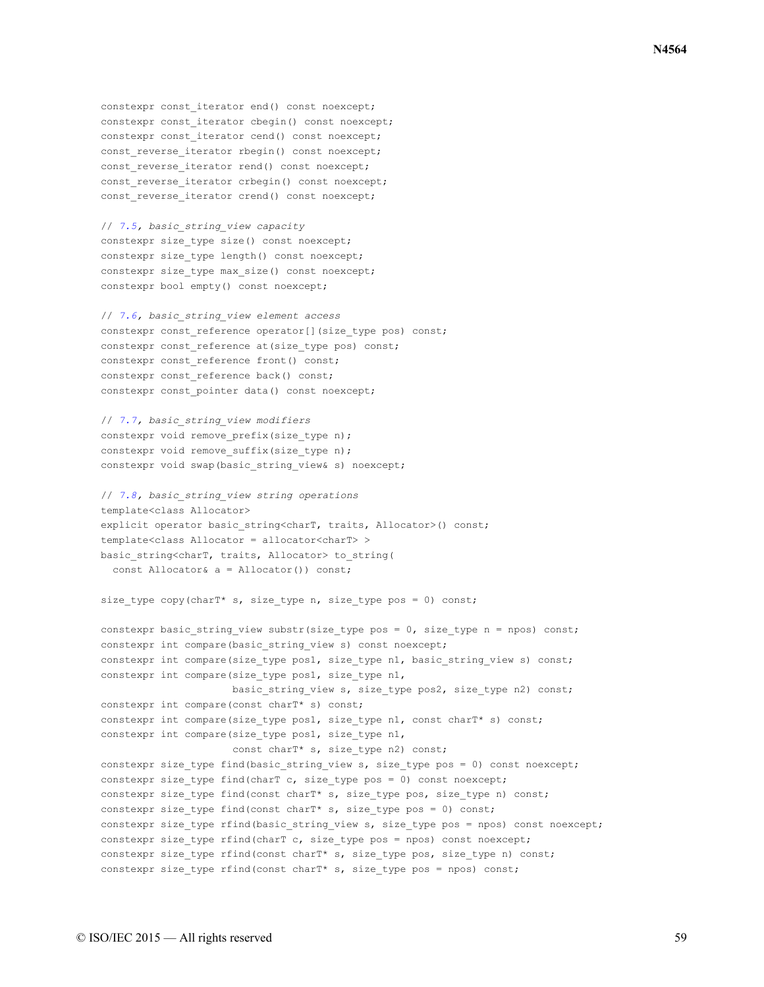constexpr const iterator end() const noexcept; constexpr const iterator cbegin() const noexcept; constexpr const iterator cend() const noexcept; const reverse iterator rbegin() const noexcept; const reverse iterator rend() const noexcept; const reverse iterator crbegin() const noexcept; const reverse iterator crend() const noexcept;

// *[7.5,](#page-60-1) basic\_string\_view capacity* constexpr size type size() const noexcept; constexpr size type length() const noexcept; constexpr size type max size() const noexcept; constexpr bool empty() const noexcept;

```
// 7.6, basic_string_view element access
constexpr const reference operator[](size type pos) const;
constexpr const reference at(size type pos) const;
constexpr const reference front() const;
constexpr const reference back() const;
constexpr const pointer data() const noexcept;
```

```
// 7.7, basic_string_view modifiers
constexpr void remove prefix(size type n);
constexpr void remove suffix(size type n);
constexpr void swap(basic_string_view& s) noexcept;
```

```
// 7.8, basic_string_view string operations
template<class Allocator>
explicit operator basic string<charT, traits, Allocator>() const;
template<class Allocator = allocator<charT> >
basic string<charT, traits, Allocator> to string(
 const Allocator& a = Allocator()) const;
```
size type copy(charT\* s, size type n, size type pos = 0) const;

```
constexpr basic_string_view substr(size_type pos = 0, size_type n = npos) const;
constexpr int compare(basic string view s) const noexcept;
constexpr int compare(size type pos1, size type n1, basic string view s) const;
constexpr int compare(size type pos1, size type n1,
                      basic string view s, size type pos2, size type n2) const;
constexpr int compare(const charT* s) const;
constexpr int compare(size_type pos1, size_type n1, const charT* s) const;
constexpr int compare(size_type pos1, size_type n1,
                     const charT* s, size type n2) const;
constexpr size type find(basic string view s, size type pos = 0) const noexcept;
constexpr size type find(charT c, size type pos = 0) const noexcept;
constexpr size_type find(const charT* s, size_type pos, size_type n) const;
constexpr size type find(const charT* s, size type pos = 0) const;
constexpr size type rfind(basic string view s, size type pos = npos) const noexcept;
constexpr size type rfind(charT c, size type pos = npos) const noexcept;
constexpr size type rfind(const charT* s, size type pos, size type n) const;
constexpr size_type rfind(const charT* s, size_type pos = npos) const;
```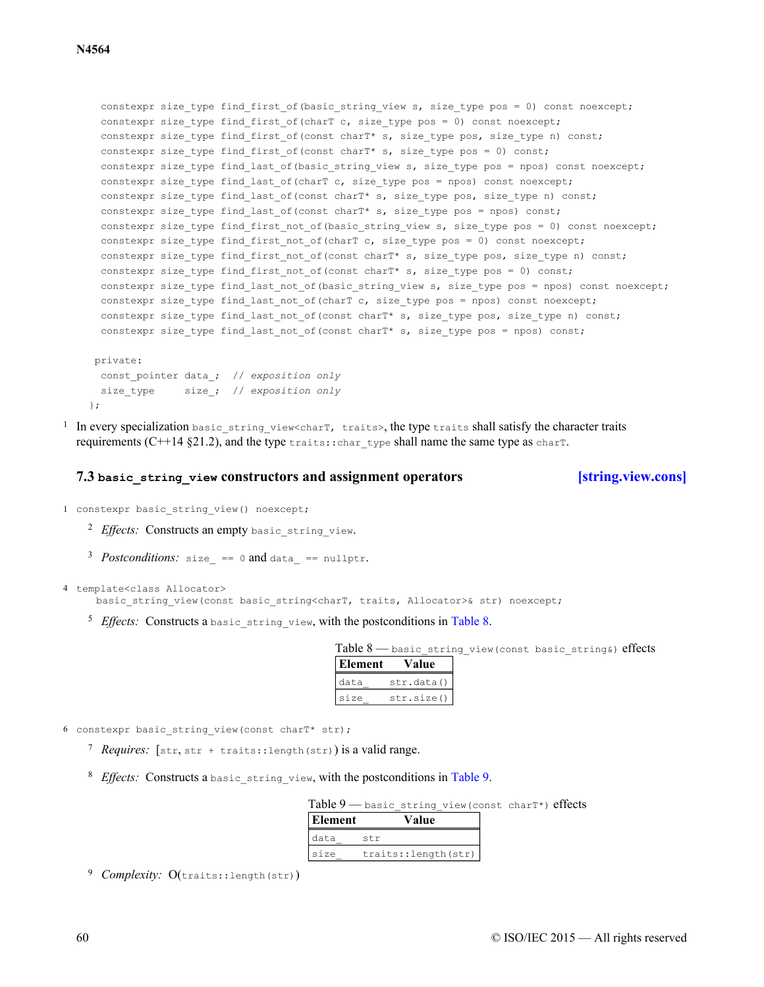```
constexpr size type find first of (basic string view s, size type pos = 0) const noexcept;
 constexpr size type find first of(charT c, size type pos = 0) const noexcept;
 constexpr size type find first of(const charT* s, size type pos, size type n) const;
  constexpr size type find first of(const charT* s, size type pos = 0) const;
 constexpr size type find last of(basic string view s, size type pos = npos) const noexcept;
 constexpr size type find last of (charT c, size type pos = npos) const noexcept;
 constexpr size type find last of (const charT* s, size type pos, size type n) const;
 constexpr size_type find_last_of(const charT* s, size_type pos = npos) const;
 constexpr size type find first not of(basic string view s, size type pos = 0) const noexcept;
 constexpr size type find first not of (charT c, size type pos = 0) const noexcept;
 constexpr size type find first not of(const charT* s, size type pos, size type n) const;
 constexpr size_type find_first_not_of(const charT* s, size_type pos = 0) const;
 constexpr size type find last not of(basic string view s, size type pos = npos) const noexcept;
 constexpr size_type find_last_not_of(charT c, size_type pos = npos) const noexcept;
  constexpr size type find last not of(const charT* s, size type pos, size type n) const;
 constexpr size type find last not of(const charT* s, size type pos = npos) const;
private:
 const_pointer data_; // exposition only
 size_type size_; // exposition only
};
```
<sup>1</sup> In every specialization basic string view<charT, traits>, the type traits shall satisfy the character traits requirements (C++14  $\S 21.2$ ), and the type traits::char type shall name the same type as charT.

### **7.3 basic\_string\_view constructors and assignment operators [\[string.view.cons\]](#page-59-0)**

<span id="page-59-0"></span>1 constexpr basic string view() noexcept;

- <sup>2</sup> Effects: Constructs an empty basic string view.
- *Postconditions:* size == 0 and data ==  $nullptr$ .

<span id="page-59-1"></span>4 template<class Allocator>

basic string view(const basic string<charT, traits, Allocator>& str) noexcept;

<sup>5</sup> Effects: Constructs a basic string view, with the postconditions in [Table 8.](#page-59-1)

Table 8 — basic string view(const basic string&) effects

| Element | alue       |
|---------|------------|
| data    | str.data() |
| size    | str.size() |

- <span id="page-59-2"></span>6 constexpr basic string view(const charT\* str);
	- 7 Requires: [str, str + traits::length(str)) is a valid range.
	- <sup>8</sup> *Effects:* Constructs a basic string view, with the postconditions in [Table 9.](#page-59-2)

| Element                                            | Value |  |  |
|----------------------------------------------------|-------|--|--|
| Table 9 — basic string view (const charT*) effects |       |  |  |

| --------- | .                   |
|-----------|---------------------|
| data      | str                 |
| Isize     | traits::length(str) |

<sup>9</sup> Complexity: O(traits::length(str))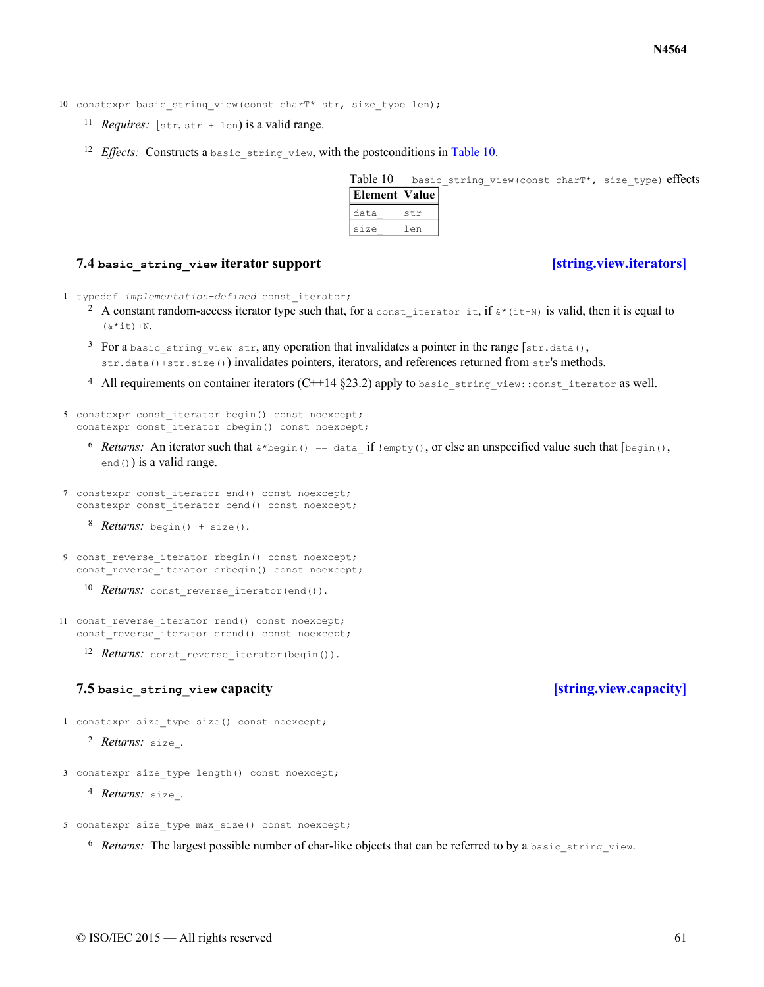10 constexpr basic string view(const charT\* str, size type len);

- <sup>11</sup> *Requires*:  $[str, str + len]$  is a valid range.
- <span id="page-60-2"></span><sup>12</sup> Effects: Constructs a basic string view, with the postconditions in [Table 10.](#page-60-2)

Table 10 - basic string view(const charT\*, size type) effects **Element Value** data\_ str

### **7.4 basic\_string\_view iterator support [\[string.view.iterators\]](#page-60-0)**

- <span id="page-60-0"></span>1 typedef *implementation-defined* const\_iterator;
	- <sup>2</sup> A constant random-access iterator type such that, for a const iterator it, if  $\zeta^*(i\tau+N)$  is valid, then it is equal to  $(6 * i t) + N.$

size\_ len

- <sup>3</sup> For a basic string view str, any operation that invalidates a pointer in the range  $[str.data()$ , str.data()+str.size()) invalidates pointers, iterators, and references returned from  $str$ 's methods.
- <sup>4</sup> All requirements on container iterators (C++14 §23.2) apply to basic string view::const\_iterator as well.

```
5 constexpr const_iterator begin() const noexcept;
  constexpr const iterator cbegin() const noexcept;
```
- <sup>6</sup> Returns: An iterator such that  $\&\star$ begin() == data\_ if !empty(), or else an unspecified value such that  $[begin]$ end()) is a valid range.
- 7 constexpr const\_iterator end() const noexcept; constexpr const iterator cend() const noexcept;
	- 8 *Returns*: begin() + size().
- 9 const\_reverse\_iterator rbegin() const noexcept; const reverse iterator crbegin() const noexcept;
	- 10 Returns: const\_reverse\_iterator(end()).
- 11 const reverse iterator rend() const noexcept; const reverse iterator crend() const noexcept;
	- 12 Returns: const reverse iterator(begin()).

### **7.5 basic\_string\_view capacity [\[string.view.capacity\]](#page-60-1)**

- <span id="page-60-1"></span>1 constexpr size type size() const noexcept;
	- <sup>2</sup> *Returns:* size.
- 3 constexpr size\_type length() const noexcept;
	- <sup>4</sup> *Returns:* size .

```
5 constexpr size type max size() const noexcept;
```
<sup>6</sup> Returns: The largest possible number of char-like objects that can be referred to by a basic string view.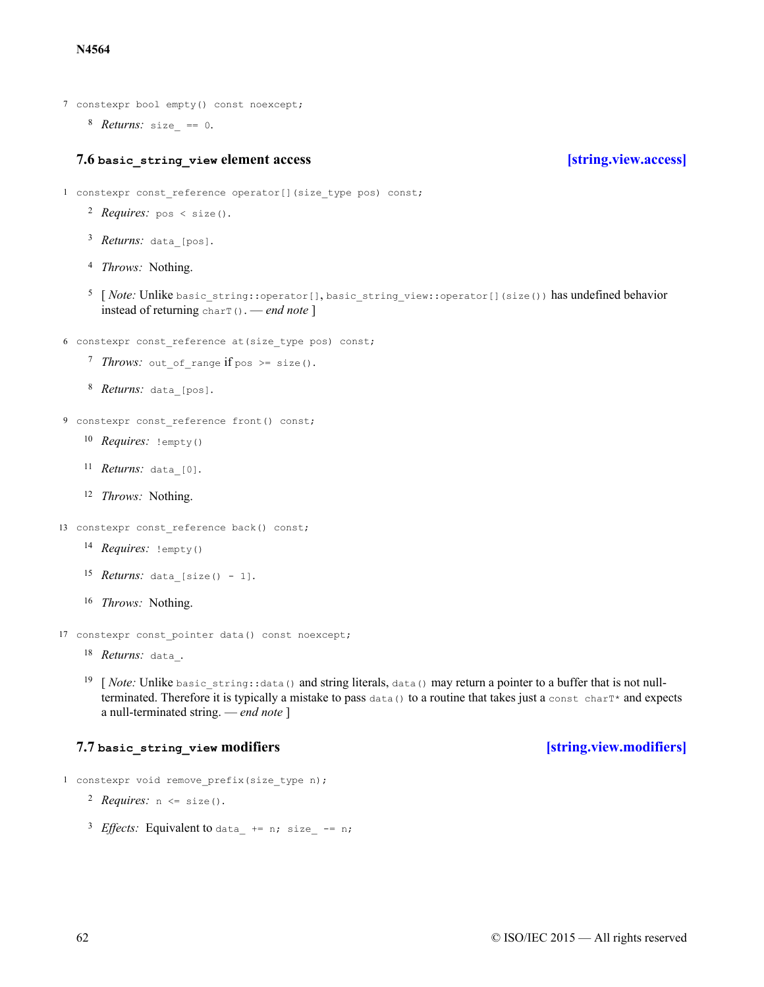### **N4564**

- 7 constexpr bool empty() const noexcept;
	- 8 *Returns:* size == 0.

### **7.6 basic\_string\_view element access [\[string.view.access\]](#page-61-0)**

- <span id="page-61-0"></span>1 constexpr const\_reference operator[](size\_type pos) const;
	- 2 *Requires*: pos < size().
	- <sup>3</sup> *Returns:* data [pos].
	- <sup>4</sup> *Throws:* Nothing.
	- <sup>5</sup> [*Note: Unlike basic string::operator*[], basic string view::operator[](size()) has undefined behavior instead of returning charT(). — *end note* ]
- 6 constexpr const\_reference at(size\_type pos) const;
	- *Throws:* out of range if pos >= size().
	- 8 *Returns:* data [pos].
- 9 constexpr const reference front() const;
	- 10 *Requires:* !empty()
	- 11 *Returns:* data [0].
	- <sup>12</sup> *Throws:* Nothing.
- 13 constexpr const reference back() const;
	- 14 *Requires:* !empty()
	- 15 *Returns:* data [size() 1].
	- <sup>16</sup> *Throws:* Nothing.
- 17 constexpr const pointer data() const noexcept;
	- 18 Returns: data.
	- <sup>19</sup> [*Note:* Unlike basic string::data() and string literals, data() may return a pointer to a buffer that is not nullterminated. Therefore it is typically a mistake to pass  $data()$  to a routine that takes just a const charT\* and expects a null-terminated string. — *end note* ]

# **7.7 basic\_string\_view modifiers [\[string.view.modifiers\]](#page-61-1)**

- <span id="page-61-1"></span>1 constexpr void remove prefix(size type n);
	- $2$  *Requires:*  $n \leq size()$ .
	- $^{3}$  *Effects*: Equivalent to data  $+$  = n; size  $-$  = n;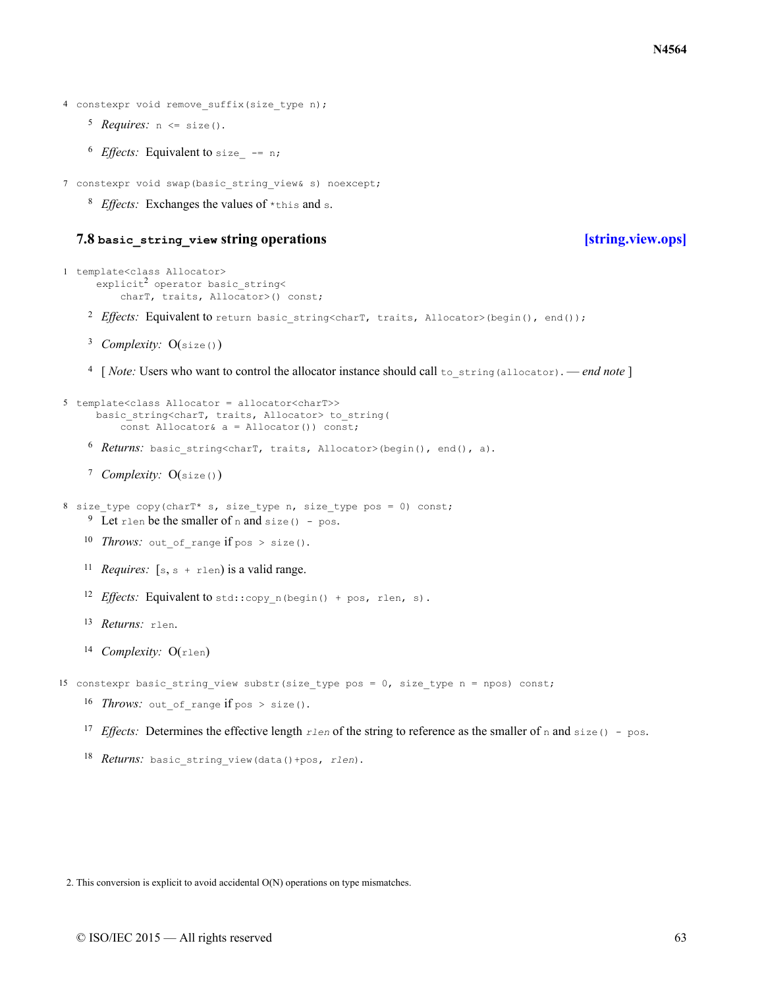```
4 constexpr void remove suffix(size type n);
```
- $5$  *Requires:*  $n \leq size()$ .
- <sup>6</sup> *Effects:* Equivalent to size  $-$  = n;

7 constexpr void swap(basic string view& s) noexcept;

<sup>8</sup> Effects: Exchanges the values of \*this and s.

# **7.8 basic\_string\_view string operations [\[string.view.ops\]](#page-62-0)**

```
2 Effects: Equivalent to return basic string<charT, traits, Allocator>(begin(), end());
      <sup>3</sup> Complexity: O(size())6 Returns: basic string<charT, traits, Allocator>(begin(), end(), a).
      <sup>7</sup> Complexity: O(size())10 Throws: out of range if pos > size().
     <sup>11</sup> Requires: [s, s + r \text{len}) is a valid range.
     12 Effects: Equivalent to std::copy n(begin() + pos, rlen, s).
     13 Returns: rlen.
     <sup>14</sup> Complexity: O(rlen)
     16 Throws: out of range if pos > size().
     <sup>17</sup> Effects: Determines the effective length rlen of the string to reference as the smaller of n and size() - pos.
     18 Returns: basic string view(data()+pos, rlen).
1 template<class Allocator>
       .<br>explicit<sup>2</sup> operator basic string<
            charT, traits, Allocator>() const;
      4
[ Note: Users who want to control the allocator instance should call to_string(allocator). — end note ]
5 template<class Allocator = allocator<charT>>
       basic string<charT, traits, Allocator> to string(
            const Allocator& a = Allocator()) const;
8 size type copy(charT* s, size type n, size type pos = 0) const;
     <sup>9</sup> Let rlen be the smaller of n and size() - pos.
15 constexpr basic string view substr(size type pos = 0, size type n = npos) const;
```
2. This conversion is explicit to avoid accidental O(N) operations on type mismatches.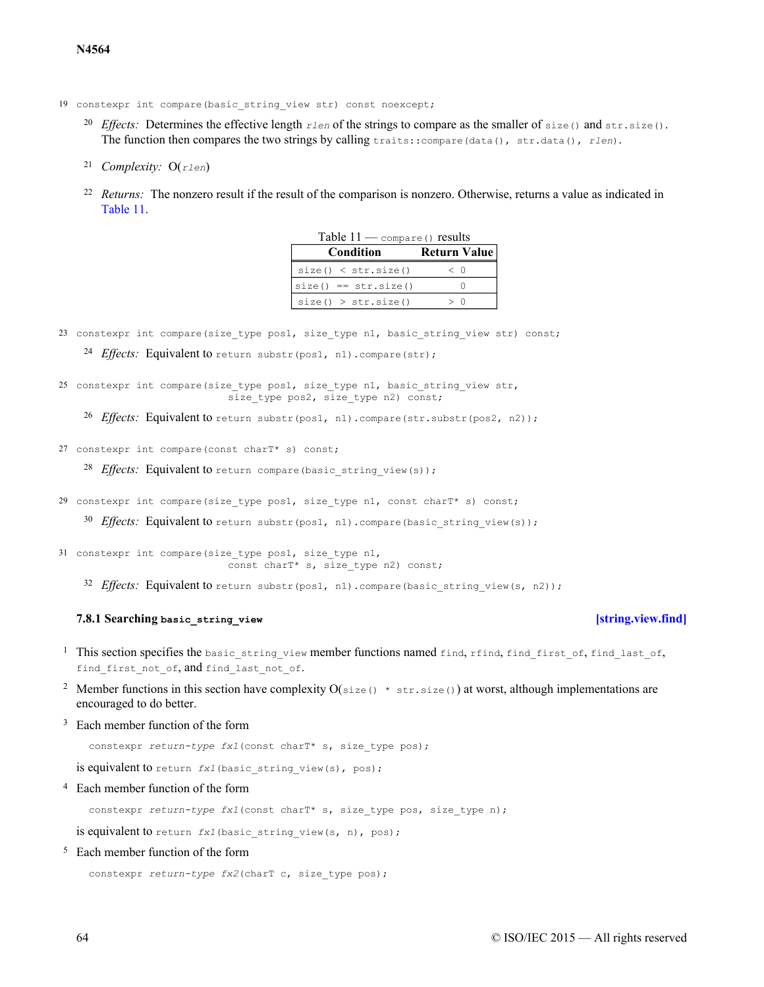- 19 constexpr int compare(basic string view str) const noexcept;
	- 20 *Effects:* Determines the effective length  $rlen$  of the strings to compare as the smaller of  $size($ ) and  $str.size()$ . The function then compares the two strings by calling traits::compare(data(), str.data(), *rlen*).
	- *Complexity:* <sup>21</sup> O(*rlen*)
	- $22$  *Returns:* The nonzero result if the result of the comparison is nonzero. Otherwise, returns a value as indicated in [Table 11](#page-63-0).

| $1$ avic $11 -$ compare () results |              |  |
|------------------------------------|--------------|--|
| Condition                          | Return Value |  |
| size() < str.size()                | $\langle$ () |  |
| $size() == str.size()$             |              |  |
| size() > str.size()                | > ()         |  |

 $Table 11$   $... \dots$  results

<span id="page-63-0"></span>23 constexpr int compare(size type pos1, size type n1, basic string view str) const;

24 *Effects*: Equivalent to return substr(pos1, n1).compare(str);

25 constexpr int compare(size\_type pos1, size\_type n1, basic\_string\_view str, size type pos2, size type n2) const;

<sup>26</sup> Effects: Equivalent to return substr(pos1, n1).compare(str.substr(pos2, n2));

27 constexpr int compare(const charT\* s) const;

28 *Effects*: Equivalent to return compare (basic string view(s));

29 constexpr int compare(size type pos1, size type n1, const charT\* s) const;

30 *Effects*: Equivalent to return substr(pos1, n1).compare(basic string view(s));

- 31 constexpr int compare(size\_type pos1, size\_type n1, const charT\* s, size type n2) const;
	- 32 Effects: Equivalent to return substr(pos1, n1).compare(basic string view(s, n2));

### **7.8.1 Searching basic\_string\_view [\[string.view.find\]](#page-63-1)**

- <span id="page-63-1"></span><sup>1</sup> This section specifies the basic string view member functions named find, rfind, find first of, find last of, find first not of, and find last not of.
- <sup>2</sup> Member functions in this section have complexity  $O(size() * str.size())$  at worst, although implementations are encouraged to do better.
- <sup>3</sup> Each member function of the form

constexpr *return-type fx1*(const charT\* s, size type pos);

is equivalent to return *fx1* (basic string view(s), pos);

<sup>4</sup> Each member function of the form

constexpr *return-type fx1*(const charT\* s, size type pos, size type n);

is equivalent to return *fx1* (basic string view(s, n), pos);

<sup>5</sup> Each member function of the form

```
constexpr return-type fx2(charT c, size type pos);
```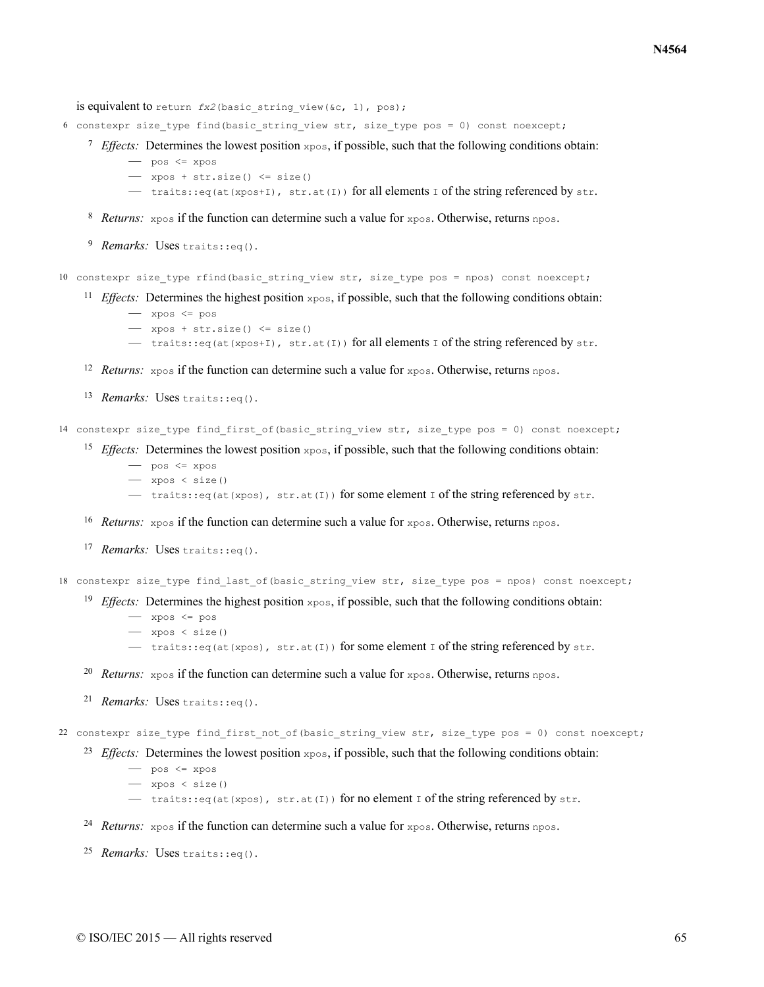is equivalent to return  $fx2$ (basic string view(&c, 1), pos);

- 6 constexpr size type find(basic string view str, size type pos = 0) const noexcept;
	- $\frac{7}{2}$  *Effects:* Determines the lowest position  $x_{\text{pos}}$ , if possible, such that the following conditions obtain:

 $-$  pos  $\leq$  xpos

- $-$  xpos + str.size()  $\leq$  size()
- traits::eq(at(xpos+I), str.at(I)) for all elements I of the string referenced by str.
- 8 *Returns:* xpos if the function can determine such a value for xpos. Otherwise, returns npos.
- <sup>9</sup> Remarks: Uses traits::eq().

10 constexpr size type rfind(basic string view str, size type pos = npos) const noexcept;

- <sup>11</sup> *Effects:* Determines the highest position  $x_{\text{pos}}$ , if possible, such that the following conditions obtain:
	- $-$  xpos  $\leq$  pos
	- $-$  xpos + str.size()  $\leq$  size()
	- traits::eq(at(xpos+I), str.at(I)) for all elements I of the string referenced by str.
- <sup>12</sup> *Returns:*  $x$ pos if the function can determine such a value for  $x$ pos. Otherwise, returns npos.
- 13 Remarks: Uses traits: : eq().

14 constexpr size type find first of(basic string view str, size type pos = 0) const noexcept;

- <sup>15</sup> *Effects:* Determines the lowest position  $x_{\text{pos}}$ , if possible, such that the following conditions obtain:
	- $-$  pos  $\leq$  xpos
		- xpos < size()
	- $-$  traits::eq(at(xpos), str.at(I)) for some element I of the string referenced by str.
- <sup>16</sup> Returns: xpos if the function can determine such a value for xpos. Otherwise, returns npos.
- 17 Remarks: Uses traits: : eq().
- 18 constexpr size type find last of (basic string view str, size type pos = npos) const noexcept;
	- <sup>19</sup> *Effects:* Determines the highest position  $x_{\text{pos}}$ , if possible, such that the following conditions obtain:
		- xpos <= pos
		- xpos < size()
		- traits::eq(at(xpos), str.at(I)) for some element I of the string referenced by str.
	- <sup>20</sup> *Returns:*  $x$ pos if the function can determine such a value for  $x$ pos. Otherwise, returns npos.
	- 21 Remarks: Uses traits: : eq().

22 constexpr size type find first not of(basic string view str, size type pos = 0) const noexcept;

- <sup>23</sup> *Effects:* Determines the lowest position  $x_{\text{pos}}$ , if possible, such that the following conditions obtain:
	- pos <= xpos
	- xpos < size()
	- $-$  traits::eq(at(xpos), str.at(I)) for no element I of the string referenced by str.
- 24 Returns:  $x$ pos if the function can determine such a value for  $x$ pos. Otherwise, returns npos.
- 25 Remarks: Uses traits: : eq().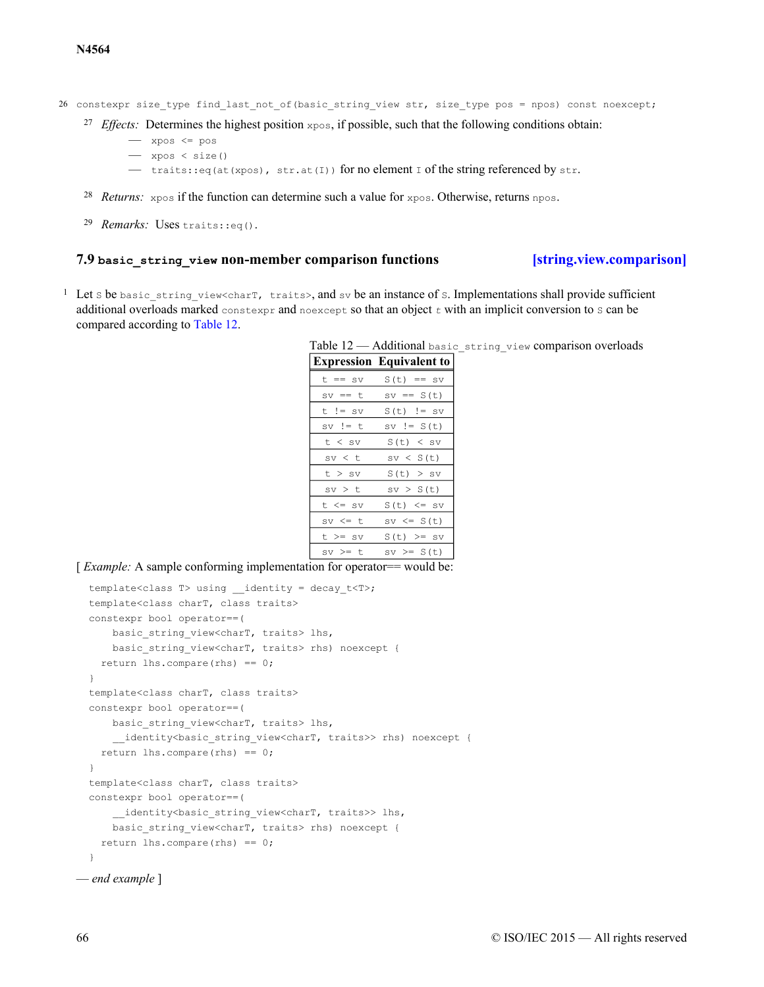### **N4564**

26 constexpr size type find last not of(basic string view str, size type pos = npos) const noexcept;

- <sup>27</sup> *Effects:* Determines the highest position  $x_{\text{pos}}$ , if possible, such that the following conditions obtain:
	- xpos <= pos
	- xpos < size()
	- traits::eq(at(xpos), str.at(I)) for no element I of the string referenced by str.
- 28 *Returns:*  $x$ pos if the function can determine such a value for  $x$ pos. Otherwise, returns npos.
- 29 Remarks: Uses traits: : eq().

### **7.9 basic\_string\_view non-member comparison functions [\[string.view.comparison\]](#page-65-0)**

<span id="page-65-1"></span><span id="page-65-0"></span><sup>1</sup> Let s be basic string view<charT, traits>, and sv be an instance of s. Implementations shall provide sufficient additional overloads marked constexpr and noexcept so that an object  $t$  with an implicit conversion to s can be compared according to [Table 12.](#page-65-1)

| Table 12 - Additional basic string view comparison overloads |  |  |  |
|--------------------------------------------------------------|--|--|--|
|--------------------------------------------------------------|--|--|--|

|            | <b>Expression Equivalent to</b> |
|------------|---------------------------------|
| t == sv    | $S(t) == sv$                    |
| $sv == t$  | $sv == S(t)$                    |
| $t$ != sv  | $S(t)$ != sv                    |
| sv != t    | $sv := S(t)$                    |
| t < sv     | S(t) < sv                       |
| sv < t     | sv < S(t)                       |
| t > sv     | S(t) > sv                       |
| $sv$ $>$ t | sv > S(t)                       |
| t <= sv    | $S(t) \leq sv$                  |
| sv <= t    | sv <= S(t)                      |
| t >= sv    | $S(t)$ >= sv                    |
| sv >= t    | $sv \geq S(t)$                  |

[*Example:* A sample conforming implementation for operator== would be:

```
template<class T> using ____identity = decay_t<T>;
  template<class charT, class traits>
  constexpr bool operator==(
     basic string view<charT, traits> lhs,
     basic string view<charT, traits> rhs) noexcept {
    return lhs.compare(rhs) == 0;
  }
  template<class charT, class traits>
 constexpr bool operator==(
     basic string view<charT, traits> lhs,
      __identity<basic_string_view<charT, traits>> rhs) noexcept {
   return lhs.compare(rhs) == 0;
  }
  template<class charT, class traits>
  constexpr bool operator==(
      identity<br/>basic string view<charT, traits>> lhs,
     basic string view<charT, traits> rhs) noexcept {
    return lhs.compare(rhs) == 0;}
— end example ]
```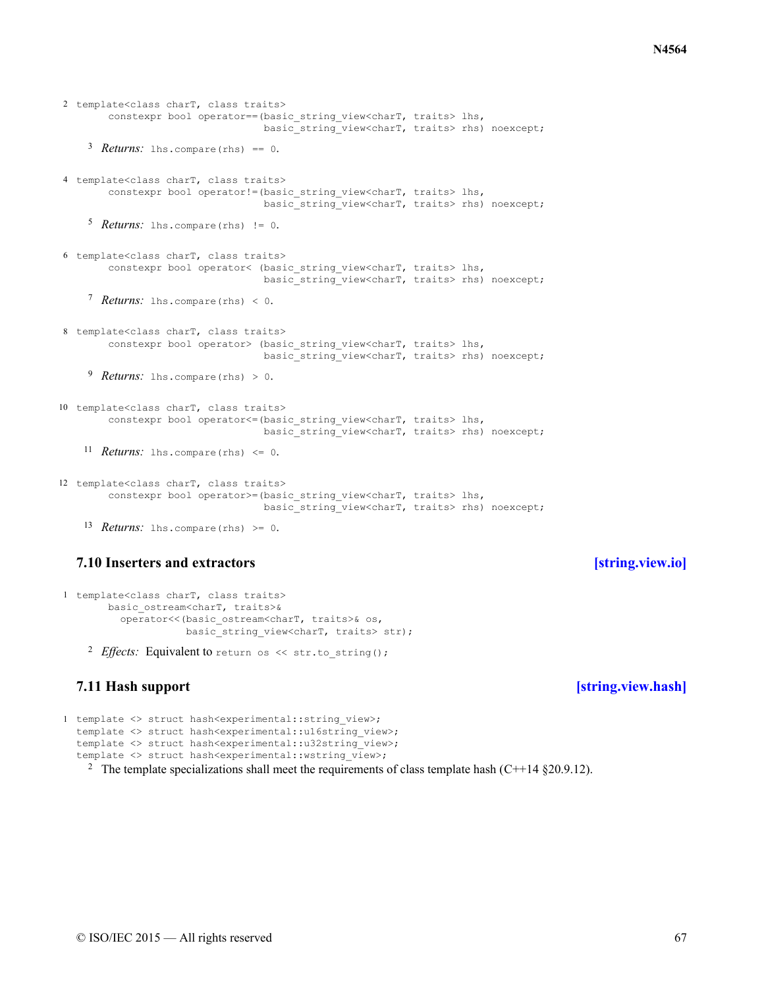```
Retturns: lhs.compare(rhs) == 0.
     5 Returns: lhs.compare(rhs) != 0.
     7 Returns: lhs.compare(rhs) < 0.
     <sup>9</sup> Returns: lhs.compare(rhs) > 0.
    11 Returns: lhs.compare(rhs) \leq 0.
    13 Returns: lhs.compare(rhs) > = 0.
2 template<class charT, class traits>
        constexpr bool operator==(basic_string_view<charT, traits> lhs,
                                  basic_string_view<charT, traits> rhs) noexcept;
4 template<class charT, class traits>
        constexpr bool operator!=(basic_string_view<charT, traits> lhs,
                                   basic_string_view<charT, traits> rhs) noexcept;
6 template<class charT, class traits>
        constexpr bool operator< (basic_string_view<charT, traits> lhs,
                                  basic string view<charT, traits> rhs) noexcept;
8 template<class charT, class traits>
        constexpr bool operator> (basic_string_view<charT, traits> lhs,
                                  basic_string_view<charT, traits> rhs) noexcept;
10 template<class charT, class traits>
        constexpr bool operator <= (basic string view<charT, traits> lhs,
                                  basic_string_view<charT, traits> rhs) noexcept;
12 template<class charT, class traits>
        constexpr bool operator>=(basic string view<charT, traits> lhs,
                                  basic_string_view<charT, traits> rhs) noexcept;
```
# **7.10 Inserters and extractors [\[string.view.io\]](#page-66-0)**

```
1 template<class charT, class traits>
       basic_ostream<charT, traits>&
         operator<<(basic ostream<charT, traits>& os,
                    basic string view<charT, traits> str);
```
2 *Effects*: Equivalent to return os << str.to string();

# **7.11 Hash support [\[string.view.hash\]](#page-66-1)**

```
1 template <> struct hash<experimental::string_view>;
  template <> struct hash<experimental::u16string_view>;
  template <> struct hash<experimental::u32string view>;
  template <> struct hash<experimental::wstring view>;
    <sup>2</sup> The template specializations shall meet the requirements of class template hash (C++14 §20.9.12).
```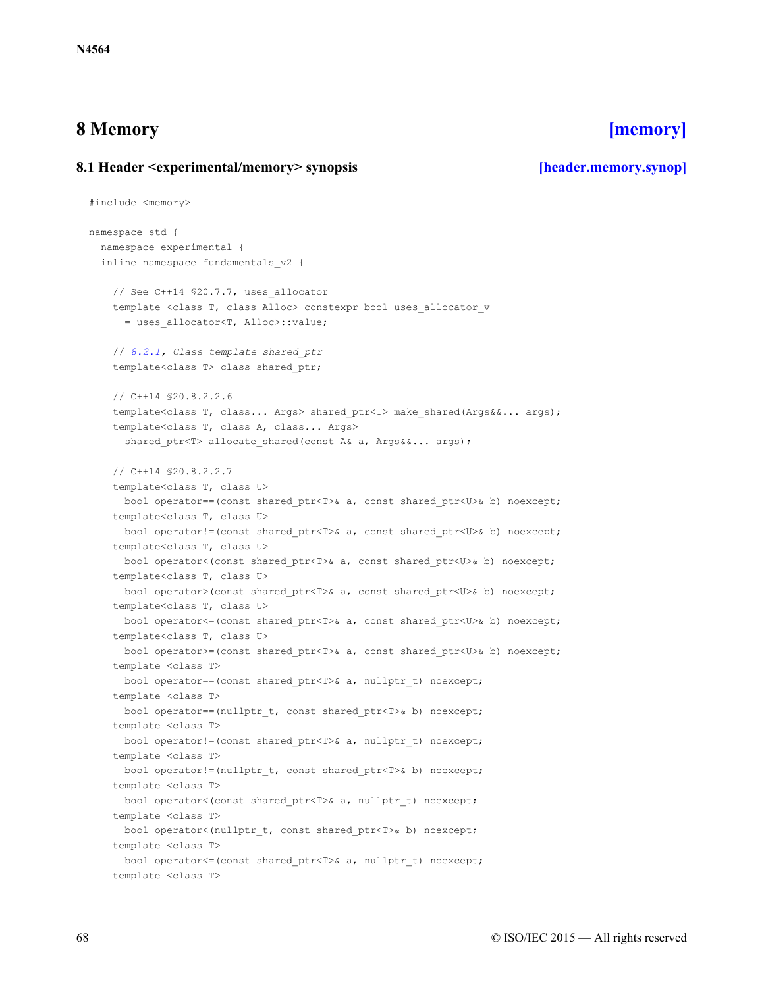# <span id="page-67-0"></span>**8 Memory [\[memory\]](#page-67-0)**

# <span id="page-67-1"></span>**8.1 Header <experimental/memory> synopsis [\[header.memory.synop\]](#page-67-1)**

```
#include <memory>
namespace std {
 namespace experimental {
  inline namespace fundamentals_v2 {
    // See C++14 $20.7.7, uses allocator
    template <class T, class Alloc> constexpr bool uses allocator v
      = uses_allocator<T, Alloc>::value;
    // 8.2.1, Class template shared_ptr
    template<class T> class shared ptr;
    // C++14 §20.8.2.2.6
    template<class T, class... Args> shared ptr<T> make shared(Args&&... args);
    template<class T, class A, class... Args>
      shared ptr<T> allocate shared(const A& a, Args&&... args);
    // C++14 §20.8.2.2.7
    template<class T, class U>
     bool operator==(const shared ptr<T>& a, const shared ptr<U>& b) noexcept;
    template<class T, class U>
     bool operator!=(const shared ptr<T>& a, const shared ptr<U>& b) noexcept;
    template<class T, class U>
     bool operator<(const shared ptr<T>& a, const shared ptr<U>& b) noexcept;
    template<class T, class U>
     bool operator>(const shared ptr<T>& a, const shared ptr<U>& b) noexcept;
    template<class T, class U>
     bool operator<=(const shared ptr<T>& a, const shared ptr<U>& b) noexcept;
    template<class T, class U>
      bool operator>=(const shared ptr<T>& a, const shared ptr<U>& b) noexcept;
    template <class T>
     bool operator==(const shared ptr<T>& a, nullptr t) noexcept;
    template <class T>
     bool operator==(nullptr t, const shared ptr<T>& b) noexcept;
    template <class T>
     bool operator!=(const shared ptr<T>& a, nullptr t) noexcept;
    template <class T>
     bool operator!=(nullptr_t, const shared_ptr<T>& b) noexcept;
    template <class T>
     bool operator<(const shared_ptr<T>& a, nullptr_t) noexcept;
    template <class T>
     bool operator<(nullptr t, const shared ptr<T>& b) noexcept;
    template <class T>
     bool operator<=(const shared_ptr<T>& a, nullptr_t) noexcept;
    template <class T>
```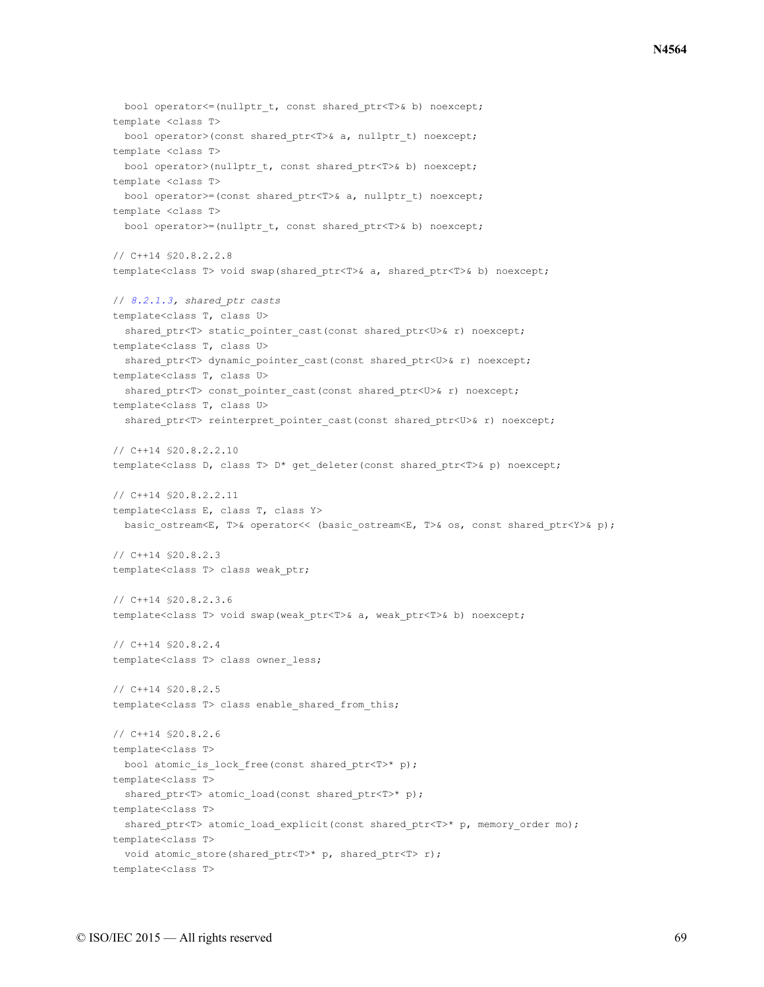```
bool operator <= (nullptr t, const shared ptr<T>& b) noexcept;
template <class T>
 bool operator>(const shared ptr<T>& a, nullptr t) noexcept;
template <class T>
 bool operator>(nullptr t, const shared ptr<T>& b) noexcept;
template <class T>
 bool operator>=(const shared_ptr<T>& a, nullptr_t) noexcept;
template <class T>
 bool operator>=(nullptr_t, const shared_ptr<T>& b) noexcept;
// C++14 §20.8.2.2.8
template<class T> void swap(shared_ptr<T>& a, shared_ptr<T>& b) noexcept;
// 8.2.1.3, shared_ptr casts
template<class T, class U>
  shared ptr<T> static pointer cast(const shared ptr<U>& r) noexcept;
template<class T, class U>
  shared ptr<T> dynamic pointer cast(const shared ptr<U>& r) noexcept;
template<class T, class U>
  shared_ptr<T> const_pointer_cast(const shared_ptr<U>& r) noexcept;
template<class T, class U>
  shared ptr<T> reinterpret pointer cast(const shared ptr<U>& r) noexcept;
// C++14 §20.8.2.2.10
template<class D, class T> D* get_deleter(const shared_ptr<T>& p) noexcept;
// C++14 §20.8.2.2.11
template<class E, class T, class Y>
 basic ostream<E, T>& operator<< (basic ostream<E, T>& os, const shared ptr<Y>& p);
// C++14 §20.8.2.3
template<class T> class weak ptr;
// C++14 §20.8.2.3.6
template<class T> void swap(weak ptr<T>& a, weak ptr<T>& b) noexcept;
// C++14 §20.8.2.4
template<class T> class owner_less;
// C++14 §20.8.2.5
template<class T> class enable shared from this;
// C++14 §20.8.2.6
template<class T>
 bool atomic is lock free(const shared ptr<T>* p);
template<class T>
 shared_ptr<T> atomic_load(const shared_ptr<T>* p);
template<class T>
 shared ptr<T> atomic load explicit(const shared ptr<T>* p, memory order mo);
template<class T>
 void atomic store(shared ptr<T>* p, shared ptr<T> r);
template<class T>
```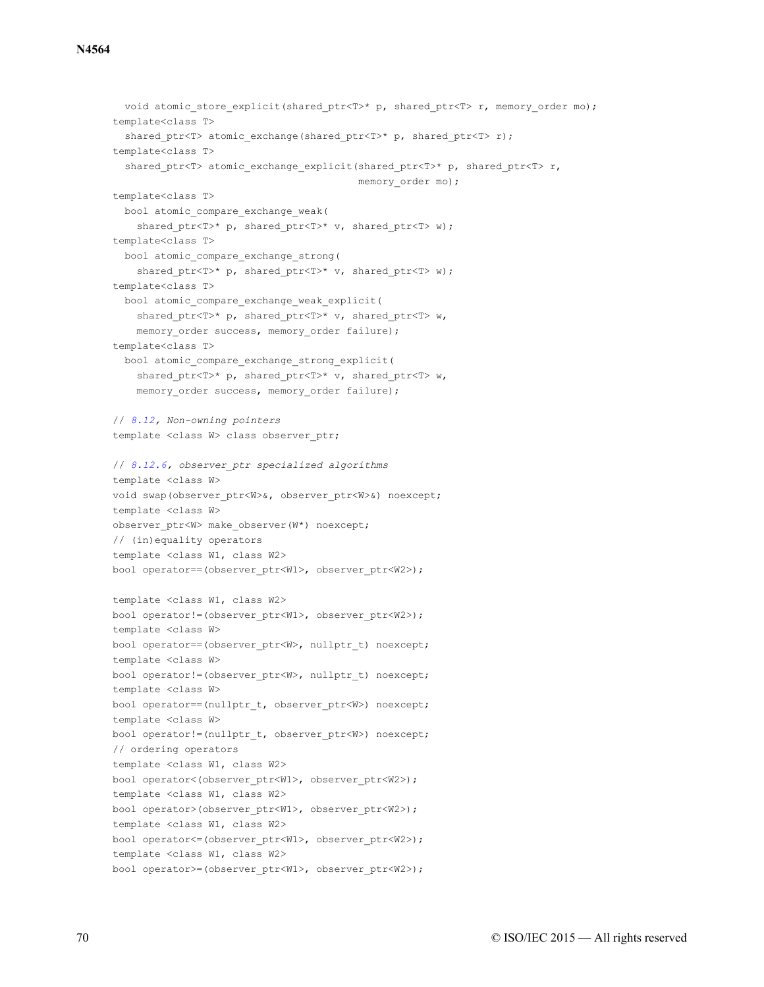```
void atomic store explicit(shared ptr<T>* p, shared ptr<T> r, memory order mo);
template<class T>
  shared ptr<T> atomic exchange(shared ptr<T>* p, shared ptr<T> r);
template<class T>
  shared ptr<T> atomic exchange explicit(shared ptr<T>* p, shared ptr<T> r,
                                         memory order mo);
template<class T>
  bool atomic_compare_exchange_weak(
    shared ptr<T>* p, shared ptr<T>* v, shared ptr<T> w);
template<class T>
  bool atomic_compare_exchange_strong(
    shared ptr<T>* p, shared ptr<T>* v, shared ptr<T> w);
template<class T>
  bool atomic_compare_exchange_weak_explicit(
    shared ptr<T>* p, shared ptr<T>* v, shared ptr<T> w,
    memory order success, memory order failure);
template<class T>
  bool atomic_compare_exchange_strong_explicit(
    shared ptr<T>* p, shared ptr<T>* v, shared ptr<T> w,
    memory_order success, memory_order failure);
// 8.12, Non-owning pointers
template <class W> class observer ptr;
// 8.12.6, observer_ptr specialized algorithms
template <class W>
void swap(observer ptr<W>&, observer ptr<W>&) noexcept;
template <class W>
observer ptr<W> make observer(W*) noexcept;
// (in)equality operators
template <class W1, class W2>
bool operator==(observer_ptr<W1>, observer_ptr<W2>);
template <class W1, class W2>
bool operator!=(observer_ptr<W1>, observer_ptr<W2>);
template <class W>
bool operator == (observer ptr<W>, nullptr t) noexcept;
template <class W>
bool operator!=(observer ptr<W>, nullptr t) noexcept;
template <class W>
bool operator==(nullptr t, observer ptr<W>) noexcept;
template <class W>
bool operator!=(nullptr_t, observer_ptr<W>) noexcept;
// ordering operators
template <class W1, class W2>
bool operator<(observer ptr<W1>, observer ptr<W2>);
template <class W1, class W2>
bool operator>(observer_ptr<W1>, observer_ptr<W2>);
template <class W1, class W2>
bool operator<=(observer_ptr<W1>, observer_ptr<W2>);
template <class W1, class W2>
bool operator>=(observer_ptr<W1>, observer_ptr<W2>);
```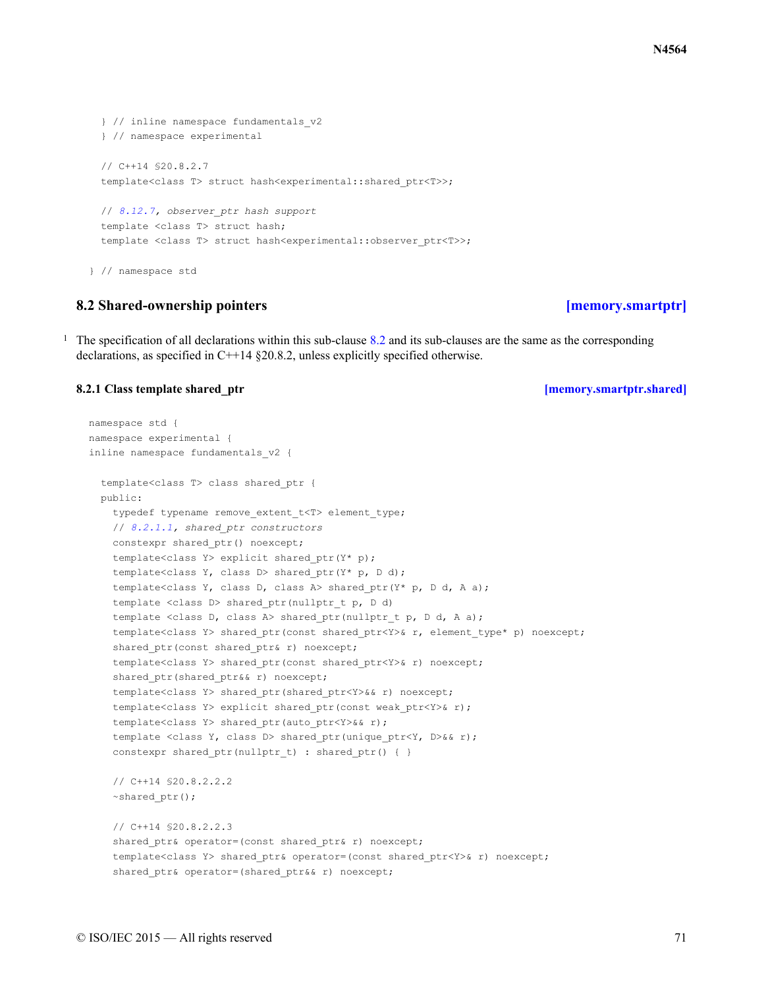```
} // inline namespace fundamentals_v2
 } // namespace experimental
 // C++14 §20.8.2.7
 template<class T> struct hash<experimental::shared_ptr<T>>;
 // 8.12.7, observer_ptr hash support
 template <class T> struct hash;
 template <class T> struct hash<experimental::observer ptr<T>>;
} // namespace std
```
## **8.2 Shared-ownership pointers [\[memory.smartptr\]](#page-70-1)**

<span id="page-70-1"></span><sup>1</sup> The specification of all declarations within this sub-clause [8.2](#page-70-1) and its sub-clauses are the same as the corresponding declarations, as specified in C++14 §20.8.2, unless explicitly specified otherwise.

### <span id="page-70-0"></span>**8.2.1 Class template shared\_ptr [\[memory.smartptr.shared\]](#page-70-0)**

```
namespace std {
namespace experimental {
inline namespace fundamentals_v2 {
  template<class T> class shared_ptr {
  public:
    typedef typename remove extent t<T> element type;
    // 8.2.1.1, shared_ptr constructors
    constexpr shared ptr() noexcept;
    template<class Y> explicit shared_ptr(Y* p);
    template<class Y, class D> shared ptr(Y* p, D d);
    template<class Y, class D, class A> shared ptr(Y* p, D d, A a);
    template <class D> shared ptr(nullptr t p, D d)
    template <class D, class A> shared ptr(nullptr t p, D d, A a);
    template<class Y> shared ptr(const shared ptr<Y>& r, element type* p) noexcept;
    shared ptr(const shared ptr& r) noexcept;
    template<class Y> shared ptr(const shared ptr<Y>& r) noexcept;
    shared ptr(shared ptr&& r) noexcept;
    template<class Y> shared_ptr(shared_ptr<Y>&& r) noexcept;
    template<class Y> explicit shared ptr(const weak ptr<Y>& r);
    template<class Y> shared ptr(auto ptr<Y>&& r);
    template <class Y, class D> shared ptr(unique ptr<Y, D>&& r);
    constexpr shared ptr(nullptr t) : shared ptr() { }
    // C++14 §20.8.2.2.2
    ~shared_ptr();
    // C++14 §20.8.2.2.3
    shared ptr& operator=(const shared ptr& r) noexcept;
    template<class Y> shared_ptr& operator=(const shared_ptr<Y>& r) noexcept;
    shared ptr& operator=(shared ptr&& r) noexcept;
```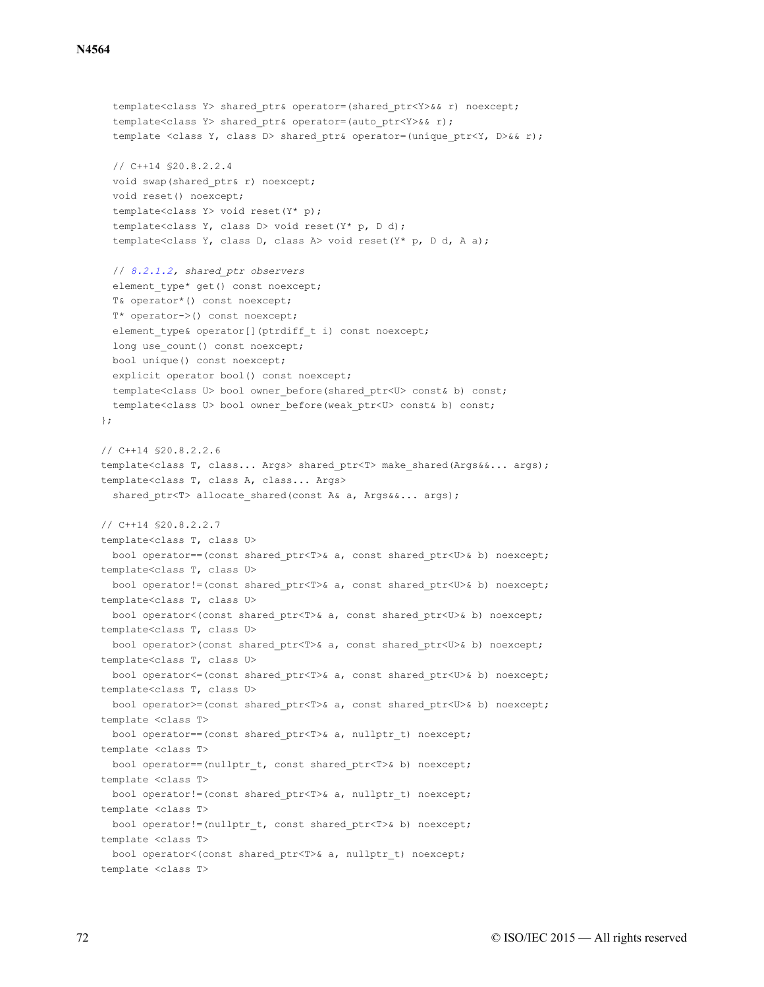### **N4564**

```
template<class Y> shared ptr& operator=(shared ptr<Y>&& r) noexcept;
  template<class Y> shared ptr& operator=(auto ptr<Y>&& r);
  template <class Y, class D> shared ptr& operator=(unique ptr<Y, D>&& r);
  // C++14 §20.8.2.2.4
  void swap(shared ptr& r) noexcept;
  void reset() noexcept;
  template<class Y> void reset(Y* p);
  template<class Y, class D> void reset(Y* p, D d);
  template<class Y, class D, class A> void reset(Y* p, D d, A a);
  // 8.2.1.2, shared_ptr observers
  element type* get() const noexcept;
 T& operator*() const noexcept;
  T* operator->() const noexcept;
  element type& operator[](ptrdiff t i) const noexcept;
 long use count() const noexcept;
 bool unique() const noexcept;
 explicit operator bool() const noexcept;
 template<class U> bool owner before(shared ptr<U> const& b) const;
 template<class U> bool owner_before(weak_ptr<U> const& b) const;
};
// C++14 §20.8.2.2.6
template<class T, class... Args> shared_ptr<T> make_shared(Args&&... args);
template<class T, class A, class... Args>
  shared ptr<T> allocate shared(const A& a, Args&&... args);
// C++14 §20.8.2.2.7
template<class T, class U>
 bool operator==(const shared ptr<T>& a, const shared ptr<U>& b) noexcept;
template<class T, class U>
 bool operator!=(const shared ptr<T>& a, const shared ptr<U>& b) noexcept;
template<class T, class U>
 bool operator<(const shared ptr<T>& a, const shared ptr<U>& b) noexcept;
template<class T, class U>
 bool operator>(const shared_ptr<T>& a, const shared_ptr<U>& b) noexcept;
template<class T, class U>
 bool operator<=(const shared ptr<T>& a, const shared ptr<U>& b) noexcept;
template<class T, class U>
 bool operator>=(const shared ptr<T>& a, const shared ptr<U>& b) noexcept;
template <class T>
 bool operator==(const shared_ptr<T>& a, nullptr_t) noexcept;
template <class T>
 bool operator == (nullptr t, const shared ptr<T>& b) noexcept;
template <class T>
 bool operator!=(const shared_ptr<T>& a, nullptr_t) noexcept;
template <class T>
 bool operator!=(nullptr t, const shared ptr<T>& b) noexcept;
template <class T>
 bool operator<(const shared ptr<T>& a, nullptr t) noexcept;
template <class T>
```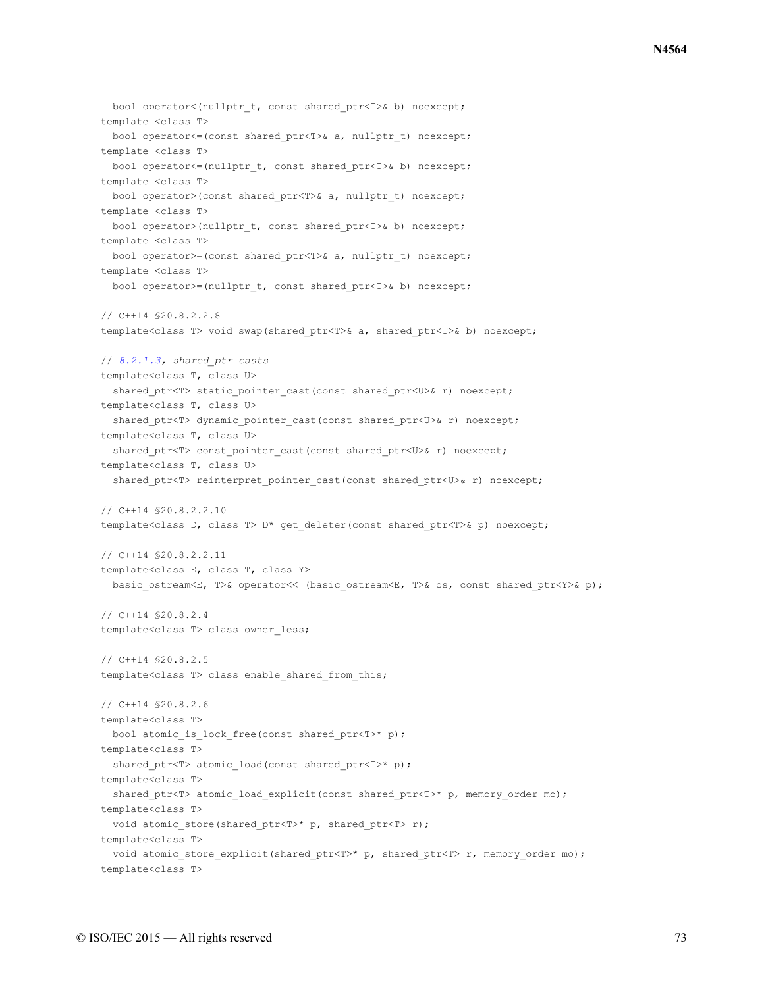```
bool operator<(nullptr t, const shared ptr<T>& b) noexcept;
template <class T>
 bool operator<=(const shared_ptr<T>& a, nullptr_t) noexcept;
template <class T>
 bool operator <= (nullptr t, const shared ptr<T>& b) noexcept;
template <class T>
 bool operator>(const shared ptr<T>& a, nullptr t) noexcept;
template <class T>
 bool operator>(nullptr_t, const shared_ptr<T>& b) noexcept;
template <class T>
 bool operator>=(const shared_ptr<T>& a, nullptr_t) noexcept;
template <class T>
 bool operator>=(nullptr t, const shared ptr<T>& b) noexcept;
// C++14 §20.8.2.2.8
template<class T> void swap(shared ptr<T>& a, shared ptr<T>& b) noexcept;
// 8.2.1.3, shared_ptr casts
template<class T, class U>
 shared_ptr<T> static_pointer_cast(const shared_ptr<U>& r) noexcept;
template<class T, class U>
  shared ptr<T> dynamic pointer cast(const shared ptr<U>& r) noexcept;
template<class T, class U>
 shared ptr<T> const pointer cast(const shared ptr<U>& r) noexcept;
template<class T, class U>
  shared ptr<T> reinterpret pointer cast(const shared ptr<U>& r) noexcept;
// C++14 §20.8.2.2.10
template<class D, class T> D* get deleter(const shared ptr<T>& p) noexcept;
// C++14 §20.8.2.2.11
template<class E, class T, class Y>
  basic ostream<E, T>& operator<< (basic ostream<E, T>& os, const shared ptr<Y>& p);
// C++14 §20.8.2.4
template<class T> class owner_less;
// C++14 §20.8.2.5
template<class T> class enable shared from this;
// C++14 §20.8.2.6
template<class T>
 bool atomic_is_lock_free(const shared_ptr<T>* p);
template<class T>
 shared ptr<T> atomic load(const shared ptr<T>* p);
template<class T>
 shared_ptr<T> atomic_load_explicit(const shared_ptr<T>* p, memory order mo);
template<class T>
 void atomic store(shared ptr<T>* p, shared ptr<T> r);
template<class T>
 void atomic store explicit(shared ptr<T> >>> p, shared ptr<T> r, memory order mo);
template<class T>
```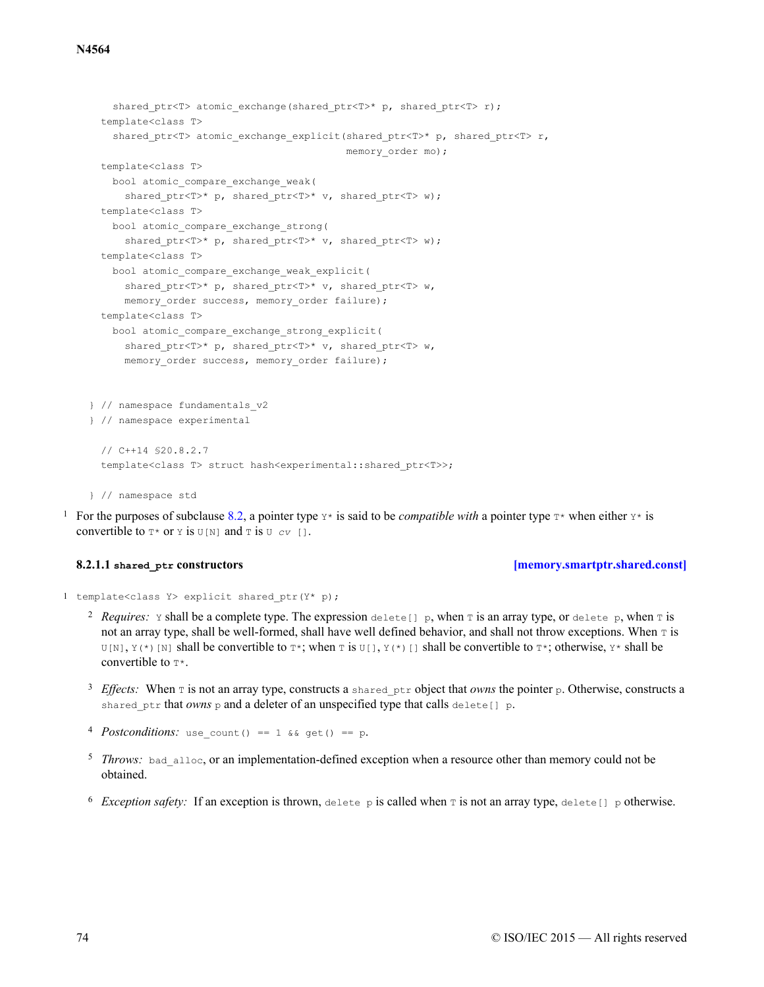```
shared ptr<T> atomic exchange(shared ptr<T>* p, shared ptr<T> r);
 template<class T>
   shared ptr<T> atomic exchange explicit(shared ptr<T>* p, shared ptr<T> r,
                                           memory order mo);
 template<class T>
   bool atomic_compare_exchange_weak(
     shared ptr<T>* p, shared ptr<T>* v, shared ptr<T> w);
 template<class T>
   bool atomic_compare_exchange_strong(
     shared ptr<T>* p, shared ptr<T>* v, shared ptr<T> w);
 template<class T>
   bool atomic_compare_exchange_weak_explicit(
     shared ptr<T>* p, shared ptr<T>* v, shared ptr<T> w,
     memory order success, memory order failure);
 template<class T>
   bool atomic_compare_exchange_strong_explicit(
     shared ptr<T>* p, shared ptr<T> v, shared ptr<T> w,
     memory order success, memory order failure);
} // namespace fundamentals_v2
} // namespace experimental
 // C++14 §20.8.2.7
 template<class T> struct hash<experimental::shared ptr<T>>;
} // namespace std
```
<sup>1</sup> For the purposes of subclause [8.2](#page-70-0), a pointer type  $Y^*$  is said to be *compatible with* a pointer type  $T^*$  when either  $Y^*$  is convertible to  $T^*$  or  $Y$  is  $U[N]$  and  $T$  is  $U \subset V$  [].

### **8.2.1.1 shared\_ptr constructors [\[memory.smartptr.shared.const\]](#page-73-0)**

<span id="page-73-0"></span>1 template<class Y> explicit shared\_ptr(Y\* p);

- <sup>2</sup> Requires:  $\gamma$  shall be a complete type. The expression delete [] p, when  $\tau$  is an array type, or delete p, when  $\tau$  is not an array type, shall be well-formed, shall have well defined behavior, and shall not throw exceptions. When  $\tau$  is  $U[N], Y(*)$  [N] shall be convertible to  $T^*$ ; when T is  $U[1, Y(*)$  [] shall be convertible to  $T^*$ ; otherwise,  $Y^*$  shall be convertible to  $T^*$ .
- <sup>3</sup> *Effects:* When  $\text{T}$  is not an array type, constructs a shared ptr object that *owns* the pointer p. Otherwise, constructs a shared ptr that *owns* p and a deleter of an unspecified type that calls delete  $[1]$  p.
- 4 *Postconditions*: use count() == 1 && get() == p.
- <sup>5</sup> *Throws:* bad alloc, or an implementation-defined exception when a resource other than memory could not be obtained.
- <sup>6</sup> Exception safety: If an exception is thrown, delete p is called when T is not an array type, delete[] p otherwise.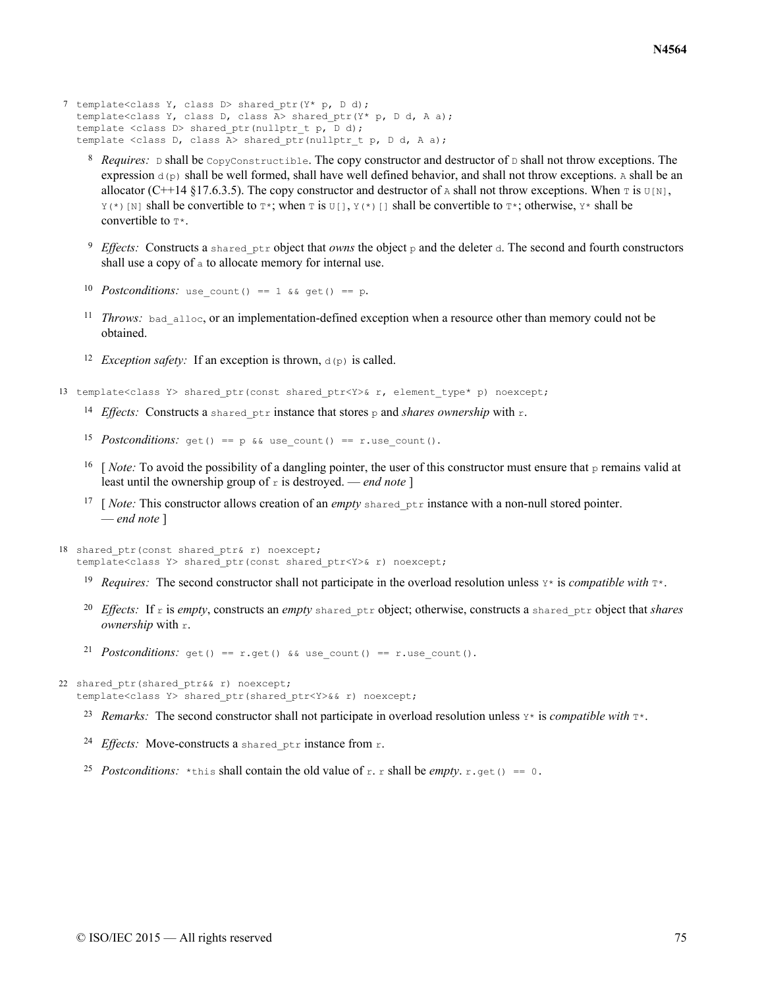- 7 template<class Y, class D> shared\_ptr(Y\* p, D d); template<class Y, class D, class A> shared ptr(Y\* p, D d, A a); template <class D> shared ptr(nullptr t p, D d); template <class D, class  $\overline{A}$ > shared ptr(nullptr t p, D d, A a);
	- <sup>8</sup> Requires: D shall be CopyConstructible. The copy constructor and destructor of D shall not throw exceptions. The expression  $d(p)$  shall be well formed, shall have well defined behavior, and shall not throw exceptions. A shall be an allocator (C++14 §17.6.3.5). The copy constructor and destructor of A shall not throw exceptions. When  $\tau$  is  $U[N]$ ,  $Y(*)$  [N] shall be convertible to  $T^*$ ; when T is U[],  $Y(*)$  [] shall be convertible to  $T^*$ ; otherwise,  $Y^*$  shall be convertible to  $T^*$ .
	- <sup>9</sup> Effects: Constructs a shared ptr object that *owns* the object p and the deleter d. The second and fourth constructors shall use a copy of a to allocate memory for internal use.
	- 10 Postconditions: use count () == 1 && get() == p.
	- $11$  *Throws:* bad alloc, or an implementation-defined exception when a resource other than memory could not be obtained.
	- <sup>12</sup> *Exception safety*: If an exception is thrown,  $d(p)$  is called.
- 13 template<class Y> shared ptr(const shared ptr<Y>& r, element type\* p) noexcept;
	- <sup>14</sup> Effects: Constructs a shared ptr instance that stores p and *shares ownership* with r.
	- 15 Postconditions:  $get() == p & w \text{ use count() == r.} \text{use count().}$
	- <sup>16</sup> [ *Note:* To avoid the possibility of a dangling pointer, the user of this constructor must ensure that  $\frac{1}{2}$  remains valid at least until the ownership group of  $r$  is destroyed. — *end note* ]
	- <sup>17</sup> [ *Note:* This constructor allows creation of an *empty* shared ptr instance with a non-null stored pointer. — *end note* ]
- 18 shared ptr(const shared ptr& r) noexcept; template<class Y> shared ptr(const shared ptr<Y>& r) noexcept;
	- <sup>19</sup> Requires: The second constructor shall not participate in the overload resolution unless  $Y^*$  is *compatible with*  $T^*$ .
	- 20 *Effects:* If r is *empty*, constructs an *empty* shared ptr object; otherwise, constructs a shared ptr object that *shares ownership* with r.
	- 21 *Postconditions*: get() == r.get() && use count() == r.use count().

```
22 shared ptr(shared ptr&& r) noexcept;
```

```
template<class Y> shared_ptr(shared_ptr<Y>&& r) noexcept;
```
- 23 Remarks: The second constructor shall not participate in overload resolution unless  $Y^*$  is *compatible with*  $T^*$ .
- <sup>24</sup> *Effects:* Move-constructs a shared ptr instance from r.
- 25 Postconditions: \*this shall contain the old value of r. r shall be *empty*. r.get() == 0.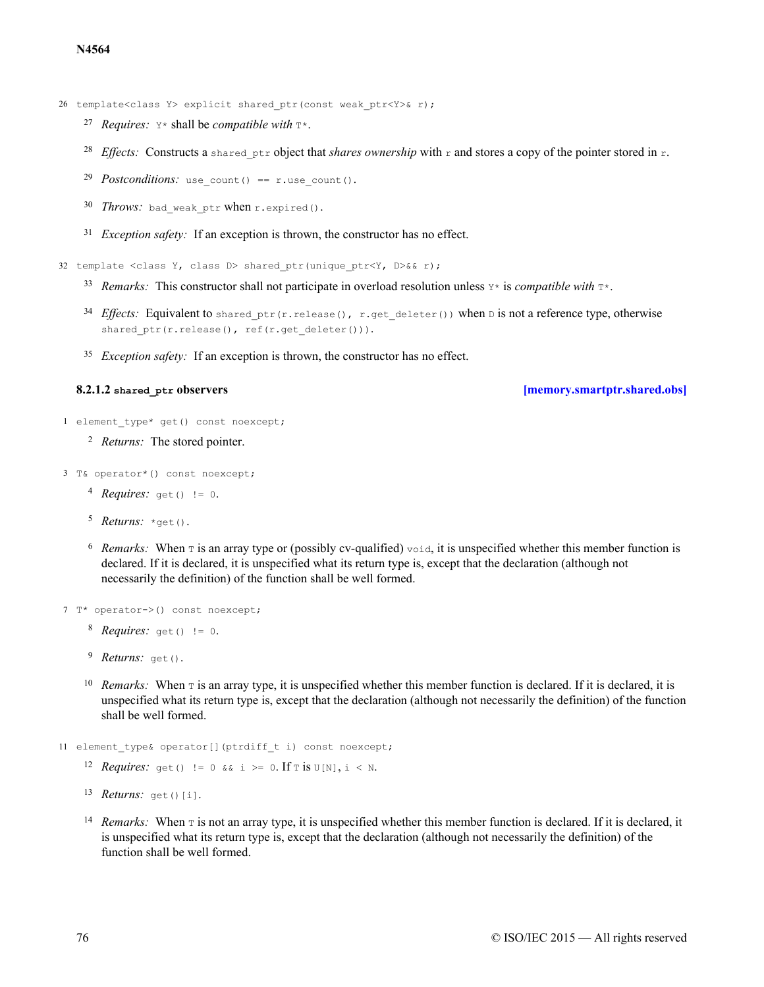26 template<class Y> explicit shared ptr(const weak ptr<Y>& r);

- 27 Requires:  $Y^*$  shall be *compatible with*  $T^*$ .
- <sup>28</sup> Effects: Constructs a shared ptr object that *shares ownership* with r and stores a copy of the pointer stored in r.
- 29 *Postconditions:* use count() == r.use count().
- 30 Throws: bad\_weak\_ptr when r.expired().
- <sup>31</sup> *Exception safety*: If an exception is thrown, the constructor has no effect.

32 template <class Y, class D> shared ptr(unique ptr<Y, D>&& r);

- 33 Remarks: This constructor shall not participate in overload resolution unless  $Y^*$  is *compatible with*  $T^*$ .
- $^{34}$  *Effects:* Equivalent to shared ptr(r.release(), r.get deleter()) when D is not a reference type, otherwise shared  $ptr(r.relcase()$ , ref(r.get deleter())).
- <sup>35</sup> *Exception safety*: If an exception is thrown, the constructor has no effect.

**8.2.1.2 shared\_ptr observers [\[memory.smartptr.shared.obs\]](#page-75-0)**

```
1 element type* get() const noexcept;
```

```
<sup>2</sup> Returns: The stored pointer.
```
3 T& operator\*() const noexcept;

- 4 *Requires:* get() != 0.
- 5 *Returns:* \*get().
- $6$  Remarks: When  $\tau$  is an array type or (possibly cv-qualified) void, it is unspecified whether this member function is declared. If it is declared, it is unspecified what its return type is, except that the declaration (although not necessarily the definition) of the function shall be well formed.

```
7 T* operator->() const noexcept;
```
- 8 *Requires:* get() != 0.
- <sup>9</sup> Returns: get().
- <sup>10</sup> Remarks: When  $\tau$  is an array type, it is unspecified whether this member function is declared. If it is declared, it is unspecified what its return type is, except that the declaration (although not necessarily the definition) of the function shall be well formed.

```
11 element type& operator[](ptrdiff t i) const noexcept;
```
12 *Requires:* get() != 0 && i >= 0. If  $\text{T}$  is  $\text{U[N]},$  i < N.

```
13 Returns: get()[i].
```
<sup>14</sup> Remarks: When  $\bar{x}$  is not an array type, it is unspecified whether this member function is declared. If it is declared, it is unspecified what its return type is, except that the declaration (although not necessarily the definition) of the function shall be well formed.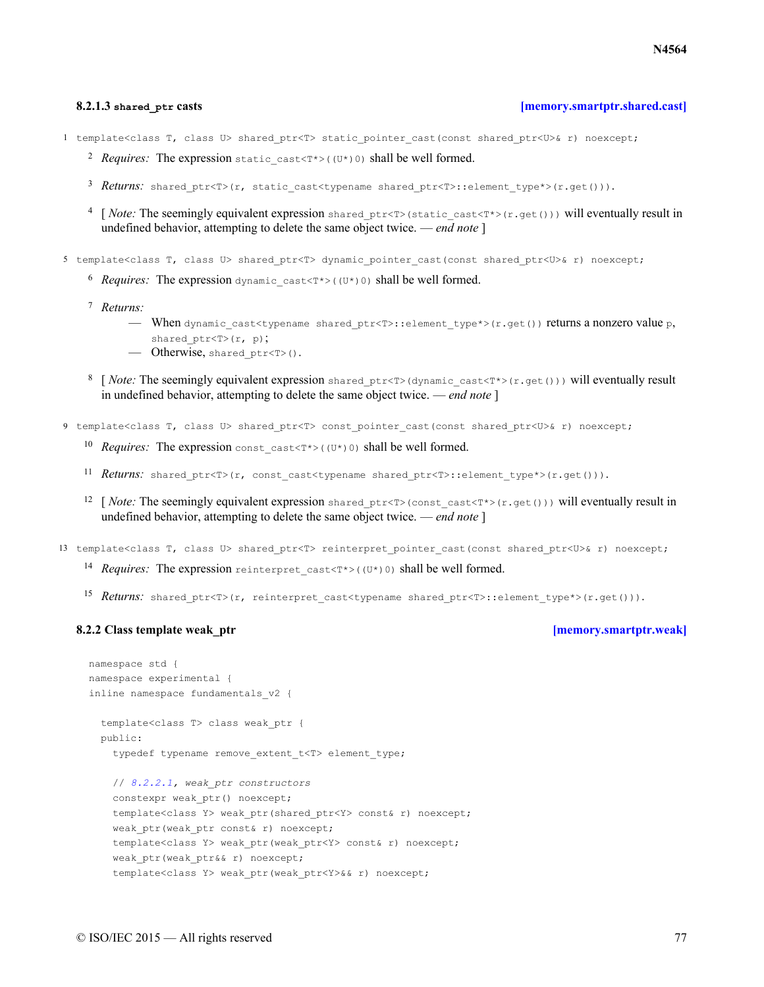### **8.2.1.3 shared\_ptr casts [\[memory.smartptr.shared.cast\]](#page-76-0)**

<span id="page-76-0"></span>1 template<class T, class U> shared ptr<T> static pointer cast(const shared ptr<U>& r) noexcept;

- 2 Requires: The expression static cast<T\*>((U\*)0) shall be well formed.
- 3 Returns: shared ptr<T>(r, static cast<typename shared ptr<T>::element type\*>(r.get())).
- <sup>4</sup> [*Note:* The seemingly equivalent expression shared ptr<T>(static\_cast<T\*>(r.get())) will eventually result in undefined behavior, attempting to delete the same object twice. — *end note* ]

5 template<class T, class U> shared\_ptr<T> dynamic\_pointer\_cast(const shared\_ptr<U>& r) noexcept;

- $6$  *Requires:* The expression dynamic cast<T\*>((U\*)0) shall be well formed.
- *Returns:* 7
	- When dynamic cast<typename shared ptr<T>::element type\*>(r.get()) returns a nonzero value p, shared ptr<T>(r, p);
	- Otherwise, shared\_ptr<T>().
- 8 [*Note:* The seemingly equivalent expression shared ptr<T>(dynamic\_cast<T\*>(r.get())) will eventually result in undefined behavior, attempting to delete the same object twice. — *end note* ]
- 9 template<class T, class U> shared ptr<T> const pointer cast(const shared ptr<U>& r) noexcept;
	- <sup>10</sup> Requires: The expression const cast<T\*> $((U^*)0)$  shall be well formed.
	- 11 Returns: shared ptr<T>(r, const cast<typename shared ptr<T>::element type\*>(r.get())).
	- <sup>12</sup> [*Note:* The seemingly equivalent expression shared ptr<T>(const\_cast<T\*>(r.get())) will eventually result in undefined behavior, attempting to delete the same object twice. — *end note* ]
- 13 template<class T, class U> shared\_ptr<T> reinterpret\_pointer\_cast(const shared\_ptr<U>& r) noexcept;
	- 14 Requires: The expression reinterpret\_cast<T\*>((U\*)0) shall be well formed.
	- 15 Returns: shared ptr<T>(r, reinterpret cast<typename shared ptr<T>::element type\*>(r.get())).

### <span id="page-76-1"></span>**8.2.2 Class template weak** ptr *properties lmemory.smartptr.weak*

```
namespace std {
namespace experimental {
inline namespace fundamentals_v2 {
 template<class T> class weak_ptr {
 public:
    typedef typename remove extent t<T> element type;
   // 8.2.2.1, weak_ptr constructors
   constexpr weak ptr() noexcept;
   template<class Y> weak ptr(shared ptr<Y> const& r) noexcept;
   weak ptr(weak ptr const& r) noexcept;
    template<class Y> weak ptr(weak ptr<Y> const& r) noexcept;
    weak ptr(weak ptr&& r) noexcept;
   template<class Y> weak ptr(weak ptr<Y>&& r) noexcept;
```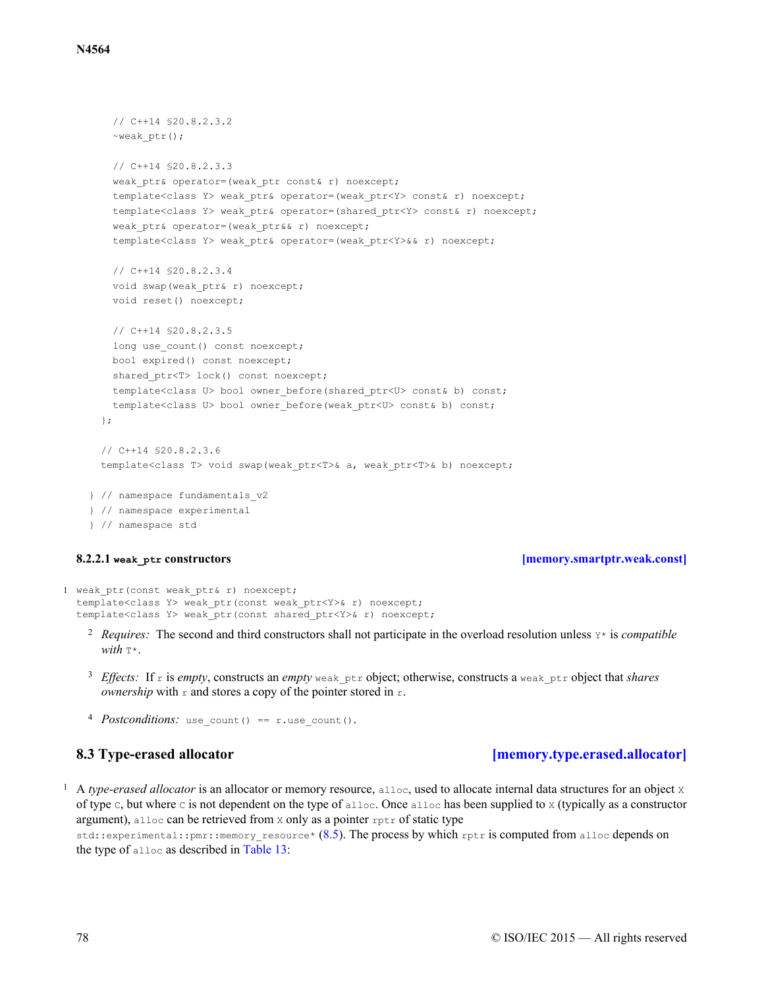```
// C++14 §20.8.2.3.2
   ~weak_ptr();
   // C++14 §20.8.2.3.3
   weak ptr& operator=(weak ptr const& r) noexcept;
   template<class Y> weak ptr& operator=(weak ptr<Y> const& r) noexcept;
   template<class Y> weak ptr& operator=(shared ptr<Y> const& r) noexcept;
   weak ptr& operator=(weak ptr&& r) noexcept;
   template<class Y> weak ptr& operator=(weak ptr<Y>&& r) noexcept;
   // C++14 §20.8.2.3.4
   void swap(weak ptr& r) noexcept;
   void reset() noexcept;
   // C++14 §20.8.2.3.5
   long use count() const noexcept;
   bool expired() const noexcept;
   shared ptr<T> lock() const noexcept;
   template<class U> bool owner before(shared ptr<U> const& b) const;
   template<class U> bool owner before(weak ptr<U> const& b) const;
 };
 // C++14 §20.8.2.3.6
 template<class T> void swap(weak ptr<T>& a, weak ptr<T>& b) noexcept;
} // namespace fundamentals_v2
} // namespace experimental
} // namespace std
```
### **8.2.2.1 weak\_ptr constructors [\[memory.smartptr.weak.const\]](#page-77-0)**

```
1 weak ptr(const weak ptr& r) noexcept;
  template<class Y> weak ptr(const weak ptr<Y>& r) noexcept;
  template<class Y> weak ptr(const shared ptr<Y>& r) noexcept;
```
- <sup>2</sup> Requires: The second and third constructors shall not participate in the overload resolution unless  $Y^*$  is *compatible*  $with \tau*$
- <sup>3</sup> Effects: If r is empty, constructs an empty weak\_ptr object; otherwise, constructs a weak\_ptr object that *shares ownership* with  $r$  and stores a copy of the pointer stored in  $r$ .
- 4 *Postconditions*: use count() == r.use count().

# **8.3 Type-erased allocator [\[memory.type.erased.allocator\]](#page-77-1)**

<span id="page-77-1"></span><sup>1</sup> A *type-erased allocator* is an allocator or memory resource, alloc, used to allocate internal data structures for an object x of type c, but where c is not dependent on the type of alloc. Once alloc has been supplied to x (typically as a constructor argument), alloc can be retrieved from x only as a pointer rptr of static type

std::experimental::pmr::memory\_resource\* [\(8.5\)](#page-79-0). The process by which rptr is computed from alloc depends on the type of alloc as described in [Table 13](#page-78-0):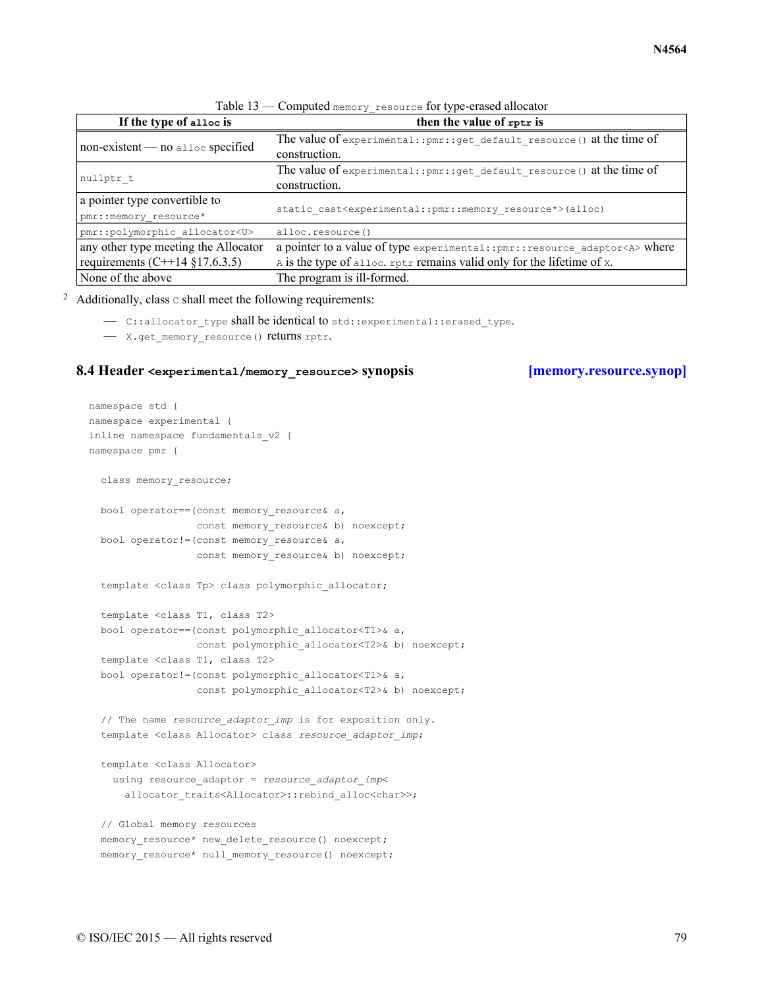<span id="page-78-0"></span>

| If the type of alloc is                             | then the value of rptr is                                                               |
|-----------------------------------------------------|-----------------------------------------------------------------------------------------|
| $non-existent \t - no \atop \text{alloc specified}$ | The value of experimental:: pmr:: get default resource () at the time of                |
|                                                     | construction.                                                                           |
| nullptr t                                           | The value of experimental:: pmr:: get default resource () at the time of                |
|                                                     | construction.                                                                           |
| a pointer type convertible to                       | static cast <experimental::pmr::memory resource*="">(alloc)</experimental::pmr::memory> |
| pmr:: memory resource*                              |                                                                                         |
| pmr::polymorphic allocator <u></u>                  | alloc.resource()                                                                        |
| any other type meeting the Allocator                | a pointer to a value of type experimental:: pmr:: resource adaptor <a> where</a>        |
| requirements $(C+14 \t{3}17.6.3.5)$                 | A is the type of alloc. rptr remains valid only for the lifetime of x.                  |
| None of the above                                   | The program is ill-formed.                                                              |

Table 13 — Computed memory\_resource for type-erased allocator

<sup>2</sup> Additionally, class  $\circ$  shall meet the following requirements:

- C::allocator type shall be identical to std::experimental::erased type.
- X.get\_memory\_resource() returns rptr.

### <span id="page-78-1"></span>**8.4 Header <experimental/memory\_resource> synopsis [\[memory.resource.synop\]](#page-78-1)**

```
namespace std {
namespace experimental {
inline namespace fundamentals_v2 {
namespace pmr {
  class memory resource;
  bool operator==(const memory_resource& a,
                 const memory resource& b) noexcept;
  bool operator!=(const memory resource& a,
                 const memory resource& b) noexcept;
  template <class Tp> class polymorphic allocator;
  template <class T1, class T2>
  bool operator==(const polymorphic_allocator<T1>& a,
                 const polymorphic allocator<T2>& b) noexcept;
  template <class T1, class T2>
  bool operator!=(const polymorphic_allocator<T1>& a,
                  const polymorphic allocator<T2>& b) noexcept;
  // The name resource_adaptor_imp is for exposition only.
  template <class Allocator> class resource_adaptor_imp;
  template <class Allocator>
    using resource adaptor = resource adaptor imp<
      allocator traits<Allocator>::rebind alloc<char>>;
  // Global memory resources
  memory resource* new delete resource() noexcept;
  memory resource* null memory resource() noexcept;
```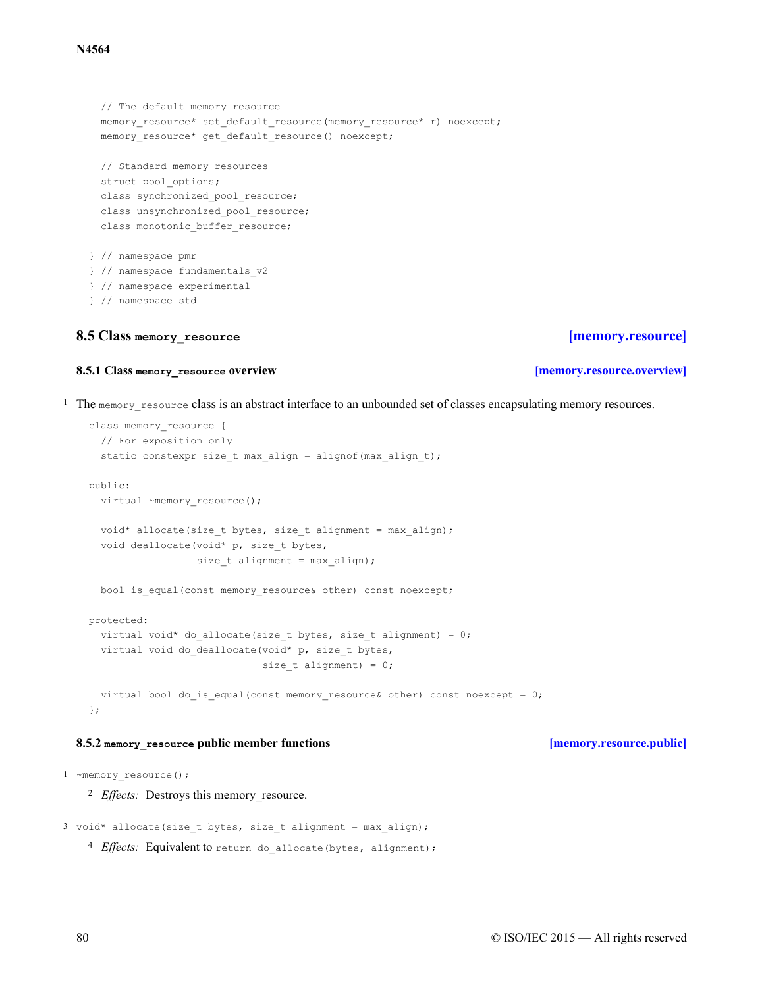// The default memory resource memory resource\* set default resource(memory resource\* r) noexcept; memory\_resource\* get\_default\_resource() noexcept; // Standard memory resources struct pool options; class synchronized pool resource; class unsynchronized pool resource; class monotonic buffer resource; } // namespace pmr } // namespace fundamentals\_v2 } // namespace experimental

### } // namespace std

# <span id="page-79-0"></span>**8.5 Class memory\_resource [\[memory.resource\]](#page-79-0)**

# **8.5.1 Class memory\_resource overview [\[memory.resource.overview\]](#page-79-1)**

<span id="page-79-1"></span> $1$  The memory resource class is an abstract interface to an unbounded set of classes encapsulating memory resources.

```
class memory_resource {
  // For exposition only
  static constexpr size t max align = alignof(max align t);
public:
  virtual ~memory resource();
  void* allocate(size t bytes, size t alignment = max align);
  void deallocate(void* p, size t bytes,
                  size_t alignment = max_align);
  bool is equal(const memory resource& other) const noexcept;
protected:
  virtual void* do allocate(size t bytes, size t alignment) = 0;
  virtual void do deallocate(void* p, size t bytes,
                             size t alignment) = 0;virtual bool do is equal(const memory resource& other) const noexcept = 0;
};
```
# **8.5.2 memory\_resource public member functions [\[memory.resource.public\]](#page-79-2)**

<span id="page-79-2"></span>1 ~memory resource();

<sup>2</sup> *Effects:* Destroys this memory\_resource.

```
3 void* allocate(size_t bytes, size_t alignment = max_align);
```

```
4 Effects: Equivalent to return do allocate(bytes, alignment);
```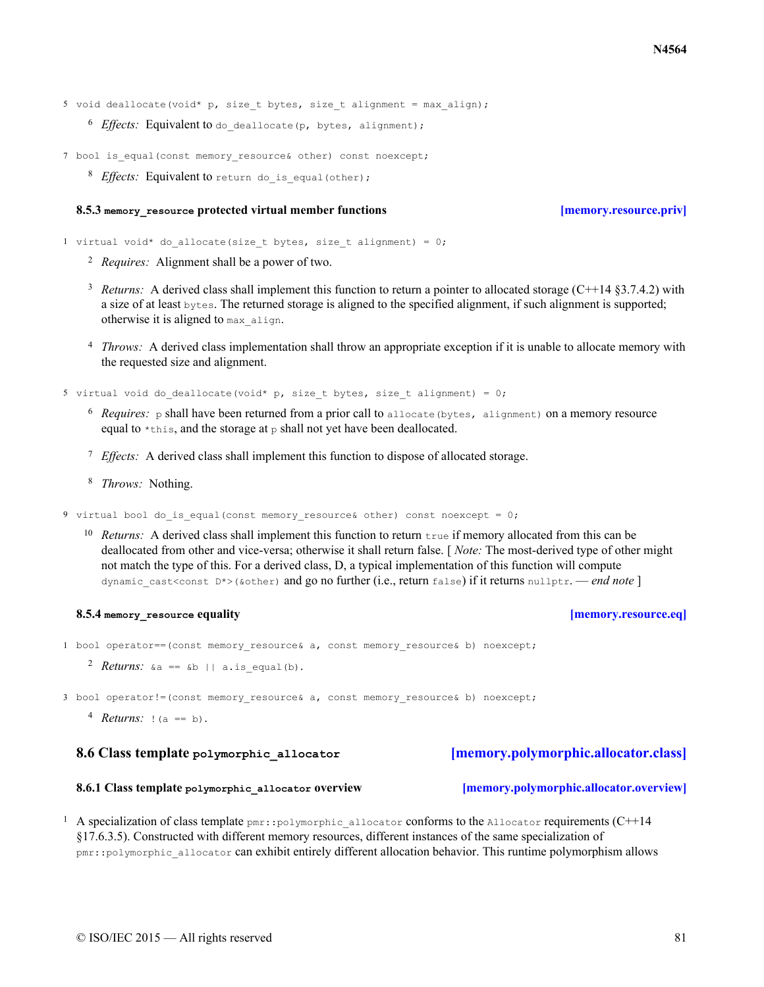- 5 void deallocate(void\* p, size t bytes, size t alignment = max align);
	- 6 Effects: Equivalent to do deallocate (p, bytes, alignment);
- 7 bool is equal(const memory resource& other) const noexcept;
	- 8 Effects: Equivalent to return do is equal(other);

### **8.5.3 memory\_resource protected virtual member functions [\[memory.resource.priv\]](#page-80-0)**

<span id="page-80-0"></span>1 virtual void\* do allocate(size t bytes, size t alignment) = 0;

- *Requires:* <sup>2</sup> Alignment shall be a power of two.
- <sup>3</sup> Returns: A derived class shall implement this function to return a pointer to allocated storage (C++14  $\S 3.7.4.2$ ) with a size of at least bytes. The returned storage is aligned to the specified alignment, if such alignment is supported; otherwise it is aligned to max\_align.
- <sup>4</sup> *Throws:* A derived class implementation shall throw an appropriate exception if it is unable to allocate memory with the requested size and alignment.

5 virtual void do deallocate(void\* p, size t bytes, size t alignment) = 0;

- $^6$  *Requires:* p shall have been returned from a prior call to allocate (bytes, alignment) on a memory resource equal to  $\star$ this, and the storage at p shall not yet have been deallocated.
- <sup>7</sup> *Effects*: A derived class shall implement this function to dispose of allocated storage.
- <sup>8</sup> *Throws:* Nothing.

9 virtual bool do is equal(const memory resource& other) const noexcept = 0;

<sup>10</sup> Returns: A derived class shall implement this function to return true if memory allocated from this can be deallocated from other and vice-versa; otherwise it shall return false. [ *Note:* The most-derived type of other might not match the type of this. For a derived class, D, a typical implementation of this function will compute dynamic\_cast<const D\*>(&other) and go no further (i.e., return false) if it returns nullptr. — *end note* ]

### **8.5.4 memory\_resource equality [\[memory.resource.eq\]](#page-80-1)**

- <span id="page-80-1"></span>1 bool operator==(const memory resource& a, const memory resource& b) noexcept;
	- $R$ *eturns*:  $\&a == b$  || a.is equal(b).

3 bool operator!=(const memory resource& a, const memory resource& b) noexcept;

<sup>4</sup> *Returns:* ! (a == b).

### <span id="page-80-2"></span>**8.6 Class template polymorphic\_allocator [\[memory.polymorphic.allocator.class\]](#page-80-2)**

### **8.6.1 Class template polymorphic\_allocator overview [\[memory.polymorphic.allocator.overview\]](#page-80-3)**

<span id="page-80-3"></span><sup>1</sup> A specialization of class template  $pm:$ :polymorphic\_allocator conforms to the Allocator requirements (C++14 §17.6.3.5). Constructed with different memory resources, different instances of the same specialization of pmr::polymorphic\_allocator can exhibit entirely different allocation behavior. This runtime polymorphism allows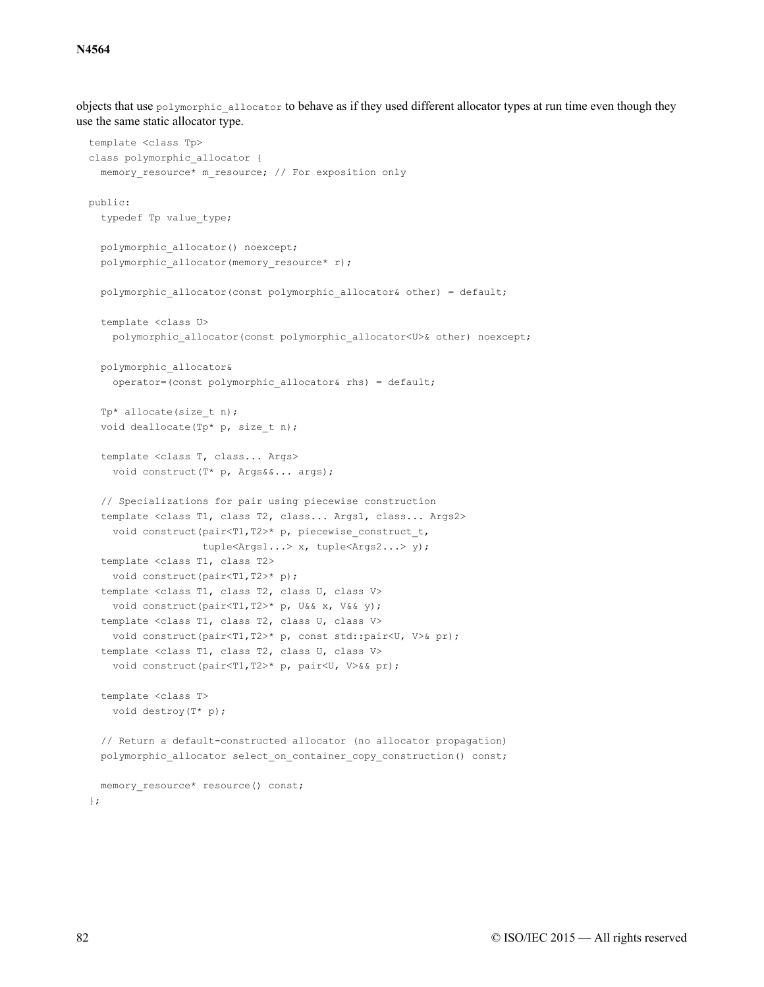objects that use polymorphic allocator to behave as if they used different allocator types at run time even though they use the same static allocator type.

```
template <class Tp>
class polymorphic allocator {
  memory resource* m_resource; // For exposition only
public:
  typedef Tp value_type;
  polymorphic_allocator() noexcept;
  polymorphic allocator(memory resource* r);
  polymorphic allocator(const polymorphic allocator& other) = default;
  template <class U>
   polymorphic_allocator(const polymorphic_allocator<U>& other) noexcept;
  polymorphic_allocator&
    operator=(const polymorphic_allocator& rhs) = default;
  Tp* allocate(size t n);
  void deallocate(Tp* p, size t n);
  template <class T, class... Args>
    void construct(T* p, Args&&... args);
  // Specializations for pair using piecewise construction
  template <class T1, class T2, class... Args1, class... Args2>
    void construct(pair<T1,T2>* p, piecewise construct t,
                   tuple<Args1...> x, tuple<Args2...> y);
  template <class T1, class T2>
   void construct(pair<T1,T2>* p);
  template <class T1, class T2, class U, class V>
   void construct(pair<T1,T2>* p, U&& x, V&& y);
  template <class T1, class T2, class U, class V>
   void construct(pair<T1,T2>* p, const std::pair<U, V>& pr);
  template <class T1, class T2, class U, class V>
    void construct(pair<T1,T2>* p, pair<U, V>&& pr);
  template <class T>
   void destroy(T* p);
  // Return a default-constructed allocator (no allocator propagation)
  polymorphic allocator select on container copy construction() const;
  memory resource* resource() const;
```
};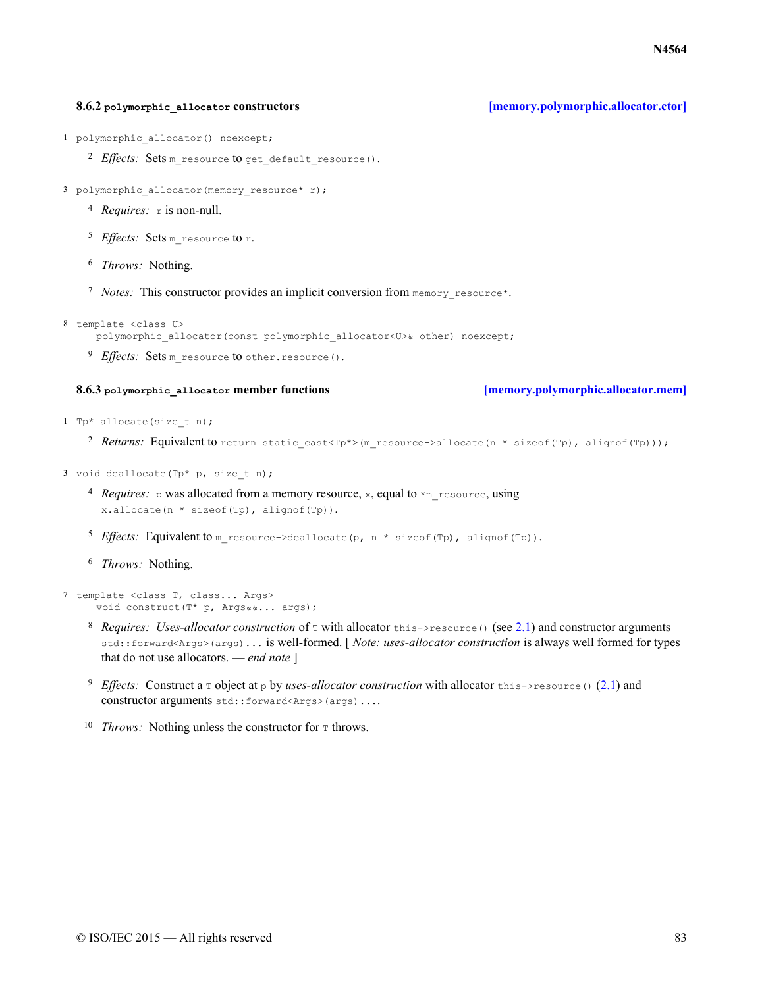### **8.6.2 polymorphic\_allocator constructors [\[memory.polymorphic.allocator.ctor\]](#page-82-0)**

<span id="page-82-0"></span>1 polymorphic allocator() noexcept;

- <sup>2</sup> *Effects*: Sets m\_resource to get\_default\_resource().
- 3 polymorphic allocator(memory resource\* r);
	- <sup>4</sup> *Requires:* r is non-null.
	- <sup>5</sup> *Effects*: Sets m\_resource to r.
	- <sup>6</sup> *Throws:* Nothing.
	- <sup>7</sup> Notes: This constructor provides an implicit conversion from memory resource\*.
- 8 template <class U>

polymorphic\_allocator(const polymorphic\_allocator<U>& other) noexcept;

<sup>9</sup> *Effects*: Sets m resource to other.resource().

### **8.6.3 polymorphic\_allocator member functions [\[memory.polymorphic.allocator.mem\]](#page-82-1)**

- <span id="page-82-1"></span>1 Tp\* allocate(size t n);
	- 2 Returns: Equivalent to return static\_cast<Tp\*>(m\_resource->allocate(n \* sizeof(Tp), alignof(Tp)));
- 3 void deallocate (Tp\* p, size t n);
	- <sup>4</sup> *Requires:* p was allocated from a memory resource, x, equal to \*m\_resource, using x.allocate(n \* sizeof(Tp), alignof(Tp)).
	- <sup>5</sup> *Effects*: Equivalent to m resource->deallocate(p, n \* sizeof(Tp), alignof(Tp)).
	- <sup>6</sup> Throws: Nothing.

```
7 template <class T, class... Args>
     void construct(T* p, Args&&... args);
```
- <sup>8</sup> *Requires: Uses-allocator construction* of  $\tau$  with allocator this->resource() (see [2.1\)](#page-10-0) and constructor arguments std::forward<Args>(args)... is well-formed. [ *Note: uses-allocator construction* is always well formed for types that do not use allocators. — *end note* ]
- <sup>9</sup> *Effects:* Construct a  $\text{ }$  object at  $\text{ }$  by *uses-allocator construction* with allocator  $\text{ }$ this->resource() [\(2.1\)](#page-10-0) and constructor arguments std::forward<Args>(args)....
- <sup>10</sup> *Throws:* Nothing unless the constructor for **T** throws.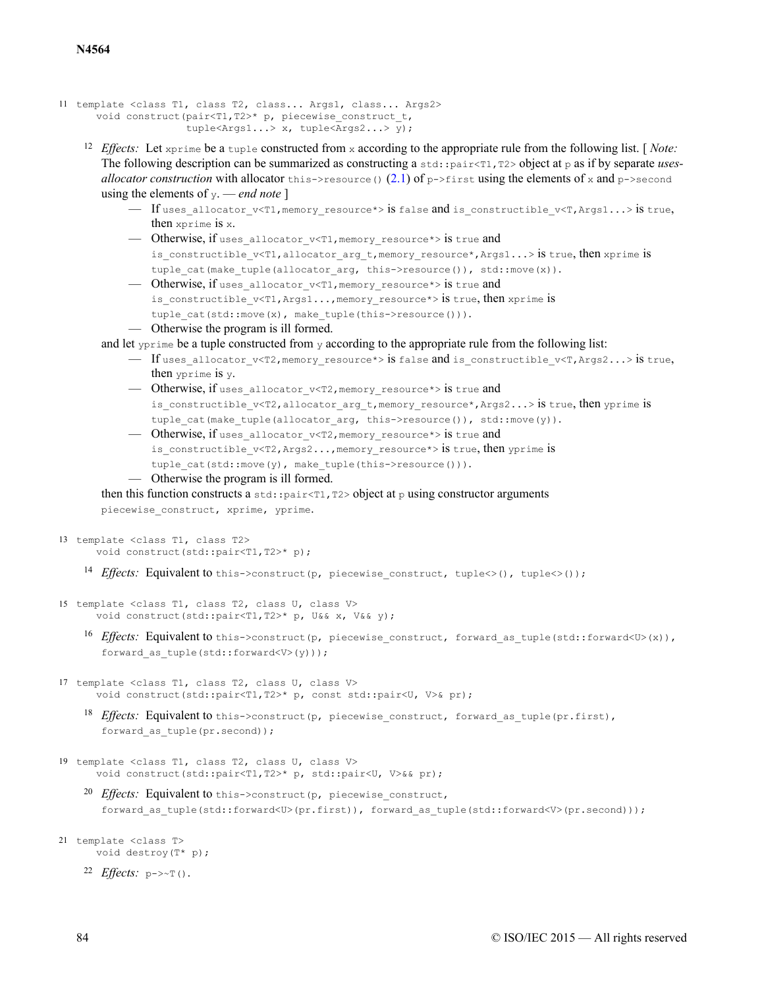```
11 template <class T1, class T2, class... Args1, class... Args2>
      void construct(pair<T1,T2>* p, piecewise_construct_t,
                     tuple<Args1...> x, tuple<Args2...> y);
```
- <sup>12</sup> *Effects:* Let  $x$ prime be a tuple constructed from x according to the appropriate rule from the following list. [*Note:* The following description can be summarized as constructing a std::pair<T1,T2> object at p as if by separate *usesallocator construction* with allocator this->resource() [\(2.1\)](#page-10-0) of p->first using the elements of x and p->second using the elements of y. — *end note* ]
	- $-$  If uses allocator v<T1, memory resource\*> is false and is constructible v<T, Args1...> is true, then xprime is x.
	- Otherwise, if uses\_allocator\_v<T1,memory\_resource\*> is true and is constructible v<T1,allocator arg t,memory resource\*, Args1...> is true, then xprime is tuple cat(make tuple(allocator arg, this->resource()), std::move(x)).
	- Otherwise, if uses allocator v<T1, memory resource\*> is true and is constructible v<T1,Args1...,memory resource\*> is true, then xprime is tuple cat(std::move(x), make tuple(this->resource())). — Otherwise the program is ill formed.

and let  $y_{\text{prime}}$  be a tuple constructed from y according to the appropriate rule from the following list:

- If uses allocator v<T2, memory resource\*> is false and is constructible v<T, Args2...> is true, then yprime is y.
- Otherwise, if uses\_allocator\_v<T2,memory\_resource\*> is true and is constructible v<T2,allocator arg t,memory resource\*,Args2...> is true, then yprime is tuple cat(make tuple(allocator arg, this->resource()), std::move(y)).
- Otherwise, if uses allocator v<T2, memory resource\*> is true and is constructible  $v < T2$ , Args2..., memory resource\*> is true, then yprime is tuple cat(std::move(y), make tuple(this->resource())).
- Otherwise the program is ill formed.

then this function constructs a std::pair <T1,T2> object at p using constructor arguments

piecewise construct, xprime, yprime.

```
13 template <class T1, class T2>
      void construct(std::pair<T1,T2>* p);
```
<sup>14</sup> Effects: Equivalent to this->construct(p, piecewise construct, tuple<>(), tuple<>());

```
15 template <class T1, class T2, class U, class V>
      void construct(std::pair<T1,T2>* p, U&& x, V&& y);
```
- 16 Effects: Equivalent to this->construct(p, piecewise construct, forward as tuple(std::forward<U>(x)), forward as tuple(std::forward<V>(y)));
- 17 template <class T1, class T2, class U, class V> void construct(std::pair<T1,T2>\* p, const std::pair<U, V>& pr);

18 *Effects*: Equivalent to this->construct(p, piecewise construct, forward as tuple(pr.first), forward as tuple(pr.second));

- 19 template <class T1, class T2, class U, class V> void construct(std::pair<T1,T2>\* p, std::pair<U, V>&& pr);
	- <sup>20</sup> *Effects*: Equivalent to this->construct(p, piecewise construct, forward as tuple(std::forward<U>(pr.first)), forward as tuple(std::forward<V>(pr.second)));
- 21 template <class T> void destroy(T\* p);
	- $^{22}$  *Effects*:  $p \rightarrow \sim T()$ .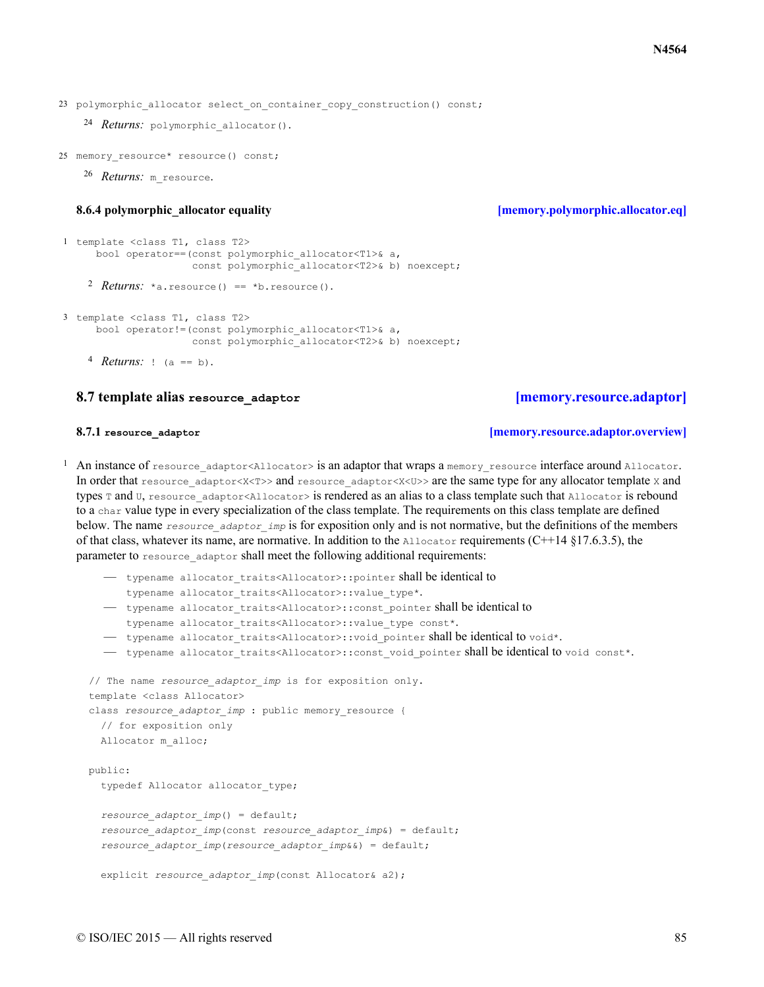23 polymorphic allocator select on container\_copy\_construction() const;

```
24 Returns: polymorphic allocator().
```
25 memory resource\* resource() const;

```
26 Returns: m resource.
```
### **8.6.4** polymorphic allocator equality **and in the intervention of the set of the intervention of the intervention of the intervention of the intervention of the intervention of the intervention of the intervention of the**

```
2 Returns: *a.resource() == *b.resource().
1 template <class T1, class T2>
     bool operator==(const polymorphic_allocator<T1>& a,
                     const polymorphic allocator<T2>& b) noexcept;
3 template <class T1, class T2>
     bool operator!=(const polymorphic_allocator<T1>& a,
```

```
const polymorphic allocator<T2>& b) noexcept;
```
### <span id="page-84-1"></span>**8.7 template alias resource\_adaptor [\[memory.resource.adaptor\]](#page-84-1)**

### **8.7.1 resource** adaptor *adaptor later <b>integral is the contract of the contract of the contract of the contract of the contract of the contract of the contract of the contract of the contract of the contract of*

*Returns:* <sup>4</sup> ! (a == b).

<span id="page-84-2"></span><sup>1</sup> An instance of resource adaptor<Allocator> is an adaptor that wraps a memory resource interface around Allocator. In order that resource adaptor<X<T>>>>> and resource adaptor<X<U>> are the same type for any allocator template x and types  $\pi$  and  $\sigma$ , resource adaptor<Allocator> is rendered as an alias to a class template such that Allocator is rebound to a char value type in every specialization of the class template. The requirements on this class template are defined below. The name *resource adaptor imp* is for exposition only and is not normative, but the definitions of the members of that class, whatever its name, are normative. In addition to the Allocator requirements (C++14 §17.6.3.5), the parameter to resource adaptor shall meet the following additional requirements:

```
— typename allocator traits<Allocator>::pointer shall be identical to
```

```
typename allocator traits<Allocator>::value type*.
```

```
— typename allocator traits<Allocator>::const pointer shall be identical to
```

```
typename allocator traits<Allocator>::value type const*.
```
- typename allocator traits<Allocator>::void pointer shall be identical to void\*.
- typename allocator traits<Allocator>::const void pointer shall be identical to void const\*.

```
// The name resource_adaptor_imp is for exposition only.
template <class Allocator>
class resource adaptor imp : public memory resource {
  // for exposition only
 Allocator m_alloc;
public:
```

```
typedef Allocator allocator type;
```

```
resource_adaptor_imp() = default;
resource_adaptor_imp(const resource_adaptor_imp&) = default;
resource_adaptor_imp(resource_adaptor_imp&&) = default;
```

```
explicit resource_adaptor_imp(const Allocator& a2);
```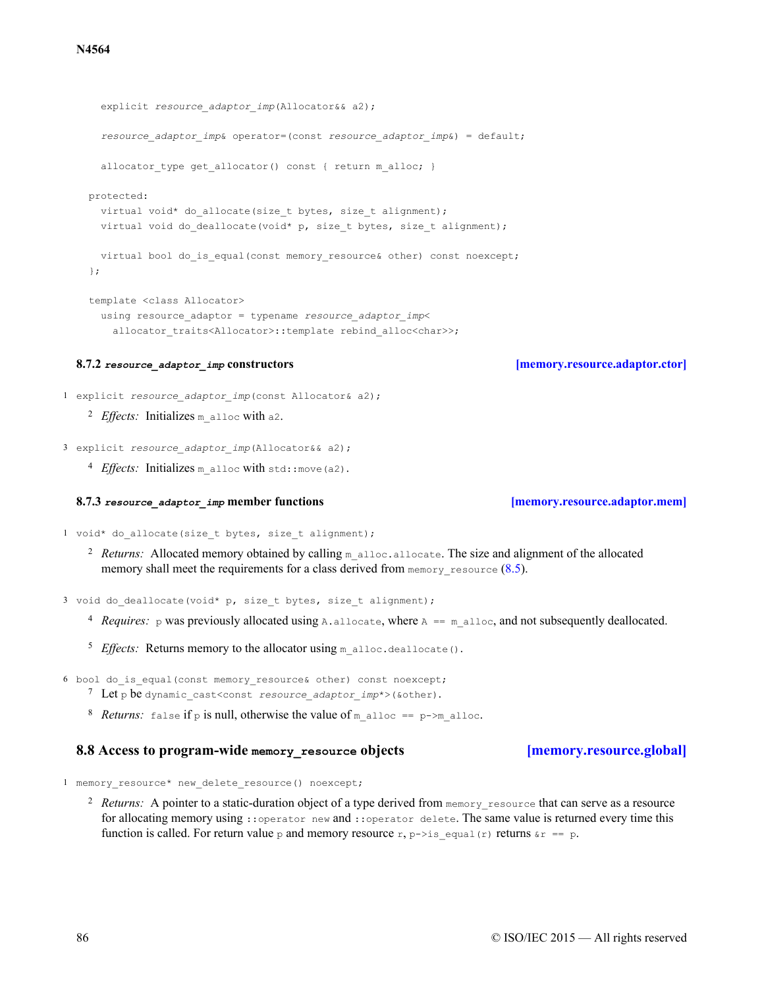```
explicit resource adaptor imp(Allocator&& a2);
   resource_adaptor_imp& operator=(const resource_adaptor_imp&) = default;
   allocator type get allocator() const { return m alloc; }
 protected:
   virtual void* do allocate(size t bytes, size t alignment);
   virtual void do deallocate(void* p, size t bytes, size t alignment);
   virtual bool do is equal(const memory resource& other) const noexcept;
 };
 template <class Allocator>
   using resource_adaptor = typename resource_adaptor_imp<
     allocator traits<Allocator>::template rebind alloc<char>>;
8.7.2 resource_adaptor_imp constructors [memory.resource.adaptor.ctor]
```
<span id="page-85-0"></span>1 explicit *resource\_adaptor\_imp*(const Allocator& a2);

```
<sup>2</sup> Effects: Initializes m alloc with a2.
```
- 3 explicit *resource\_adaptor\_imp*(Allocator&& a2);
	- 4 *Effects*: Initializes m alloc with std::move(a2).

### **8.7.3** *resource\_adaptor\_imp* **member functions [\[memory.resource.adaptor.mem\]](#page-85-1)**

<span id="page-85-1"></span>1 void\* do allocate(size t bytes, size t alignment);

<sup>2</sup> Returns: Allocated memory obtained by calling m\_alloc.allocate. The size and alignment of the allocated memory shall meet the requirements for a class derived from memory resource  $(8.5)$ .

3 void do deallocate(void\* p, size t bytes, size t alignment);

- <sup>4</sup> *Requires:*  $\beta$  was previously allocated using A.allocate, where  $\beta$  == m\_alloc, and not subsequently deallocated.
- <sup>5</sup> Effects: Returns memory to the allocator using m\_alloc.deallocate().
- 6 bool do is equal(const memory resource& other) const noexcept;
	- <sup>7</sup> Let p be dynamic\_cast<const *resource\_adaptor\_imp*\*>(&other).
	- 8 *Returns*: false if p is null, otherwise the value of m\_alloc == p->m\_alloc.

### **8.8 Access to program-wide memory\_resource objects [\[memory.resource.global\]](#page-85-2)**

<span id="page-85-2"></span>1 memory resource\* new delete resource() noexcept;

<sup>2</sup> Returns: A pointer to a static-duration object of a type derived from memory resource that can serve as a resource for allocating memory using ::operator new and ::operator delete. The same value is returned every time this function is called. For return value p and memory resource r, p->is equal(r) returns  $\alpha r = p$ .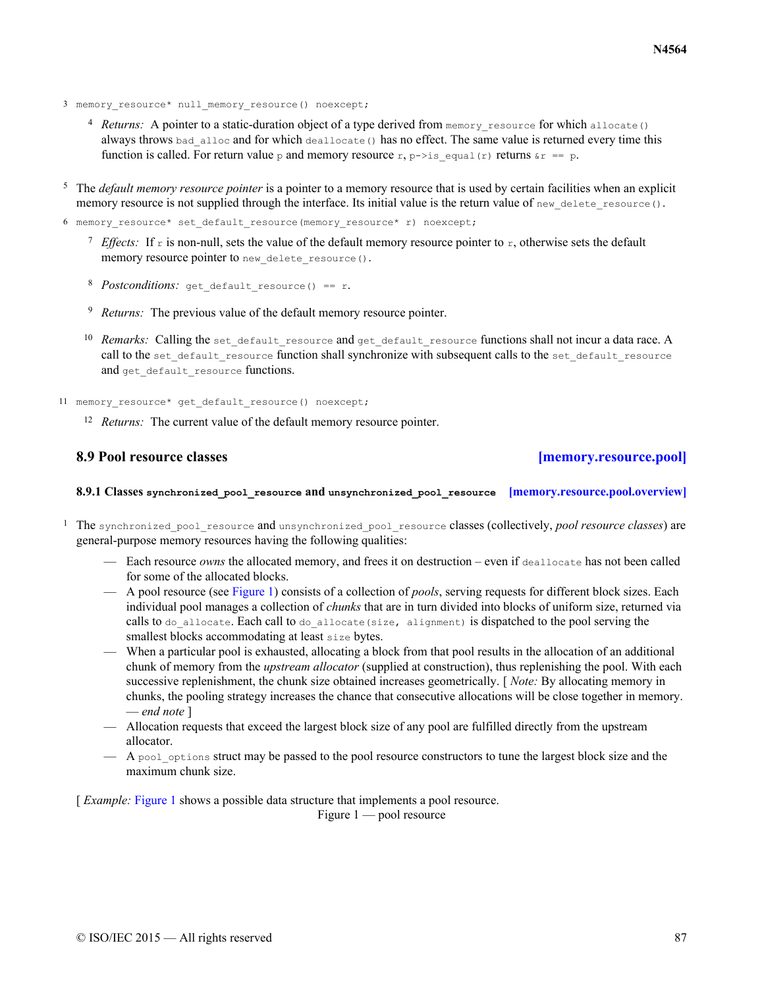- 3 memory resource\* null memory resource() noexcept;
	- 4 Returns: A pointer to a static-duration object of a type derived from memory resource for which allocate() always throws bad alloc and for which deallocate() has no effect. The same value is returned every time this function is called. For return value p and memory resource  $r, p \rightarrow is\_equal(r)$  returns  $\epsilon r = p$ .
- <sup>5</sup> The *default memory resource pointer* is a pointer to a memory resource that is used by certain facilities when an explicit memory resource is not supplied through the interface. Its initial value is the return value of  $new$  delete resource().

6 memory resource\* set default resource(memory resource\* r) noexcept;

- <sup>7</sup> *Effects:* If  $\epsilon$  is non-null, sets the value of the default memory resource pointer to  $\epsilon$ , otherwise sets the default memory resource pointer to new delete resource().
- 8 Postconditions: get default resource() == r.
- <sup>9</sup> *Returns:* The previous value of the default memory resource pointer.
- <sup>10</sup> Remarks: Calling the set default resource and get default resource functions shall not incur a data race. A call to the set\_default\_resource function shall synchronize with subsequent calls to the set\_default\_resource and get default resource functions.
- 11 memory resource\* get default resource() noexcept;
	- <sup>12</sup> *Returns:* The current value of the default memory resource pointer.

### <span id="page-86-0"></span>**8.9 Pool resource classes [\[memory.resource.pool\]](#page-86-0)**

- **8.9.1 Classes synchronized\_pool\_resource and unsynchronized\_pool\_resource [\[memory.resource.pool.overview\]](#page-86-1)**
- <span id="page-86-1"></span><sup>1</sup> The synchronized pool resource and unsynchronized pool resource classes (collectively, *pool resource classes*) are general-purpose memory resources having the following qualities:
	- Each resource *owns* the allocated memory, and frees it on destruction even if deallocate has not been called for some of the allocated blocks.
	- A pool resource (see [Figure 1\)](#page-86-2) consists of a collection of *pools*, serving requests for different block sizes. Each individual pool manages a collection of *chunks* that are in turn divided into blocks of uniform size, returned via calls to do allocate. Each call to do allocate (size, alignment) is dispatched to the pool serving the smallest blocks accommodating at least size bytes.
	- When a particular pool is exhausted, allocating a block from that pool results in the allocation of an additional chunk of memory from the *upstream allocator* (supplied at construction), thus replenishing the pool. With each successive replenishment, the chunk size obtained increases geometrically. [ *Note:* By allocating memory in chunks, the pooling strategy increases the chance that consecutive allocations will be close together in memory. — *end note* ]
	- Allocation requests that exceed the largest block size of any pool are fulfilled directly from the upstream allocator.
	- $-$  A pool options struct may be passed to the pool resource constructors to tune the largest block size and the maximum chunk size.

<span id="page-86-2"></span>[*Example: [Figure 1](#page-86-2)* shows a possible data structure that implements a pool resource.]

Figure 1 — pool resource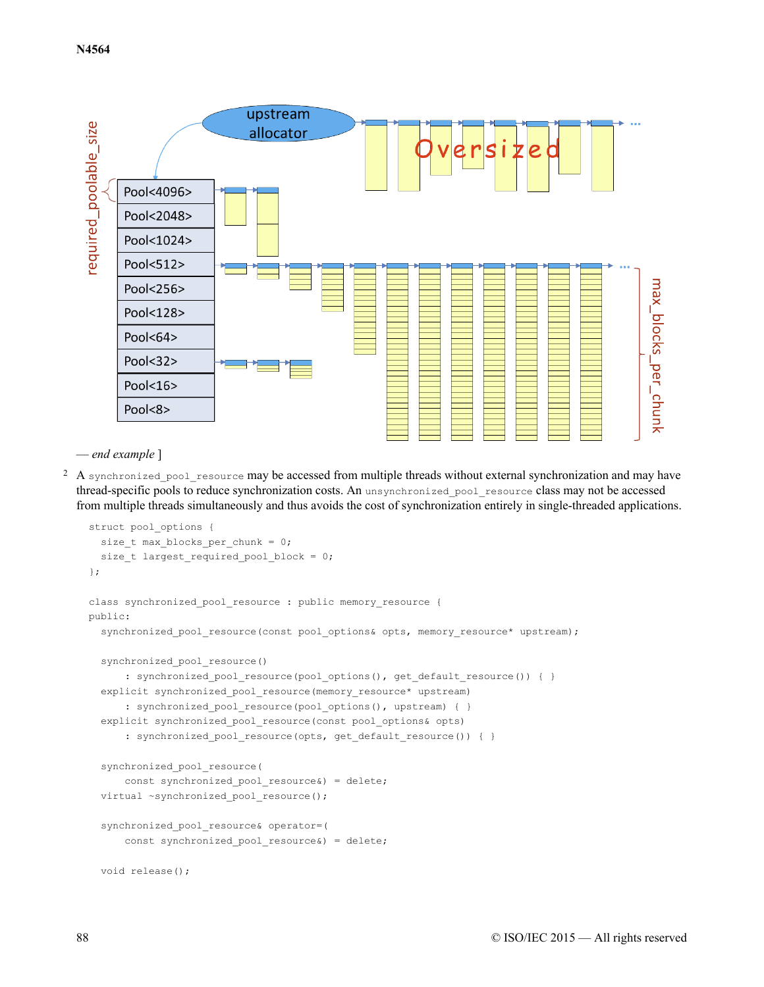

— *end example* ]

<sup>2</sup> A synchronized pool resource may be accessed from multiple threads without external synchronization and may have thread-specific pools to reduce synchronization costs. An unsynchronized\_pool\_resource class may not be accessed from multiple threads simultaneously and thus avoids the cost of synchronization entirely in single-threaded applications.

```
struct pool options {
 size_t max_blocks_per_chunk = 0;
  size t largest required pool block = 0;
};
class synchronized pool resource : public memory resource {
public:
  synchronized pool resource(const pool options& opts, memory resource* upstream);
  synchronized pool resource()
      : synchronized pool resource(pool options(), get default resource()) { }
  explicit synchronized pool resource(memory resource* upstream)
      : synchronized_pool_resource(pool_options(), upstream) { }
  explicit synchronized pool resource(const pool options& opts)
      : synchronized pool resource(opts, get default resource()) { }
  synchronized_pool_resource(
      const synchronized_pool_resource&) = delete;
  virtual ~synchronized pool resource();
  synchronized pool resource& operator=(
      const synchronized pool resource&) = delete;
  void release();
```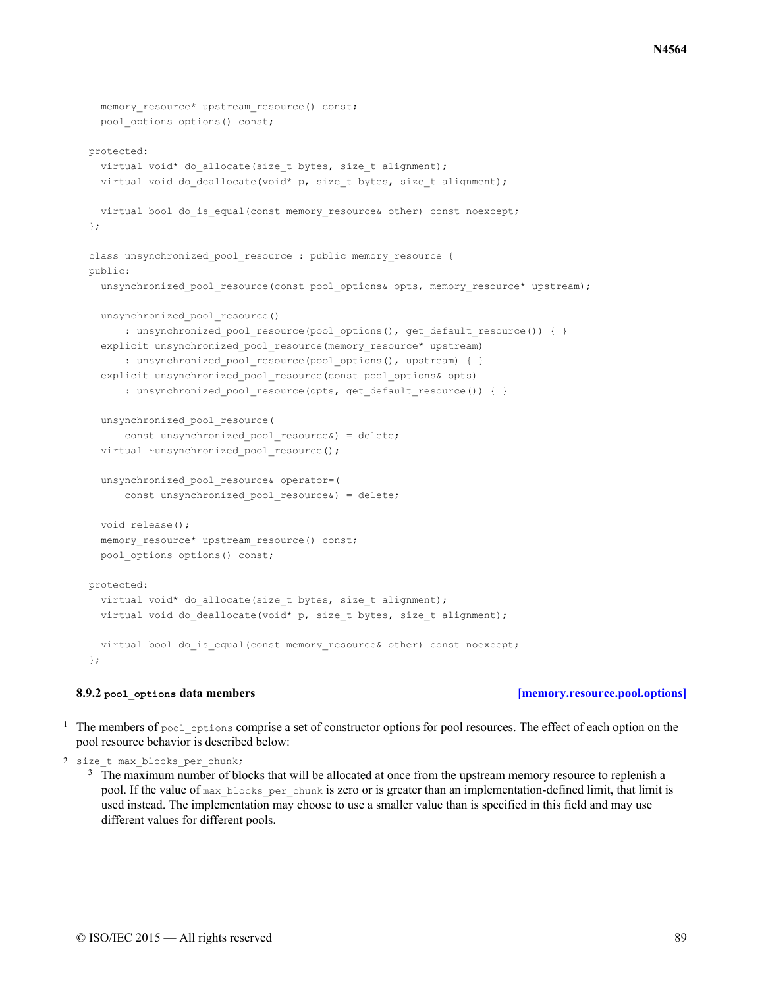```
memory resource* upstream resource() const;
  pool options options() const;
protected:
  virtual void* do allocate(size t bytes, size t alignment);
  virtual void do deallocate(void* p, size t bytes, size t alignment);
  virtual bool do is equal(const memory resource& other) const noexcept;
};
class unsynchronized pool resource : public memory resource {
public:
  unsynchronized pool resource(const pool options& opts, memory resource* upstream);
  unsynchronized_pool_resource()
      : unsynchronized pool resource(pool options(), get default resource()) { }
  explicit unsynchronized_pool_resource(memory_resource* upstream)
      : unsynchronized pool resource(pool options(), upstream) { }
  explicit unsynchronized pool resource(const pool options& opts)
      : unsynchronized_pool_resource(opts, get_default_resource()) { }
  unsynchronized_pool_resource(
      const unsynchronized pool resource&) = delete;
  virtual ~unsynchronized pool resource();
  unsynchronized_pool_resource& operator=(
      const unsynchronized pool resource&) = delete;
  void release();
  memory_resource* upstream_resource() const;
  pool options options() const;
protected:
 virtual void* do allocate(size t bytes, size t alignment);
 virtual void do deallocate(void* p, size t bytes, size t alignment);
 virtual bool do is equal(const memory resource& other) const noexcept;
};
```
# **8.9.2 pool\_options data members [\[memory.resource.pool.options\]](#page-88-0)**

<span id="page-88-0"></span><sup>1</sup> The members of pool options comprise a set of constructor options for pool resources. The effect of each option on the pool resource behavior is described below:

```
2 size_t max_blocks_per_chunk;
```
<sup>3</sup> The maximum number of blocks that will be allocated at once from the upstream memory resource to replenish a pool. If the value of max blocks per chunk is zero or is greater than an implementation-defined limit, that limit is used instead. The implementation may choose to use a smaller value than is specified in this field and may use different values for different pools.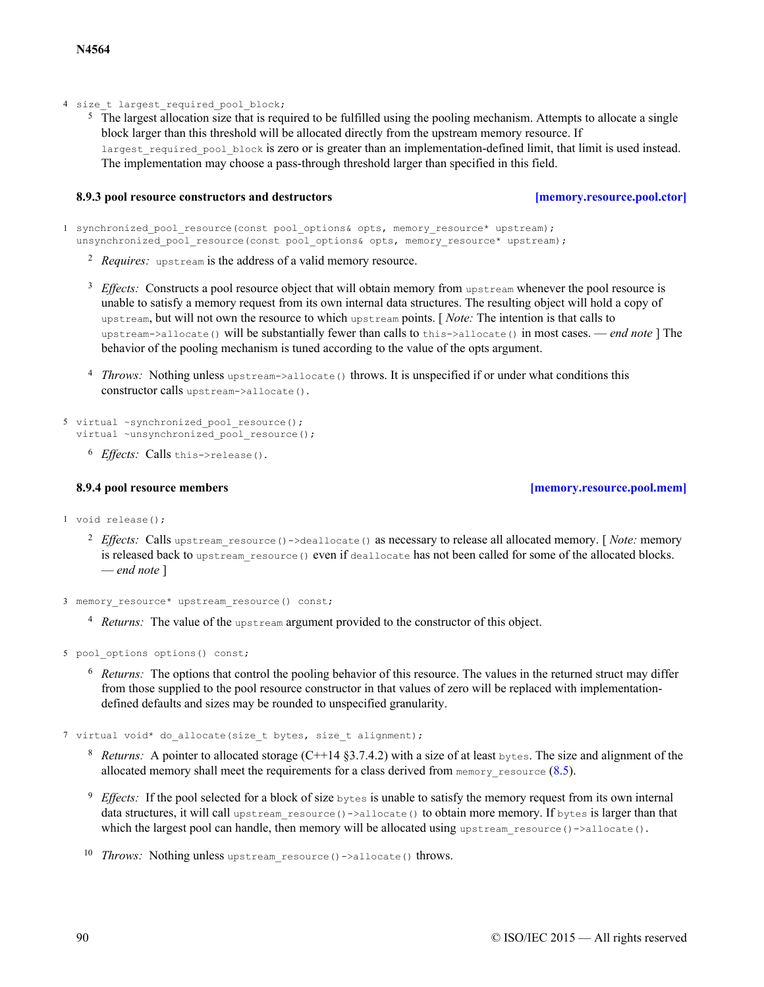4 size t largest required pool block;

<sup>5</sup> The largest allocation size that is required to be fulfilled using the pooling mechanism. Attempts to allocate a single block larger than this threshold will be allocated directly from the upstream memory resource. If largest required pool block is zero or is greater than an implementation-defined limit, that limit is used instead. The implementation may choose a pass-through threshold larger than specified in this field.

### **8.9.3 pool resource constructors and destructors [\[memory.resource.pool.ctor\]](#page-89-0)**

<span id="page-89-0"></span>1 synchronized pool resource(const pool options& opts, memory resource\* upstream); unsynchronized pool resource(const pool options& opts, memory resource\* upstream);

- <sup>2</sup> Requires: upstream is the address of a valid memory resource.
- <sup>3</sup> *Effects:* Constructs a pool resource object that will obtain memory from upstream whenever the pool resource is unable to satisfy a memory request from its own internal data structures. The resulting object will hold a copy of upstream, but will not own the resource to which upstream points. [ *Note:* The intention is that calls to upstream->allocate() will be substantially fewer than calls to this->allocate() in most cases. — *end note* ] The behavior of the pooling mechanism is tuned according to the value of the opts argument.
- <sup>4</sup> *Throws:* Nothing unless upstream->allocate() throws. It is unspecified if or under what conditions this constructor calls upstream->allocate().

```
5 virtual ~synchronized pool resource();
  virtual ~unsynchronized pool resource();
```
<sup>6</sup> *Effects*: Calls this->release().

### **8.9.4 pool resource members [\[memory.resource.pool.mem\]](#page-89-1)**

- <span id="page-89-1"></span>1 void release();
	- <sup>2</sup> Effects: Calls upstream\_resource()->deallocate() as necessary to release all allocated memory. [*Note:* memory is released back to upstream resource() even if deallocate has not been called for some of the allocated blocks. — *end note* ]
- 3 memory resource\* upstream resource() const;
	- <sup>4</sup> Returns: The value of the upstream argument provided to the constructor of this object.

5 pool\_options options() const;

<sup>6</sup> Returns: The options that control the pooling behavior of this resource. The values in the returned struct may differ from those supplied to the pool resource constructor in that values of zero will be replaced with implementationdefined defaults and sizes may be rounded to unspecified granularity.

7 virtual void\* do allocate(size t bytes, size t alignment);

- $R_{\text{eturns}}$ : A pointer to allocated storage (C++14 §3.7.4.2) with a size of at least bytes. The size and alignment of the allocated memory shall meet the requirements for a class derived from  $\text{memory}$  resource ([8.5](#page-79-0)).
- $9$  *Effects:* If the pool selected for a block of size  $_{\text{bytes}}$  is unable to satisfy the memory request from its own internal data structures, it will call upstream resource()->allocate() to obtain more memory. If bytes is larger than that which the largest pool can handle, then memory will be allocated using upstream resource()->allocate().
- 10 Throws: Nothing unless upstream resource()->allocate() throws.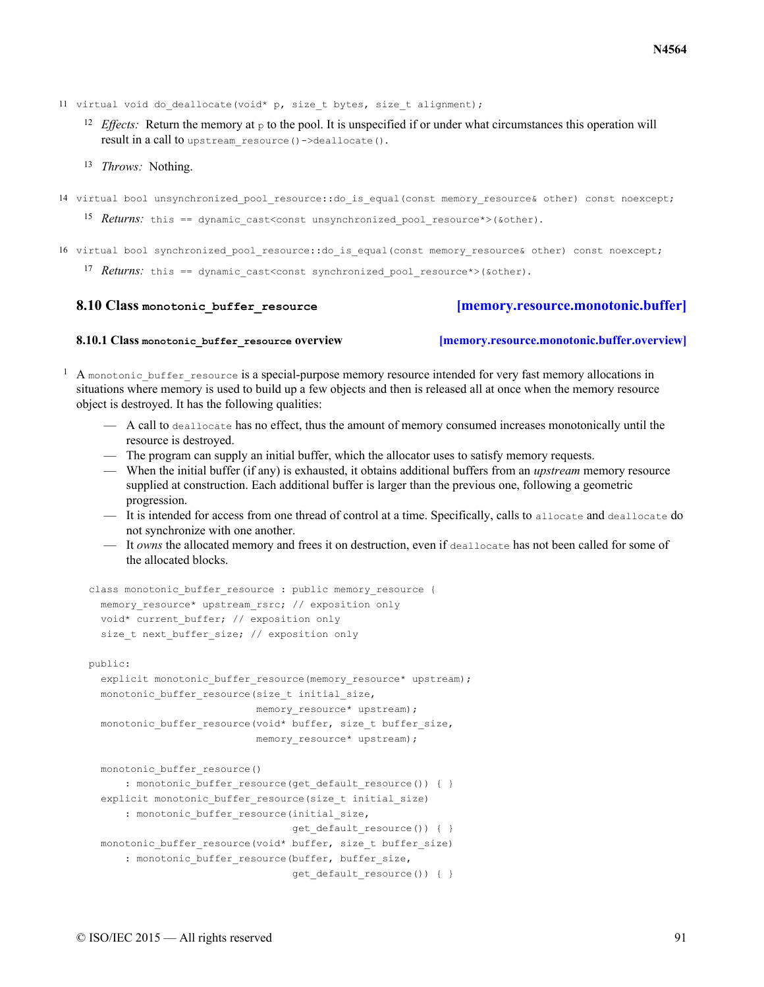11 virtual void do deallocate(void\* p, size t bytes, size t alignment);

- <sup>12</sup> *Effects:* Return the memory at  $\beta$  to the pool. It is unspecified if or under what circumstances this operation will result in a call to upstream resource()->deallocate().
- <sup>13</sup> *Throws:* Nothing.
- 14 virtual bool unsynchronized pool resource::do is equal(const memory resource& other) const noexcept;

15 *Returns*: this == dynamic cast<const unsynchronized pool resource\*>(&other).

16 virtual bool synchronized pool resource::do is equal(const memory resource& other) const noexcept;

17 **Returns**: this == dynamic cast<const synchronized pool resource\*>(&other).

```
8.10 Class monotonic_buffer_resource [memory.resource.monotonic.buffer]
```

```
8.10.1 Class monotonic_buffer_resource overview [memory.resource.monotonic.buffer.overview]
```
<span id="page-90-1"></span> $1$  A monotonic buffer resource is a special-purpose memory resource intended for very fast memory allocations in situations where memory is used to build up a few objects and then is released all at once when the memory resource object is destroyed. It has the following qualities:

- A call to deallocate has no effect, thus the amount of memory consumed increases monotonically until the resource is destroyed.
- The program can supply an initial buffer, which the allocator uses to satisfy memory requests.
- When the initial buffer (if any) is exhausted, it obtains additional buffers from an *upstream* memory resource supplied at construction. Each additional buffer is larger than the previous one, following a geometric progression.
- It is intended for access from one thread of control at a time. Specifically, calls to allocate and deallocate do not synchronize with one another.
- It *owns* the allocated memory and frees it on destruction, even if deallocate has not been called for some of the allocated blocks.

```
class monotonic buffer resource : public memory resource {
 memory resource* upstream rsrc; // exposition only
 void* current buffer; // exposition only
 size t next buffer size; // exposition only
```
public:

```
explicit monotonic_buffer_resource(memory_resource* upstream);
monotonic buffer resource(size t initial size,
                         memory resource* upstream);
monotonic buffer resource(void* buffer, size t buffer size,
```

```
memory resource* upstream);
```

```
monotonic_buffer_resource()
```

```
: monotonic buffer resource(get default resource()) { }
explicit monotonic buffer resource(size t initial size)
    : monotonic buffer resource(initial size,
                                get default resource()) { }
monotonic_buffer_resource(void* buffer, size_t buffer_size)
    : monotonic buffer resource(buffer, buffer size,
                                get default resource()) { }
```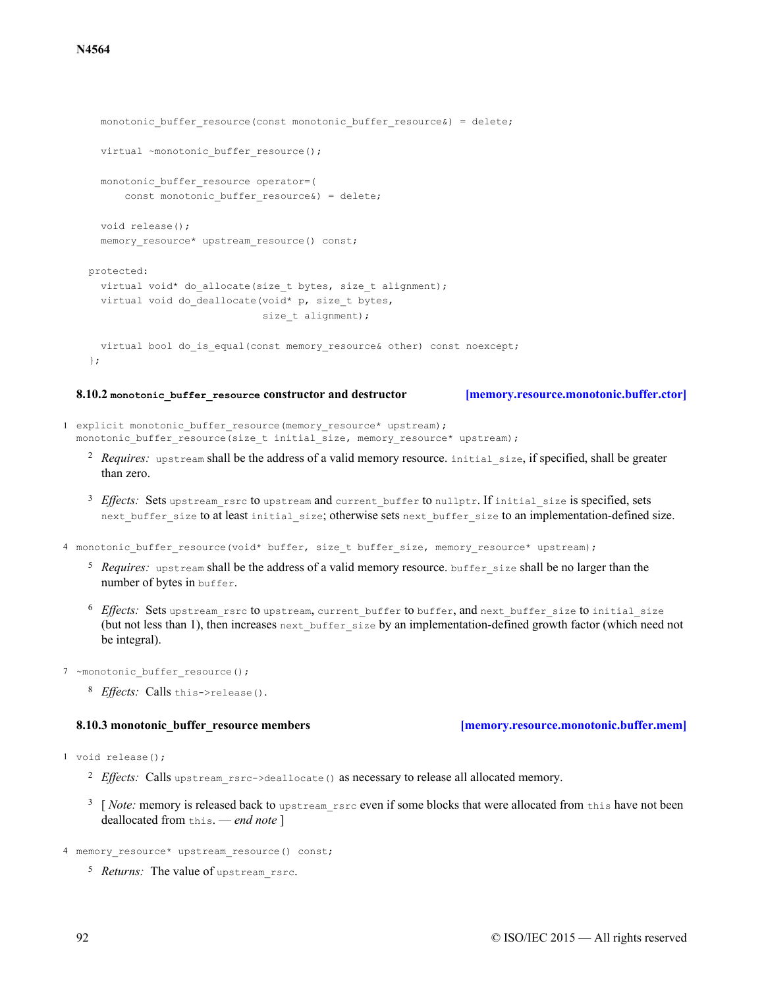# monotonic buffer resource(const monotonic buffer resource&) = delete; virtual ~monotonic buffer resource(); monotonic\_buffer\_resource operator=( const monotonic buffer resource&) = delete; void release(); memory resource\* upstream resource() const; protected: virtual void\* do allocate(size t bytes, size t alignment); virtual void do deallocate(void\* p, size t bytes, size t alignment); virtual bool do is equal(const memory resource& other) const noexcept; };

### **8.10.2 monotonic\_buffer\_resource constructor and destructor [\[memory.resource.monotonic.buffer.ctor\]](#page-91-0)**

- <span id="page-91-0"></span>1 explicit monotonic buffer resource(memory resource\* upstream); monotonic buffer resource(size t initial size, memory resource\* upstream);
	- <sup>2</sup> Requires: upstream shall be the address of a valid memory resource. initial size, if specified, shall be greater than zero.
	- <sup>3</sup> Effects: Sets upstream\_rsrc to upstream and current\_buffer to nullptr. If initial\_size is specified, sets next buffer size to at least initial size; otherwise sets next buffer size to an implementation-defined size.
- 4 monotonic buffer resource(void\* buffer, size t buffer size, memory resource\* upstream);
	- <sup>5</sup> Requires: upstream shall be the address of a valid memory resource. buffer size shall be no larger than the number of bytes in buffer.
	- $^6$  *Effects:* Sets upstream\_rsrc to upstream, current\_buffer to buffer, and next\_buffer\_size to initial\_size (but not less than 1), then increases next buffer size by an implementation-defined growth factor (which need not be integral).
- 7 ~monotonic buffer resource();

<span id="page-91-1"></span>1 void release();

8 *Effects*: Calls this->release().

```
<sup>2</sup> Effects: Calls upstream_rsrc->deallocate() as necessary to release all allocated memory.
```
- <sup>3</sup> [*Note:* memory is released back to upstream rsrc even if some blocks that were allocated from this have not been deallocated from this. — *end note* ]
- 4 memory resource\* upstream resource() const;
	- <sup>5</sup> Returns: The value of upstream rsrc.

# 92 © ISO/IEC 2015 — All rights reserved

**8.10.3 monotonic\_buffer\_resource members [\[memory.resource.monotonic.buffer.mem\]](#page-91-1)**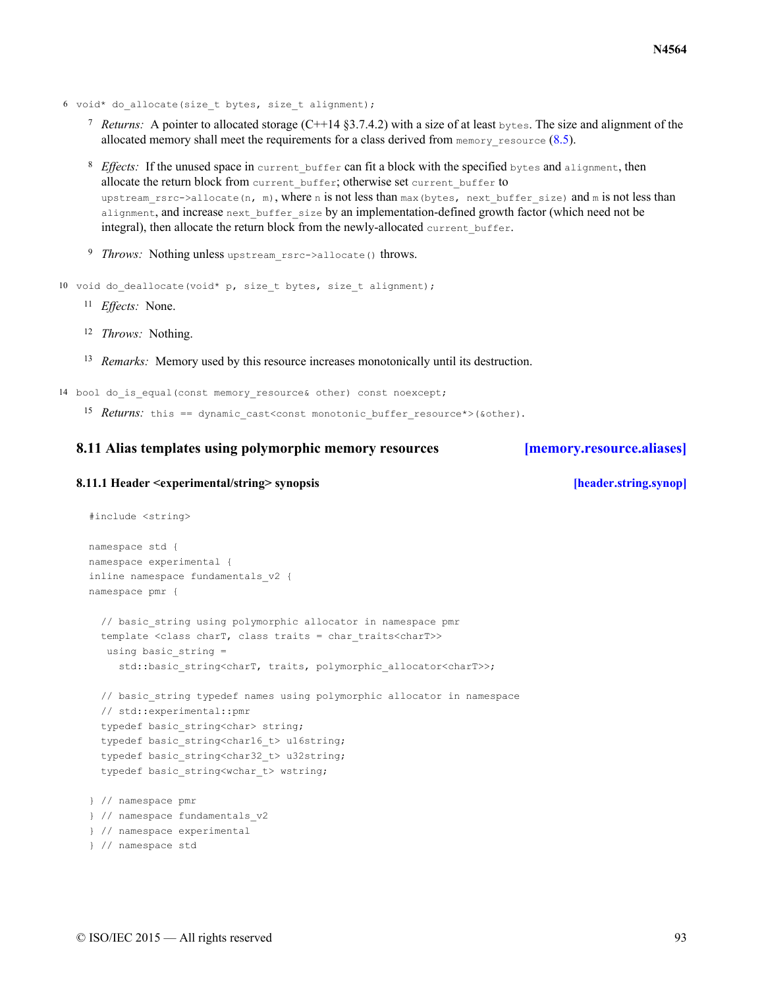- 6 void\* do\_allocate(size\_t bytes, size\_t alignment);
	- *Returns:* A pointer to allocated storage (C++14 §3.7.4.2) with a size of at least  $_{\text{bytes}}$ . The size and alignment of the allocated memory shall meet the requirements for a class derived from  $\text{memory}$  resource ([8.5](#page-79-0)).
	- <sup>8</sup> Effects: If the unused space in current buffer can fit a block with the specified bytes and alignment, then allocate the return block from current buffer; otherwise set current buffer to upstream rsrc->allocate(n, m), where n is not less than max(bytes, next buffer size) and m is not less than alignment, and increase next buffer size by an implementation-defined growth factor (which need not be integral), then allocate the return block from the newly-allocated current buffer.
	- <sup>9</sup> Throws: Nothing unless upstream rsrc->allocate() throws.
- 10 void do deallocate(void\* p, size t bytes, size t alignment);
	- <sup>11</sup> *Effects*: None.
	- <sup>12</sup> *Throws:* Nothing.
	- <sup>13</sup> Remarks: Memory used by this resource increases monotonically until its destruction.
- 14 bool do is equal(const memory resource& other) const noexcept;
	- 15 *Returns*: this == dynamic cast<const monotonic buffer resource\*>(&other).

### <span id="page-92-0"></span>**8.11 Alias templates using polymorphic memory resources [\[memory.resource.aliases\]](#page-92-0)**

### <span id="page-92-1"></span>**8.11.1 Header <experimental/string> synopsis [\[header.string.synop\]](#page-92-1)**

```
#include <string>
namespace std {
namespace experimental {
inline namespace fundamentals_v2 {
namespace pmr {
  // basic string using polymorphic allocator in namespace pmr
  template <class charT, class traits = char traits<charT>>
  using basic string =
     std::basic_string<charT, traits, polymorphic_allocator<charT>>;
  // basic string typedef names using polymorphic allocator in namespace
  // std::experimental::pmr
  typedef basic string<char> string;
  typedef basic string<char16 t> u16string;
  typedef basic string<char32 t> u32string;
 typedef basic string<wchar t> wstring;
} // namespace pmr
} // namespace fundamentals_v2
} // namespace experimental
} // namespace std
```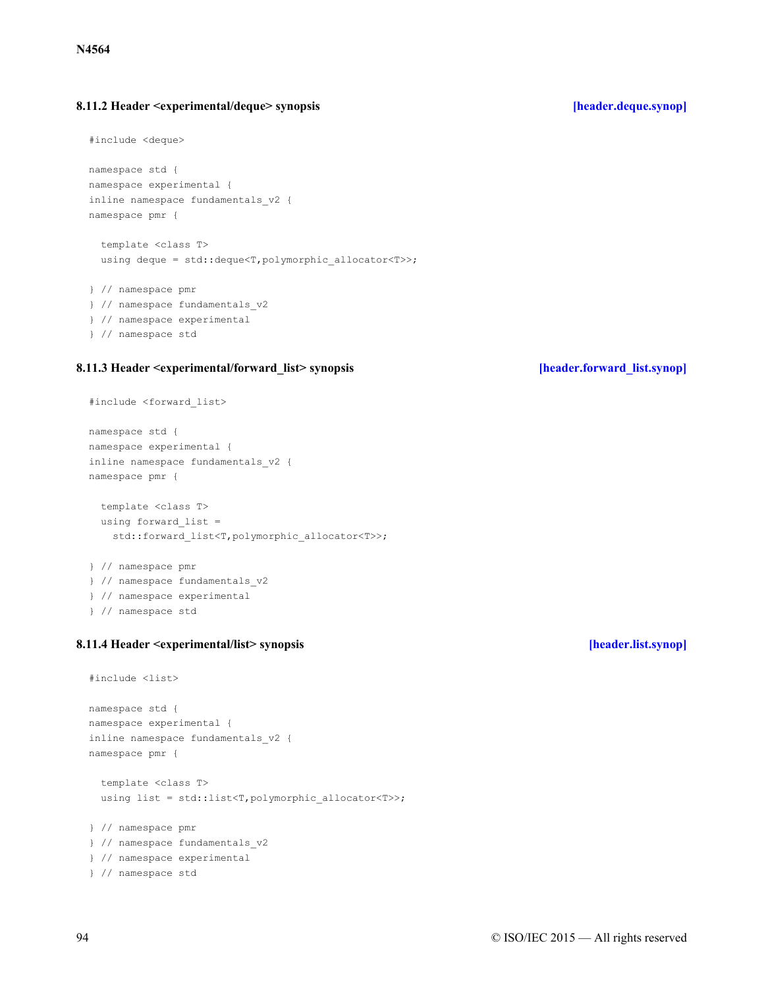### <span id="page-93-0"></span>**8.11.2 Header <experimental/deque> synopsis [\[header.deque.synop\]](#page-93-0)**

```
#include <deque>
```

```
namespace std {
namespace experimental {
inline namespace fundamentals_v2 {
namespace pmr {
```

```
template <class T>
using deque = std::deque<T,polymorphic allocator<T>>;
```

```
} // namespace pmr
} // namespace fundamentals_v2
} // namespace experimental
} // namespace std
```
### <span id="page-93-1"></span>**8.11.3 Header <experimental/forward\_list> synopsis [\[header.forward\\_list.synop\]](#page-93-1)**

```
#include <forward_list>
```

```
namespace std {
namespace experimental {
inline namespace fundamentals_v2 {
namespace pmr {
  template <class T>
  using forward_list =
   std::forward list<T,polymorphic allocator<T>>;
} // namespace pmr
} // namespace fundamentals_v2
} // namespace experimental
} // namespace std
```
### <span id="page-93-2"></span>**8.11.4 Header <experimental/list> synopsis [\[header.list.synop\]](#page-93-2)**

```
#include <list>
namespace std {
namespace experimental {
inline namespace fundamentals_v2 {
namespace pmr {
  template <class T>
 using list = std::list<T,polymorphic_allocator<T>>;
} // namespace pmr
} // namespace fundamentals_v2
} // namespace experimental
} // namespace std
```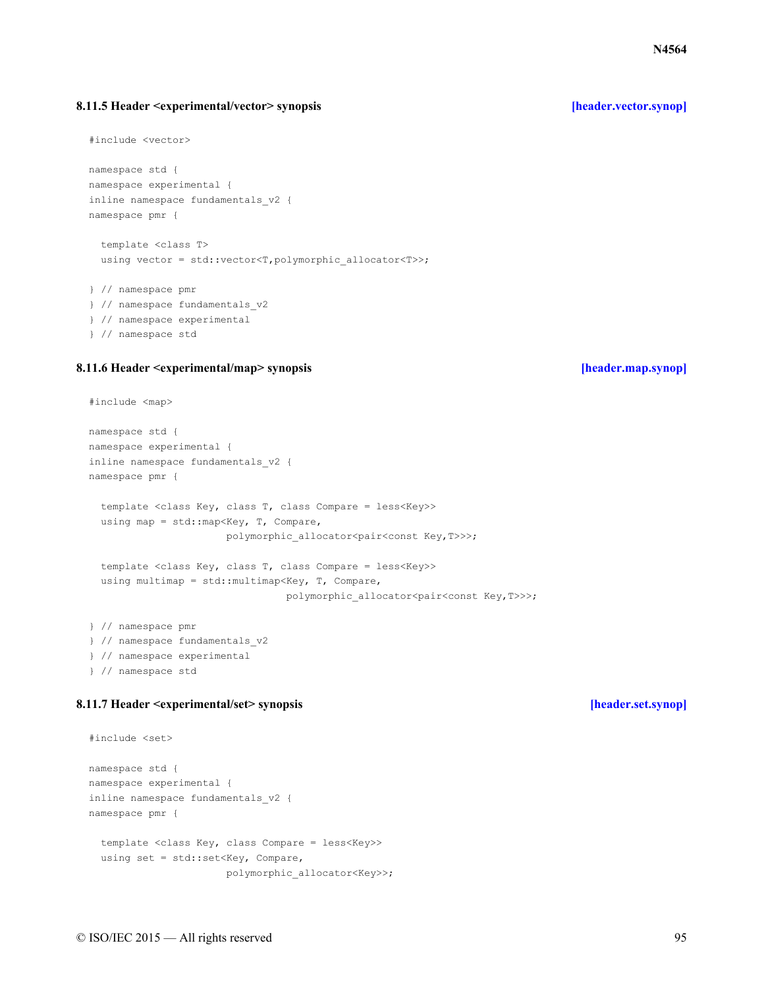### <span id="page-94-0"></span>**8.11.5 Header <experimental/vector> synopsis [\[header.vector.synop\]](#page-94-0)**

```
#include <vector>
```

```
namespace std {
namespace experimental {
inline namespace fundamentals_v2 {
namespace pmr {
  template <class T>
```

```
using vector = std::vector<T, polymorphic allocator<T>>;
```

```
} // namespace pmr
} // namespace fundamentals_v2
} // namespace experimental
} // namespace std
```
### <span id="page-94-1"></span>**8.11.6 Header <experimental/map> synopsis [\[header.map.synop\]](#page-94-1)**

```
#include <map>
```

```
namespace std {
namespace experimental {
inline namespace fundamentals_v2 {
namespace pmr {
  template <class Key, class T, class Compare = less<Key>>
  using map = std:: map<Key, T, Compare,
                       polymorphic allocator<pair<const Key, T>>>;
  template <class Key, class T, class Compare = less<Key>>
  using multimap = std:: multimap<Key, T, Compare,
                                 polymorphic allocator<pair<const Key, T>>>;
} // namespace pmr
```

```
} // namespace fundamentals_v2
} // namespace experimental
} // namespace std
```
# <span id="page-94-2"></span>**8.11.7 Header <experimental/set> synopsis [\[header.set.synop\]](#page-94-2)**

```
#include <set>
namespace std {
namespace experimental {
inline namespace fundamentals_v2 {
namespace pmr {
  template <class Key, class Compare = less<Key>>
  using set = std::set<Key, Compare,
                       polymorphic_allocator<Key>>;
```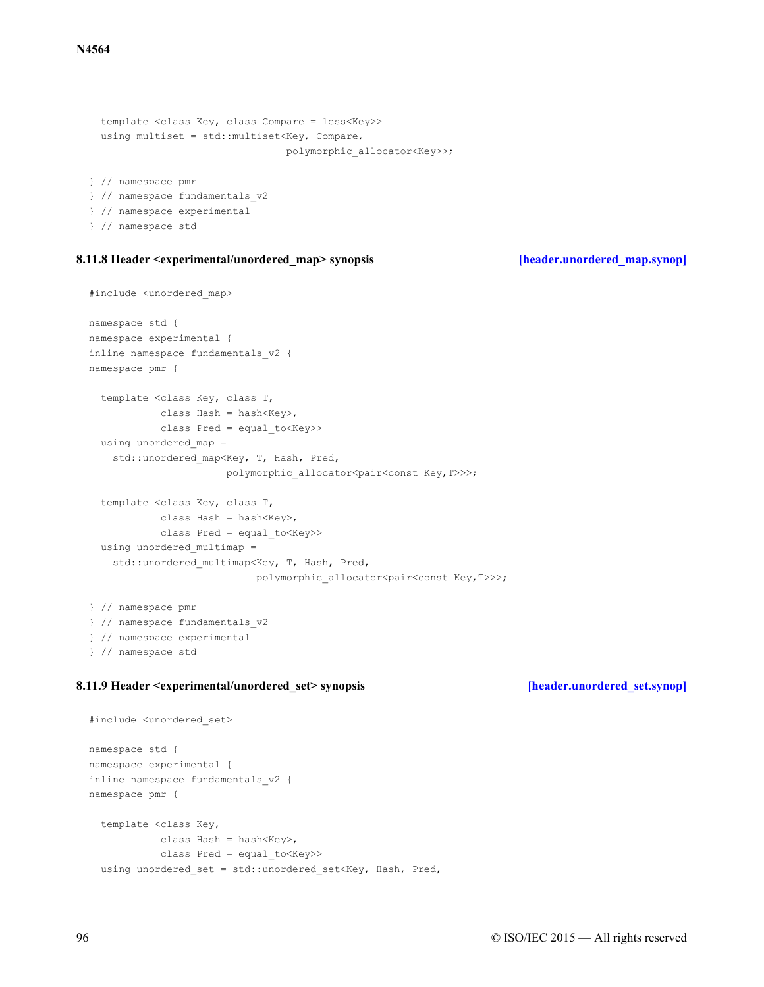```
template <class Key, class Compare = less<Key>>
 using multiset = std:: multiset<Key, Compare,
                                 polymorphic_allocator<Key>>;
} // namespace pmr
} // namespace fundamentals_v2
```

```
} // namespace experimental
```
} // namespace std

### <span id="page-95-0"></span>**8.11.8 Header <experimental/unordered\_map> synopsis [\[header.unordered\\_map.synop\]](#page-95-0)**

```
#include <unordered_map>
```

```
namespace std {
namespace experimental {
inline namespace fundamentals_v2 {
namespace pmr {
  template <class Key, class T,
           class Hash = hash<Key>,
            class Pred = equal_to<Key>>
 using unordered map =
   std:: unordered map<Key, T, Hash, Pred,
                       polymorphic_allocator<pair<const Key,T>>>;
  template <class Key, class T,
           class Hash = hash<Key>,
            class Pred = equal to<Key>>
  using unordered multimap =
    std:: unordered multimap<Key, T, Hash, Pred,
                            polymorphic_allocator<pair<const Key, T>>>;
} // namespace pmr
} // namespace fundamentals_v2
```

```
} // namespace experimental
```

```
} // namespace std
```
### <span id="page-95-1"></span>**8.11.9 Header <experimental/unordered\_set> synopsis [\[header.unordered\\_set.synop\]](#page-95-1)**

```
#include <unordered_set>
namespace std {
namespace experimental {
inline namespace fundamentals_v2 {
namespace pmr {
  template <class Key,
           class Hash = hash<Key>,
            class Pred = equal_to<Key>>
  using unordered_set = std::unordered_set<Key, Hash, Pred,
```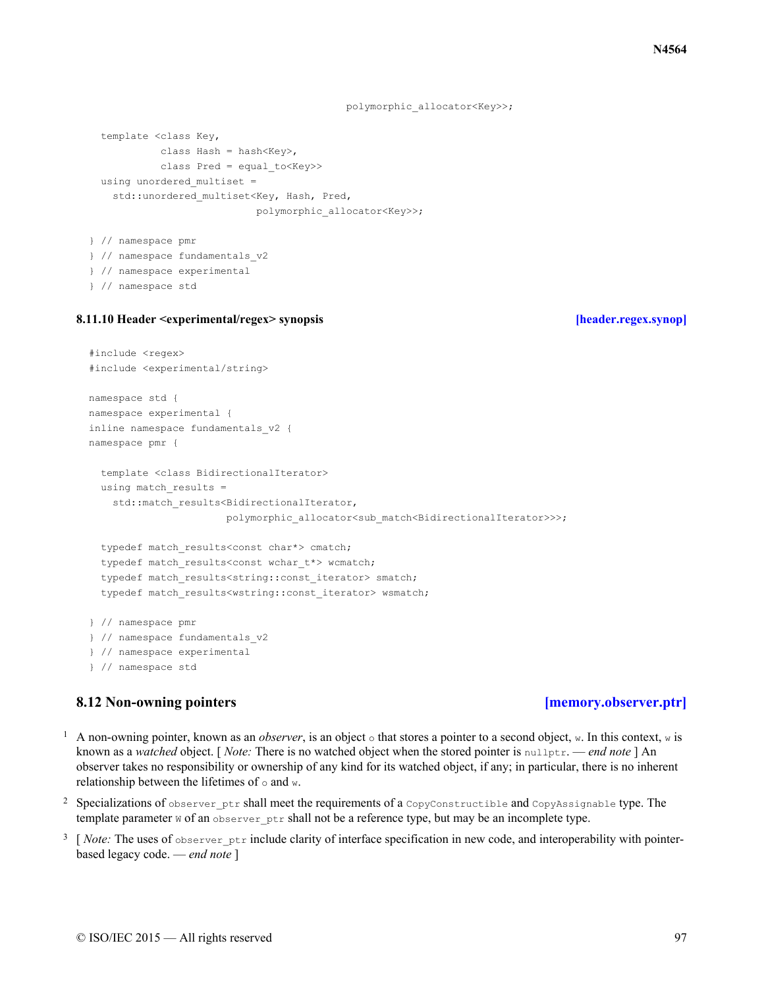polymorphic\_allocator<Key>>;

```
template <class Key,
           class Hash = hash<Key>,
           class Pred = equal_to<Key>>
 using unordered multiset =
   std:: unordered multiset<Key, Hash, Pred,
                            polymorphic_allocator<Key>>;
} // namespace pmr
```

```
} // namespace fundamentals_v2
} // namespace experimental
```

```
} // namespace std
```
### <span id="page-96-0"></span>**8.11.10 Header <experimental/regex> synopsis [\[header.regex.synop\]](#page-96-0)**

```
#include <regex>
#include <experimental/string>
namespace std {
namespace experimental {
inline namespace fundamentals_v2 {
namespace pmr {
  template <class BidirectionalIterator>
  using match results =std::match_results<BidirectionalIterator,
                       polymorphic_allocator<sub_match<BidirectionalIterator>>>;
  typedef match_results<const char*> cmatch;
  typedef match results<const wchar t*> wcmatch;
  typedef match_results<string::const iterator> smatch;
  typedef match results<wstring::const iterator> wsmatch;
} // namespace pmr
} // namespace fundamentals_v2
} // namespace experimental
} // namespace std
```
### <span id="page-96-1"></span>**8.12 Non-owning pointers [\[memory.observer.ptr\]](#page-96-1)**

- <sup>1</sup> A non-owning pointer, known as an *observer*, is an object  $\circ$  that stores a pointer to a second object, w. In this context, w is known as a *watched* object. [ *Note:* There is no watched object when the stored pointer is nullptr. — *end note* ] An observer takes no responsibility or ownership of any kind for its watched object, if any; in particular, there is no inherent relationship between the lifetimes of  $\circ$  and w.
- <sup>2</sup> Specializations of observer ptr shall meet the requirements of a CopyConstructible and CopyAssignable type. The template parameter  $w$  of an observer  $ptr$  shall not be a reference type, but may be an incomplete type.
- <sup>3</sup> [*Note:* The uses of observer ptr include clarity of interface specification in new code, and interoperability with pointerbased legacy code. — *end note* ]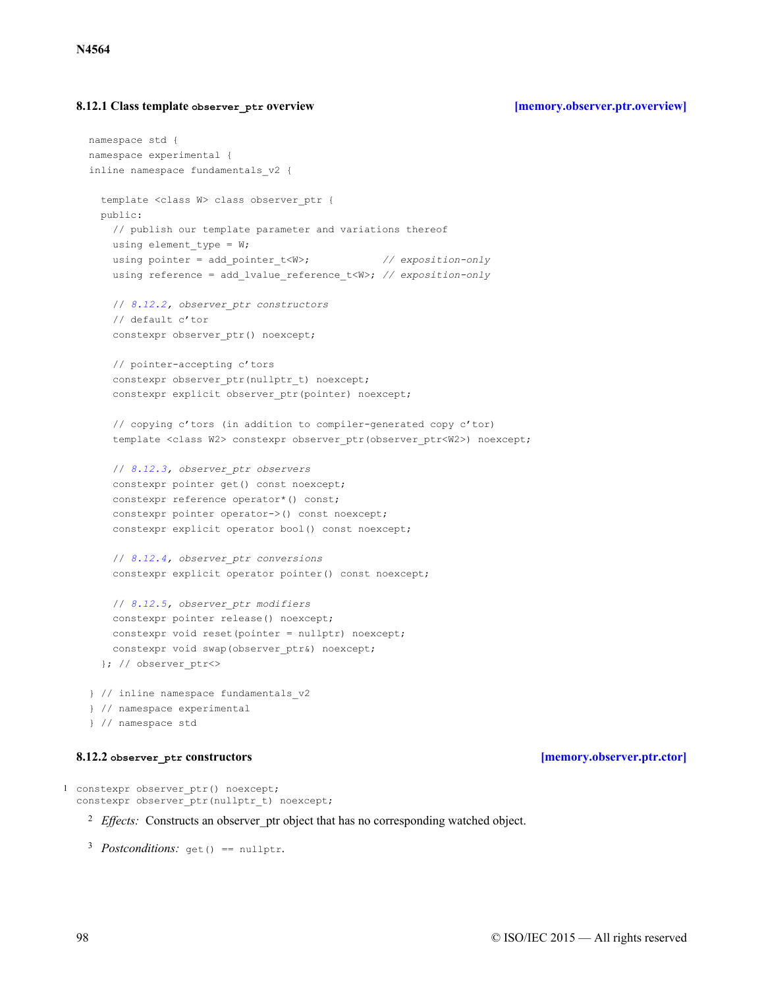### <span id="page-97-0"></span>**8.12.1 Class template observer\_ptr overview [\[memory.observer.ptr.overview\]](#page-97-0)**

```
namespace std {
namespace experimental {
inline namespace fundamentals_v2 {
  template <class W> class observer_ptr {
  public:
    // publish our template parameter and variations thereof
   using element_type = W;
   using pointer = add pointer t<W>; // exposition-only
   using reference = add_lvalue_reference_t<W>; // exposition-only
    // 8.12.2, observer_ptr constructors
    // default c'tor
    constexpr observer ptr() noexcept;
    // pointer-accepting c'tors
    constexpr observer ptr(nullptr_t) noexcept;
    constexpr explicit observer ptr(pointer) noexcept;
    // copying c'tors (in addition to compiler-generated copy c'tor)
    template <class W2> constexpr observer_ptr(observer_ptr<W2>) noexcept;
    // 8.12.3, observer_ptr observers
    constexpr pointer get() const noexcept;
    constexpr reference operator*() const;
    constexpr pointer operator->() const noexcept;
    constexpr explicit operator bool() const noexcept;
    // 8.12.4, observer_ptr conversions
    constexpr explicit operator pointer() const noexcept;
    // 8.12.5, observer_ptr modifiers
    constexpr pointer release() noexcept;
    constexpr void reset(pointer = nullptr) noexcept;
    constexpr void swap(observer_ptr&) noexcept;
  }; // observer_ptr<>
} // inline namespace fundamentals_v2
} // namespace experimental
} // namespace std
```
### **8.12.2 observer\_ptr constructors [\[memory.observer.ptr.ctor\]](#page-97-1)**

<span id="page-97-1"></span>1 constexpr observer\_ptr() noexcept; constexpr observer\_ptr(nullptr\_t) noexcept;

<sup>2</sup> *Effects:* Constructs an observer\_ptr object that has no corresponding watched object.

```
3 Postconditions: get() == nullptr.
```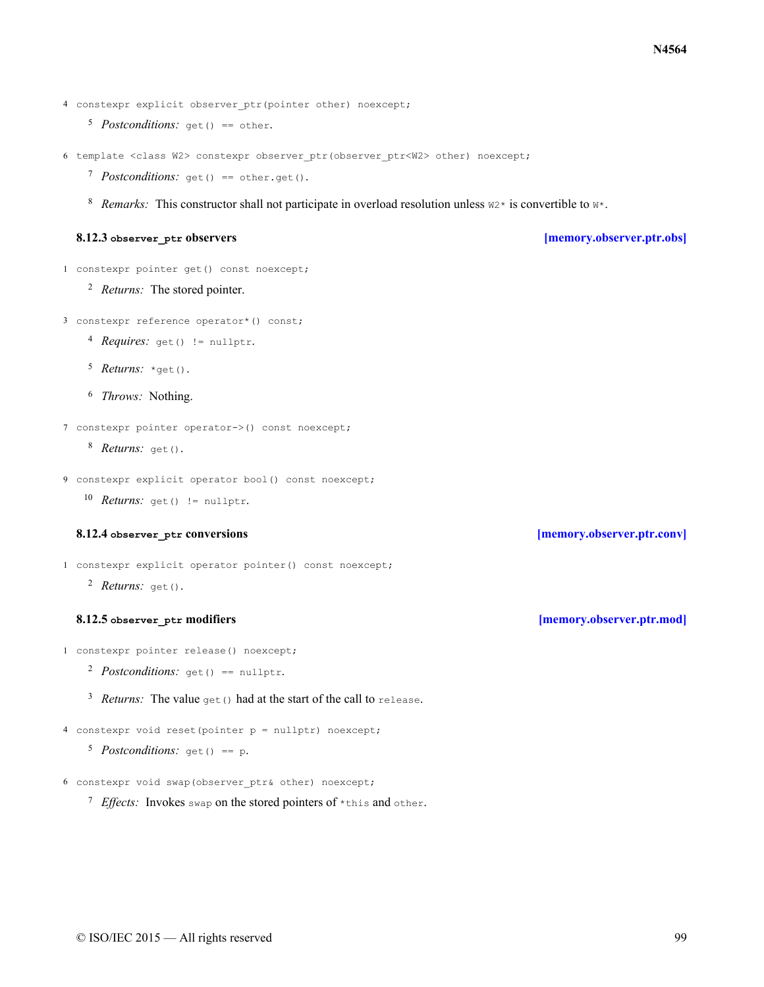4 constexpr explicit observer ptr(pointer other) noexcept;

- 5 Postconditions: get () == other.
- 6 template <class W2> constexpr observer ptr(observer ptr<W2> other) noexcept;
	- 7 Postconditions: get() == other.get().
	- <sup>8</sup> *Remarks:* This constructor shall not participate in overload resolution unless  $w^2$  is convertible to  $w^*$ .

### **8.12.3 observer\_ptr observers [\[memory.observer.ptr.obs\]](#page-98-0)**

<span id="page-98-0"></span>1 constexpr pointer get() const noexcept;

<sup>2</sup> *Returns:* The stored pointer.

3 constexpr reference operator\*() const;

- 4 Requires: get() != nullptr.
- 5 *Returns:* \*get().
- <sup>6</sup> *Throws:* Nothing.

8 Returns: get ().

```
9 constexpr explicit operator bool() const noexcept;
```
10 *Returns:* get() != nullptr.

### **8.12.4 observer\_ptr conversions [\[memory.observer.ptr.conv\]](#page-98-1)**

<span id="page-98-1"></span>1 constexpr explicit operator pointer() const noexcept;

2 *Returns:* get().

### **8.12.5 observer\_ptr modifiers [\[memory.observer.ptr.mod\]](#page-98-2)**

```
1 constexpr pointer release() noexcept;
```
- 2 *Postconditions*: get() == nullptr.
- <sup>3</sup> *Returns:* The value get() had at the start of the call to release.

4 constexpr void reset(pointer p = nullptr) noexcept;

- 5 Postconditions: get() == p.
- 6 constexpr void swap (observer ptr& other) noexcept;
	- $7$  *Effects*: Invokes swap on the stored pointers of  $*$ this and other.

<sup>7</sup> constexpr pointer operator->() const noexcept;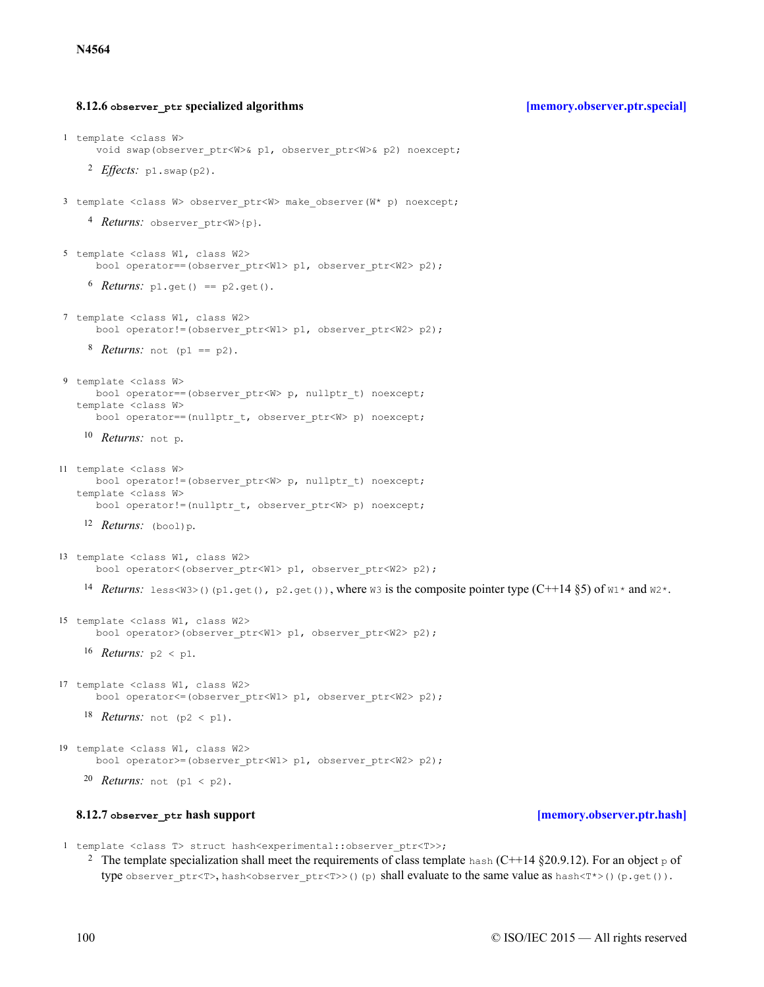### **8.12.6 observer\_ptr specialized algorithms [\[memory.observer.ptr.special\]](#page-99-0)**

```
2 Effects: p1.swap(p2).
     4 Returns: observer ptr<W>{p}.
     b Returns: p1.get() == p2.get().
     8 Returns: not (p1 == p2).
    10 Returns: not p.
    Returns:
12 (bool)p.
    14 Returns: Less<W3>()(p1.get(), p2.get()), where w3 is the composite pointer type (C+14 \S 5) of w1* and w2*.
    16 Returns: p2 < p1.
    18 Returns: not (p2 < p1).
    20 Returns: not (p1 < p2).
1 template <class W>
      void swap(observer ptr<W>& p1, observer ptr<W>& p2) noexcept;
3 template <class W> observer ptr<W> make observer(W* p) noexcept;
5 template <class W1, class W2>
      bool operator==(observer_ptr<W1> p1, observer_ptr<W2> p2);
7 template <class W1, class W2>
      bool operator!=(observer_ptr<W1> p1, observer_ptr<W2> p2);
9 template <class W>
     bool operator == (observer ptr<W> p, nullptr t) noexcept;
   template <class W>
     bool operator==(nullptr t, observer ptr<W> p) noexcept;
11 template <class W>
     bool operator!=(observer ptr<W> p, nullptr t) noexcept;
   template <class W>
      bool operator!=(nullptr t, observer ptr<W> p) noexcept;
13 template <class W1, class W2>
      bool operator<(observer ptr<W1> p1, observer ptr<W2> p2);
15 template <class W1, class W2>
      bool operator>(observer ptr<W1> p1, observer ptr<W2> p2);
17 template <class W1, class W2>
      bool operator<=(observer_ptr<W1> p1, observer_ptr<W2> p2);
19 template <class W1, class W2>
      bool operator>=(observer_ptr<W1> p1, observer_ptr<W2> p2);
```
### **8.12.7 observer\_ptr hash support [\[memory.observer.ptr.hash\]](#page-99-1)**

<span id="page-99-1"></span>1 template <class T> struct hash<experimental::observer ptr<T>>;

<sup>2</sup> The template specialization shall meet the requirements of class template hash (C++14 §20.9.12). For an object p of type observer ptr<T>, hash<observer ptr<T>>()(p) shall evaluate to the same value as hash<T\*>()(p.get()).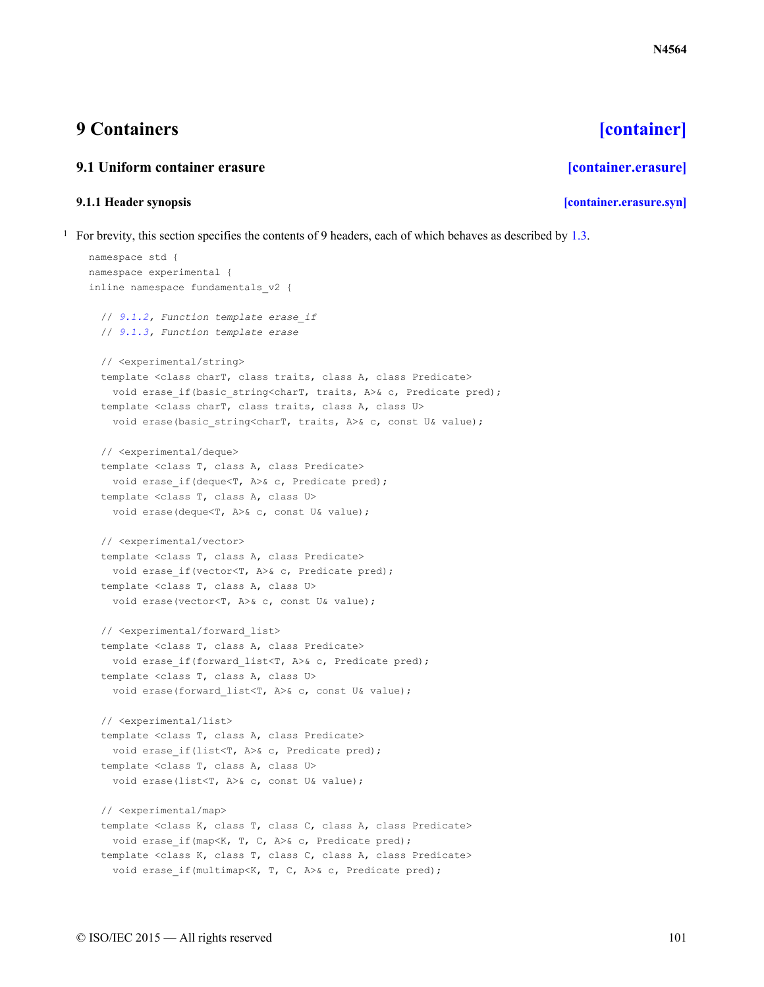# <span id="page-100-0"></span>**9 Containers [\[container\]](#page-100-0)**

# <span id="page-100-1"></span>**9.1 Uniform container erasure [\[container.erasure\]](#page-100-1)**

# **9.1.1 Header synopsis [\[container.erasure.syn\]](#page-100-2)**

<span id="page-100-2"></span><sup>1</sup> For brevity, this section specifies the contents of 9 headers, each of which behaves as described by [1.3.](#page-6-0)

```
namespace std {
namespace experimental {
inline namespace fundamentals_v2 {
 // 9.1.2, Function template erase_if
 // 9.1.3, Function template erase
  // <experimental/string>
  template <class charT, class traits, class A, class Predicate>
   void erase if(basic string<charT, traits, A>& c, Predicate pred);
  template <class charT, class traits, class A, class U>
   void erase(basic string<charT, traits, A>& c, const U& value);
  // <experimental/deque>
  template <class T, class A, class Predicate>
   void erase if(deque<T, A>& c, Predicate pred);
  template <class T, class A, class U>
   void erase(deque<T, A>& c, const U& value);
  // <experimental/vector>
  template <class T, class A, class Predicate>
    void erase if(vector<T, A>& c, Predicate pred);
  template <class T, class A, class U>
   void erase(vector<T, A>& c, const U& value);
  // <experimental/forward_list>
  template <class T, class A, class Predicate>
   void erase if(forward list<T, A>& c, Predicate pred);
  template <class T, class A, class U>
   void erase(forward list<T, A>& c, const U& value);
  // <experimental/list>
  template <class T, class A, class Predicate>
   void erase if(list<T, A>& c, Predicate pred);
  template <class T, class A, class U>
   void erase(list<T, A>& c, const U& value);
  // <experimental/map>
  template <class K, class T, class C, class A, class Predicate>
   void erase if(map<K, T, C, A>& c, Predicate pred);
  template <class K, class T, class C, class A, class Predicate>
   void erase if(multimap<K, T, C, A>& c, Predicate pred);
```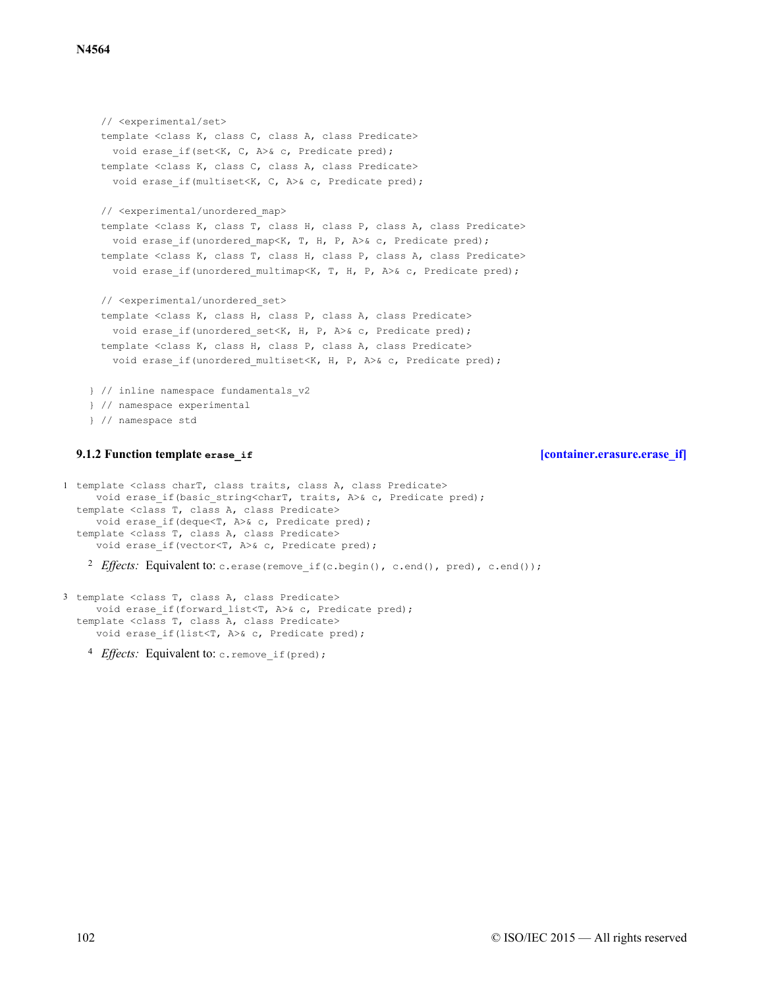```
// <experimental/set>
 template <class K, class C, class A, class Predicate>
   void erase if(set<K, C, A>& c, Predicate pred);
 template <class K, class C, class A, class Predicate>
   void erase if(multiset<K, C, A>& c, Predicate pred);
 // <experimental/unordered_map>
 template <class K, class T, class H, class P, class A, class Predicate>
   void erase if(unordered map<K, T, H, P, A>& c, Predicate pred);
 template <class K, class T, class H, class P, class A, class Predicate>
   void erase if(unordered multimap<K, T, H, P, A>& c, Predicate pred);
 // <experimental/unordered_set>
 template <class K, class H, class P, class A, class Predicate>
   void erase if(unordered set<K, H, P, A>& c, Predicate pred);
 template <class K, class H, class P, class A, class Predicate>
   void erase if(unordered multiset<K, H, P, A>& c, Predicate pred);
} // inline namespace fundamentals_v2
} // namespace experimental
```

```
} // namespace std
```
### **9.1.2 Function template erase\_if [\[container.erasure.erase\\_if\]](#page-101-0)**

<span id="page-101-0"></span>1 template <class charT, class traits, class A, class Predicate> void erase if(basic string<charT, traits, A>& c, Predicate pred); template <class T, class A, class Predicate> void erase if(deque<T, A>& c, Predicate pred); template <class T, class A, class Predicate> void erase if(vector<T, A>& c, Predicate pred);

<sup>2</sup> Effects: Equivalent to: c.erase(remove if(c.begin(), c.end(), pred), c.end());

3 template <class T, class A, class Predicate> void erase if(forward list<T, A>& c, Predicate pred); template <class T, class A, class Predicate> void erase if(list<T, A>& c, Predicate pred);

4 *Effects*: Equivalent to: c.remove if (pred);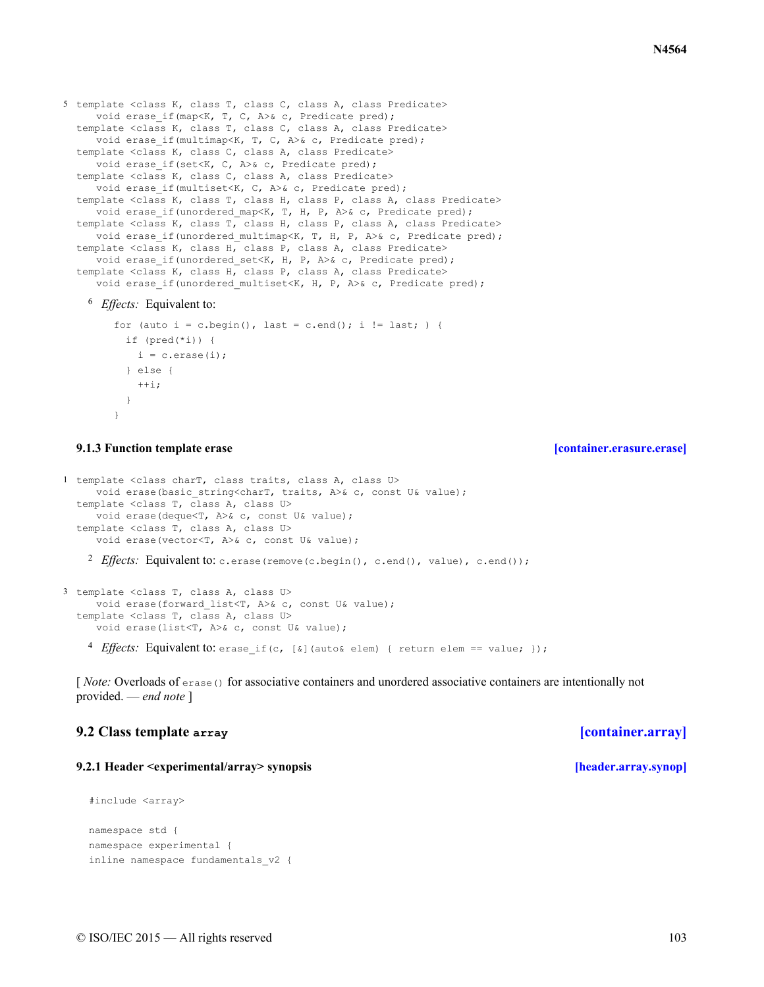```
<sup>6</sup> Effects: Equivalent to:
5 template <class K, class T, class C, class A, class Predicate>
     void erase if (map<K, T, C, A>& c, Predicate pred);
  template <class K, class T, class C, class A, class Predicate>
     void erase if(multimap<K, T, C, A>& c, Predicate pred);
  template <class K, class C, class A, class Predicate>
     void erase if(set<K, C, A>& c, Predicate pred);
  template <class K, class C, class A, class Predicate>
     void erase if(multiset<K, C, A>& c, Predicate pred);
  template <class K, class T, class H, class P, class A, class Predicate>
     void erase_if(unordered_map<K, T, H, P, A>& c, Predicate pred);
  template <class K, class T, class H, class P, class A, class Predicate>
     void erase if (unordered multimap<K, T, H, P, A>& c, Predicate pred);
  template <class K, class H, class P, class A, class Predicate>
     void erase if(unordered set<K, H, P, A>& c, Predicate pred);
  template <class K, class H, class P, class A, class Predicate>
     void erase if(unordered multiset<K, H, P, A>& c, Predicate pred);
```

```
for (auto i = c.begin(), last = c.end(); i != last; ) {
 if (pred(*i)) {
    i = c.\text{erase}(i);} else {
    ++i:
  }
}
```
### **9.1.3 Function template erase [\[container.erasure.erase\]](#page-102-0)**

<span id="page-102-0"></span>1 template <class charT, class traits, class A, class U> void erase(basic string<charT, traits, A>& c, const U& value); template <class T, class A, class U> void erase(deque<T, A>& c, const U& value); template <class T, class A, class U> void erase(vector<T, A>& c, const U& value);

2 Effects: Equivalent to: c.erase(remove(c.begin(), c.end(), value), c.end());

```
3 template <class T, class A, class U>
     void erase(forward list<T, A>& c, const U& value);
  template <class T, class A, class U>
     void erase(list<T, A>& c, const U& value);
```
4 *Effects*: Equivalent to: erase if (c, [&](auto& elem) { return elem == value; });

[*Note:* Overloads of erase() for associative containers and unordered associative containers are intentionally not provided. — *end note* ]

### <span id="page-102-1"></span>**9.2 Class template array [\[container.array\]](#page-102-1)**

### <span id="page-102-2"></span>**9.2.1 Header <experimental/array> synopsis [\[header.array.synop\]](#page-102-2)**

```
#include <array>
namespace std {
namespace experimental {
inline namespace fundamentals_v2 {
```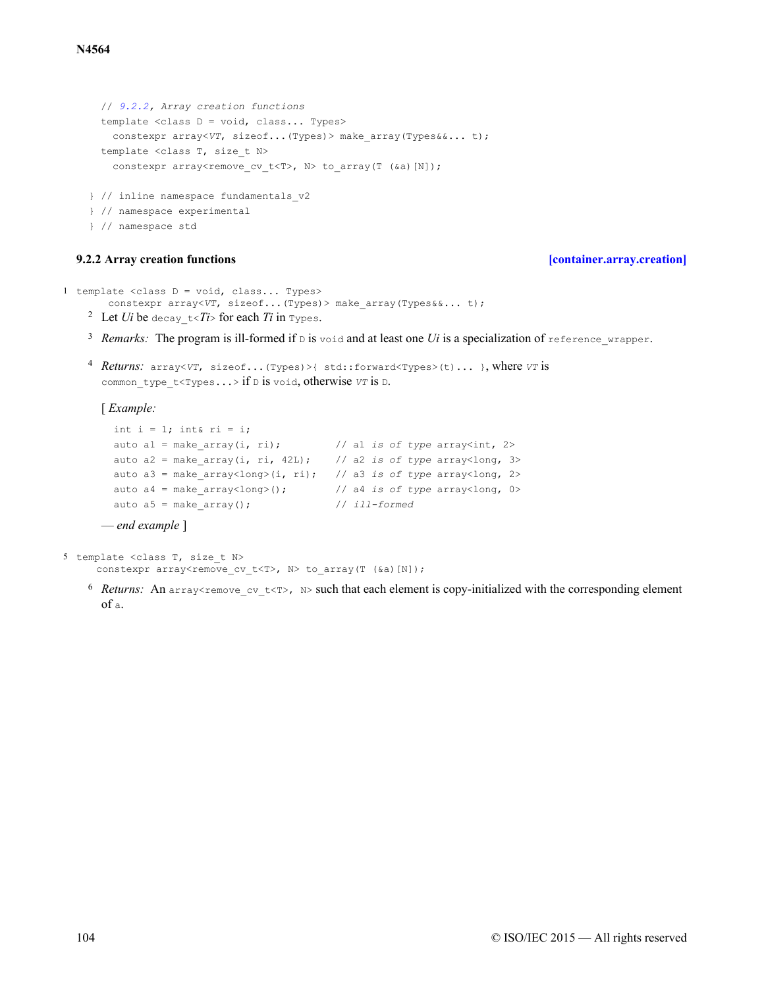```
// 9.2.2, Array creation functions
 template <class D = void, class... Types>
   constexpr array<VT, sizeof...(Types)> make_array(Types&&... t);
  template <class T, size_t N>
   constexpr array<remove cv t<T>, N> to array(T (&a)[N]);
} // inline namespace fundamentals_v2
} // namespace experimental
} // namespace std
```
### **9.2.2 Array creation functions [\[container.array.creation\]](#page-103-0)**

```
1 template <class D = void, class... Types>
       constexpr array<VT, sizeof...(Types)> make_array(Types&&... t);
```
- <sup>2</sup> Let *Ui* be decay\_t<*Ti*> for each *Ti* in Types.
- <sup>3</sup> Remarks: The program is ill-formed if  $\nu$  is void and at least one *Ui* is a specialization of reference wrapper.
- <sup>4</sup> Returns: array<*VT*, sizeof...(Types)>{ std::forward<Types>(t)... }, where *VT* is common type  $t$ <Types...> if D is void, otherwise *VT* is D.

### [ *Example:*

```
int i = 1; int& ri = i;
 auto a1 = make array(i, ri); // a1 is of type array<int, 2>
 auto a2 = make_array(i, ri, 42L); // a2 is of type array<long, 3>
 auto a3 = make_array<long>(i, ri); // a3 is of type array<long, 2>
 auto a4 = make array<long>(); // a4 is of type array<long, 0>
 auto a5 = make_array(); // ill-formed
— end example ]
```
5 template <class T, size\_t N> constexpr array<remove cv t<T>, N> to array(T (&a)[N]);

<sup>6</sup> Returns: An array<remove cv t<T>, N> such that each element is copy-initialized with the corresponding element of a.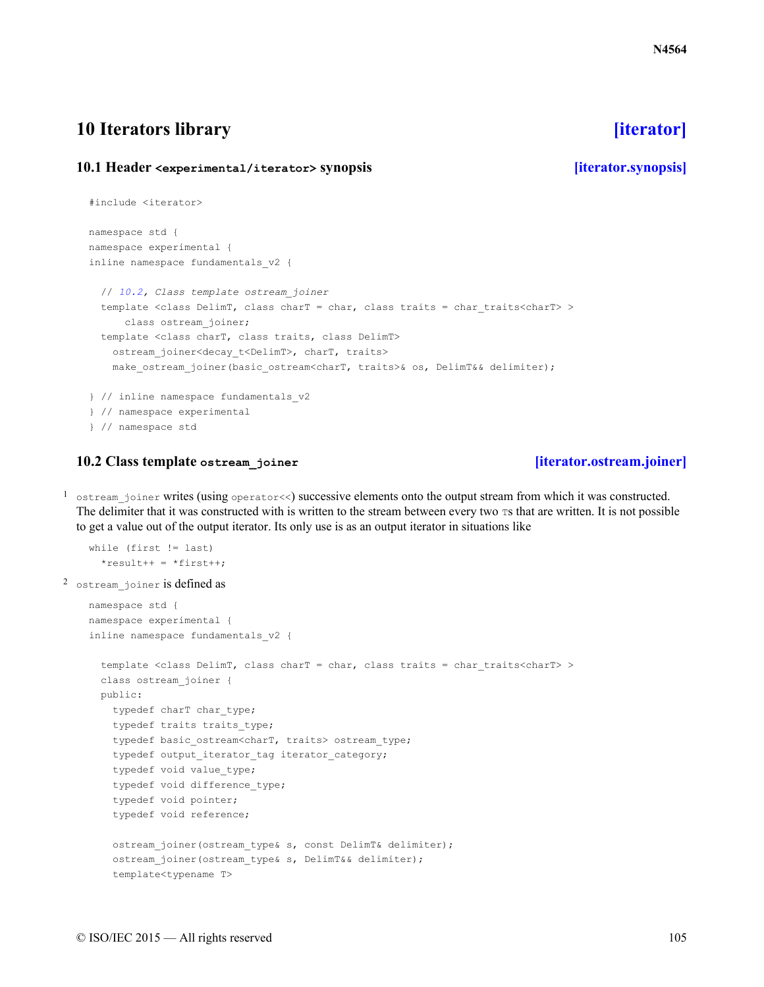# <span id="page-104-0"></span>**10 Iterators library [\[iterator\]](#page-104-0)**

# <span id="page-104-1"></span>**10.1 Header <experimental/iterator> synopsis [\[iterator.synopsis\]](#page-104-1)**

```
#include <iterator>
namespace std {
namespace experimental {
inline namespace fundamentals_v2 {
  // 10.2, Class template ostream_joiner
  template <class DelimT, class charT = char, class traits = char traits<charT> >
      class ostream_joiner;
  template <class charT, class traits, class DelimT>
   ostream_joiner<decay_t<DelimT>, charT, traits>
   make ostream joiner(basic ostream<charT, traits>& os, DelimT&& delimiter);
} // inline namespace fundamentals_v2
} // namespace experimental
} // namespace std
```
# **10.2 Class template ostream\_joiner [\[iterator.ostream.joiner\]](#page-104-2)**

<span id="page-104-2"></span> $<$  ostream joiner writes (using operator<<) successive elements onto the output stream from which it was constructed. The delimiter that it was constructed with is written to the stream between every two  $\tau s$  that are written. It is not possible to get a value out of the output iterator. Its only use is as an output iterator in situations like

```
while (first != last)
      *result++ = *first++;2 ostream_joiner is defined as
    namespace std {
    namespace experimental {
    inline namespace fundamentals_v2 {
      template <class DelimT, class charT = char, class traits = char traits<charT> >
      class ostream_joiner {
      public:
        typedef charT char type;
        typedef traits traits_type;
        typedef basic ostream<charT, traits> ostream type;
        typedef output_iterator_tag iterator_category;
        typedef void value type;
        typedef void difference type;
        typedef void pointer;
        typedef void reference;
        ostream_joiner(ostream_type& s, const DelimT& delimiter);
        ostream_joiner(ostream_type& s, DelimT&& delimiter);
        template<typename T>
```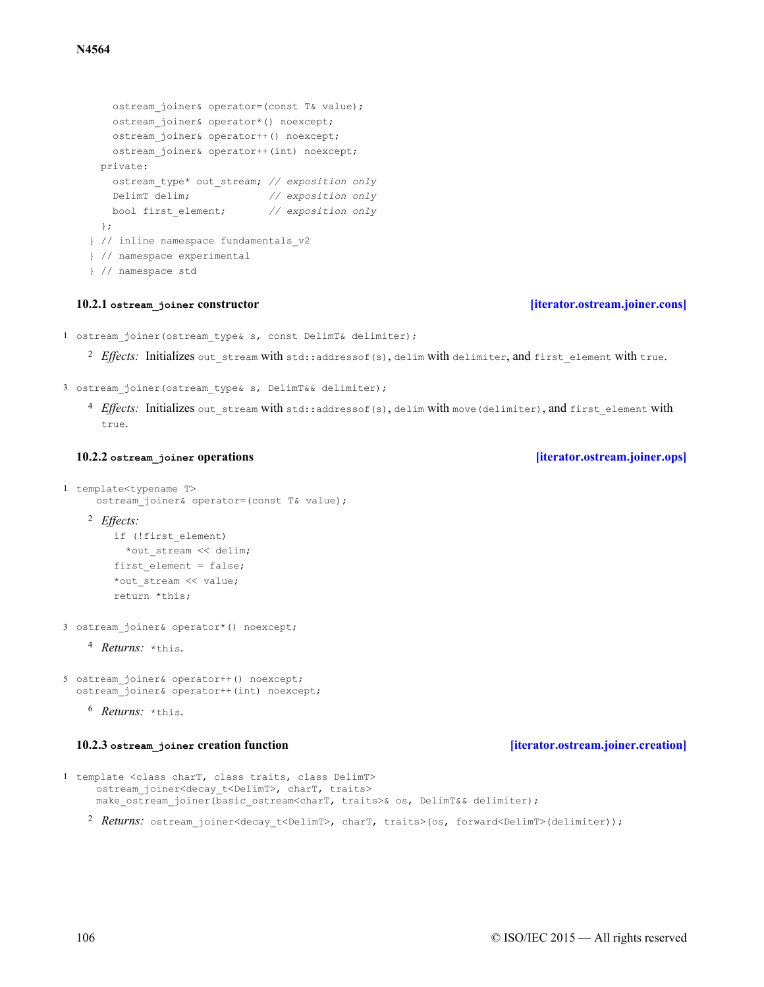private:

};

make\_ostream\_joiner(basic\_ostream<charT, traits>& os, DelimT&& delimiter);

<span id="page-105-0"></span>1 ostream joiner(ostream type& s, const DelimT& delimiter);

ostream\_joiner& operator=(const T& value); ostream\_joiner& operator\*() noexcept; ostream\_joiner& operator++() noexcept; ostream\_joiner& operator++(int) noexcept;

ostream\_type\* out\_stream; *// exposition only* DelimT delim; *// exposition only* bool first\_element; *// exposition only*

<sup>2</sup> Effects: Initializes out stream with std::addressof(s), delim with delimiter, and first element with true.

3 ostream joiner(ostream type& s, DelimT&& delimiter);

} // inline namespace fundamentals\_v2

} // namespace experimental

} // namespace std

<sup>4</sup> Effects: Initializes out stream with std::addressof(s), delim with move(delimiter), and first element with true.

```
1 template<typename T>
     ostream_joiner& operator=(const T& value);
```

```
Effects:
2
   if (!first_element)
     *out stream << delim;
    first element = false;
    *out stream << value;
   return *this;
```
3 ostream\_joiner& operator\*() noexcept;

4 Returns: \*this.

```
5 ostream_joiner& operator++() noexcept;
  ostream_joiner& operator++(int) noexcept;
```

```
<sup>6</sup> Returns: *this.
```
### **10.2.3 ostream\_joiner creation function [\[iterator.ostream.joiner.creation\]](#page-105-2)**

<span id="page-105-2"></span>1 template <class charT, class traits, class DelimT> ostream\_joiner<decay\_t<DelimT>, charT, traits>

106 © ISO/IEC 2015 — All rights reserved

# **10.2.1 ostream\_joiner constructor [\[iterator.ostream.joiner.cons\]](#page-105-0)**

### **10.2.2 ostream\_joiner operations [\[iterator.ostream.joiner.ops\]](#page-105-1)**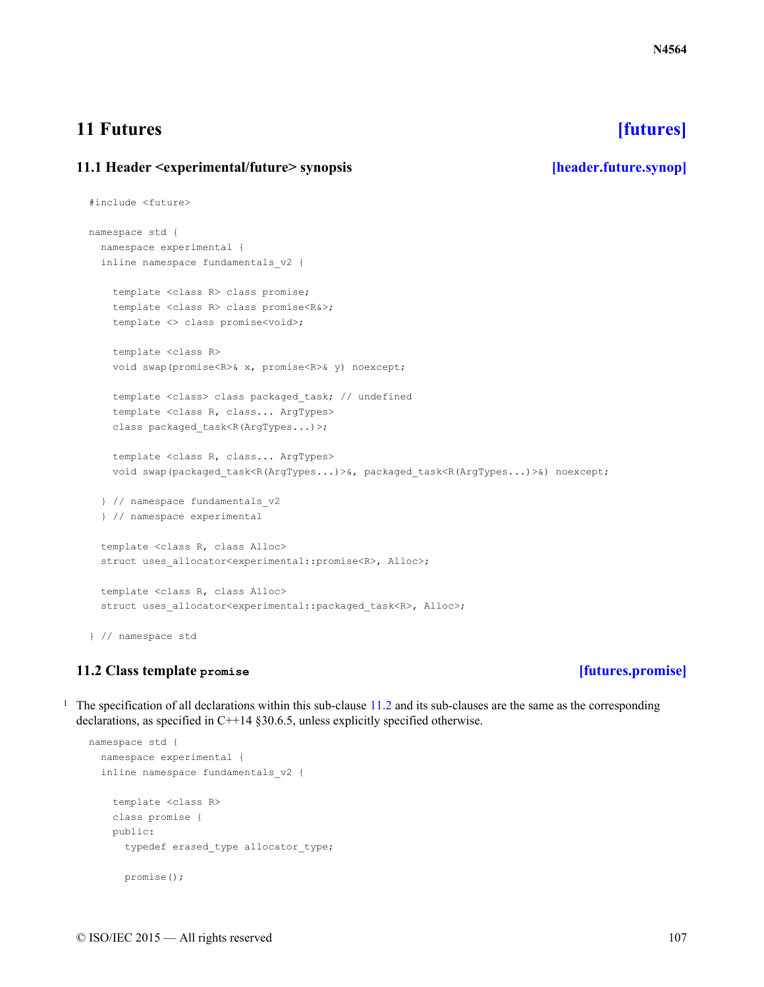# <span id="page-106-0"></span>**11 Futures [\[futures\]](#page-106-0)**

# <span id="page-106-1"></span>**11.1 Header <experimental/future> synopsis [\[header.future.synop\]](#page-106-1)**

```
#include <future>
namespace std {
 namespace experimental {
  inline namespace fundamentals_v2 {
    template <class R> class promise;
    template <class R> class promise<R&>;
    template <> class promise<void>;
    template <class R>
    void swap(promise<R>& x, promise<R>& y) noexcept;
    template <class> class packaged_task; // undefined
    template <class R, class... ArgTypes>
    class packaged_task<R(ArgTypes...)>;
    template <class R, class... ArgTypes>
    void swap(packaged_task<R(ArgTypes...)>&, packaged_task<R(ArgTypes...)>&) noexcept;
  } // namespace fundamentals_v2
  } // namespace experimental
  template <class R, class Alloc>
  struct uses allocator<experimental::promise<R>, Alloc>;
  template <class R, class Alloc>
  struct uses allocator<experimental::packaged task<R>, Alloc>;
} // namespace std
```
# **11.2 Class template promise [\[futures.promise\]](#page-106-2)**

<span id="page-106-2"></span><sup>1</sup> The specification of all declarations within this sub-clause  $11.2$  and its sub-clauses are the same as the corresponding declarations, as specified in C++14 §30.6.5, unless explicitly specified otherwise.

```
namespace std {
 namespace experimental {
 inline namespace fundamentals_v2 {
    template <class R>
   class promise {
   public:
      typedef erased type allocator type;
     promise();
```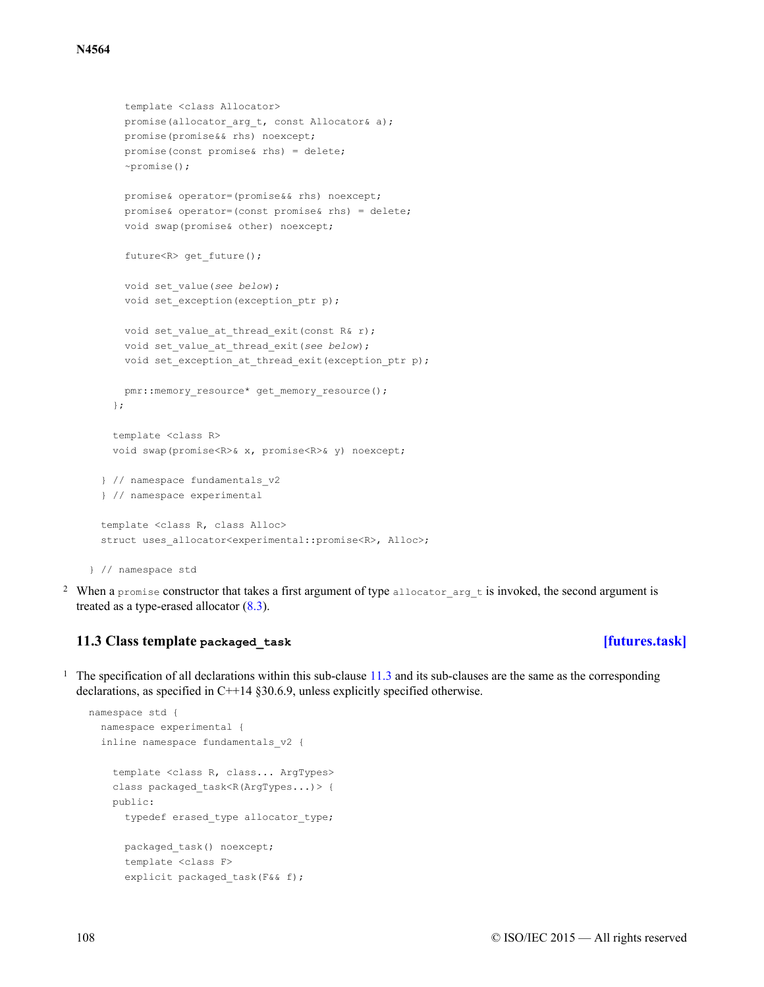```
template <class Allocator>
     promise(allocator arg t, const Allocator& a);
     promise(promise&& rhs) noexcept;
     promise(const promise& rhs) = delete;
     ~promise();
     promise& operator=(promise&& rhs) noexcept;
     promise& operator=(const promise& rhs) = delete;
     void swap(promise& other) noexcept;
     future<R> get_future();
     void set_value(see below);
     void set exception(exception_ptr p);
     void set value at thread exit(const R& r);
     void set_value_at_thread_exit(see below);
     void set exception at thread exit(exception ptr p);
     pmr::memory_resource* get_memory_resource();
   };
   template <class R>
   void swap(promise<R>& x, promise<R>& y) noexcept;
  } // namespace fundamentals_v2
 } // namespace experimental
 template <class R, class Alloc>
 struct uses allocator<experimental::promise<R>, Alloc>;
} // namespace std
```
<sup>2</sup> When a promise constructor that takes a first argument of type allocator arg t is invoked, the second argument is treated as a type-erased allocator  $(8.3)$  $(8.3)$ .

### **11.3 Class template packaged\_task [\[futures.task\]](#page-107-0)**

<span id="page-107-0"></span><sup>1</sup> The specification of all declarations within this sub-clause  $11.3$  and its sub-clauses are the same as the corresponding declarations, as specified in C++14 §30.6.9, unless explicitly specified otherwise.

```
namespace std {
  namespace experimental {
  inline namespace fundamentals_v2 {
    template <class R, class... ArgTypes>
   class packaged task<R(ArgTypes...)> {
   public:
      typedef erased type allocator type;
     packaged task() noexcept;
      template <class F>
      explicit packaged task(F&& f);
```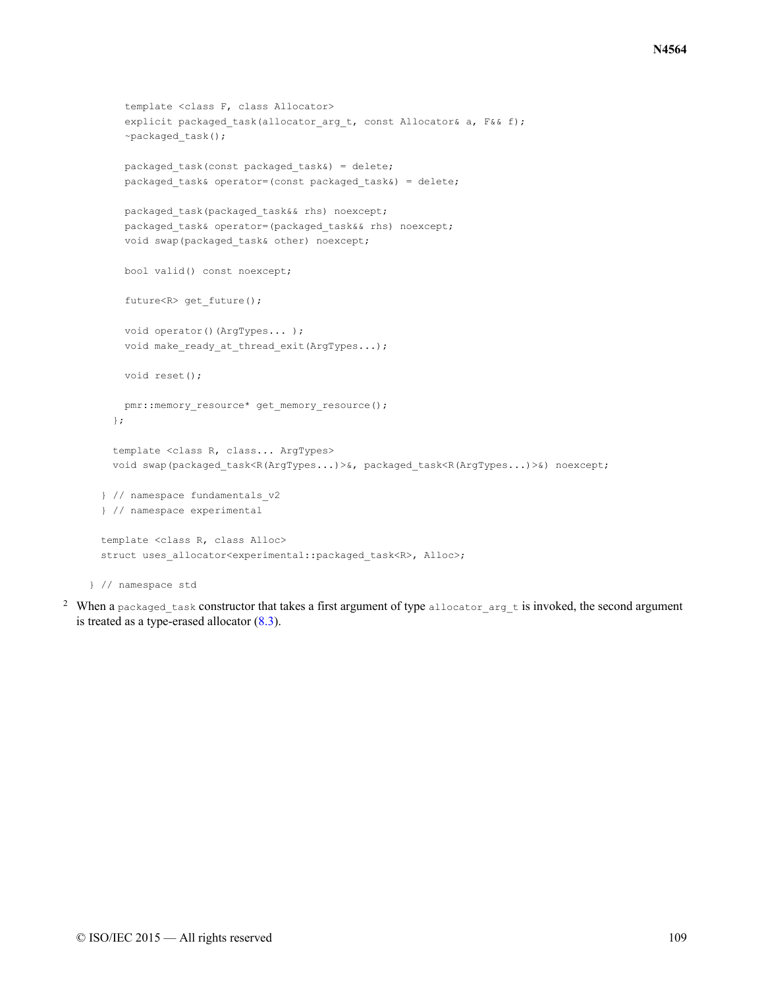```
template <class F, class Allocator>
    explicit packaged task(allocator arg t, const Allocator& a, F&& f);
    ~packaged_task();
    packaged task(const packaged task&) = delete;
   packaged task& operator=(const packaged task&) = delete;
   packaged task(packaged task&& rhs) noexcept;
   packaged_task& operator=(packaged_task&& rhs) noexcept;
   void swap(packaged_task& other) noexcept;
   bool valid() const noexcept;
    future<R> get_future();
   void operator()(ArgTypes... );
   void make ready at thread exit(ArgTypes...);
   void reset();
   pmr::memory_resource* get_memory_resource();
  };
  template <class R, class... ArgTypes>
  void swap(packaged_task<R(ArgTypes...)>&, packaged_task<R(ArgTypes...)>&) noexcept;
} // namespace fundamentals_v2
} // namespace experimental
template <class R, class Alloc>
struct uses_allocator<experimental::packaged_task<R>, Alloc>;
```
} // namespace std

<sup>2</sup> When a packaged task constructor that takes a first argument of type allocator\_arg\_t is invoked, the second argument is treated as a type-erased allocator  $(8.3)$ .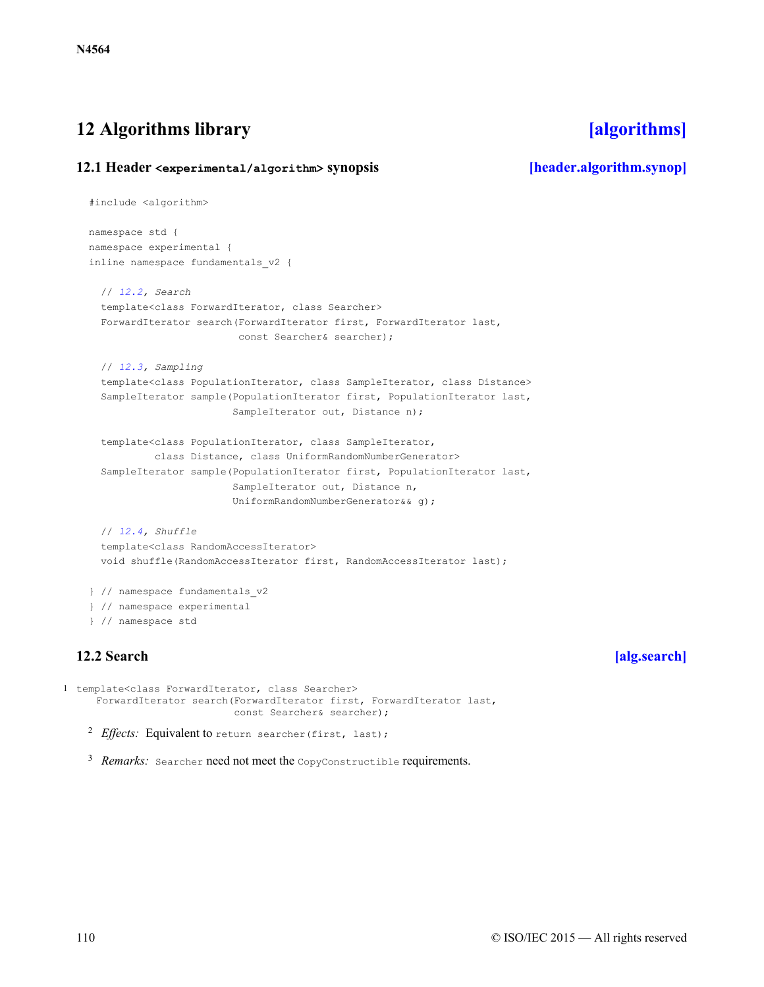# <span id="page-109-0"></span>**12 Algorithms library [\[algorithms\]](#page-109-0)**

### <span id="page-109-1"></span>**12.1 Header <experimental/algorithm> synopsis [\[header.algorithm.synop\]](#page-109-1)**

```
#include <algorithm>
 namespace std {
 namespace experimental {
 inline namespace fundamentals_v2 {
   // 12.2, Search
   template<class ForwardIterator, class Searcher>
   ForwardIterator search(ForwardIterator first, ForwardIterator last,
                        const Searcher& searcher);
   // 12.3, Sampling
   template<class PopulationIterator, class SampleIterator, class Distance>
   SampleIterator sample(PopulationIterator first, PopulationIterator last,
                        SampleIterator out, Distance n);
   template<class PopulationIterator, class SampleIterator,
           class Distance, class UniformRandomNumberGenerator>
   SampleIterator sample(PopulationIterator first, PopulationIterator last,
                        SampleIterator out, Distance n,
                        UniformRandomNumberGenerator&& g);
   // 12.4, Shuffle
   template<class RandomAccessIterator>
   void shuffle(RandomAccessIterator first, RandomAccessIterator last);
  } // namespace fundamentals_v2
  } // namespace experimental
  } // namespace std
12.2 Search [alg.search]
```

```
<sup>2</sup> Effects: Equivalent to return searcher(first, last);
1 template<class ForwardIterator, class Searcher>
     ForwardIterator search(ForwardIterator first, ForwardIterator last,
                              const Searcher& searcher);
```
<sup>3</sup> Remarks: Searcher need not meet the CopyConstructible requirements.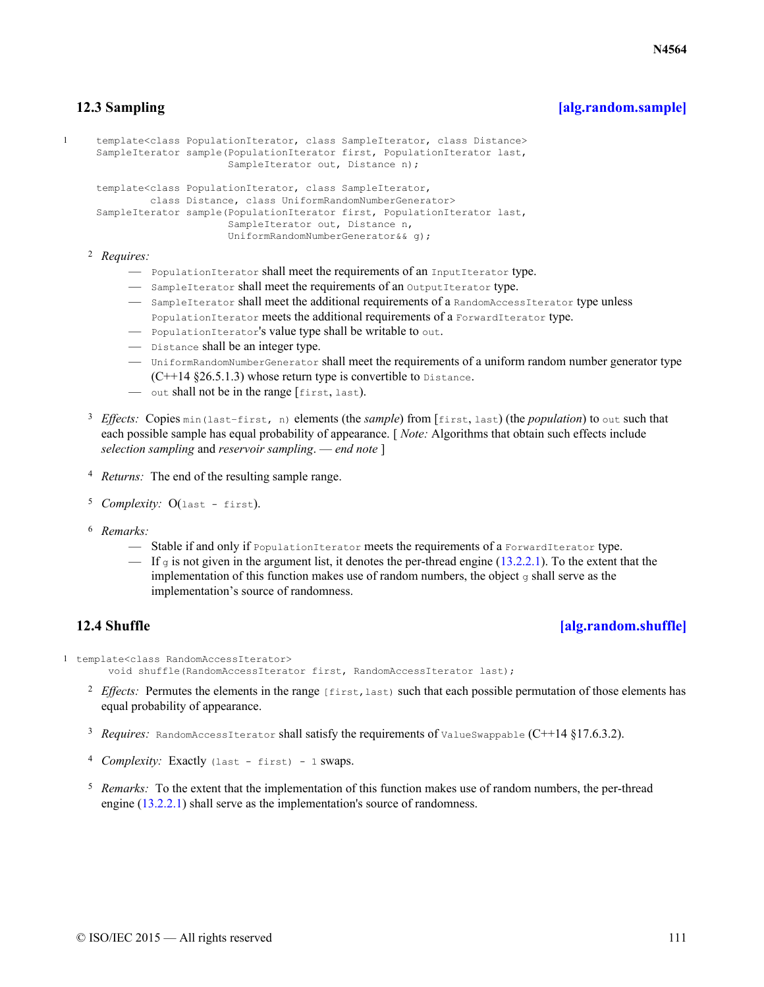# **12.3 Sampling [\[alg.random.sample\]](#page-110-0)**

```
1 template<class PopulationIterator, class SampleIterator, class Distance>
     SampleIterator sample(PopulationIterator first, PopulationIterator last,
                           SampleIterator out, Distance n);
     template<class PopulationIterator, class SampleIterator,
              class Distance, class UniformRandomNumberGenerator>
     SampleIterator sample(PopulationIterator first, PopulationIterator last,
                           SampleIterator out, Distance n,
                           UniformRandomNumberGenerator&& g);
```
*Requires:* 2

- PopulationIterator shall meet the requirements of an InputIterator type.
- SampleIterator shall meet the requirements of an OutputIterator type.
- SampleIterator shall meet the additional requirements of a RandomAccessIterator type unless PopulationIterator meets the additional requirements of a ForwardIterator type.
- PopulationIterator's value type shall be writable to out.
- Distance shall be an integer type.
- UniformRandomNumberGenerator shall meet the requirements of a uniform random number generator type  $(C+14 \text{ §}26.5.1.3)$  whose return type is convertible to Distance.
- out shall not be in the range [first, last).
- <sup>3</sup> Effects: Copies min(last−first, n) elements (the *sample*) from [first, last) (the *population*) to out such that each possible sample has equal probability of appearance. [ *Note:* Algorithms that obtain such effects include *selection sampling* and *reservoir sampling*. — *end note* ]
- <sup>4</sup> *Returns:* The end of the resulting sample range.
- <sup>5</sup> Complexity: O(last first).
- *Remarks:* 6
	- Stable if and only if PopulationIterator meets the requirements of a ForwardIterator type.
	- $-$  If g is not given in the argument list, it denotes the per-thread engine ([13.2.2.1\)](#page-112-0). To the extent that the implementation of this function makes use of random numbers, the object  $\sigma$  shall serve as the implementation's source of randomness.

## **12.4 Shuffle [\[alg.random.shuffle\]](#page-110-1)**

```
1 template<class RandomAccessIterator>
```

```
void shuffle(RandomAccessIterator first, RandomAccessIterator last);
```
- $P<sup>2</sup>$  *Effects:* Permutes the elements in the range  $[\text{first},\text{last})$  such that each possible permutation of those elements has equal probability of appearance.
- <sup>3</sup> Requires: RandomAccessIterator shall satisfy the requirements of ValueSwappable (C++14 §17.6.3.2).
- <sup>4</sup> Complexity: Exactly (last first) 1 swaps.
- <sup>5</sup> Remarks: To the extent that the implementation of this function makes use of random numbers, the per-thread engine ([13.2.2.1](#page-112-0)) shall serve as the implementation's source of randomness.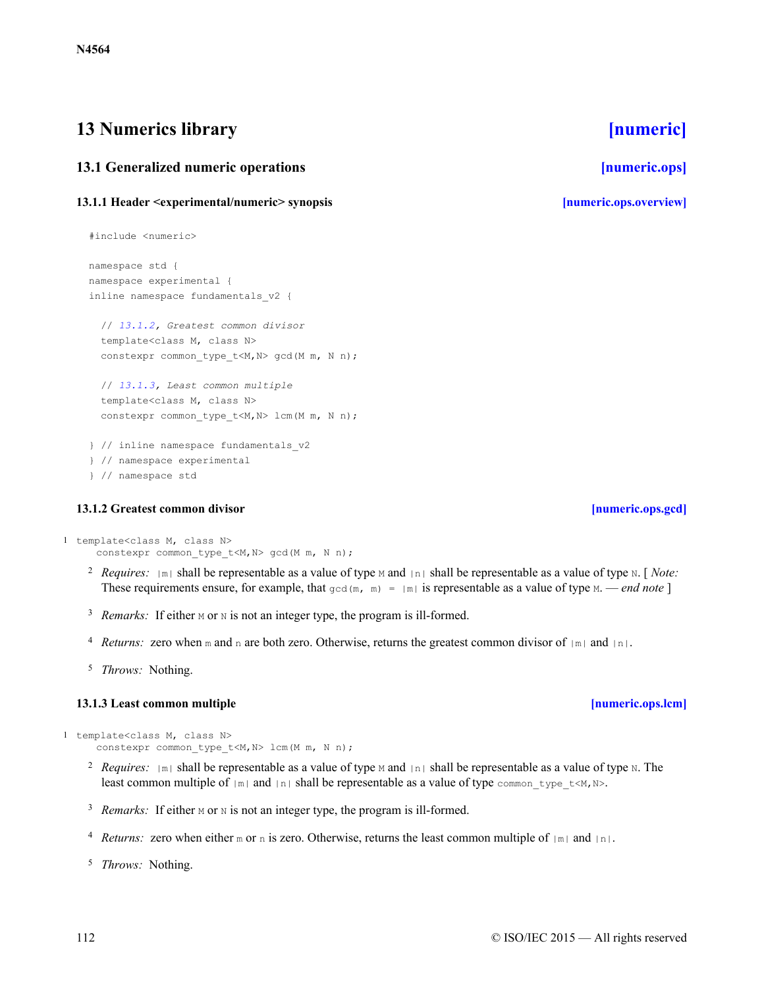# <span id="page-111-0"></span>**13 Numerics library [\[numeric\]](#page-111-0)**

# <span id="page-111-1"></span>**13.1 Generalized numeric operations [\[numeric.ops\]](#page-111-1)**

# <span id="page-111-2"></span>**13.1.1 Header <experimental/numeric> synopsis [\[numeric.ops.overview\]](#page-111-2)**

```
#include <numeric>
namespace std {
namespace experimental {
inline namespace fundamentals_v2 {
  // 13.1.2, Greatest common divisor
  template<class M, class N>
  constexpr common type t < M, N gcd(M m, N n);
  // 13.1.3, Least common multiple
  template<class M, class N>
  constexpr common type t<M,N> lcm(M m, N n);
} // inline namespace fundamentals_v2
} // namespace experimental
} // namespace std
```
## **13.1.2 Greatest common divisor [\[numeric.ops.gcd\]](#page-111-3)**

```
1 template<class M, class N>
     constexpr common type t<M,N> gcd(M m, N n);
```
- <sup>2</sup> *Requires:*  $|\mathbb{m}|$  shall be representable as a value of type M and  $|\mathbb{m}|$  shall be representable as a value of type N. [*Note:* These requirements ensure, for example, that  $\gcd(m, m) = |m|$  is representable as a value of type M. — *end note* ]
- <sup>3</sup> Remarks: If either M or N is not an integer type, the program is ill-formed.
- <sup>4</sup> *Returns:* zero when m and n are both zero. Otherwise, returns the greatest common divisor of  $|m|$  and  $|n|$ .
- <sup>5</sup> *Throws:* Nothing.

## **13.1.3 Least common multiple [\[numeric.ops.lcm\]](#page-111-4)**

```
1 template<class M, class N>
     constexpr common type t<M,N> lcm(M m, N n);
```
- <sup>2</sup> *Requires:*  $|\mathbb{m}|$  shall be representable as a value of type M and  $|\mathbb{m}|$  shall be representable as a value of type N. The least common multiple of  $|m|$  and  $|n|$  shall be representable as a value of type common type  $t\le M, N$ .
- <sup>3</sup> Remarks: If either M or N is not an integer type, the program is ill-formed.
- <sup>4</sup> *Returns:* zero when either m or n is zero. Otherwise, returns the least common multiple of  $|m|$  and  $|n|$ .
- <sup>5</sup> *Throws:* Nothing.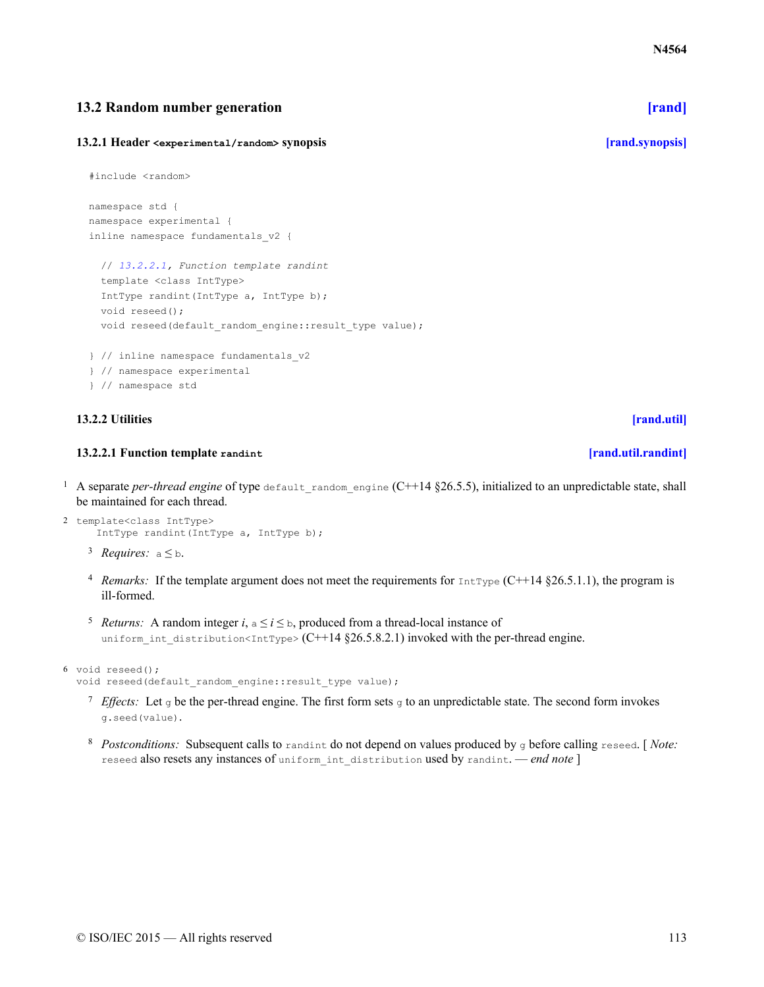# <span id="page-112-1"></span>**13.2 Random number generation [\[rand\]](#page-112-1)**

### <span id="page-112-2"></span>**13.2.1 Header <experimental/random> synopsis [\[rand.synopsis\]](#page-112-2)**

```
#include <random>
```

```
namespace std {
namespace experimental {
inline namespace fundamentals_v2 {
```

```
// 13.2.2.1, Function template randint
 template <class IntType>
 IntType randint(IntType a, IntType b);
 void reseed();
 void reseed(default random engine::result type value);
} // inline namespace fundamentals_v2
} // namespace experimental
```
} // namespace std

### <span id="page-112-3"></span>**13.2.2 Utilities [\[rand.util\]](#page-112-3)**

### **13.2.2.1 Function template randint [\[rand.util.randint\]](#page-112-0)**

- <span id="page-112-0"></span><sup>1</sup> A separate *per-thread engine* of type default random engine (C++14 §26.5.5), initialized to an unpredictable state, shall be maintained for each thread.
- 2 template<class IntType> IntType randint(IntType a, IntType b);
	- <sup>3</sup> *Requires:*  $a \leq b$ .
	- <sup>4</sup> Remarks: If the template argument does not meet the requirements for  $IntType (C++14 \text{ §}26.5.1.1)$ , the program is ill-formed.
	- <sup>5</sup> *Returns:* A random integer *i*,  $a \le i \le b$ , produced from a thread-local instance of uniform int distribution<IntType> (C++14 §26.5.8.2.1) invoked with the per-thread engine.

```
6 void reseed();
```
void reseed(default random engine::result type value);

- *T* Effects: Let g be the per-thread engine. The first form sets g to an unpredictable state. The second form invokes g.seed(value).
- *Postconditions:* <sup>8</sup> Subsequent calls to randint do not depend on values produced by g before calling reseed. [ *Note:* reseed also resets any instances of uniform\_int\_distribution used by randint. — *end note* ]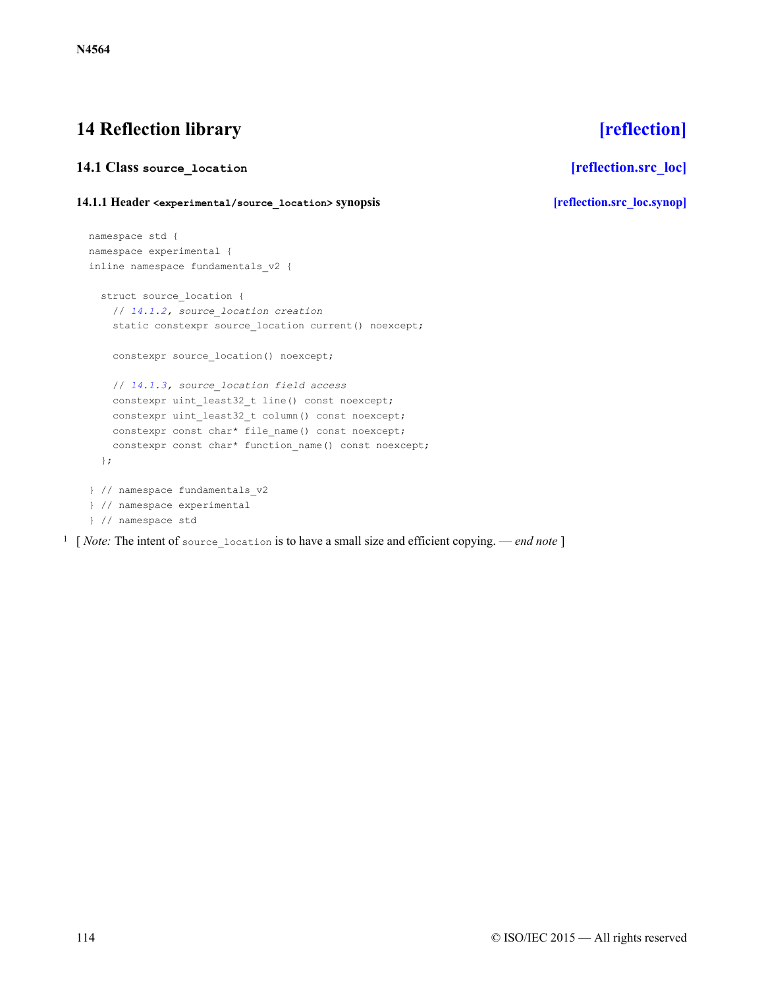# <span id="page-113-0"></span>**14 Reflection library [\[reflection\]](#page-113-0)**

# <span id="page-113-1"></span>**14.1 Class source\_location [\[reflection.src\\_loc\]](#page-113-1)**

## <span id="page-113-2"></span>**14.1.1 Header <experimental/source\_location> synopsis [\[reflection.src\\_loc.synop\]](#page-113-2)**

```
namespace std {
namespace experimental {
inline namespace fundamentals_v2 {
  struct source location {
    // 14.1.2, source_location creation
    static constexpr source location current() noexcept;
   constexpr source location() noexcept;
   // 14.1.3, source_location field access
    constexpr uint least32 t line() const noexcept;
    constexpr uint_least32_t column() const noexcept;
    constexpr const char* file name() const noexcept;
    constexpr const char* function_name() const noexcept;
  };
} // namespace fundamentals_v2
} // namespace experimental
} // namespace std
```
1 [ *Note:* The intent of source\_location is to have a small size and efficient copying. — *end note* ]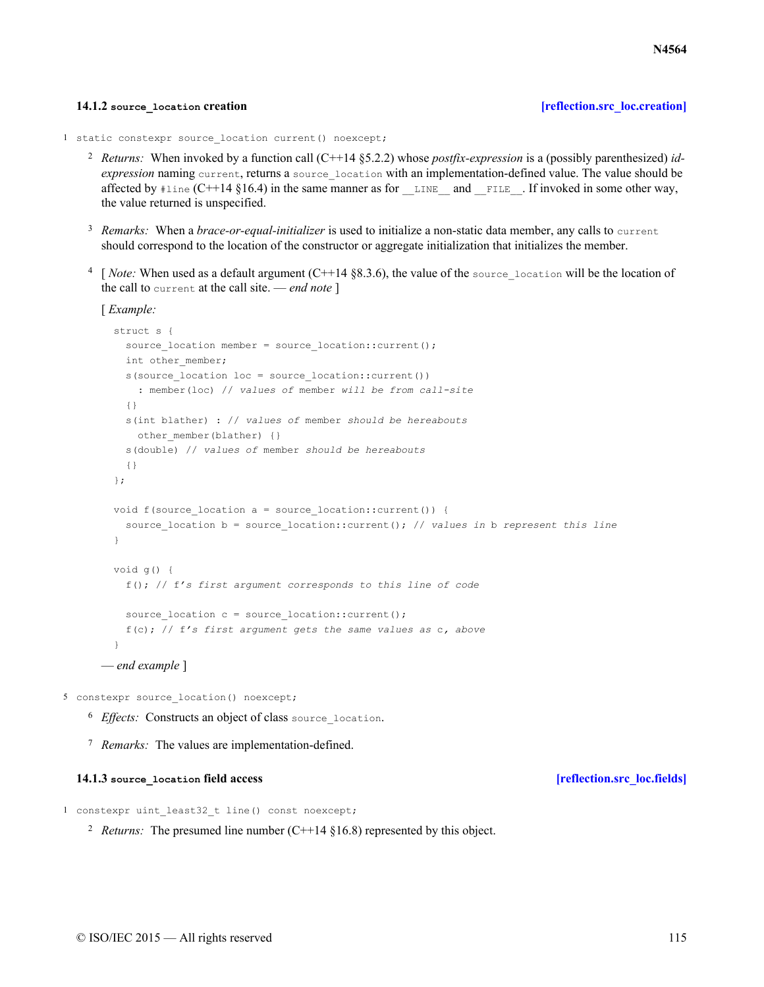### **14.1.2** source location creation

```
1 static constexpr source location current() noexcept;
```
- *Returns:* <sup>2</sup> When invoked by a function call (C++14 §5.2.2) whose *postfix-expression* is a (possibly parenthesized) *idexpression* naming current, returns a source location with an implementation-defined value. The value should be affected by  $\#$ line (C++14 §16.4) in the same manner as for LINE and FILE. If invoked in some other way, the value returned is unspecified.
- <sup>3</sup> Remarks: When a *brace-or-equal-initializer* is used to initialize a non-static data member, any calls to current should correspond to the location of the constructor or aggregate initialization that initializes the member.
- $\frac{4}{10}$  [*Note:* When used as a default argument (C++14 §8.3.6), the value of the source location will be the location of the call to current at the call site. — *end note* ]

```
[ Example:
```

```
struct s {
   source location member = source location::current();
   int other member;
    s(source location loc = source location::current())
      : member(loc) // values of member will be from call-site
    {}
    s(int blather) : // values of member should be hereabouts
     other member(blather) {}
   s(double) // values of member should be hereabouts
    {}
  };
  void f(source location a = source location::current()) {
    source location b = source location::current(); // values in b represent this line
  }
 void g() {
    f(); // f's first argument corresponds to this line of code
    source location c = source location:: current();
    f(c); // f's first argument gets the same values as c, above
  }
— end example ]
```
5 constexpr source\_location() noexcept;

- <sup>6</sup> Effects: Constructs an object of class source location.
- <sup>7</sup> Remarks: The values are implementation-defined.

### **14.1.3** source location field access *properties leflection.src\_loc.fields leflection.src\_loc.fields*

```
1 constexpr uint least32 t line() const noexcept;
```
<sup>2</sup> *Returns:* The presumed line number (C++14  $§16.8$ ) represented by this object.